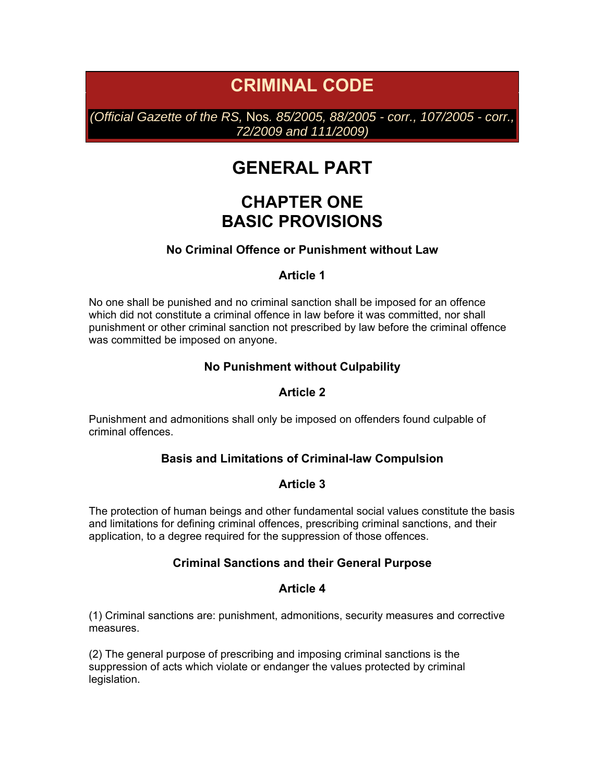# **CRIMINAL CODE**

*(Official Gazette of the RS,* Nos*. 85/2005, 88/2005 - corr., 107/2005 - corr., 72/2009 and 111/2009)* 

# **GENERAL PART**

# **CHAPTER ONE BASIC PROVISIONS**

## **No Criminal Offence or Punishment without Law**

#### **Article 1**

No one shall be punished and no criminal sanction shall be imposed for an offence which did not constitute a criminal offence in law before it was committed, nor shall punishment or other criminal sanction not prescribed by law before the criminal offence was committed be imposed on anyone.

#### **No Punishment without Culpability**

#### **Article 2**

Punishment and admonitions shall only be imposed on offenders found culpable of criminal offences.

#### **Basis and Limitations of Criminal-law Compulsion**

#### **Article 3**

The protection of human beings and other fundamental social values constitute the basis and limitations for defining criminal offences, prescribing criminal sanctions, and their application, to a degree required for the suppression of those offences.

#### **Criminal Sanctions and their General Purpose**

#### **Article 4**

(1) Criminal sanctions are: punishment, admonitions, security measures and corrective measures.

(2) The general purpose of prescribing and imposing criminal sanctions is the suppression of acts which violate or endanger the values protected by criminal legislation.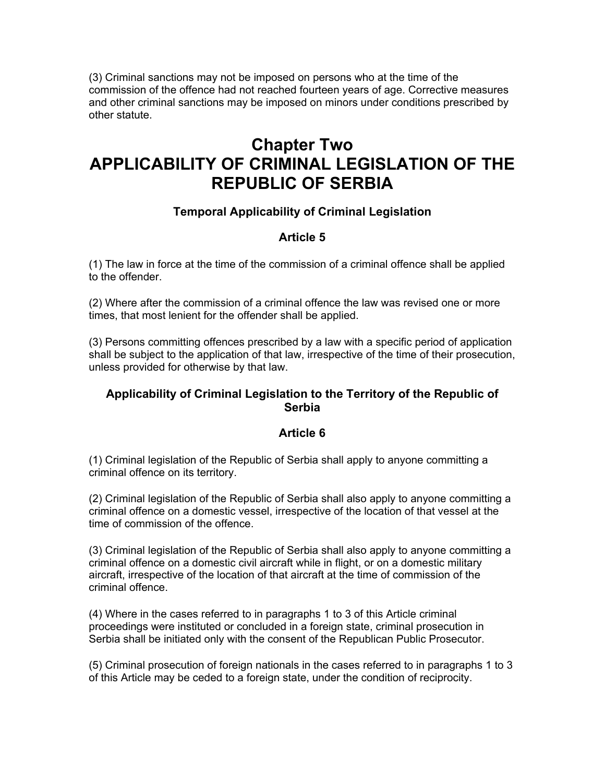(3) Criminal sanctions may not be imposed on persons who at the time of the commission of the offence had not reached fourteen years of age. Corrective measures and other criminal sanctions may be imposed on minors under conditions prescribed by other statute.

# **Chapter Two APPLICABILITY OF CRIMINAL LEGISLATION OF THE REPUBLIC OF SERBIA**

# **Temporal Applicability of Criminal Legislation**

# **Article 5**

(1) The law in force at the time of the commission of a criminal offence shall be applied to the offender.

(2) Where after the commission of a criminal offence the law was revised one or more times, that most lenient for the offender shall be applied.

(3) Persons committing offences prescribed by a law with a specific period of application shall be subject to the application of that law, irrespective of the time of their prosecution, unless provided for otherwise by that law.

## **Applicability of Criminal Legislation to the Territory of the Republic of Serbia**

## **Article 6**

(1) Criminal legislation of the Republic of Serbia shall apply to anyone committing a criminal offence on its territory.

(2) Criminal legislation of the Republic of Serbia shall also apply to anyone committing a criminal offence on a domestic vessel, irrespective of the location of that vessel at the time of commission of the offence.

(3) Criminal legislation of the Republic of Serbia shall also apply to anyone committing a criminal offence on a domestic civil aircraft while in flight, or on a domestic military aircraft, irrespective of the location of that aircraft at the time of commission of the criminal offence.

(4) Where in the cases referred to in paragraphs 1 to 3 of this Article criminal proceedings were instituted or concluded in a foreign state, criminal prosecution in Serbia shall be initiated only with the consent of the Republican Public Prosecutor.

(5) Criminal prosecution of foreign nationals in the cases referred to in paragraphs 1 to 3 of this Article may be ceded to a foreign state, under the condition of reciprocity.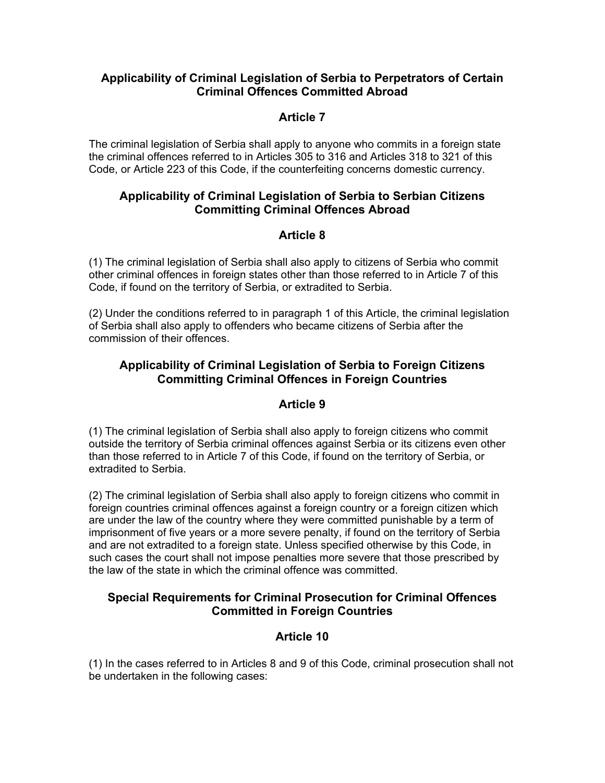## **Applicability of Criminal Legislation of Serbia to Perpetrators of Certain Criminal Offences Committed Abroad**

## **Article 7**

The criminal legislation of Serbia shall apply to anyone who commits in a foreign state the criminal offences referred to in Articles 305 to 316 and Articles 318 to 321 of this Code, or Article 223 of this Code, if the counterfeiting concerns domestic currency.

## **Applicability of Criminal Legislation of Serbia to Serbian Citizens Committing Criminal Offences Abroad**

# **Article 8**

(1) The criminal legislation of Serbia shall also apply to citizens of Serbia who commit other criminal offences in foreign states other than those referred to in Article 7 of this Code, if found on the territory of Serbia, or extradited to Serbia.

(2) Under the conditions referred to in paragraph 1 of this Article, the criminal legislation of Serbia shall also apply to offenders who became citizens of Serbia after the commission of their offences.

# **Applicability of Criminal Legislation of Serbia to Foreign Citizens Committing Criminal Offences in Foreign Countries**

## **Article 9**

(1) The criminal legislation of Serbia shall also apply to foreign citizens who commit outside the territory of Serbia criminal offences against Serbia or its citizens even other than those referred to in Article 7 of this Code, if found on the territory of Serbia, or extradited to Serbia.

(2) The criminal legislation of Serbia shall also apply to foreign citizens who commit in foreign countries criminal offences against a foreign country or a foreign citizen which are under the law of the country where they were committed punishable by a term of imprisonment of five years or a more severe penalty, if found on the territory of Serbia and are not extradited to a foreign state. Unless specified otherwise by this Code, in such cases the court shall not impose penalties more severe that those prescribed by the law of the state in which the criminal offence was committed.

# **Special Requirements for Criminal Prosecution for Criminal Offences Committed in Foreign Countries**

# **Article 10**

(1) In the cases referred to in Articles 8 and 9 of this Code, criminal prosecution shall not be undertaken in the following cases: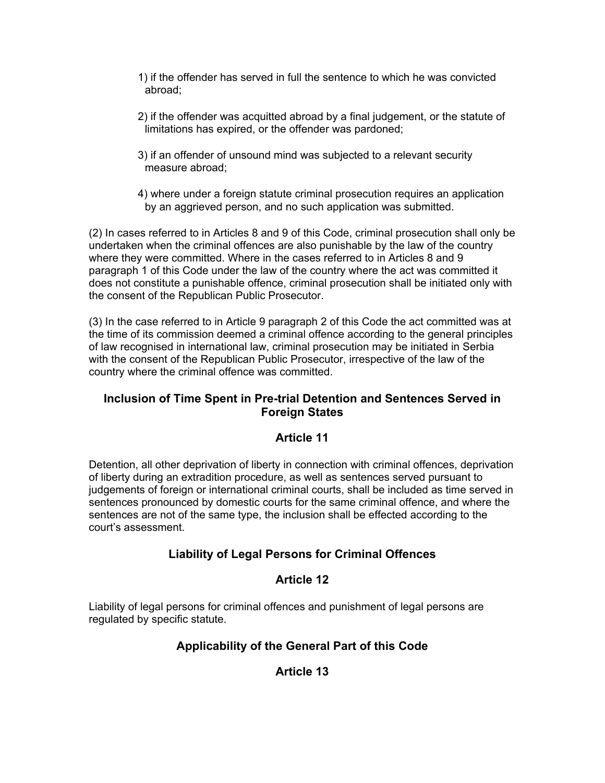- 1) if the offender has served in full the sentence to which he was convicted abroad;
- 2) if the offender was acquitted abroad by a final judgement, or the statute of limitations has expired, or the offender was pardoned;
- 3) if an offender of unsound mind was subjected to a relevant security measure abroad;
- 4) where under a foreign statute criminal prosecution requires an application by an aggrieved person, and no such application was submitted.

(2) In cases referred to in Articles 8 and 9 of this Code, criminal prosecution shall only be undertaken when the criminal offences are also punishable by the law of the country where they were committed. Where in the cases referred to in Articles 8 and 9 paragraph 1 of this Code under the law of the country where the act was committed it does not constitute a punishable offence, criminal prosecution shall be initiated only with the consent of the Republican Public Prosecutor.

(3) In the case referred to in Article 9 paragraph 2 of this Code the act committed was at the time of its commission deemed a criminal offence according to the general principles of law recognised in international law, criminal prosecution may be initiated in Serbia with the consent of the Republican Public Prosecutor, irrespective of the law of the country where the criminal offence was committed.

# **Inclusion of Time Spent in Pre-trial Detention and Sentences Served in Foreign States**

# **Article 11**

Detention, all other deprivation of liberty in connection with criminal offences, deprivation of liberty during an extradition procedure, as well as sentences served pursuant to judgements of foreign or international criminal courts, shall be included as time served in sentences pronounced by domestic courts for the same criminal offence, and where the sentences are not of the same type, the inclusion shall be effected according to the court's assessment.

# **Liability of Legal Persons for Criminal Offences**

## **Article 12**

Liability of legal persons for criminal offences and punishment of legal persons are regulated by specific statute.

# **Applicability of the General Part of this Code**

# **Article 13**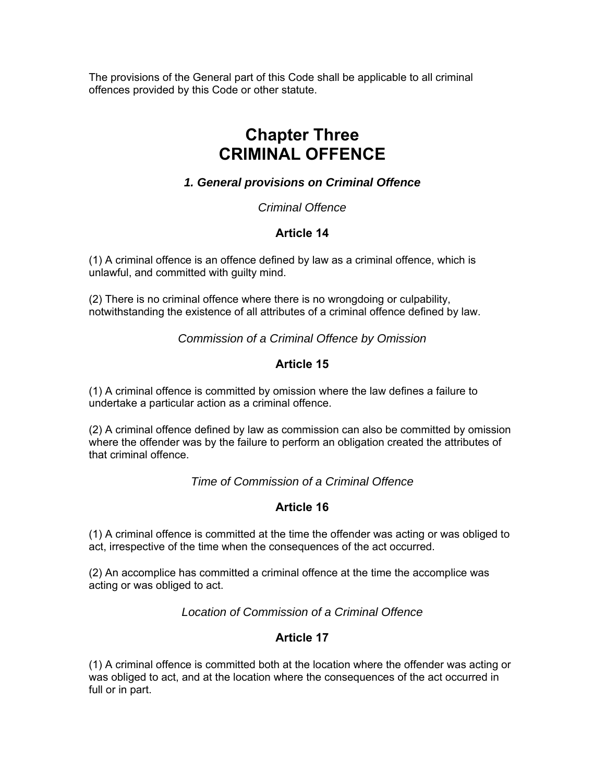The provisions of the General part of this Code shall be applicable to all criminal offences provided by this Code or other statute.

# **Chapter Three CRIMINAL OFFENCE**

# *1. General provisions on Criminal Offence*

*Criminal Offence* 

# **Article 14**

(1) A criminal offence is an offence defined by law as a criminal offence, which is unlawful, and committed with guilty mind.

(2) There is no criminal offence where there is no wrongdoing or culpability, notwithstanding the existence of all attributes of a criminal offence defined by law.

*Commission of a Criminal Offence by Omission* 

# **Article 15**

(1) A criminal offence is committed by omission where the law defines a failure to undertake a particular action as a criminal offence.

(2) A criminal offence defined by law as commission can also be committed by omission where the offender was by the failure to perform an obligation created the attributes of that criminal offence.

*Time of Commission of a Criminal Offence* 

# **Article 16**

(1) A criminal offence is committed at the time the offender was acting or was obliged to act, irrespective of the time when the consequences of the act occurred.

(2) An accomplice has committed a criminal offence at the time the accomplice was acting or was obliged to act.

*Location of Commission of a Criminal Offence* 

# **Article 17**

(1) A criminal offence is committed both at the location where the offender was acting or was obliged to act, and at the location where the consequences of the act occurred in full or in part.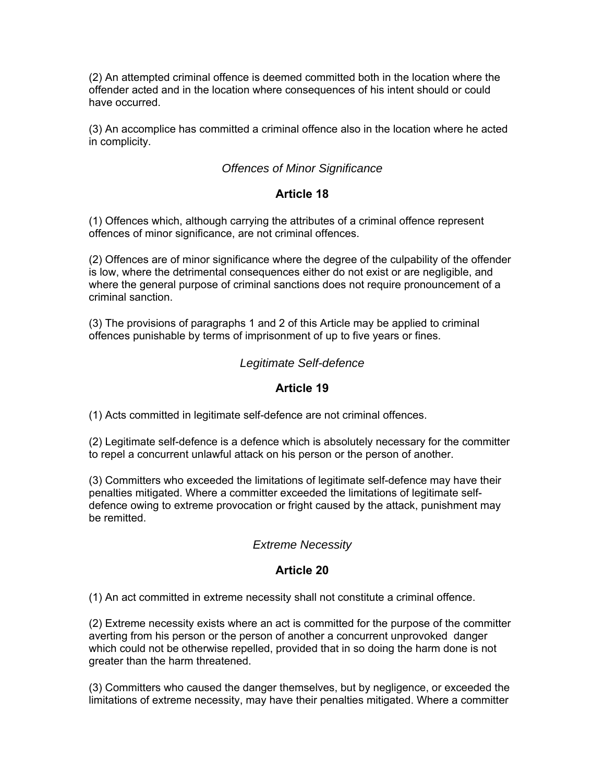(2) An attempted criminal offence is deemed committed both in the location where the offender acted and in the location where consequences of his intent should or could have occurred.

(3) An accomplice has committed a criminal offence also in the location where he acted in complicity.

## *Offences of Minor Significance*

#### **Article 18**

(1) Offences which, although carrying the attributes of a criminal offence represent offences of minor significance, are not criminal offences.

(2) Offences are of minor significance where the degree of the culpability of the offender is low, where the detrimental consequences either do not exist or are negligible, and where the general purpose of criminal sanctions does not require pronouncement of a criminal sanction.

(3) The provisions of paragraphs 1 and 2 of this Article may be applied to criminal offences punishable by terms of imprisonment of up to five years or fines.

#### *Legitimate Self-defence*

#### **Article 19**

(1) Acts committed in legitimate self-defence are not criminal offences.

(2) Legitimate self-defence is a defence which is absolutely necessary for the committer to repel a concurrent unlawful attack on his person or the person of another.

(3) Committers who exceeded the limitations of legitimate self-defence may have their penalties mitigated. Where a committer exceeded the limitations of legitimate selfdefence owing to extreme provocation or fright caused by the attack, punishment may be remitted.

#### *Extreme Necessity*

#### **Article 20**

(1) An act committed in extreme necessity shall not constitute a criminal offence.

(2) Extreme necessity exists where an act is committed for the purpose of the committer averting from his person or the person of another a concurrent unprovoked danger which could not be otherwise repelled, provided that in so doing the harm done is not greater than the harm threatened.

(3) Committers who caused the danger themselves, but by negligence, or exceeded the limitations of extreme necessity, may have their penalties mitigated. Where a committer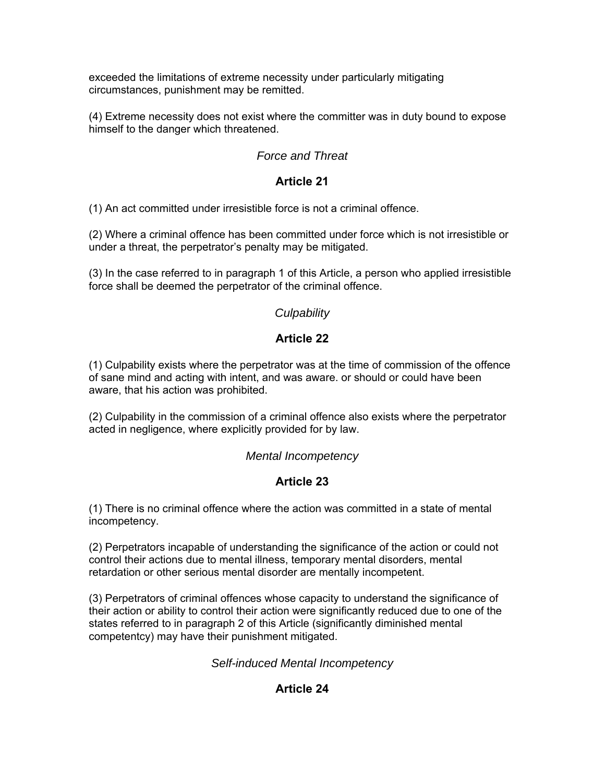exceeded the limitations of extreme necessity under particularly mitigating circumstances, punishment may be remitted.

(4) Extreme necessity does not exist where the committer was in duty bound to expose himself to the danger which threatened.

# *Force and Threat*

# **Article 21**

(1) An act committed under irresistible force is not a criminal offence.

(2) Where a criminal offence has been committed under force which is not irresistible or under a threat, the perpetrator's penalty may be mitigated.

(3) In the case referred to in paragraph 1 of this Article, a person who applied irresistible force shall be deemed the perpetrator of the criminal offence.

# *Culpability*

# **Article 22**

(1) Culpability exists where the perpetrator was at the time of commission of the offence of sane mind and acting with intent, and was aware. or should or could have been aware, that his action was prohibited.

(2) Culpability in the commission of a criminal offence also exists where the perpetrator acted in negligence, where explicitly provided for by law.

## *Mental Incompetency*

# **Article 23**

(1) There is no criminal offence where the action was committed in a state of mental incompetency.

(2) Perpetrators incapable of understanding the significance of the action or could not control their actions due to mental illness, temporary mental disorders, mental retardation or other serious mental disorder are mentally incompetent.

(3) Perpetrators of criminal offences whose capacity to understand the significance of their action or ability to control their action were significantly reduced due to one of the states referred to in paragraph 2 of this Article (significantly diminished mental competentcy) may have their punishment mitigated.

## *Self-induced Mental Incompetency*

# **Article 24**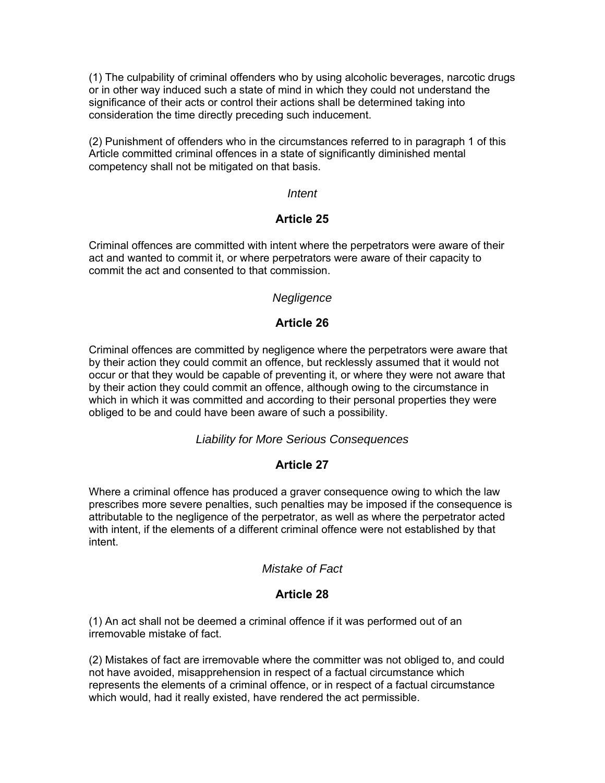(1) The culpability of criminal offenders who by using alcoholic beverages, narcotic drugs or in other way induced such a state of mind in which they could not understand the significance of their acts or control their actions shall be determined taking into consideration the time directly preceding such inducement.

(2) Punishment of offenders who in the circumstances referred to in paragraph 1 of this Article committed criminal offences in a state of significantly diminished mental competency shall not be mitigated on that basis.

#### *Intent*

### **Article 25**

Criminal offences are committed with intent where the perpetrators were aware of their act and wanted to commit it, or where perpetrators were aware of their capacity to commit the act and consented to that commission.

#### *Negligence*

#### **Article 26**

Criminal offences are committed by negligence where the perpetrators were aware that by their action they could commit an offence, but recklessly assumed that it would not occur or that they would be capable of preventing it, or where they were not aware that by their action they could commit an offence, although owing to the circumstance in which in which it was committed and according to their personal properties they were obliged to be and could have been aware of such a possibility.

#### *Liability for More Serious Consequences*

## **Article 27**

Where a criminal offence has produced a graver consequence owing to which the law prescribes more severe penalties, such penalties may be imposed if the consequence is attributable to the negligence of the perpetrator, as well as where the perpetrator acted with intent, if the elements of a different criminal offence were not established by that intent.

#### *Mistake of Fact*

## **Article 28**

(1) An act shall not be deemed a criminal offence if it was performed out of an irremovable mistake of fact.

(2) Mistakes of fact are irremovable where the committer was not obliged to, and could not have avoided, misapprehension in respect of a factual circumstance which represents the elements of a criminal offence, or in respect of a factual circumstance which would, had it really existed, have rendered the act permissible.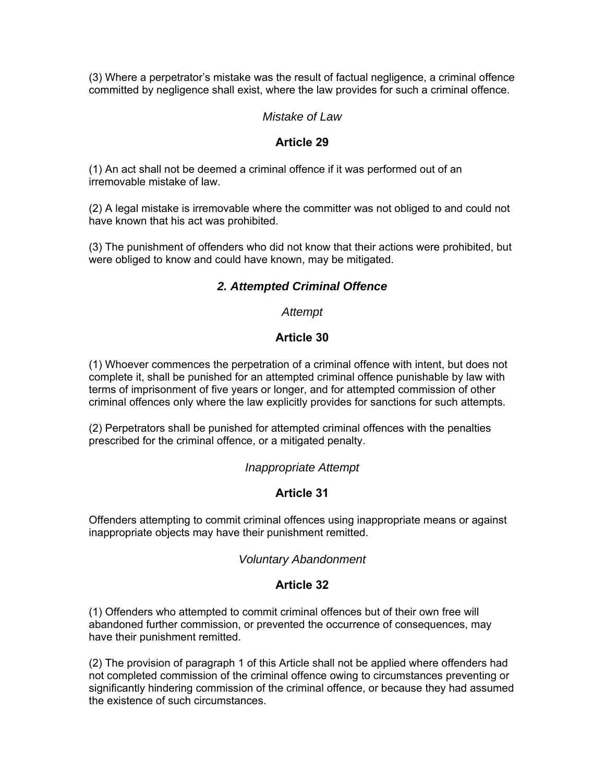(3) Where a perpetrator's mistake was the result of factual negligence, a criminal offence committed by negligence shall exist, where the law provides for such a criminal offence.

### *Mistake of Law*

#### **Article 29**

(1) An act shall not be deemed a criminal offence if it was performed out of an irremovable mistake of law.

(2) A legal mistake is irremovable where the committer was not obliged to and could not have known that his act was prohibited.

(3) The punishment of offenders who did not know that their actions were prohibited, but were obliged to know and could have known, may be mitigated.

# *2. Attempted Criminal Offence*

#### *Attempt*

#### **Article 30**

(1) Whoever commences the perpetration of a criminal offence with intent, but does not complete it, shall be punished for an attempted criminal offence punishable by law with terms of imprisonment of five years or longer, and for attempted commission of other criminal offences only where the law explicitly provides for sanctions for such attempts.

(2) Perpetrators shall be punished for attempted criminal offences with the penalties prescribed for the criminal offence, or a mitigated penalty.

#### *Inappropriate Attempt*

#### **Article 31**

Offenders attempting to commit criminal offences using inappropriate means or against inappropriate objects may have their punishment remitted.

#### *Voluntary Abandonment*

#### **Article 32**

(1) Offenders who attempted to commit criminal offences but of their own free will abandoned further commission, or prevented the occurrence of consequences, may have their punishment remitted.

(2) The provision of paragraph 1 of this Article shall not be applied where offenders had not completed commission of the criminal offence owing to circumstances preventing or significantly hindering commission of the criminal offence, or because they had assumed the existence of such circumstances.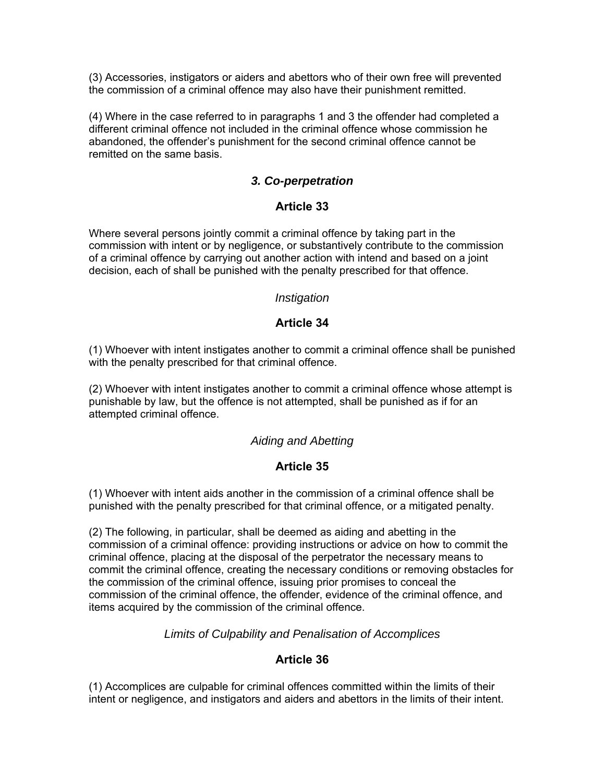(3) Accessories, instigators or aiders and abettors who of their own free will prevented the commission of a criminal offence may also have their punishment remitted.

(4) Where in the case referred to in paragraphs 1 and 3 the offender had completed a different criminal offence not included in the criminal offence whose commission he abandoned, the offender's punishment for the second criminal offence cannot be remitted on the same basis.

### *3. Co-perpetration*

#### **Article 33**

Where several persons jointly commit a criminal offence by taking part in the commission with intent or by negligence, or substantively contribute to the commission of a criminal offence by carrying out another action with intend and based on a joint decision, each of shall be punished with the penalty prescribed for that offence.

#### *Instigation*

#### **Article 34**

(1) Whoever with intent instigates another to commit a criminal offence shall be punished with the penalty prescribed for that criminal offence.

(2) Whoever with intent instigates another to commit a criminal offence whose attempt is punishable by law, but the offence is not attempted, shall be punished as if for an attempted criminal offence.

#### *Aiding and Abetting*

#### **Article 35**

(1) Whoever with intent aids another in the commission of a criminal offence shall be punished with the penalty prescribed for that criminal offence, or a mitigated penalty.

(2) The following, in particular, shall be deemed as aiding and abetting in the commission of a criminal offence: providing instructions or advice on how to commit the criminal offence, placing at the disposal of the perpetrator the necessary means to commit the criminal offence, creating the necessary conditions or removing obstacles for the commission of the criminal offence, issuing prior promises to conceal the commission of the criminal offence, the offender, evidence of the criminal offence, and items acquired by the commission of the criminal offence.

*Limits of Culpability and Penalisation of Accomplices* 

## **Article 36**

(1) Accomplices are culpable for criminal offences committed within the limits of their intent or negligence, and instigators and aiders and abettors in the limits of their intent.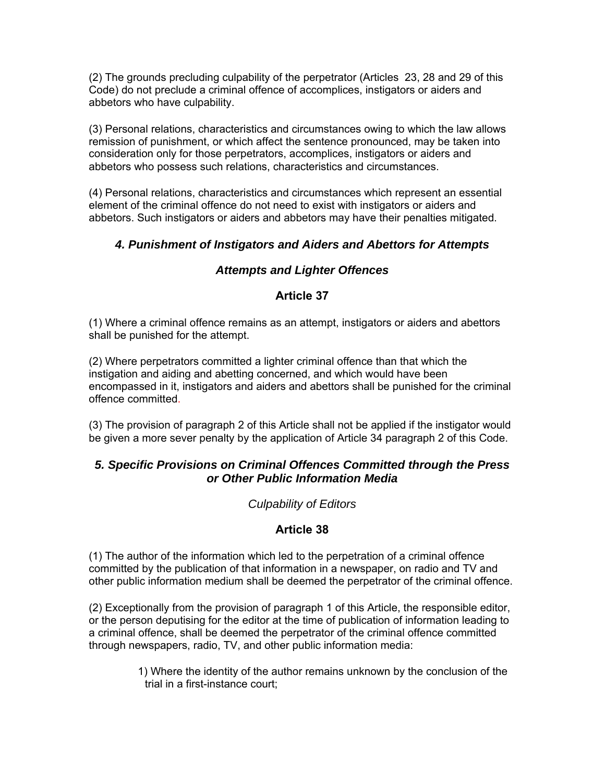(2) The grounds precluding culpability of the perpetrator (Articles 23, 28 and 29 of this Code) do not preclude a criminal offence of accomplices, instigators or aiders and abbetors who have culpability.

(3) Personal relations, characteristics and circumstances owing to which the law allows remission of punishment, or which affect the sentence pronounced, may be taken into consideration only for those perpetrators, accomplices, instigators or aiders and abbetors who possess such relations, characteristics and circumstances.

(4) Personal relations, characteristics and circumstances which represent an essential element of the criminal offence do not need to exist with instigators or aiders and abbetors. Such instigators or aiders and abbetors may have their penalties mitigated.

# *4. Punishment of Instigators and Aiders and Abettors for Attempts*

# *Attempts and Lighter Offences*

## **Article 37**

(1) Where a criminal offence remains as an attempt, instigators or aiders and abettors shall be punished for the attempt.

(2) Where perpetrators committed a lighter criminal offence than that which the instigation and aiding and abetting concerned, and which would have been encompassed in it, instigators and aiders and abettors shall be punished for the criminal offence committed.

(3) The provision of paragraph 2 of this Article shall not be applied if the instigator would be given a more sever penalty by the application of Article 34 paragraph 2 of this Code.

# *5. Specific Provisions on Criminal Offences Committed through the Press or Other Public Information Media*

## *Culpability of Editors*

# **Article 38**

(1) The author of the information which led to the perpetration of a criminal offence committed by the publication of that information in a newspaper, on radio and TV and other public information medium shall be deemed the perpetrator of the criminal offence.

(2) Exceptionally from the provision of paragraph 1 of this Article, the responsible editor, or the person deputising for the editor at the time of publication of information leading to a criminal offence, shall be deemed the perpetrator of the criminal offence committed through newspapers, radio, TV, and other public information media:

> 1) Where the identity of the author remains unknown by the conclusion of the trial in a first-instance court;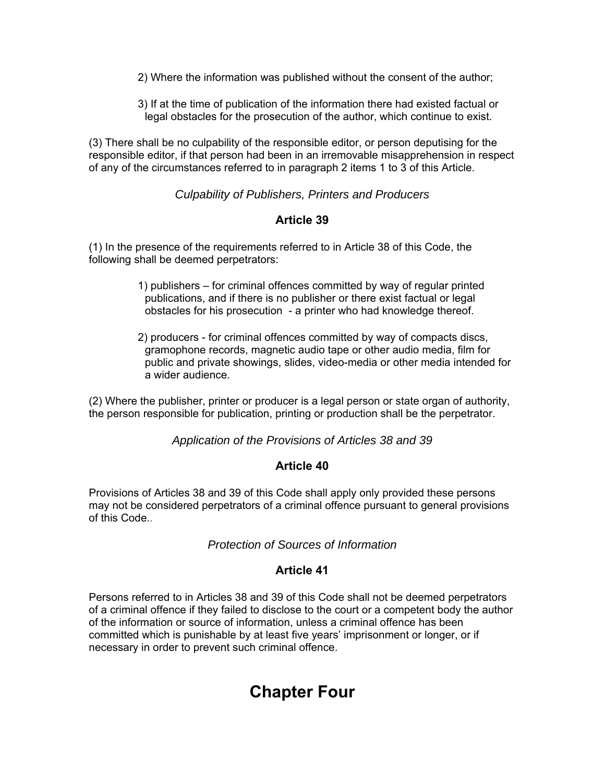- 2) Where the information was published without the consent of the author;
- 3) If at the time of publication of the information there had existed factual or legal obstacles for the prosecution of the author, which continue to exist.

(3) There shall be no culpability of the responsible editor, or person deputising for the responsible editor, if that person had been in an irremovable misapprehension in respect of any of the circumstances referred to in paragraph 2 items 1 to 3 of this Article.

*Culpability of Publishers, Printers and Producers* 

#### **Article 39**

(1) In the presence of the requirements referred to in Article 38 of this Code, the following shall be deemed perpetrators:

- 1) publishers for criminal offences committed by way of regular printed publications, and if there is no publisher or there exist factual or legal obstacles for his prosecution - a printer who had knowledge thereof.
- 2) producers for criminal offences committed by way of compacts discs, gramophone records, magnetic audio tape or other audio media, film for public and private showings, slides, video-media or other media intended for a wider audience.

(2) Where the publisher, printer or producer is a legal person or state organ of authority, the person responsible for publication, printing or production shall be the perpetrator.

*Application of the Provisions of Articles 38 and 39* 

#### **Article 40**

Provisions of Articles 38 and 39 of this Code shall apply only provided these persons may not be considered perpetrators of a criminal offence pursuant to general provisions of this Code..

#### *Protection of Sources of Information*

#### **Article 41**

Persons referred to in Articles 38 and 39 of this Code shall not be deemed perpetrators of a criminal offence if they failed to disclose to the court or a competent body the author of the information or source of information, unless a criminal offence has been committed which is punishable by at least five years' imprisonment or longer, or if necessary in order to prevent such criminal offence.

# **Chapter Four**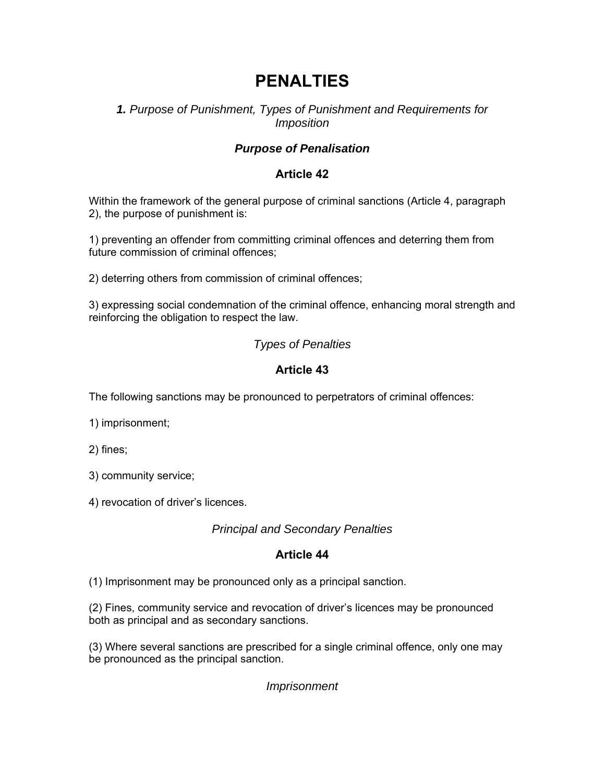# **PENALTIES**

# *1. Purpose of Punishment, Types of Punishment and Requirements for Imposition*

# *Purpose of Penalisation*

# **Article 42**

Within the framework of the general purpose of criminal sanctions (Article 4, paragraph 2), the purpose of punishment is:

1) preventing an offender from committing criminal offences and deterring them from future commission of criminal offences;

2) deterring others from commission of criminal offences;

3) expressing social condemnation of the criminal offence, enhancing moral strength and reinforcing the obligation to respect the law.

# *Types of Penalties*

# **Article 43**

The following sanctions may be pronounced to perpetrators of criminal offences:

1) imprisonment;

2) fines;

3) community service;

4) revocation of driver's licences.

*Principal and Secondary Penalties* 

# **Article 44**

(1) Imprisonment may be pronounced only as a principal sanction.

(2) Fines, community service and revocation of driver's licences may be pronounced both as principal and as secondary sanctions.

(3) Where several sanctions are prescribed for a single criminal offence, only one may be pronounced as the principal sanction.

*Imprisonment*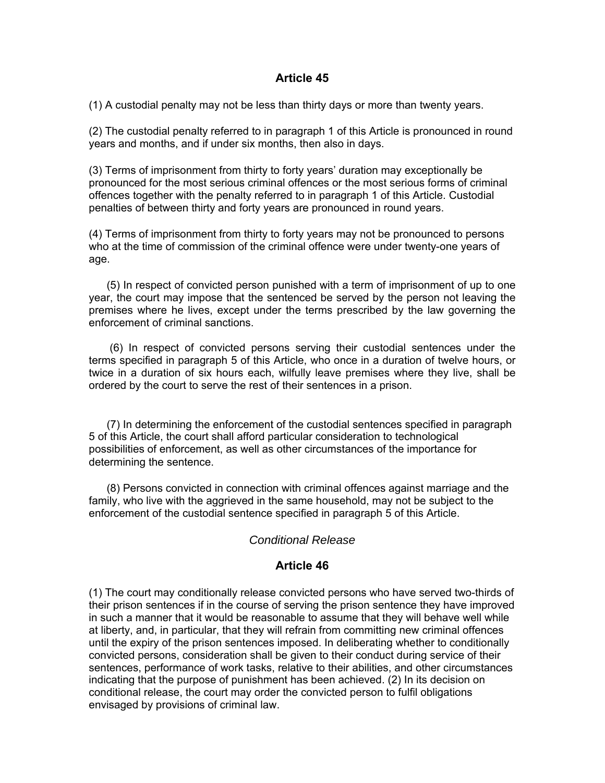#### **Article 45**

(1) A custodial penalty may not be less than thirty days or more than twenty years.

(2) The custodial penalty referred to in paragraph 1 of this Article is pronounced in round years and months, and if under six months, then also in days.

(3) Terms of imprisonment from thirty to forty years' duration may exceptionally be pronounced for the most serious criminal offences or the most serious forms of criminal offences together with the penalty referred to in paragraph 1 of this Article. Custodial penalties of between thirty and forty years are pronounced in round years.

(4) Terms of imprisonment from thirty to forty years may not be pronounced to persons who at the time of commission of the criminal offence were under twenty-one years of age.

(5) In respect of convicted person punished with a term of imprisonment of up to one year, the court may impose that the sentenced be served by the person not leaving the premises where he lives, except under the terms prescribed by the law governing the enforcement of criminal sanctions.

 (6) In respect of convicted persons serving their custodial sentences under the terms specified in paragraph 5 of this Article, who once in a duration of twelve hours, or twice in a duration of six hours each, wilfully leave premises where they live, shall be ordered by the court to serve the rest of their sentences in a prison.

(7) In determining the enforcement of the custodial sentences specified in paragraph 5 of this Article, the court shall afford particular consideration to technological possibilities of enforcement, as well as other circumstances of the importance for determining the sentence.

(8) Persons convicted in connection with criminal offences against marriage and the family, who live with the aggrieved in the same household, may not be subject to the enforcement of the custodial sentence specified in paragraph 5 of this Article.

### *Conditional Release*

#### **Article 46**

(1) The court may conditionally release convicted persons who have served two-thirds of their prison sentences if in the course of serving the prison sentence they have improved in such a manner that it would be reasonable to assume that they will behave well while at liberty, and, in particular, that they will refrain from committing new criminal offences until the expiry of the prison sentences imposed. In deliberating whether to conditionally convicted persons, consideration shall be given to their conduct during service of their sentences, performance of work tasks, relative to their abilities, and other circumstances indicating that the purpose of punishment has been achieved. (2) In its decision on conditional release, the court may order the convicted person to fulfil obligations envisaged by provisions of criminal law.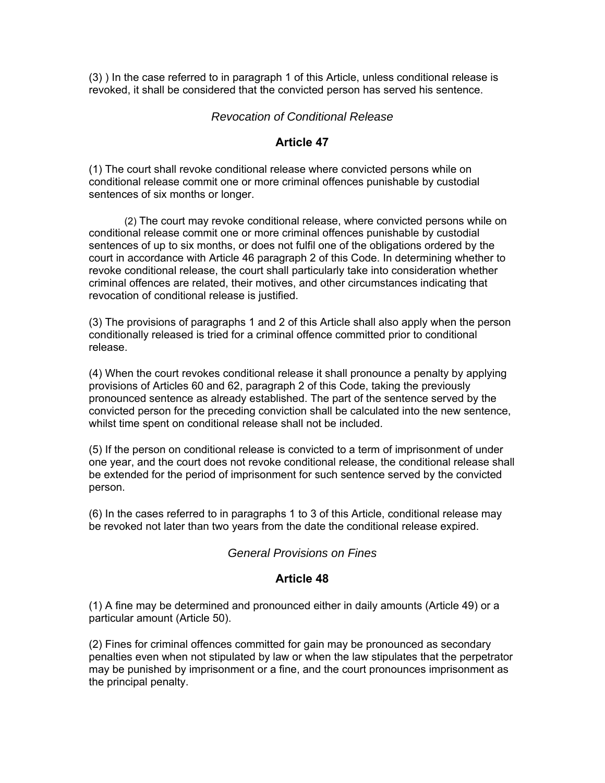(3) ) In the case referred to in paragraph 1 of this Article, unless conditional release is revoked, it shall be considered that the convicted person has served his sentence.

#### *Revocation of Conditional Release*

### **Article 47**

(1) The court shall revoke conditional release where convicted persons while on conditional release commit one or more criminal offences punishable by custodial sentences of six months or longer.

(2) The court may revoke conditional release, where convicted persons while on conditional release commit one or more criminal offences punishable by custodial sentences of up to six months, or does not fulfil one of the obligations ordered by the court in accordance with Article 46 paragraph 2 of this Code. In determining whether to revoke conditional release, the court shall particularly take into consideration whether criminal offences are related, their motives, and other circumstances indicating that revocation of conditional release is justified.

(3) The provisions of paragraphs 1 and 2 of this Article shall also apply when the person conditionally released is tried for a criminal offence committed prior to conditional release.

(4) When the court revokes conditional release it shall pronounce a penalty by applying provisions of Articles 60 and 62, paragraph 2 of this Code, taking the previously pronounced sentence as already established. The part of the sentence served by the convicted person for the preceding conviction shall be calculated into the new sentence, whilst time spent on conditional release shall not be included.

(5) If the person on conditional release is convicted to a term of imprisonment of under one year, and the court does not revoke conditional release, the conditional release shall be extended for the period of imprisonment for such sentence served by the convicted person.

(6) In the cases referred to in paragraphs 1 to 3 of this Article, conditional release may be revoked not later than two years from the date the conditional release expired.

#### *General Provisions on Fines*

#### **Article 48**

(1) A fine may be determined and pronounced either in daily amounts (Article 49) or a particular amount (Article 50).

(2) Fines for criminal offences committed for gain may be pronounced as secondary penalties even when not stipulated by law or when the law stipulates that the perpetrator may be punished by imprisonment or a fine, and the court pronounces imprisonment as the principal penalty.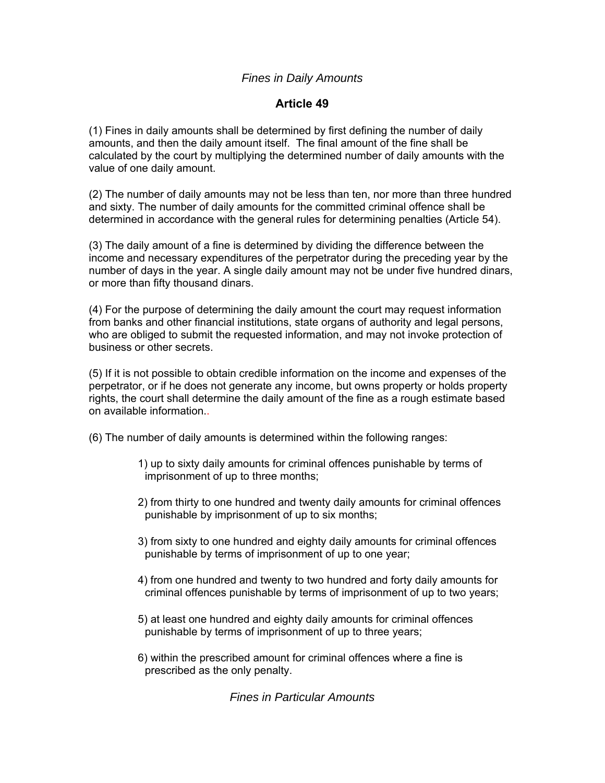## *Fines in Daily Amounts*

## **Article 49**

(1) Fines in daily amounts shall be determined by first defining the number of daily amounts, and then the daily amount itself. The final amount of the fine shall be calculated by the court by multiplying the determined number of daily amounts with the value of one daily amount.

(2) The number of daily amounts may not be less than ten, nor more than three hundred and sixty. The number of daily amounts for the committed criminal offence shall be determined in accordance with the general rules for determining penalties (Article 54).

(3) The daily amount of a fine is determined by dividing the difference between the income and necessary expenditures of the perpetrator during the preceding year by the number of days in the year. A single daily amount may not be under five hundred dinars, or more than fifty thousand dinars.

(4) For the purpose of determining the daily amount the court may request information from banks and other financial institutions, state organs of authority and legal persons, who are obliged to submit the requested information, and may not invoke protection of business or other secrets.

(5) If it is not possible to obtain credible information on the income and expenses of the perpetrator, or if he does not generate any income, but owns property or holds property rights, the court shall determine the daily amount of the fine as a rough estimate based on available information..

- (6) The number of daily amounts is determined within the following ranges:
	- 1) up to sixty daily amounts for criminal offences punishable by terms of imprisonment of up to three months;
	- 2) from thirty to one hundred and twenty daily amounts for criminal offences punishable by imprisonment of up to six months;
	- 3) from sixty to one hundred and eighty daily amounts for criminal offences punishable by terms of imprisonment of up to one year;
	- 4) from one hundred and twenty to two hundred and forty daily amounts for criminal offences punishable by terms of imprisonment of up to two years;
	- 5) at least one hundred and eighty daily amounts for criminal offences punishable by terms of imprisonment of up to three years;
	- 6) within the prescribed amount for criminal offences where a fine is prescribed as the only penalty.

*Fines in Particular Amounts*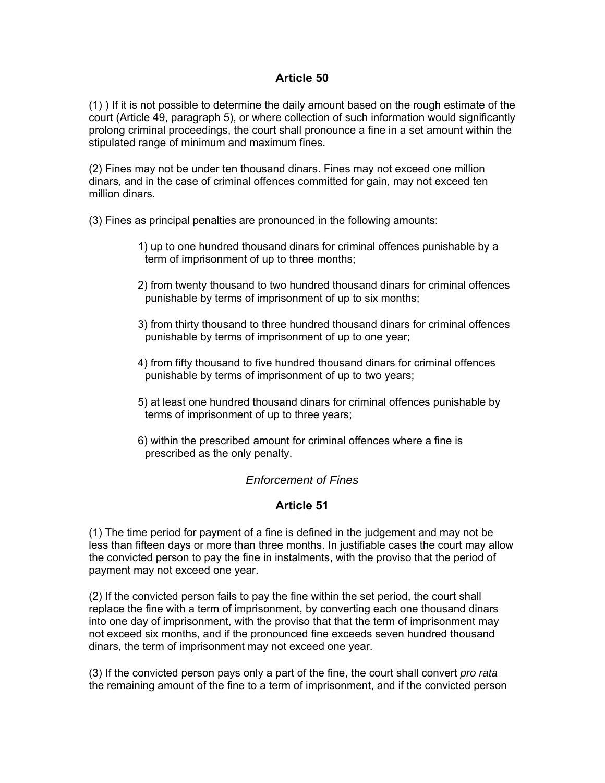## **Article 50**

(1) ) If it is not possible to determine the daily amount based on the rough estimate of the court (Article 49, paragraph 5), or where collection of such information would significantly prolong criminal proceedings, the court shall pronounce a fine in a set amount within the stipulated range of minimum and maximum fines.

(2) Fines may not be under ten thousand dinars. Fines may not exceed one million dinars, and in the case of criminal offences committed for gain, may not exceed ten million dinars.

(3) Fines as principal penalties are pronounced in the following amounts:

- 1) up to one hundred thousand dinars for criminal offences punishable by a term of imprisonment of up to three months;
- 2) from twenty thousand to two hundred thousand dinars for criminal offences punishable by terms of imprisonment of up to six months;
- 3) from thirty thousand to three hundred thousand dinars for criminal offences punishable by terms of imprisonment of up to one year;
- 4) from fifty thousand to five hundred thousand dinars for criminal offences punishable by terms of imprisonment of up to two years;
- 5) at least one hundred thousand dinars for criminal offences punishable by terms of imprisonment of up to three years;
- 6) within the prescribed amount for criminal offences where a fine is prescribed as the only penalty.

#### *Enforcement of Fines*

#### **Article 51**

(1) The time period for payment of a fine is defined in the judgement and may not be less than fifteen days or more than three months. In justifiable cases the court may allow the convicted person to pay the fine in instalments, with the proviso that the period of payment may not exceed one year.

(2) If the convicted person fails to pay the fine within the set period, the court shall replace the fine with a term of imprisonment, by converting each one thousand dinars into one day of imprisonment, with the proviso that that the term of imprisonment may not exceed six months, and if the pronounced fine exceeds seven hundred thousand dinars, the term of imprisonment may not exceed one year.

(3) If the convicted person pays only a part of the fine, the court shall convert *pro rata*  the remaining amount of the fine to a term of imprisonment, and if the convicted person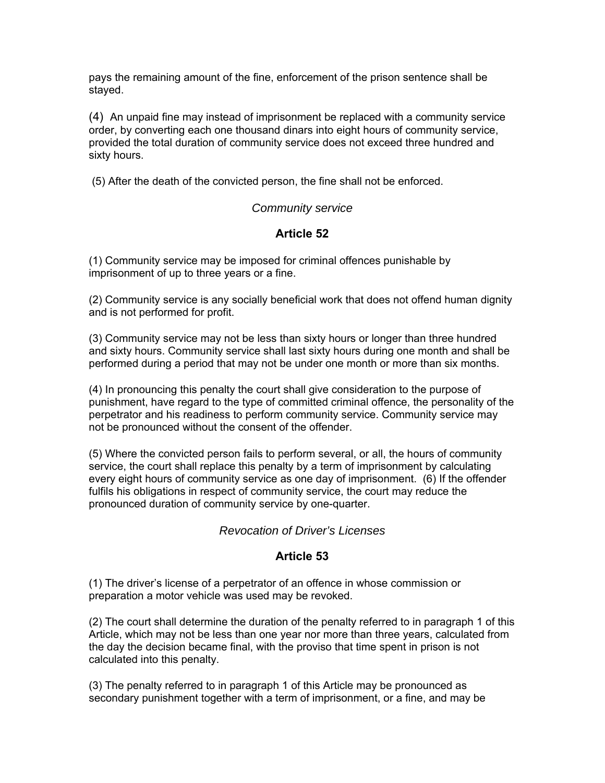pays the remaining amount of the fine, enforcement of the prison sentence shall be stayed.

(4) An unpaid fine may instead of imprisonment be replaced with a community service order, by converting each one thousand dinars into eight hours of community service, provided the total duration of community service does not exceed three hundred and sixty hours.

(5) After the death of the convicted person, the fine shall not be enforced.

#### *Community service*

# **Article 52**

(1) Community service may be imposed for criminal offences punishable by imprisonment of up to three years or a fine.

(2) Community service is any socially beneficial work that does not offend human dignity and is not performed for profit.

(3) Community service may not be less than sixty hours or longer than three hundred and sixty hours. Community service shall last sixty hours during one month and shall be performed during a period that may not be under one month or more than six months.

(4) In pronouncing this penalty the court shall give consideration to the purpose of punishment, have regard to the type of committed criminal offence, the personality of the perpetrator and his readiness to perform community service. Community service may not be pronounced without the consent of the offender.

(5) Where the convicted person fails to perform several, or all, the hours of community service, the court shall replace this penalty by a term of imprisonment by calculating every eight hours of community service as one day of imprisonment. (6) If the offender fulfils his obligations in respect of community service, the court may reduce the pronounced duration of community service by one-quarter.

## *Revocation of Driver's Licenses*

## **Article 53**

(1) The driver's license of a perpetrator of an offence in whose commission or preparation a motor vehicle was used may be revoked.

(2) The court shall determine the duration of the penalty referred to in paragraph 1 of this Article, which may not be less than one year nor more than three years, calculated from the day the decision became final, with the proviso that time spent in prison is not calculated into this penalty.

(3) The penalty referred to in paragraph 1 of this Article may be pronounced as secondary punishment together with a term of imprisonment, or a fine, and may be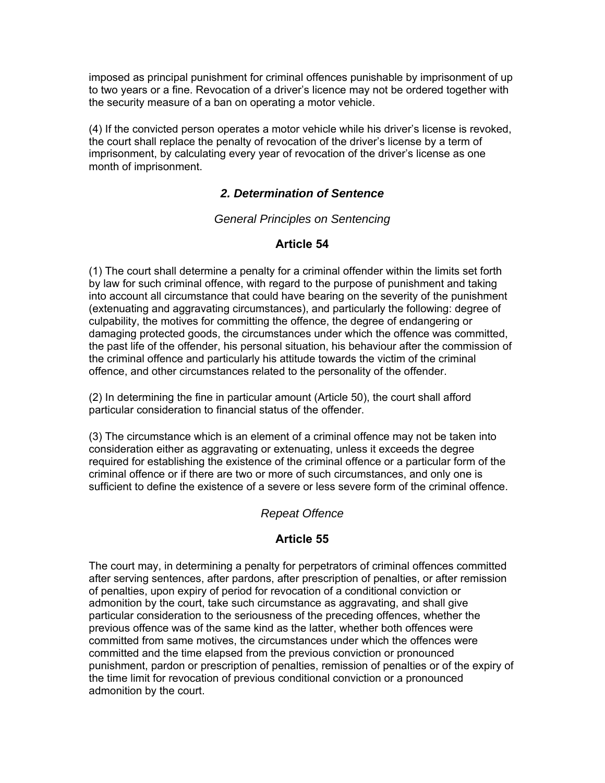imposed as principal punishment for criminal offences punishable by imprisonment of up to two years or a fine. Revocation of a driver's licence may not be ordered together with the security measure of a ban on operating a motor vehicle.

(4) If the convicted person operates a motor vehicle while his driver's license is revoked, the court shall replace the penalty of revocation of the driver's license by a term of imprisonment, by calculating every year of revocation of the driver's license as one month of imprisonment.

## *2. Determination of Sentence*

#### *General Principles on Sentencing*

# **Article 54**

(1) The court shall determine a penalty for a criminal offender within the limits set forth by law for such criminal offence, with regard to the purpose of punishment and taking into account all circumstance that could have bearing on the severity of the punishment (extenuating and aggravating circumstances), and particularly the following: degree of culpability, the motives for committing the offence, the degree of endangering or damaging protected goods, the circumstances under which the offence was committed, the past life of the offender, his personal situation, his behaviour after the commission of the criminal offence and particularly his attitude towards the victim of the criminal offence, and other circumstances related to the personality of the offender.

(2) In determining the fine in particular amount (Article 50), the court shall afford particular consideration to financial status of the offender.

(3) The circumstance which is an element of a criminal offence may not be taken into consideration either as aggravating or extenuating, unless it exceeds the degree required for establishing the existence of the criminal offence or a particular form of the criminal offence or if there are two or more of such circumstances, and only one is sufficient to define the existence of a severe or less severe form of the criminal offence.

## *Repeat Offence*

## **Article 55**

The court may, in determining a penalty for perpetrators of criminal offences committed after serving sentences, after pardons, after prescription of penalties, or after remission of penalties, upon expiry of period for revocation of a conditional conviction or admonition by the court, take such circumstance as aggravating, and shall give particular consideration to the seriousness of the preceding offences, whether the previous offence was of the same kind as the latter, whether both offences were committed from same motives, the circumstances under which the offences were committed and the time elapsed from the previous conviction or pronounced punishment, pardon or prescription of penalties, remission of penalties or of the expiry of the time limit for revocation of previous conditional conviction or a pronounced admonition by the court.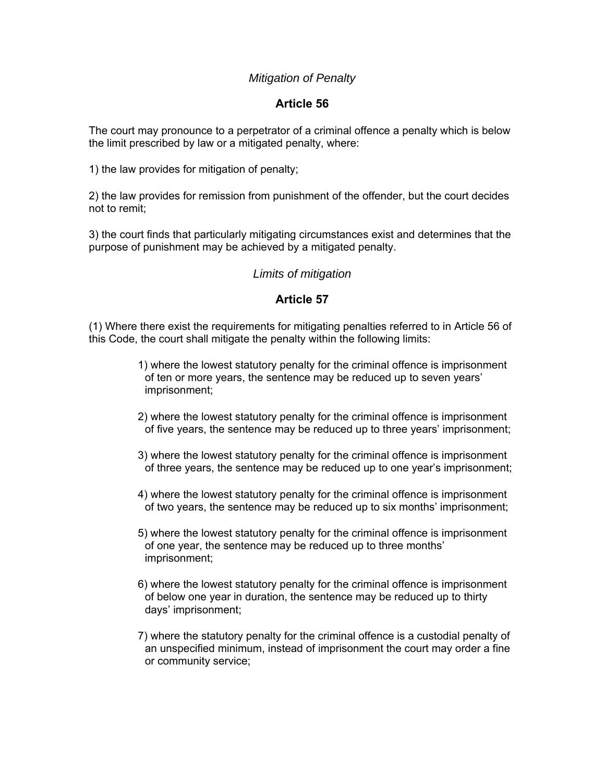# *Mitigation of Penalty*

## **Article 56**

The court may pronounce to a perpetrator of a criminal offence a penalty which is below the limit prescribed by law or a mitigated penalty, where:

1) the law provides for mitigation of penalty;

2) the law provides for remission from punishment of the offender, but the court decides not to remit;

3) the court finds that particularly mitigating circumstances exist and determines that the purpose of punishment may be achieved by a mitigated penalty.

#### *Limits of mitigation*

#### **Article 57**

(1) Where there exist the requirements for mitigating penalties referred to in Article 56 of this Code, the court shall mitigate the penalty within the following limits:

- 1) where the lowest statutory penalty for the criminal offence is imprisonment of ten or more years, the sentence may be reduced up to seven years' imprisonment;
- 2) where the lowest statutory penalty for the criminal offence is imprisonment of five years, the sentence may be reduced up to three years' imprisonment;
- 3) where the lowest statutory penalty for the criminal offence is imprisonment of three years, the sentence may be reduced up to one year's imprisonment;
- 4) where the lowest statutory penalty for the criminal offence is imprisonment of two years, the sentence may be reduced up to six months' imprisonment;
- 5) where the lowest statutory penalty for the criminal offence is imprisonment of one year, the sentence may be reduced up to three months' imprisonment;
- 6) where the lowest statutory penalty for the criminal offence is imprisonment of below one year in duration, the sentence may be reduced up to thirty days' imprisonment;
- 7) where the statutory penalty for the criminal offence is a custodial penalty of an unspecified minimum, instead of imprisonment the court may order a fine or community service;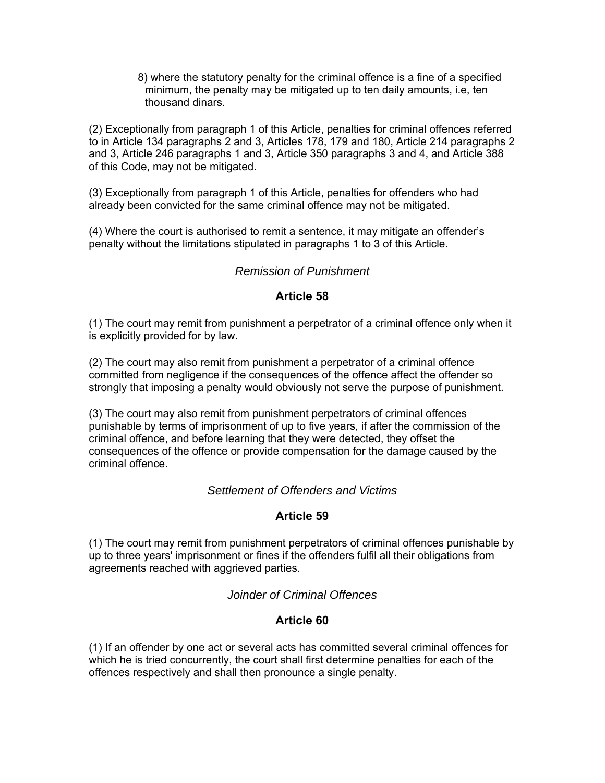8) where the statutory penalty for the criminal offence is a fine of a specified minimum, the penalty may be mitigated up to ten daily amounts, i.e, ten thousand dinars.

(2) Exceptionally from paragraph 1 of this Article, penalties for criminal offences referred to in Article 134 paragraphs 2 and 3, Articles 178, 179 and 180, Article 214 paragraphs 2 and 3, Article 246 paragraphs 1 and 3, Article 350 paragraphs 3 and 4, and Article 388 of this Code, may not be mitigated.

(3) Exceptionally from paragraph 1 of this Article, penalties for offenders who had already been convicted for the same criminal offence may not be mitigated.

(4) Where the court is authorised to remit a sentence, it may mitigate an offender's penalty without the limitations stipulated in paragraphs 1 to 3 of this Article.

## *Remission of Punishment*

#### **Article 58**

(1) The court may remit from punishment a perpetrator of a criminal offence only when it is explicitly provided for by law.

(2) The court may also remit from punishment a perpetrator of a criminal offence committed from negligence if the consequences of the offence affect the offender so strongly that imposing a penalty would obviously not serve the purpose of punishment.

(3) The court may also remit from punishment perpetrators of criminal offences punishable by terms of imprisonment of up to five years, if after the commission of the criminal offence, and before learning that they were detected, they offset the consequences of the offence or provide compensation for the damage caused by the criminal offence.

#### *Settlement of Offenders and Victims*

#### **Article 59**

(1) The court may remit from punishment perpetrators of criminal offences punishable by up to three years' imprisonment or fines if the offenders fulfil all their obligations from agreements reached with aggrieved parties.

*Joinder of Criminal Offences*

## **Article 60**

(1) If an offender by one act or several acts has committed several criminal offences for which he is tried concurrently, the court shall first determine penalties for each of the offences respectively and shall then pronounce a single penalty.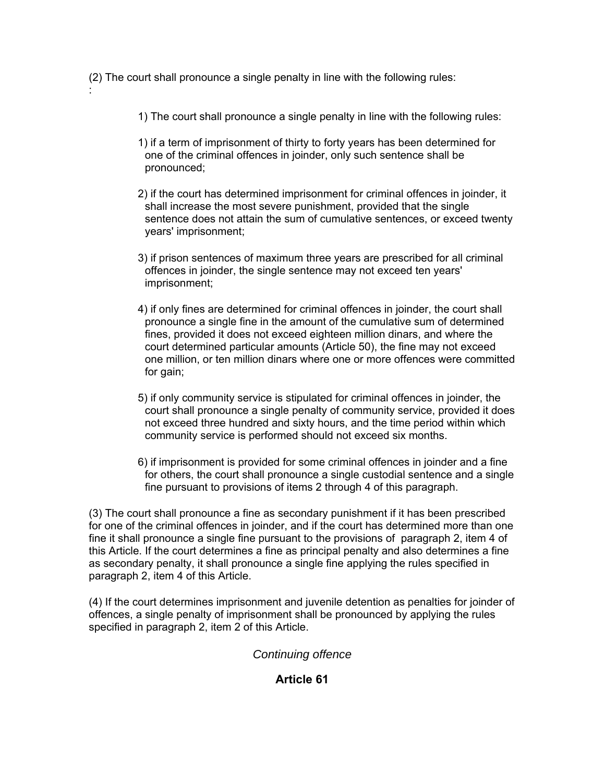(2) The court shall pronounce a single penalty in line with the following rules:

:

- 1) The court shall pronounce a single penalty in line with the following rules:
- 1) if a term of imprisonment of thirty to forty years has been determined for one of the criminal offences in joinder, only such sentence shall be pronounced;
- 2) if the court has determined imprisonment for criminal offences in joinder, it shall increase the most severe punishment, provided that the single sentence does not attain the sum of cumulative sentences, or exceed twenty years' imprisonment;
- 3) if prison sentences of maximum three years are prescribed for all criminal offences in joinder, the single sentence may not exceed ten years' imprisonment;
- 4) if only fines are determined for criminal offences in joinder, the court shall pronounce a single fine in the amount of the cumulative sum of determined fines, provided it does not exceed eighteen million dinars, and where the court determined particular amounts (Article 50), the fine may not exceed one million, or ten million dinars where one or more offences were committed for gain;
- 5) if only community service is stipulated for criminal offences in joinder, the court shall pronounce a single penalty of community service, provided it does not exceed three hundred and sixty hours, and the time period within which community service is performed should not exceed six months.
- 6) if imprisonment is provided for some criminal offences in joinder and a fine for others, the court shall pronounce a single custodial sentence and a single fine pursuant to provisions of items 2 through 4 of this paragraph.

(3) The court shall pronounce a fine as secondary punishment if it has been prescribed for one of the criminal offences in joinder, and if the court has determined more than one fine it shall pronounce a single fine pursuant to the provisions of paragraph 2, item 4 of this Article. If the court determines a fine as principal penalty and also determines a fine as secondary penalty, it shall pronounce a single fine applying the rules specified in paragraph 2, item 4 of this Article.

(4) If the court determines imprisonment and juvenile detention as penalties for joinder of offences, a single penalty of imprisonment shall be pronounced by applying the rules specified in paragraph 2, item 2 of this Article.

## *Continuing offence*

## **Article 61**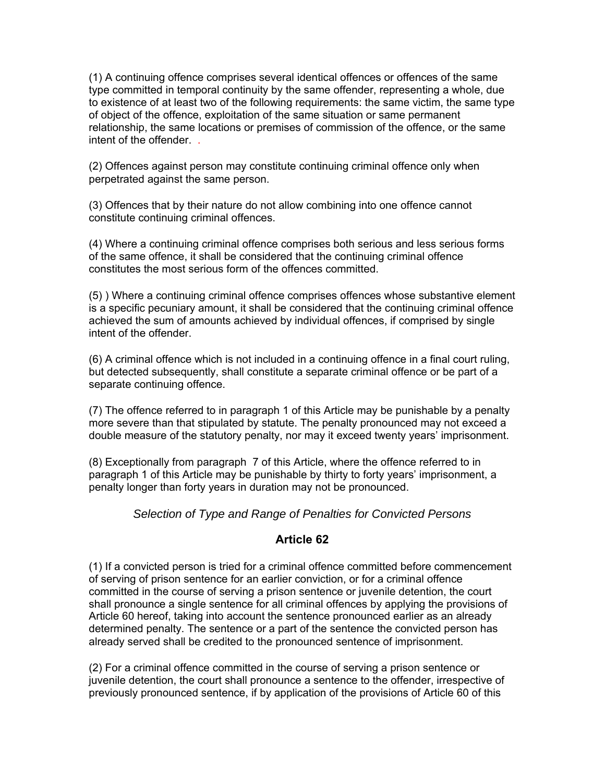(1) A continuing offence comprises several identical offences or offences of the same type committed in temporal continuity by the same offender, representing a whole, due to existence of at least two of the following requirements: the same victim, the same type of object of the offence, exploitation of the same situation or same permanent relationship, the same locations or premises of commission of the offence, or the same intent of the offender. .

(2) Offences against person may constitute continuing criminal offence only when perpetrated against the same person.

(3) Offences that by their nature do not allow combining into one offence cannot constitute continuing criminal offences.

(4) Where a continuing criminal offence comprises both serious and less serious forms of the same offence, it shall be considered that the continuing criminal offence constitutes the most serious form of the offences committed.

(5) ) Where a continuing criminal offence comprises offences whose substantive element is a specific pecuniary amount, it shall be considered that the continuing criminal offence achieved the sum of amounts achieved by individual offences, if comprised by single intent of the offender.

(6) A criminal offence which is not included in a continuing offence in a final court ruling, but detected subsequently, shall constitute a separate criminal offence or be part of a separate continuing offence.

(7) The offence referred to in paragraph 1 of this Article may be punishable by a penalty more severe than that stipulated by statute. The penalty pronounced may not exceed a double measure of the statutory penalty, nor may it exceed twenty years' imprisonment.

(8) Exceptionally from paragraph 7 of this Article, where the offence referred to in paragraph 1 of this Article may be punishable by thirty to forty years' imprisonment, a penalty longer than forty years in duration may not be pronounced.

*Selection of Type and Range of Penalties for Convicted Persons* 

## **Article 62**

(1) If a convicted person is tried for a criminal offence committed before commencement of serving of prison sentence for an earlier conviction, or for a criminal offence committed in the course of serving a prison sentence or juvenile detention, the court shall pronounce a single sentence for all criminal offences by applying the provisions of Article 60 hereof, taking into account the sentence pronounced earlier as an already determined penalty. The sentence or a part of the sentence the convicted person has already served shall be credited to the pronounced sentence of imprisonment.

(2) For a criminal offence committed in the course of serving a prison sentence or juvenile detention, the court shall pronounce a sentence to the offender, irrespective of previously pronounced sentence, if by application of the provisions of Article 60 of this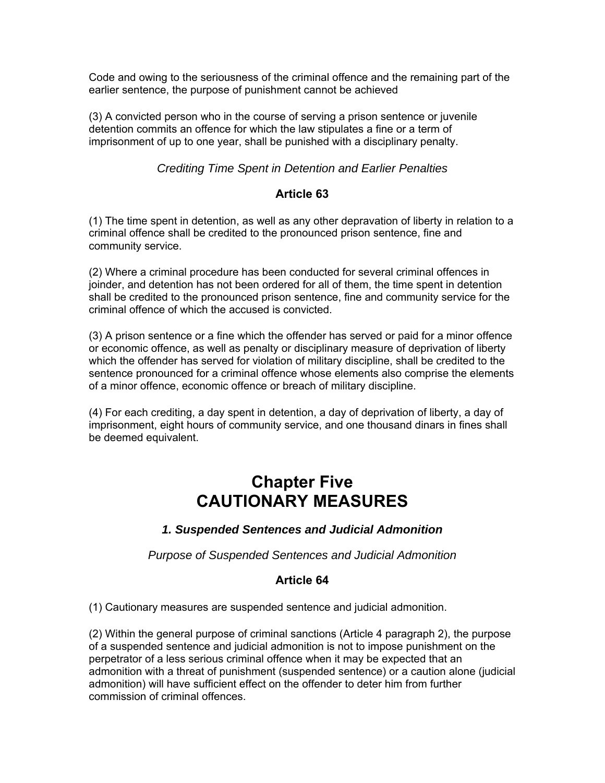Code and owing to the seriousness of the criminal offence and the remaining part of the earlier sentence, the purpose of punishment cannot be achieved

(3) A convicted person who in the course of serving a prison sentence or juvenile detention commits an offence for which the law stipulates a fine or a term of imprisonment of up to one year, shall be punished with a disciplinary penalty.

### *Crediting Time Spent in Detention and Earlier Penalties*

#### **Article 63**

(1) The time spent in detention, as well as any other depravation of liberty in relation to a criminal offence shall be credited to the pronounced prison sentence, fine and community service.

(2) Where a criminal procedure has been conducted for several criminal offences in joinder, and detention has not been ordered for all of them, the time spent in detention shall be credited to the pronounced prison sentence, fine and community service for the criminal offence of which the accused is convicted.

(3) A prison sentence or a fine which the offender has served or paid for a minor offence or economic offence, as well as penalty or disciplinary measure of deprivation of liberty which the offender has served for violation of military discipline, shall be credited to the sentence pronounced for a criminal offence whose elements also comprise the elements of a minor offence, economic offence or breach of military discipline.

(4) For each crediting, a day spent in detention, a day of deprivation of liberty, a day of imprisonment, eight hours of community service, and one thousand dinars in fines shall be deemed equivalent.

# **Chapter Five CAUTIONARY MEASURES**

## *1. Suspended Sentences and Judicial Admonition*

*Purpose of Suspended Sentences and Judicial Admonition* 

## **Article 64**

(1) Cautionary measures are suspended sentence and judicial admonition.

(2) Within the general purpose of criminal sanctions (Article 4 paragraph 2), the purpose of a suspended sentence and judicial admonition is not to impose punishment on the perpetrator of a less serious criminal offence when it may be expected that an admonition with a threat of punishment (suspended sentence) or a caution alone (judicial admonition) will have sufficient effect on the offender to deter him from further commission of criminal offences.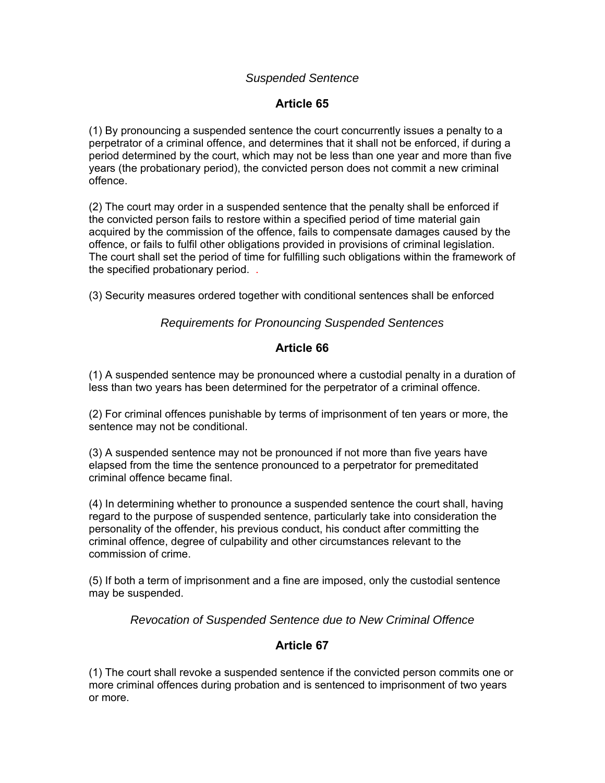#### *Suspended Sentence*

# **Article 65**

(1) By pronouncing a suspended sentence the court concurrently issues a penalty to a perpetrator of a criminal offence, and determines that it shall not be enforced, if during a period determined by the court, which may not be less than one year and more than five years (the probationary period), the convicted person does not commit a new criminal offence.

(2) The court may order in a suspended sentence that the penalty shall be enforced if the convicted person fails to restore within a specified period of time material gain acquired by the commission of the offence, fails to compensate damages caused by the offence, or fails to fulfil other obligations provided in provisions of criminal legislation. The court shall set the period of time for fulfilling such obligations within the framework of the specified probationary period. .

(3) Security measures ordered together with conditional sentences shall be enforced

#### *Requirements for Pronouncing Suspended Sentences*

## **Article 66**

(1) A suspended sentence may be pronounced where a custodial penalty in a duration of less than two years has been determined for the perpetrator of a criminal offence.

(2) For criminal offences punishable by terms of imprisonment of ten years or more, the sentence may not be conditional.

(3) A suspended sentence may not be pronounced if not more than five years have elapsed from the time the sentence pronounced to a perpetrator for premeditated criminal offence became final.

(4) In determining whether to pronounce a suspended sentence the court shall, having regard to the purpose of suspended sentence, particularly take into consideration the personality of the offender, his previous conduct, his conduct after committing the criminal offence, degree of culpability and other circumstances relevant to the commission of crime.

(5) If both a term of imprisonment and a fine are imposed, only the custodial sentence may be suspended.

*Revocation of Suspended Sentence due to New Criminal Offence* 

## **Article 67**

(1) The court shall revoke a suspended sentence if the convicted person commits one or more criminal offences during probation and is sentenced to imprisonment of two years or more.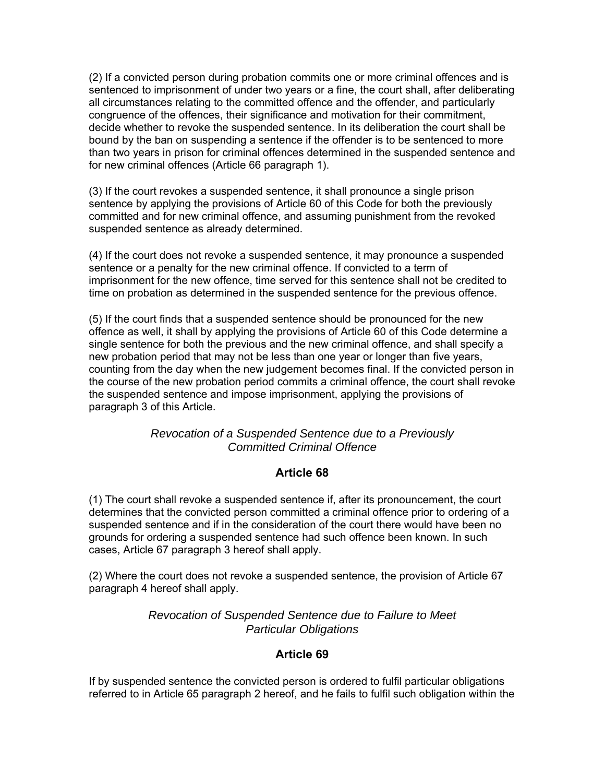(2) If a convicted person during probation commits one or more criminal offences and is sentenced to imprisonment of under two years or a fine, the court shall, after deliberating all circumstances relating to the committed offence and the offender, and particularly congruence of the offences, their significance and motivation for their commitment, decide whether to revoke the suspended sentence. In its deliberation the court shall be bound by the ban on suspending a sentence if the offender is to be sentenced to more than two years in prison for criminal offences determined in the suspended sentence and for new criminal offences (Article 66 paragraph 1).

(3) If the court revokes a suspended sentence, it shall pronounce a single prison sentence by applying the provisions of Article 60 of this Code for both the previously committed and for new criminal offence, and assuming punishment from the revoked suspended sentence as already determined.

(4) If the court does not revoke a suspended sentence, it may pronounce a suspended sentence or a penalty for the new criminal offence. If convicted to a term of imprisonment for the new offence, time served for this sentence shall not be credited to time on probation as determined in the suspended sentence for the previous offence.

(5) If the court finds that a suspended sentence should be pronounced for the new offence as well, it shall by applying the provisions of Article 60 of this Code determine a single sentence for both the previous and the new criminal offence, and shall specify a new probation period that may not be less than one year or longer than five years, counting from the day when the new judgement becomes final. If the convicted person in the course of the new probation period commits a criminal offence, the court shall revoke the suspended sentence and impose imprisonment, applying the provisions of paragraph 3 of this Article.

## *Revocation of a Suspended Sentence due to a Previously Committed Criminal Offence*

## **Article 68**

(1) The court shall revoke a suspended sentence if, after its pronouncement, the court determines that the convicted person committed a criminal offence prior to ordering of a suspended sentence and if in the consideration of the court there would have been no grounds for ordering a suspended sentence had such offence been known. In such cases, Article 67 paragraph 3 hereof shall apply.

(2) Where the court does not revoke a suspended sentence, the provision of Article 67 paragraph 4 hereof shall apply.

> *Revocation of Suspended Sentence due to Failure to Meet Particular Obligations*

#### **Article 69**

If by suspended sentence the convicted person is ordered to fulfil particular obligations referred to in Article 65 paragraph 2 hereof, and he fails to fulfil such obligation within the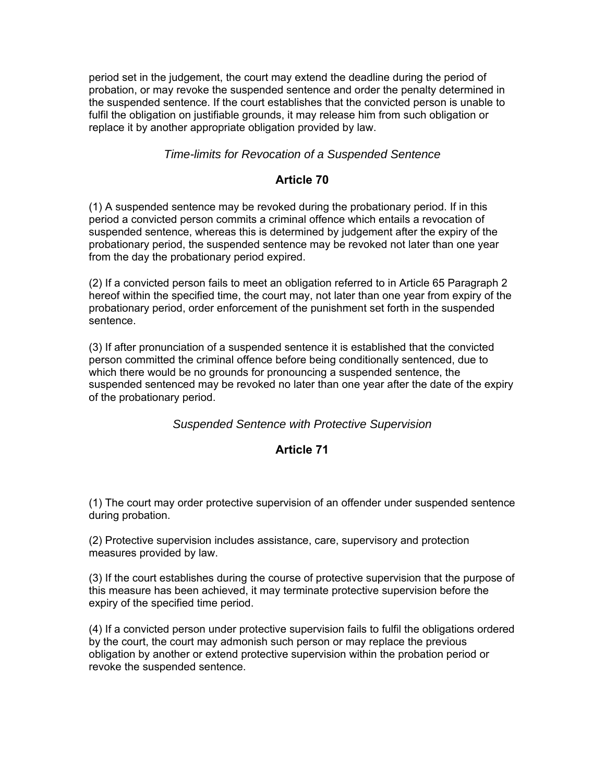period set in the judgement, the court may extend the deadline during the period of probation, or may revoke the suspended sentence and order the penalty determined in the suspended sentence. If the court establishes that the convicted person is unable to fulfil the obligation on justifiable grounds, it may release him from such obligation or replace it by another appropriate obligation provided by law.

### *Time-limits for Revocation of a Suspended Sentence*

#### **Article 70**

(1) A suspended sentence may be revoked during the probationary period. If in this period a convicted person commits a criminal offence which entails a revocation of suspended sentence, whereas this is determined by judgement after the expiry of the probationary period, the suspended sentence may be revoked not later than one year from the day the probationary period expired.

(2) If a convicted person fails to meet an obligation referred to in Article 65 Paragraph 2 hereof within the specified time, the court may, not later than one year from expiry of the probationary period, order enforcement of the punishment set forth in the suspended sentence.

(3) If after pronunciation of a suspended sentence it is established that the convicted person committed the criminal offence before being conditionally sentenced, due to which there would be no grounds for pronouncing a suspended sentence, the suspended sentenced may be revoked no later than one year after the date of the expiry of the probationary period.

#### *Suspended Sentence with Protective Supervision*

#### **Article 71**

(1) The court may order protective supervision of an offender under suspended sentence during probation.

(2) Protective supervision includes assistance, care, supervisory and protection measures provided by law.

(3) If the court establishes during the course of protective supervision that the purpose of this measure has been achieved, it may terminate protective supervision before the expiry of the specified time period.

(4) If a convicted person under protective supervision fails to fulfil the obligations ordered by the court, the court may admonish such person or may replace the previous obligation by another or extend protective supervision within the probation period or revoke the suspended sentence.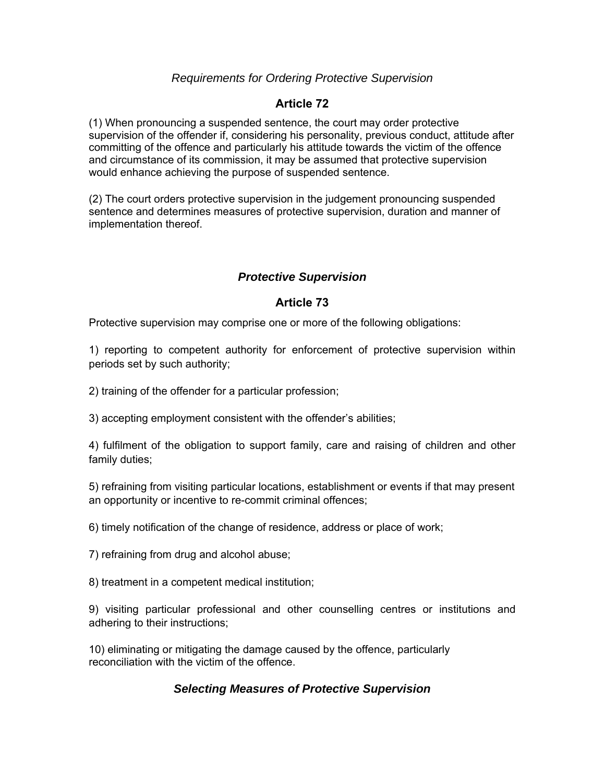### *Requirements for Ordering Protective Supervision*

### **Article 72**

(1) When pronouncing a suspended sentence, the court may order protective supervision of the offender if, considering his personality, previous conduct, attitude after committing of the offence and particularly his attitude towards the victim of the offence and circumstance of its commission, it may be assumed that protective supervision would enhance achieving the purpose of suspended sentence.

(2) The court orders protective supervision in the judgement pronouncing suspended sentence and determines measures of protective supervision, duration and manner of implementation thereof.

## *Protective Supervision*

#### **Article 73**

Protective supervision may comprise one or more of the following obligations:

1) reporting to competent authority for enforcement of protective supervision within periods set by such authority;

2) training of the offender for a particular profession;

3) accepting employment consistent with the offender's abilities;

4) fulfilment of the obligation to support family, care and raising of children and other family duties;

5) refraining from visiting particular locations, establishment or events if that may present an opportunity or incentive to re-commit criminal offences;

6) timely notification of the change of residence, address or place of work;

7) refraining from drug and alcohol abuse;

8) treatment in a competent medical institution;

9) visiting particular professional and other counselling centres or institutions and adhering to their instructions;

10) eliminating or mitigating the damage caused by the offence, particularly reconciliation with the victim of the offence.

#### *Selecting Measures of Protective Supervision*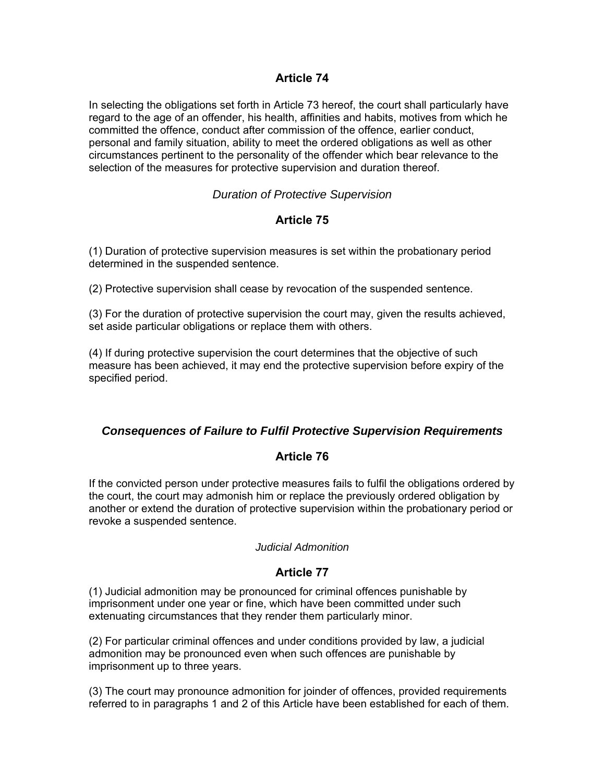### **Article 74**

In selecting the obligations set forth in Article 73 hereof, the court shall particularly have regard to the age of an offender, his health, affinities and habits, motives from which he committed the offence, conduct after commission of the offence, earlier conduct, personal and family situation, ability to meet the ordered obligations as well as other circumstances pertinent to the personality of the offender which bear relevance to the selection of the measures for protective supervision and duration thereof.

#### *Duration of Protective Supervision*

## **Article 75**

(1) Duration of protective supervision measures is set within the probationary period determined in the suspended sentence.

(2) Protective supervision shall cease by revocation of the suspended sentence.

(3) For the duration of protective supervision the court may, given the results achieved, set aside particular obligations or replace them with others.

(4) If during protective supervision the court determines that the objective of such measure has been achieved, it may end the protective supervision before expiry of the specified period.

## *Consequences of Failure to Fulfil Protective Supervision Requirements*

#### **Article 76**

If the convicted person under protective measures fails to fulfil the obligations ordered by the court, the court may admonish him or replace the previously ordered obligation by another or extend the duration of protective supervision within the probationary period or revoke a suspended sentence.

#### *Judicial Admonition*

## **Article 77**

(1) Judicial admonition may be pronounced for criminal offences punishable by imprisonment under one year or fine, which have been committed under such extenuating circumstances that they render them particularly minor.

(2) For particular criminal offences and under conditions provided by law, a judicial admonition may be pronounced even when such offences are punishable by imprisonment up to three years.

(3) The court may pronounce admonition for joinder of offences, provided requirements referred to in paragraphs 1 and 2 of this Article have been established for each of them.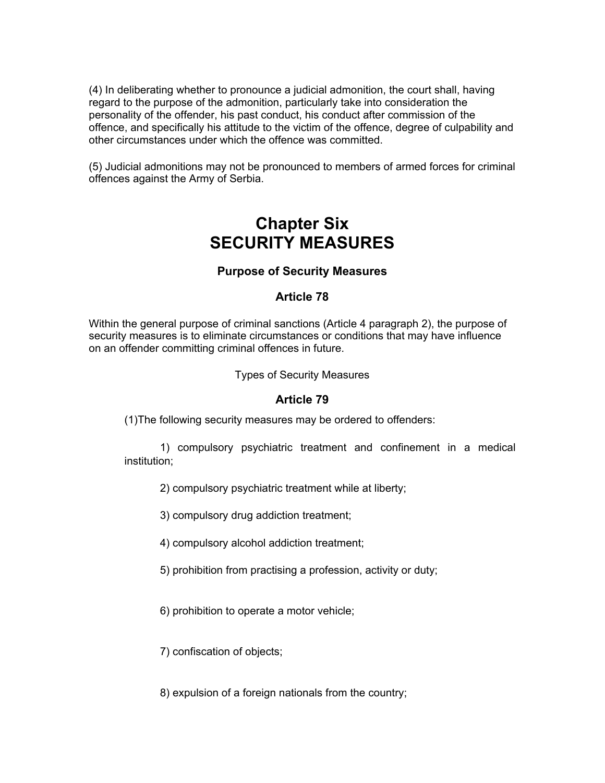(4) In deliberating whether to pronounce a judicial admonition, the court shall, having regard to the purpose of the admonition, particularly take into consideration the personality of the offender, his past conduct, his conduct after commission of the offence, and specifically his attitude to the victim of the offence, degree of culpability and other circumstances under which the offence was committed.

(5) Judicial admonitions may not be pronounced to members of armed forces for criminal offences against the Army of Serbia.

# **Chapter Six SECURITY MEASURES**

#### **Purpose of Security Measures**

#### **Article 78**

Within the general purpose of criminal sanctions (Article 4 paragraph 2), the purpose of security measures is to eliminate circumstances or conditions that may have influence on an offender committing criminal offences in future.

Types of Security Measures

#### **Article 79**

(1)The following security measures may be ordered to offenders:

1) compulsory psychiatric treatment and confinement in a medical institution;

2) compulsory psychiatric treatment while at liberty;

3) compulsory drug addiction treatment;

4) compulsory alcohol addiction treatment;

5) prohibition from practising a profession, activity or duty;

6) prohibition to operate a motor vehicle;

7) confiscation of objects;

8) expulsion of a foreign nationals from the country;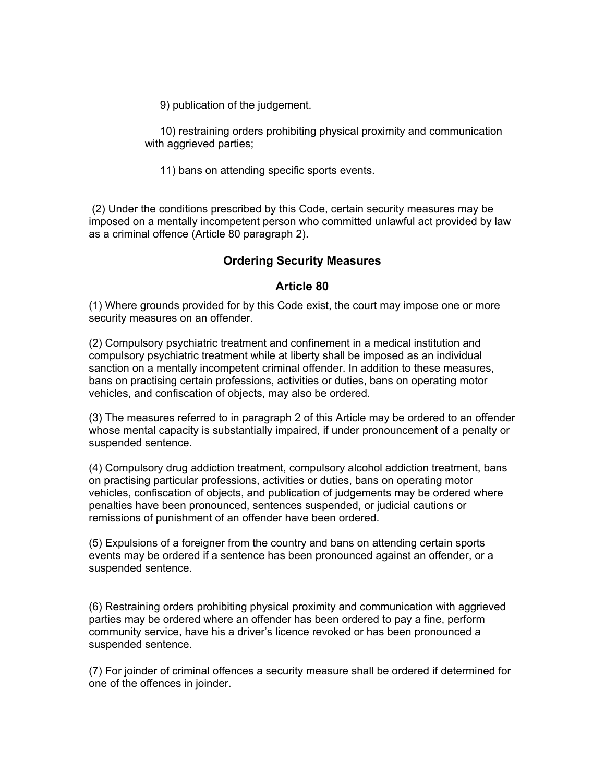9) publication of the judgement.

10) restraining orders prohibiting physical proximity and communication with aggrieved parties;

11) bans on attending specific sports events.

 (2) Under the conditions prescribed by this Code, certain security measures may be imposed on a mentally incompetent person who committed unlawful act provided by law as a criminal offence (Article 80 paragraph 2).

#### **Ordering Security Measures**

#### **Article 80**

(1) Where grounds provided for by this Code exist, the court may impose one or more security measures on an offender.

(2) Compulsory psychiatric treatment and confinement in a medical institution and compulsory psychiatric treatment while at liberty shall be imposed as an individual sanction on a mentally incompetent criminal offender. In addition to these measures, bans on practising certain professions, activities or duties, bans on operating motor vehicles, and confiscation of objects, may also be ordered.

(3) The measures referred to in paragraph 2 of this Article may be ordered to an offender whose mental capacity is substantially impaired, if under pronouncement of a penalty or suspended sentence.

(4) Compulsory drug addiction treatment, compulsory alcohol addiction treatment, bans on practising particular professions, activities or duties, bans on operating motor vehicles, confiscation of objects, and publication of judgements may be ordered where penalties have been pronounced, sentences suspended, or judicial cautions or remissions of punishment of an offender have been ordered.

(5) Expulsions of a foreigner from the country and bans on attending certain sports events may be ordered if a sentence has been pronounced against an offender, or a suspended sentence.

(6) Restraining orders prohibiting physical proximity and communication with aggrieved parties may be ordered where an offender has been ordered to pay a fine, perform community service, have his a driver's licence revoked or has been pronounced a suspended sentence.

(7) For joinder of criminal offences a security measure shall be ordered if determined for one of the offences in joinder.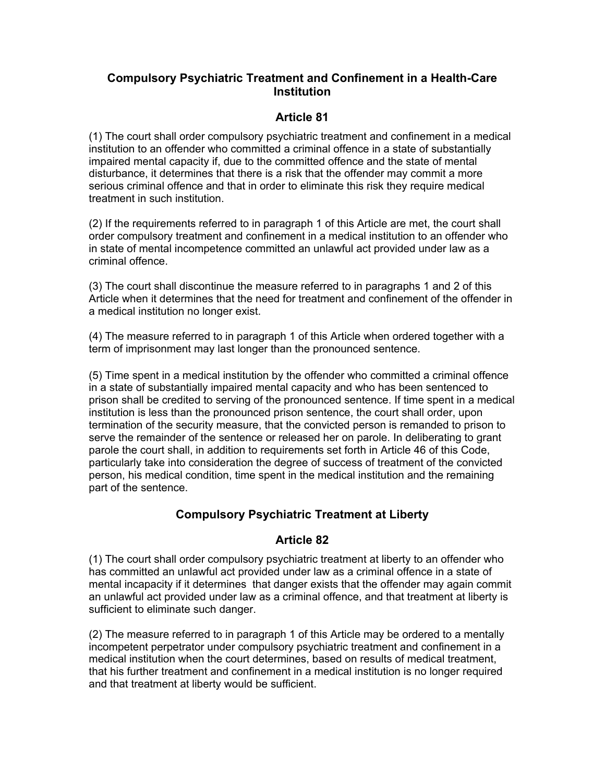## **Compulsory Psychiatric Treatment and Confinement in a Health-Care Institution**

# **Article 81**

(1) The court shall order compulsory psychiatric treatment and confinement in a medical institution to an offender who committed a criminal offence in a state of substantially impaired mental capacity if, due to the committed offence and the state of mental disturbance, it determines that there is a risk that the offender may commit a more serious criminal offence and that in order to eliminate this risk they require medical treatment in such institution.

(2) If the requirements referred to in paragraph 1 of this Article are met, the court shall order compulsory treatment and confinement in a medical institution to an offender who in state of mental incompetence committed an unlawful act provided under law as a criminal offence.

(3) The court shall discontinue the measure referred to in paragraphs 1 and 2 of this Article when it determines that the need for treatment and confinement of the offender in a medical institution no longer exist.

(4) The measure referred to in paragraph 1 of this Article when ordered together with a term of imprisonment may last longer than the pronounced sentence.

(5) Time spent in a medical institution by the offender who committed a criminal offence in a state of substantially impaired mental capacity and who has been sentenced to prison shall be credited to serving of the pronounced sentence. If time spent in a medical institution is less than the pronounced prison sentence, the court shall order, upon termination of the security measure, that the convicted person is remanded to prison to serve the remainder of the sentence or released her on parole. In deliberating to grant parole the court shall, in addition to requirements set forth in Article 46 of this Code, particularly take into consideration the degree of success of treatment of the convicted person, his medical condition, time spent in the medical institution and the remaining part of the sentence.

# **Compulsory Psychiatric Treatment at Liberty**

# **Article 82**

(1) The court shall order compulsory psychiatric treatment at liberty to an offender who has committed an unlawful act provided under law as a criminal offence in a state of mental incapacity if it determines that danger exists that the offender may again commit an unlawful act provided under law as a criminal offence, and that treatment at liberty is sufficient to eliminate such danger.

(2) The measure referred to in paragraph 1 of this Article may be ordered to a mentally incompetent perpetrator under compulsory psychiatric treatment and confinement in a medical institution when the court determines, based on results of medical treatment, that his further treatment and confinement in a medical institution is no longer required and that treatment at liberty would be sufficient.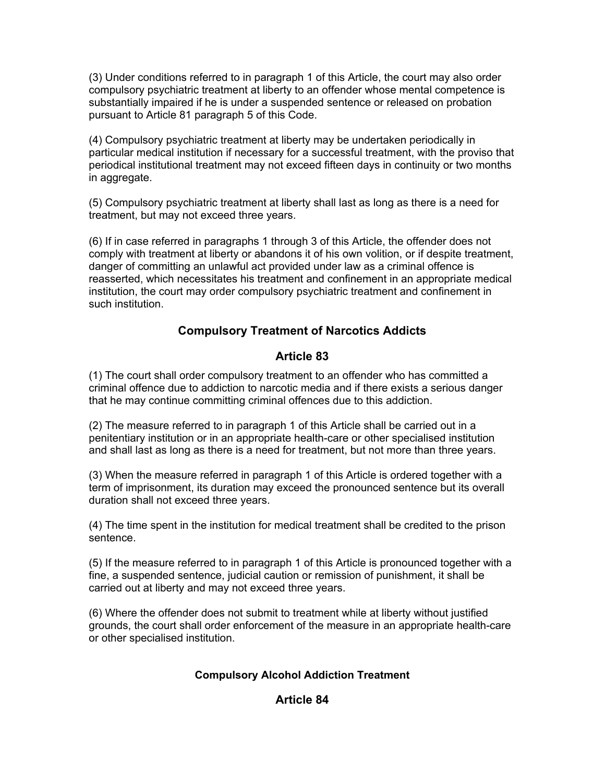(3) Under conditions referred to in paragraph 1 of this Article, the court may also order compulsory psychiatric treatment at liberty to an offender whose mental competence is substantially impaired if he is under a suspended sentence or released on probation pursuant to Article 81 paragraph 5 of this Code.

(4) Compulsory psychiatric treatment at liberty may be undertaken periodically in particular medical institution if necessary for a successful treatment, with the proviso that periodical institutional treatment may not exceed fifteen days in continuity or two months in aggregate.

(5) Compulsory psychiatric treatment at liberty shall last as long as there is a need for treatment, but may not exceed three years.

(6) If in case referred in paragraphs 1 through 3 of this Article, the offender does not comply with treatment at liberty or abandons it of his own volition, or if despite treatment, danger of committing an unlawful act provided under law as a criminal offence is reasserted, which necessitates his treatment and confinement in an appropriate medical institution, the court may order compulsory psychiatric treatment and confinement in such institution.

# **Compulsory Treatment of Narcotics Addicts**

## **Article 83**

(1) The court shall order compulsory treatment to an offender who has committed a criminal offence due to addiction to narcotic media and if there exists a serious danger that he may continue committing criminal offences due to this addiction.

(2) The measure referred to in paragraph 1 of this Article shall be carried out in a penitentiary institution or in an appropriate health-care or other specialised institution and shall last as long as there is a need for treatment, but not more than three years.

(3) When the measure referred in paragraph 1 of this Article is ordered together with a term of imprisonment, its duration may exceed the pronounced sentence but its overall duration shall not exceed three years.

(4) The time spent in the institution for medical treatment shall be credited to the prison sentence.

(5) If the measure referred to in paragraph 1 of this Article is pronounced together with a fine, a suspended sentence, judicial caution or remission of punishment, it shall be carried out at liberty and may not exceed three years.

(6) Where the offender does not submit to treatment while at liberty without justified grounds, the court shall order enforcement of the measure in an appropriate health-care or other specialised institution.

#### **Compulsory Alcohol Addiction Treatment**

## **Article 84**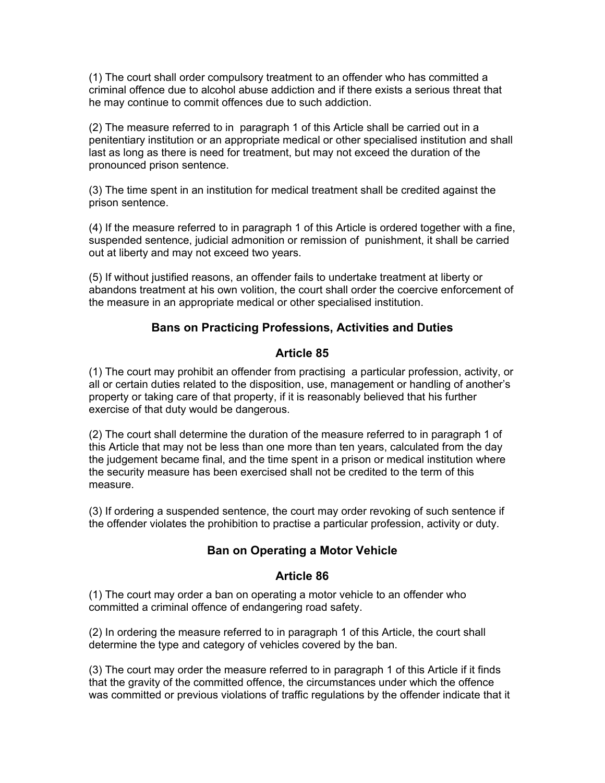(1) The court shall order compulsory treatment to an offender who has committed a criminal offence due to alcohol abuse addiction and if there exists a serious threat that he may continue to commit offences due to such addiction.

(2) The measure referred to in paragraph 1 of this Article shall be carried out in a penitentiary institution or an appropriate medical or other specialised institution and shall last as long as there is need for treatment, but may not exceed the duration of the pronounced prison sentence.

(3) The time spent in an institution for medical treatment shall be credited against the prison sentence.

(4) If the measure referred to in paragraph 1 of this Article is ordered together with a fine, suspended sentence, judicial admonition or remission of punishment, it shall be carried out at liberty and may not exceed two years.

(5) If without justified reasons, an offender fails to undertake treatment at liberty or abandons treatment at his own volition, the court shall order the coercive enforcement of the measure in an appropriate medical or other specialised institution.

## **Bans on Practicing Professions, Activities and Duties**

#### **Article 85**

(1) The court may prohibit an offender from practising a particular profession, activity, or all or certain duties related to the disposition, use, management or handling of another's property or taking care of that property, if it is reasonably believed that his further exercise of that duty would be dangerous.

(2) The court shall determine the duration of the measure referred to in paragraph 1 of this Article that may not be less than one more than ten years, calculated from the day the judgement became final, and the time spent in a prison or medical institution where the security measure has been exercised shall not be credited to the term of this measure.

(3) If ordering a suspended sentence, the court may order revoking of such sentence if the offender violates the prohibition to practise a particular profession, activity or duty.

# **Ban on Operating a Motor Vehicle**

## **Article 86**

(1) The court may order a ban on operating a motor vehicle to an offender who committed a criminal offence of endangering road safety.

(2) In ordering the measure referred to in paragraph 1 of this Article, the court shall determine the type and category of vehicles covered by the ban.

(3) The court may order the measure referred to in paragraph 1 of this Article if it finds that the gravity of the committed offence, the circumstances under which the offence was committed or previous violations of traffic regulations by the offender indicate that it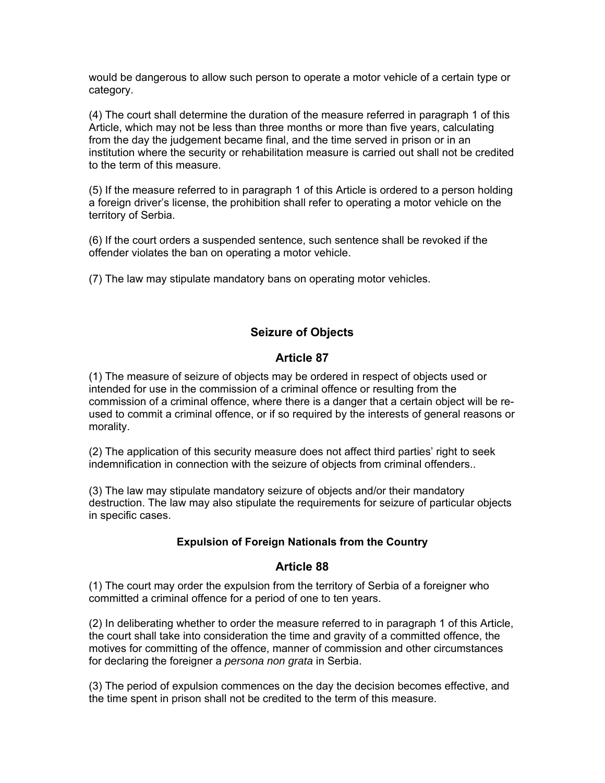would be dangerous to allow such person to operate a motor vehicle of a certain type or category.

(4) The court shall determine the duration of the measure referred in paragraph 1 of this Article, which may not be less than three months or more than five years, calculating from the day the judgement became final, and the time served in prison or in an institution where the security or rehabilitation measure is carried out shall not be credited to the term of this measure.

(5) If the measure referred to in paragraph 1 of this Article is ordered to a person holding a foreign driver's license, the prohibition shall refer to operating a motor vehicle on the territory of Serbia.

(6) If the court orders a suspended sentence, such sentence shall be revoked if the offender violates the ban on operating a motor vehicle.

(7) The law may stipulate mandatory bans on operating motor vehicles.

# **Seizure of Objects**

#### **Article 87**

(1) The measure of seizure of objects may be ordered in respect of objects used or intended for use in the commission of a criminal offence or resulting from the commission of a criminal offence, where there is a danger that a certain object will be reused to commit a criminal offence, or if so required by the interests of general reasons or morality.

(2) The application of this security measure does not affect third parties' right to seek indemnification in connection with the seizure of objects from criminal offenders..

(3) The law may stipulate mandatory seizure of objects and/or their mandatory destruction. The law may also stipulate the requirements for seizure of particular objects in specific cases.

## **Expulsion of Foreign Nationals from the Country**

#### **Article 88**

(1) The court may order the expulsion from the territory of Serbia of a foreigner who committed a criminal offence for a period of one to ten years.

(2) In deliberating whether to order the measure referred to in paragraph 1 of this Article, the court shall take into consideration the time and gravity of a committed offence, the motives for committing of the offence, manner of commission and other circumstances for declaring the foreigner a *persona non grata* in Serbia.

(3) The period of expulsion commences on the day the decision becomes effective, and the time spent in prison shall not be credited to the term of this measure.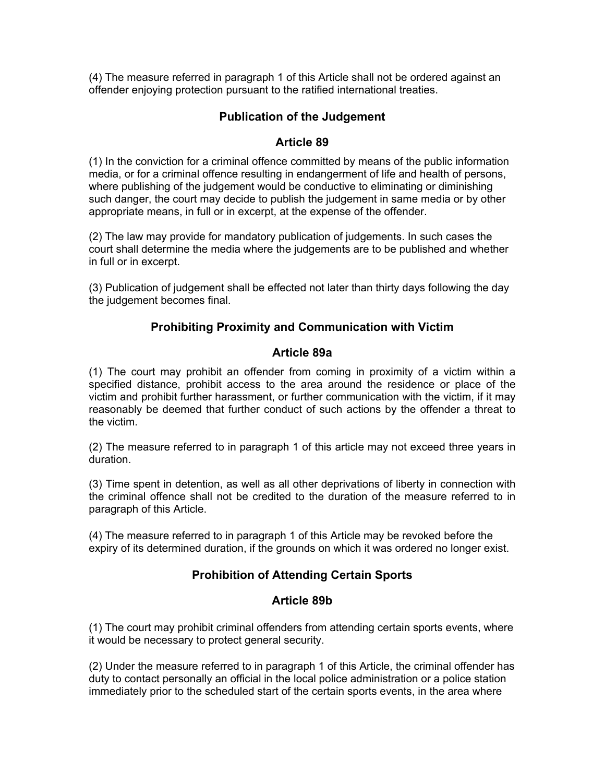(4) The measure referred in paragraph 1 of this Article shall not be ordered against an offender enjoying protection pursuant to the ratified international treaties.

## **Publication of the Judgement**

### **Article 89**

(1) In the conviction for a criminal offence committed by means of the public information media, or for a criminal offence resulting in endangerment of life and health of persons, where publishing of the judgement would be conductive to eliminating or diminishing such danger, the court may decide to publish the judgement in same media or by other appropriate means, in full or in excerpt, at the expense of the offender.

(2) The law may provide for mandatory publication of judgements. In such cases the court shall determine the media where the judgements are to be published and whether in full or in excerpt.

(3) Publication of judgement shall be effected not later than thirty days following the day the judgement becomes final.

#### **Prohibiting Proximity and Communication with Victim**

#### **Article 89a**

(1) The court may prohibit an offender from coming in proximity of a victim within a specified distance, prohibit access to the area around the residence or place of the victim and prohibit further harassment, or further communication with the victim, if it may reasonably be deemed that further conduct of such actions by the offender a threat to the victim.

(2) The measure referred to in paragraph 1 of this article may not exceed three years in duration.

(3) Time spent in detention, as well as all other deprivations of liberty in connection with the criminal offence shall not be credited to the duration of the measure referred to in paragraph of this Article.

(4) The measure referred to in paragraph 1 of this Article may be revoked before the expiry of its determined duration, if the grounds on which it was ordered no longer exist.

## **Prohibition of Attending Certain Sports**

#### **Article 89b**

(1) The court may prohibit criminal offenders from attending certain sports events, where it would be necessary to protect general security.

(2) Under the measure referred to in paragraph 1 of this Article, the criminal offender has duty to contact personally an official in the local police administration or a police station immediately prior to the scheduled start of the certain sports events, in the area where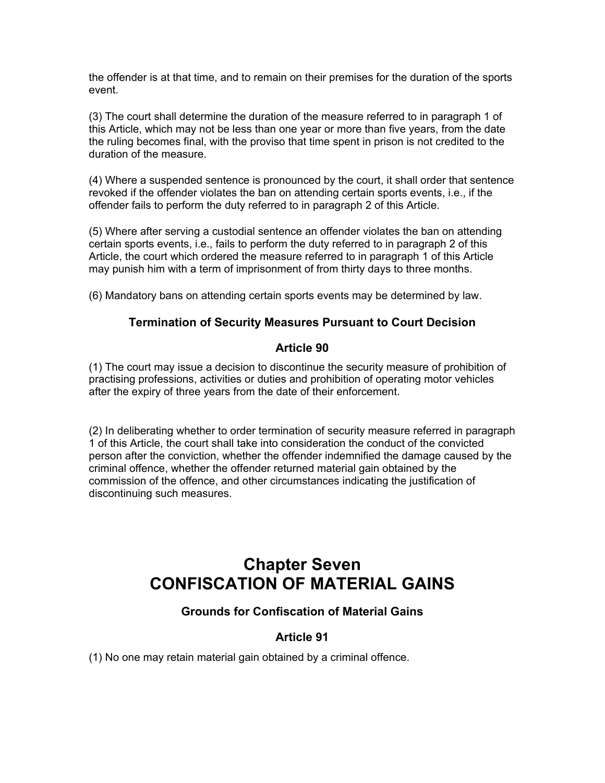the offender is at that time, and to remain on their premises for the duration of the sports event.

(3) The court shall determine the duration of the measure referred to in paragraph 1 of this Article, which may not be less than one year or more than five years, from the date the ruling becomes final, with the proviso that time spent in prison is not credited to the duration of the measure.

(4) Where a suspended sentence is pronounced by the court, it shall order that sentence revoked if the offender violates the ban on attending certain sports events, i.e., if the offender fails to perform the duty referred to in paragraph 2 of this Article.

(5) Where after serving a custodial sentence an offender violates the ban on attending certain sports events, i.e., fails to perform the duty referred to in paragraph 2 of this Article, the court which ordered the measure referred to in paragraph 1 of this Article may punish him with a term of imprisonment of from thirty days to three months.

(6) Mandatory bans on attending certain sports events may be determined by law.

## **Termination of Security Measures Pursuant to Court Decision**

## **Article 90**

(1) The court may issue a decision to discontinue the security measure of prohibition of practising professions, activities or duties and prohibition of operating motor vehicles after the expiry of three years from the date of their enforcement.

(2) In deliberating whether to order termination of security measure referred in paragraph 1 of this Article, the court shall take into consideration the conduct of the convicted person after the conviction, whether the offender indemnified the damage caused by the criminal offence, whether the offender returned material gain obtained by the commission of the offence, and other circumstances indicating the justification of discontinuing such measures.

# **Chapter Seven CONFISCATION OF MATERIAL GAINS**

# **Grounds for Confiscation of Material Gains**

# **Article 91**

(1) No one may retain material gain obtained by a criminal offence.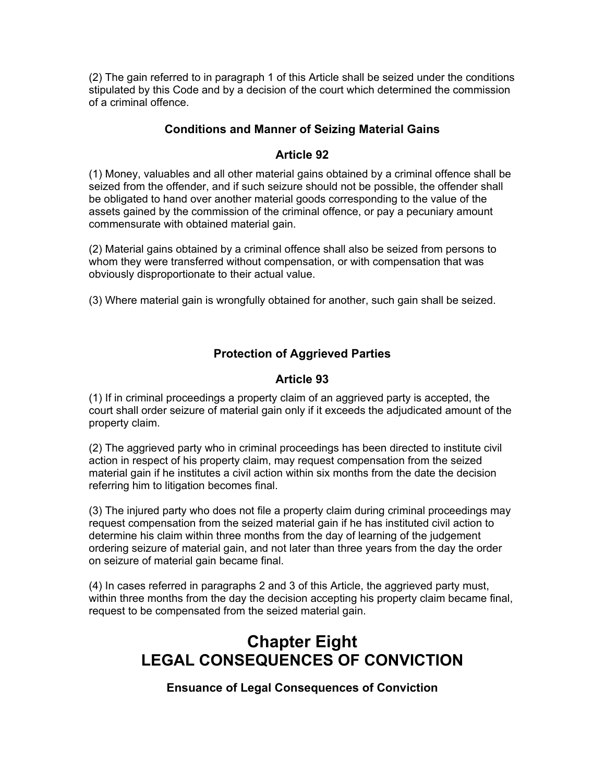(2) The gain referred to in paragraph 1 of this Article shall be seized under the conditions stipulated by this Code and by a decision of the court which determined the commission of a criminal offence.

## **Conditions and Manner of Seizing Material Gains**

## **Article 92**

(1) Money, valuables and all other material gains obtained by a criminal offence shall be seized from the offender, and if such seizure should not be possible, the offender shall be obligated to hand over another material goods corresponding to the value of the assets gained by the commission of the criminal offence, or pay a pecuniary amount commensurate with obtained material gain.

(2) Material gains obtained by a criminal offence shall also be seized from persons to whom they were transferred without compensation, or with compensation that was obviously disproportionate to their actual value.

(3) Where material gain is wrongfully obtained for another, such gain shall be seized.

# **Protection of Aggrieved Parties**

## **Article 93**

(1) If in criminal proceedings a property claim of an aggrieved party is accepted, the court shall order seizure of material gain only if it exceeds the adjudicated amount of the property claim.

(2) The aggrieved party who in criminal proceedings has been directed to institute civil action in respect of his property claim, may request compensation from the seized material gain if he institutes a civil action within six months from the date the decision referring him to litigation becomes final.

(3) The injured party who does not file a property claim during criminal proceedings may request compensation from the seized material gain if he has instituted civil action to determine his claim within three months from the day of learning of the judgement ordering seizure of material gain, and not later than three years from the day the order on seizure of material gain became final.

(4) In cases referred in paragraphs 2 and 3 of this Article, the aggrieved party must, within three months from the day the decision accepting his property claim became final, request to be compensated from the seized material gain.

# **Chapter Eight LEGAL CONSEQUENCES OF CONVICTION**

**Ensuance of Legal Consequences of Conviction**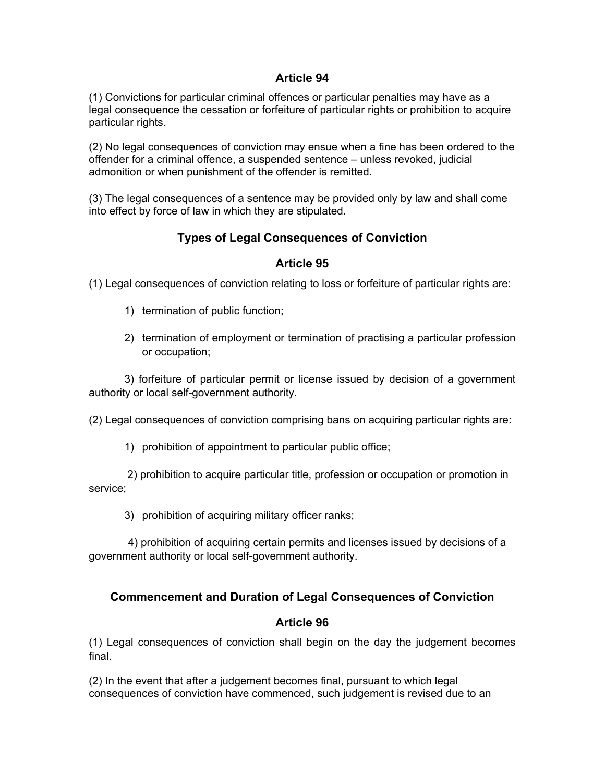## **Article 94**

(1) Convictions for particular criminal offences or particular penalties may have as a legal consequence the cessation or forfeiture of particular rights or prohibition to acquire particular rights.

(2) No legal consequences of conviction may ensue when a fine has been ordered to the offender for a criminal offence, a suspended sentence – unless revoked, judicial admonition or when punishment of the offender is remitted.

(3) The legal consequences of a sentence may be provided only by law and shall come into effect by force of law in which they are stipulated.

# **Types of Legal Consequences of Conviction**

## **Article 95**

(1) Legal consequences of conviction relating to loss or forfeiture of particular rights are:

- 1) termination of public function;
- 2) termination of employment or termination of practising a particular profession or occupation;

3) forfeiture of particular permit or license issued by decision of a government authority or local self-government authority.

(2) Legal consequences of conviction comprising bans on acquiring particular rights are:

1) prohibition of appointment to particular public office;

 2) prohibition to acquire particular title, profession or occupation or promotion in service;

3) prohibition of acquiring military officer ranks;

 4) prohibition of acquiring certain permits and licenses issued by decisions of a government authority or local self-government authority.

# **Commencement and Duration of Legal Consequences of Conviction**

## **Article 96**

(1) Legal consequences of conviction shall begin on the day the judgement becomes final.

(2) In the event that after a judgement becomes final, pursuant to which legal consequences of conviction have commenced, such judgement is revised due to an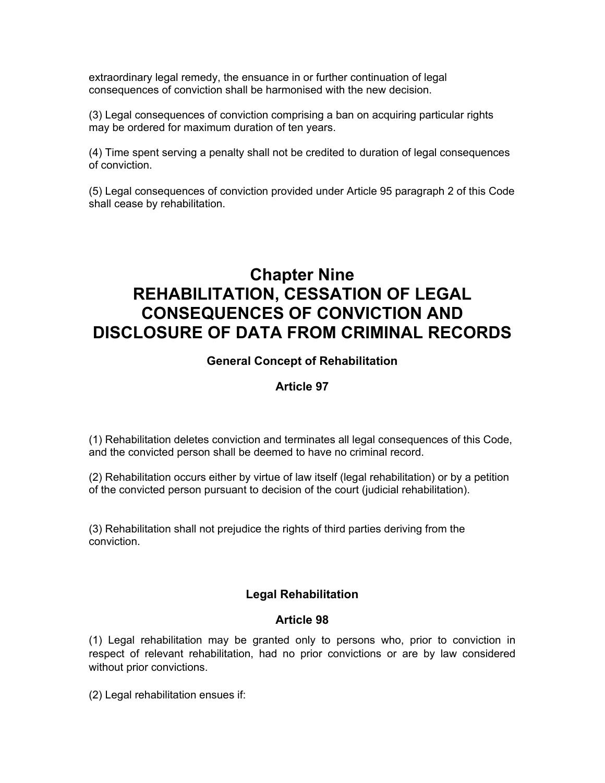extraordinary legal remedy, the ensuance in or further continuation of legal consequences of conviction shall be harmonised with the new decision.

(3) Legal consequences of conviction comprising a ban on acquiring particular rights may be ordered for maximum duration of ten years.

(4) Time spent serving a penalty shall not be credited to duration of legal consequences of conviction.

(5) Legal consequences of conviction provided under Article 95 paragraph 2 of this Code shall cease by rehabilitation.

# **Chapter Nine REHABILITATION, CESSATION OF LEGAL CONSEQUENCES OF CONVICTION AND DISCLOSURE OF DATA FROM CRIMINAL RECORDS**

#### **General Concept of Rehabilitation**

#### **Article 97**

(1) Rehabilitation deletes conviction and terminates all legal consequences of this Code, and the convicted person shall be deemed to have no criminal record.

(2) Rehabilitation occurs either by virtue of law itself (legal rehabilitation) or by a petition of the convicted person pursuant to decision of the court (judicial rehabilitation).

(3) Rehabilitation shall not prejudice the rights of third parties deriving from the conviction.

## **Legal Rehabilitation**

#### **Article 98**

(1) Legal rehabilitation may be granted only to persons who, prior to conviction in respect of relevant rehabilitation, had no prior convictions or are by law considered without prior convictions.

(2) Legal rehabilitation ensues if: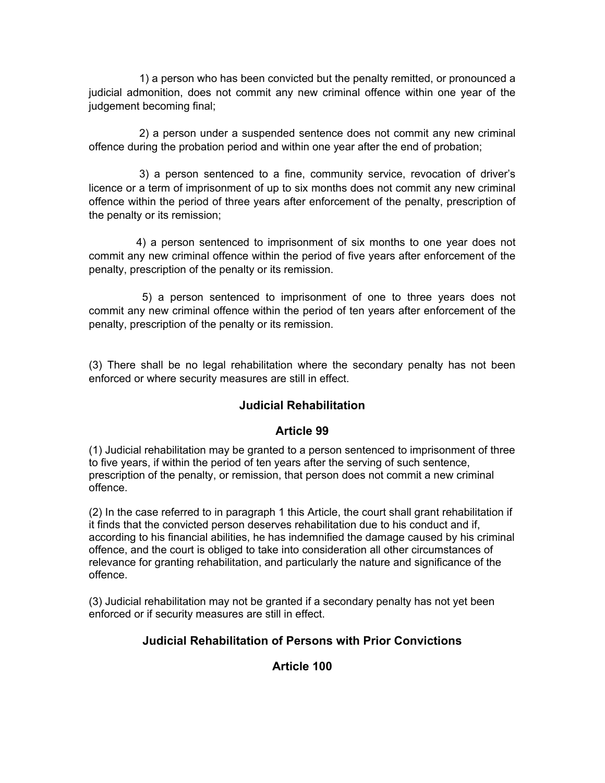1) a person who has been convicted but the penalty remitted, or pronounced a judicial admonition, does not commit any new criminal offence within one year of the judgement becoming final;

2) a person under a suspended sentence does not commit any new criminal offence during the probation period and within one year after the end of probation;

3) a person sentenced to a fine, community service, revocation of driver's licence or a term of imprisonment of up to six months does not commit any new criminal offence within the period of three years after enforcement of the penalty, prescription of the penalty or its remission;

4) a person sentenced to imprisonment of six months to one year does not commit any new criminal offence within the period of five years after enforcement of the penalty, prescription of the penalty or its remission.

5) a person sentenced to imprisonment of one to three years does not commit any new criminal offence within the period of ten years after enforcement of the penalty, prescription of the penalty or its remission.

(3) There shall be no legal rehabilitation where the secondary penalty has not been enforced or where security measures are still in effect.

# **Judicial Rehabilitation**

## **Article 99**

(1) Judicial rehabilitation may be granted to a person sentenced to imprisonment of three to five years, if within the period of ten years after the serving of such sentence, prescription of the penalty, or remission, that person does not commit a new criminal offence.

(2) In the case referred to in paragraph 1 this Article, the court shall grant rehabilitation if it finds that the convicted person deserves rehabilitation due to his conduct and if, according to his financial abilities, he has indemnified the damage caused by his criminal offence, and the court is obliged to take into consideration all other circumstances of relevance for granting rehabilitation, and particularly the nature and significance of the offence.

(3) Judicial rehabilitation may not be granted if a secondary penalty has not yet been enforced or if security measures are still in effect.

## **Judicial Rehabilitation of Persons with Prior Convictions**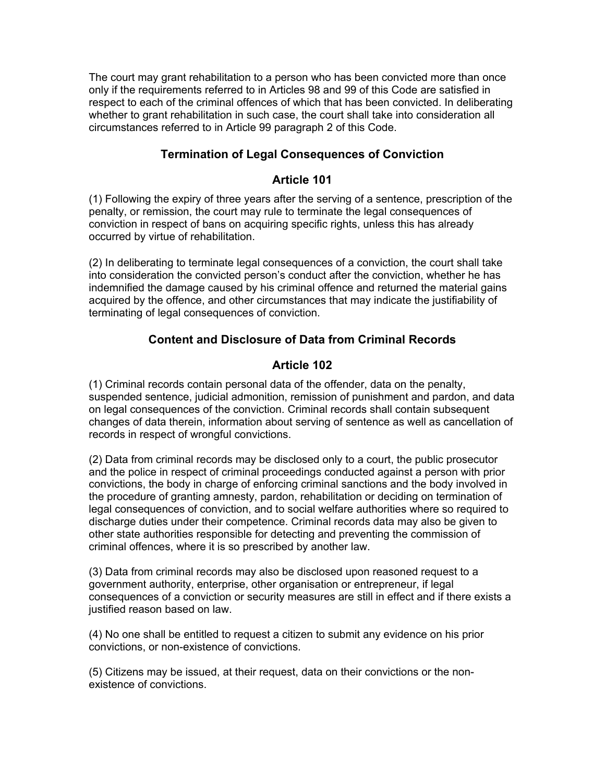The court may grant rehabilitation to a person who has been convicted more than once only if the requirements referred to in Articles 98 and 99 of this Code are satisfied in respect to each of the criminal offences of which that has been convicted. In deliberating whether to grant rehabilitation in such case, the court shall take into consideration all circumstances referred to in Article 99 paragraph 2 of this Code.

## **Termination of Legal Consequences of Conviction**

#### **Article 101**

(1) Following the expiry of three years after the serving of a sentence, prescription of the penalty, or remission, the court may rule to terminate the legal consequences of conviction in respect of bans on acquiring specific rights, unless this has already occurred by virtue of rehabilitation.

(2) In deliberating to terminate legal consequences of a conviction, the court shall take into consideration the convicted person's conduct after the conviction, whether he has indemnified the damage caused by his criminal offence and returned the material gains acquired by the offence, and other circumstances that may indicate the justifiability of terminating of legal consequences of conviction.

## **Content and Disclosure of Data from Criminal Records**

## **Article 102**

(1) Criminal records contain personal data of the offender, data on the penalty, suspended sentence, judicial admonition, remission of punishment and pardon, and data on legal consequences of the conviction. Criminal records shall contain subsequent changes of data therein, information about serving of sentence as well as cancellation of records in respect of wrongful convictions.

(2) Data from criminal records may be disclosed only to a court, the public prosecutor and the police in respect of criminal proceedings conducted against a person with prior convictions, the body in charge of enforcing criminal sanctions and the body involved in the procedure of granting amnesty, pardon, rehabilitation or deciding on termination of legal consequences of conviction, and to social welfare authorities where so required to discharge duties under their competence. Criminal records data may also be given to other state authorities responsible for detecting and preventing the commission of criminal offences, where it is so prescribed by another law.

(3) Data from criminal records may also be disclosed upon reasoned request to a government authority, enterprise, other organisation or entrepreneur, if legal consequences of a conviction or security measures are still in effect and if there exists a justified reason based on law.

(4) No one shall be entitled to request a citizen to submit any evidence on his prior convictions, or non-existence of convictions.

(5) Citizens may be issued, at their request, data on their convictions or the nonexistence of convictions.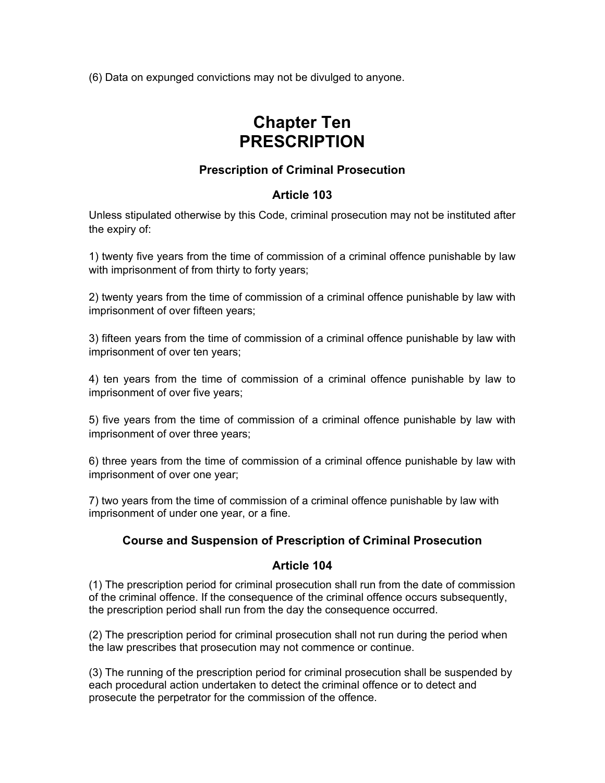(6) Data on expunged convictions may not be divulged to anyone.

# **Chapter Ten PRESCRIPTION**

## **Prescription of Criminal Prosecution**

## **Article 103**

Unless stipulated otherwise by this Code, criminal prosecution may not be instituted after the expiry of:

1) twenty five years from the time of commission of a criminal offence punishable by law with imprisonment of from thirty to forty years;

2) twenty years from the time of commission of a criminal offence punishable by law with imprisonment of over fifteen years;

3) fifteen years from the time of commission of a criminal offence punishable by law with imprisonment of over ten years;

4) ten years from the time of commission of a criminal offence punishable by law to imprisonment of over five years;

5) five years from the time of commission of a criminal offence punishable by law with imprisonment of over three years;

6) three years from the time of commission of a criminal offence punishable by law with imprisonment of over one year;

7) two years from the time of commission of a criminal offence punishable by law with imprisonment of under one year, or a fine.

## **Course and Suspension of Prescription of Criminal Prosecution**

#### **Article 104**

(1) The prescription period for criminal prosecution shall run from the date of commission of the criminal offence. If the consequence of the criminal offence occurs subsequently, the prescription period shall run from the day the consequence occurred.

(2) The prescription period for criminal prosecution shall not run during the period when the law prescribes that prosecution may not commence or continue.

(3) The running of the prescription period for criminal prosecution shall be suspended by each procedural action undertaken to detect the criminal offence or to detect and prosecute the perpetrator for the commission of the offence.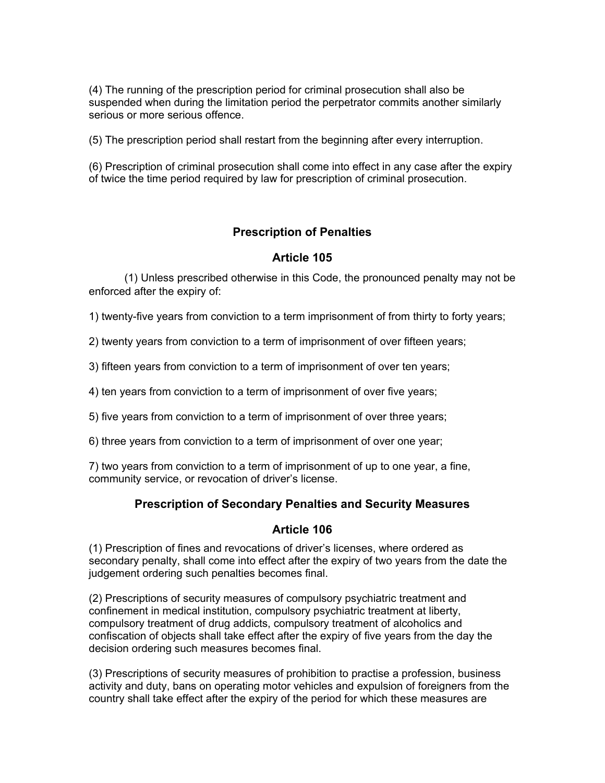(4) The running of the prescription period for criminal prosecution shall also be suspended when during the limitation period the perpetrator commits another similarly serious or more serious offence.

(5) The prescription period shall restart from the beginning after every interruption.

(6) Prescription of criminal prosecution shall come into effect in any case after the expiry of twice the time period required by law for prescription of criminal prosecution.

## **Prescription of Penalties**

#### **Article 105**

(1) Unless prescribed otherwise in this Code, the pronounced penalty may not be enforced after the expiry of:

1) twenty-five years from conviction to a term imprisonment of from thirty to forty years;

2) twenty years from conviction to a term of imprisonment of over fifteen years;

3) fifteen years from conviction to a term of imprisonment of over ten years;

4) ten years from conviction to a term of imprisonment of over five years;

5) five years from conviction to a term of imprisonment of over three years;

6) three years from conviction to a term of imprisonment of over one year;

7) two years from conviction to a term of imprisonment of up to one year, a fine, community service, or revocation of driver's license.

#### **Prescription of Secondary Penalties and Security Measures**

#### **Article 106**

(1) Prescription of fines and revocations of driver's licenses, where ordered as secondary penalty, shall come into effect after the expiry of two years from the date the judgement ordering such penalties becomes final.

(2) Prescriptions of security measures of compulsory psychiatric treatment and confinement in medical institution, compulsory psychiatric treatment at liberty, compulsory treatment of drug addicts, compulsory treatment of alcoholics and confiscation of objects shall take effect after the expiry of five years from the day the decision ordering such measures becomes final.

(3) Prescriptions of security measures of prohibition to practise a profession, business activity and duty, bans on operating motor vehicles and expulsion of foreigners from the country shall take effect after the expiry of the period for which these measures are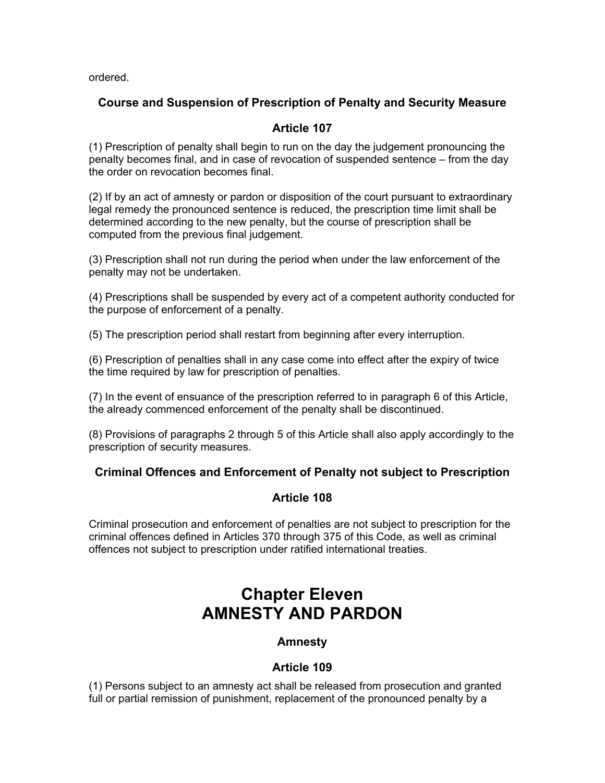ordered.

# **Course and Suspension of Prescription of Penalty and Security Measure**

## **Article 107**

(1) Prescription of penalty shall begin to run on the day the judgement pronouncing the penalty becomes final, and in case of revocation of suspended sentence – from the day the order on revocation becomes final.

(2) If by an act of amnesty or pardon or disposition of the court pursuant to extraordinary legal remedy the pronounced sentence is reduced, the prescription time limit shall be determined according to the new penalty, but the course of prescription shall be computed from the previous final judgement.

(3) Prescription shall not run during the period when under the law enforcement of the penalty may not be undertaken.

(4) Prescriptions shall be suspended by every act of a competent authority conducted for the purpose of enforcement of a penalty.

(5) The prescription period shall restart from beginning after every interruption.

(6) Prescription of penalties shall in any case come into effect after the expiry of twice the time required by law for prescription of penalties.

(7) In the event of ensuance of the prescription referred to in paragraph 6 of this Article, the already commenced enforcement of the penalty shall be discontinued.

(8) Provisions of paragraphs 2 through 5 of this Article shall also apply accordingly to the prescription of security measures.

## **Criminal Offences and Enforcement of Penalty not subject to Prescription**

## **Article 108**

Criminal prosecution and enforcement of penalties are not subject to prescription for the criminal offences defined in Articles 370 through 375 of this Code, as well as criminal offences not subject to prescription under ratified international treaties.

# **Chapter Eleven AMNESTY AND PARDON**

## **Amnesty**

## **Article 109**

(1) Persons subject to an amnesty act shall be released from prosecution and granted full or partial remission of punishment, replacement of the pronounced penalty by a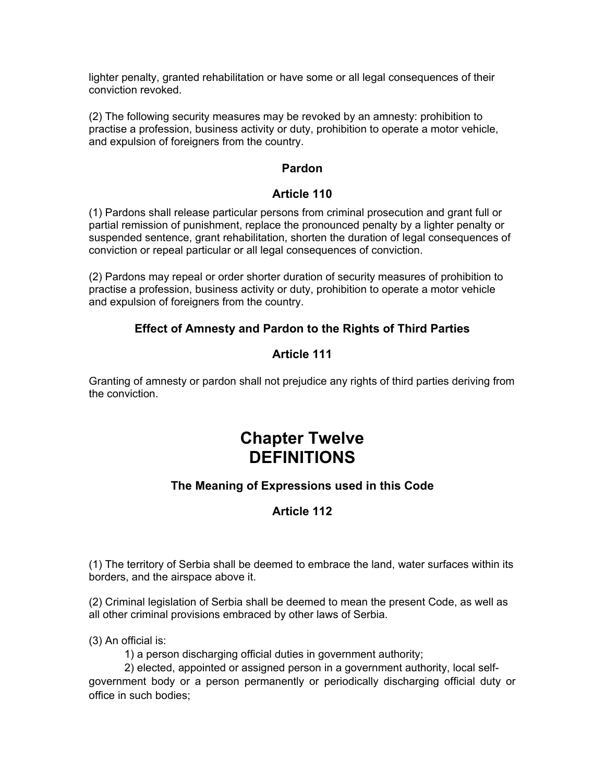lighter penalty, granted rehabilitation or have some or all legal consequences of their conviction revoked.

(2) The following security measures may be revoked by an amnesty: prohibition to practise a profession, business activity or duty, prohibition to operate a motor vehicle, and expulsion of foreigners from the country.

#### **Pardon**

#### **Article 110**

(1) Pardons shall release particular persons from criminal prosecution and grant full or partial remission of punishment, replace the pronounced penalty by a lighter penalty or suspended sentence, grant rehabilitation, shorten the duration of legal consequences of conviction or repeal particular or all legal consequences of conviction.

(2) Pardons may repeal or order shorter duration of security measures of prohibition to practise a profession, business activity or duty, prohibition to operate a motor vehicle and expulsion of foreigners from the country.

## **Effect of Amnesty and Pardon to the Rights of Third Parties**

## **Article 111**

Granting of amnesty or pardon shall not prejudice any rights of third parties deriving from the conviction.

# **Chapter Twelve DEFINITIONS**

# **The Meaning of Expressions used in this Code**

# **Article 112**

(1) The territory of Serbia shall be deemed to embrace the land, water surfaces within its borders, and the airspace above it.

(2) Criminal legislation of Serbia shall be deemed to mean the present Code, as well as all other criminal provisions embraced by other laws of Serbia.

(3) An official is:

1) a person discharging official duties in government authority;

2) elected, appointed or assigned person in a government authority, local selfgovernment body or a person permanently or periodically discharging official duty or office in such bodies;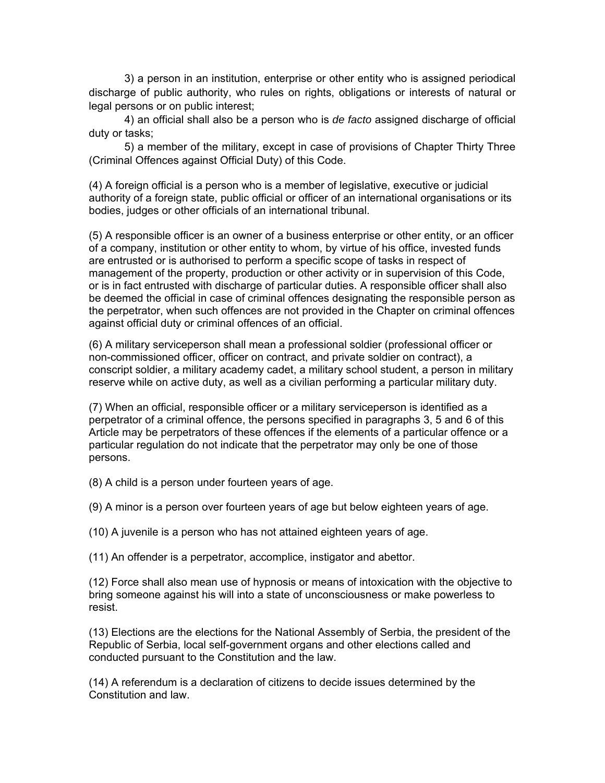3) a person in an institution, enterprise or other entity who is assigned periodical discharge of public authority, who rules on rights, obligations or interests of natural or legal persons or on public interest;

4) an official shall also be a person who is *de facto* assigned discharge of official duty or tasks;

5) a member of the military, except in case of provisions of Chapter Thirty Three (Criminal Offences against Official Duty) of this Code.

(4) A foreign official is a person who is a member of legislative, executive or judicial authority of a foreign state, public official or officer of an international organisations or its bodies, judges or other officials of an international tribunal.

(5) A responsible officer is an owner of a business enterprise or other entity, or an officer of a company, institution or other entity to whom, by virtue of his office, invested funds are entrusted or is authorised to perform a specific scope of tasks in respect of management of the property, production or other activity or in supervision of this Code, or is in fact entrusted with discharge of particular duties. A responsible officer shall also be deemed the official in case of criminal offences designating the responsible person as the perpetrator, when such offences are not provided in the Chapter on criminal offences against official duty or criminal offences of an official.

(6) A military serviceperson shall mean a professional soldier (professional officer or non-commissioned officer, officer on contract, and private soldier on contract), a conscript soldier, a military academy cadet, a military school student, a person in military reserve while on active duty, as well as a civilian performing a particular military duty.

(7) When an official, responsible officer or a military serviceperson is identified as a perpetrator of a criminal offence, the persons specified in paragraphs 3, 5 and 6 of this Article may be perpetrators of these offences if the elements of a particular offence or a particular regulation do not indicate that the perpetrator may only be one of those persons.

(8) A child is a person under fourteen years of age.

(9) A minor is a person over fourteen years of age but below eighteen years of age.

(10) A juvenile is a person who has not attained eighteen years of age.

(11) An offender is a perpetrator, accomplice, instigator and abettor.

(12) Force shall also mean use of hypnosis or means of intoxication with the objective to bring someone against his will into a state of unconsciousness or make powerless to resist.

(13) Elections are the elections for the National Assembly of Serbia, the president of the Republic of Serbia, local self-government organs and other elections called and conducted pursuant to the Constitution and the law.

(14) A referendum is a declaration of citizens to decide issues determined by the Constitution and law.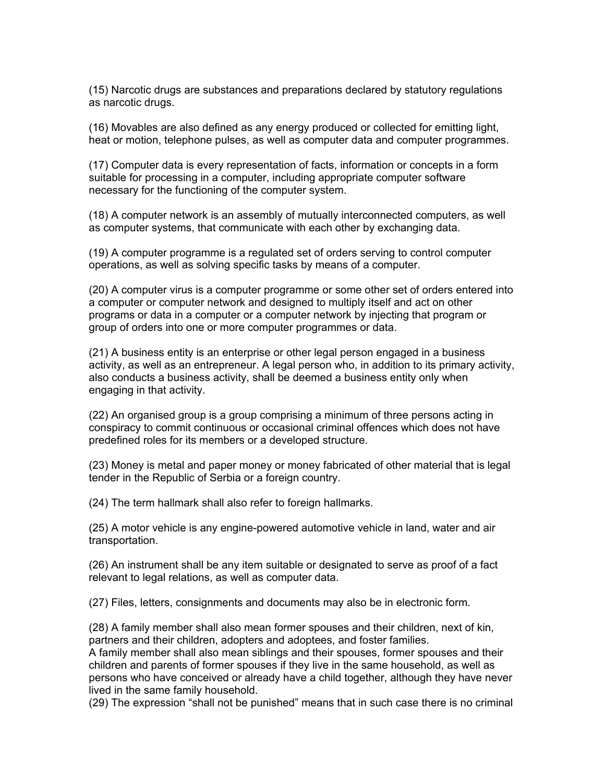(15) Narcotic drugs are substances and preparations declared by statutory regulations as narcotic drugs.

(16) Movables are also defined as any energy produced or collected for emitting light, heat or motion, telephone pulses, as well as computer data and computer programmes.

(17) Computer data is every representation of facts, information or concepts in a form suitable for processing in a computer, including appropriate computer software necessary for the functioning of the computer system.

(18) A computer network is an assembly of mutually interconnected computers, as well as computer systems, that communicate with each other by exchanging data.

(19) A computer programme is a regulated set of orders serving to control computer operations, as well as solving specific tasks by means of a computer.

(20) A computer virus is a computer programme or some other set of orders entered into a computer or computer network and designed to multiply itself and act on other programs or data in a computer or a computer network by injecting that program or group of orders into one or more computer programmes or data.

(21) A business entity is an enterprise or other legal person engaged in a business activity, as well as an entrepreneur. A legal person who, in addition to its primary activity, also conducts a business activity, shall be deemed a business entity only when engaging in that activity.

(22) An organised group is a group comprising a minimum of three persons acting in conspiracy to commit continuous or occasional criminal offences which does not have predefined roles for its members or a developed structure.

(23) Money is metal and paper money or money fabricated of other material that is legal tender in the Republic of Serbia or a foreign country.

(24) The term hallmark shall also refer to foreign hallmarks.

(25) A motor vehicle is any engine-powered automotive vehicle in land, water and air transportation.

(26) An instrument shall be any item suitable or designated to serve as proof of a fact relevant to legal relations, as well as computer data.

(27) Files, letters, consignments and documents may also be in electronic form.

(28) A family member shall also mean former spouses and their children, next of kin, partners and their children, adopters and adoptees, and foster families.

A family member shall also mean siblings and their spouses, former spouses and their children and parents of former spouses if they live in the same household, as well as persons who have conceived or already have a child together, although they have never lived in the same family household.

(29) The expression "shall not be punished" means that in such case there is no criminal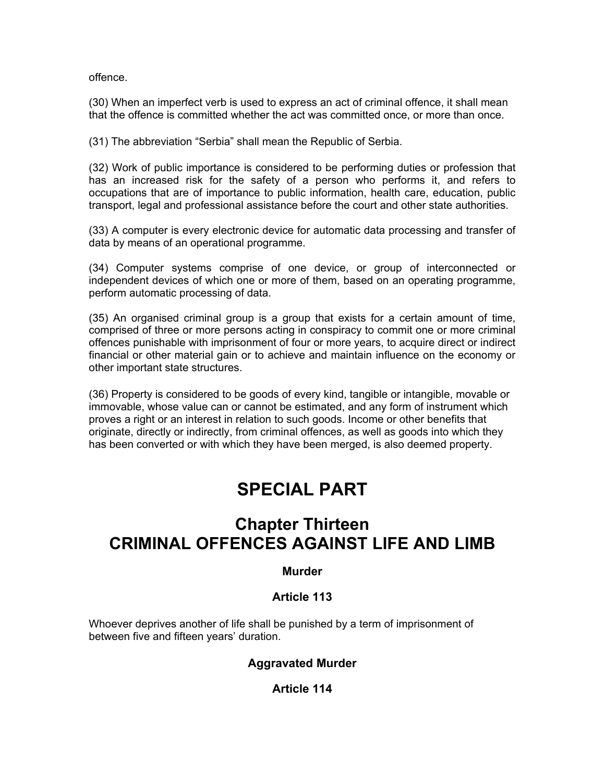offence.

(30) When an imperfect verb is used to express an act of criminal offence, it shall mean that the offence is committed whether the act was committed once, or more than once.

(31) The abbreviation "Serbia" shall mean the Republic of Serbia.

(32) Work of public importance is considered to be performing duties or profession that has an increased risk for the safety of a person who performs it, and refers to occupations that are of importance to public information, health care, education, public transport, legal and professional assistance before the court and other state authorities.

(33) A computer is every electronic device for automatic data processing and transfer of data by means of an operational programme.

(34) Computer systems comprise of one device, or group of interconnected or independent devices of which one or more of them, based on an operating programme, perform automatic processing of data.

(35) An organised criminal group is a group that exists for a certain amount of time, comprised of three or more persons acting in conspiracy to commit one or more criminal offences punishable with imprisonment of four or more years, to acquire direct or indirect financial or other material gain or to achieve and maintain influence on the economy or other important state structures.

(36) Property is considered to be goods of every kind, tangible or intangible, movable or immovable, whose value can or cannot be estimated, and any form of instrument which proves a right or an interest in relation to such goods. Income or other benefits that originate, directly or indirectly, from criminal offences, as well as goods into which they has been converted or with which they have been merged, is also deemed property.

# **SPECIAL PART**

# **Chapter Thirteen CRIMINAL OFFENCES AGAINST LIFE AND LIMB**

#### **Murder**

## **Article 113**

Whoever deprives another of life shall be punished by a term of imprisonment of between five and fifteen years' duration.

# **Aggravated Murder**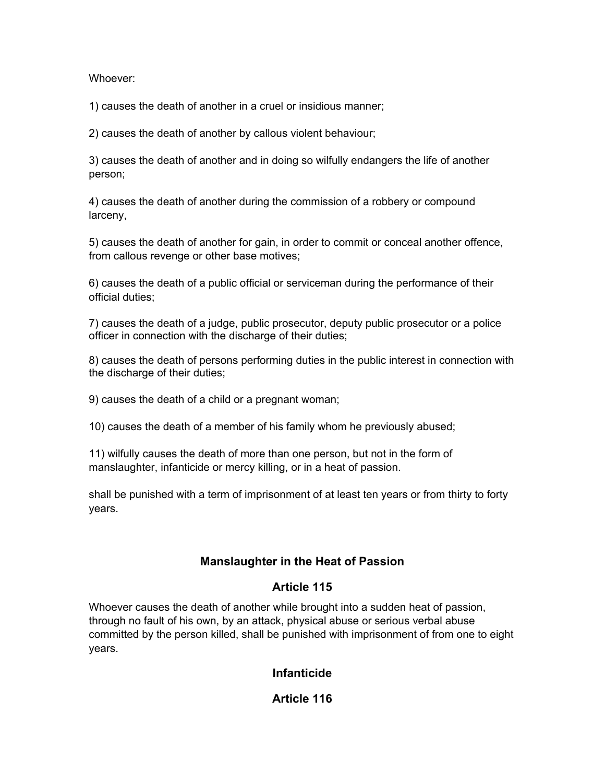Whoever:

1) causes the death of another in a cruel or insidious manner;

2) causes the death of another by callous violent behaviour;

3) causes the death of another and in doing so wilfully endangers the life of another person;

4) causes the death of another during the commission of a robbery or compound larceny,

5) causes the death of another for gain, in order to commit or conceal another offence, from callous revenge or other base motives;

6) causes the death of a public official or serviceman during the performance of their official duties;

7) causes the death of a judge, public prosecutor, deputy public prosecutor or a police officer in connection with the discharge of their duties;

8) causes the death of persons performing duties in the public interest in connection with the discharge of their duties;

9) causes the death of a child or a pregnant woman;

10) causes the death of a member of his family whom he previously abused;

11) wilfully causes the death of more than one person, but not in the form of manslaughter, infanticide or mercy killing, or in a heat of passion.

shall be punished with a term of imprisonment of at least ten years or from thirty to forty years.

## **Manslaughter in the Heat of Passion**

## **Article 115**

Whoever causes the death of another while brought into a sudden heat of passion, through no fault of his own, by an attack, physical abuse or serious verbal abuse committed by the person killed, shall be punished with imprisonment of from one to eight years.

## **Infanticide**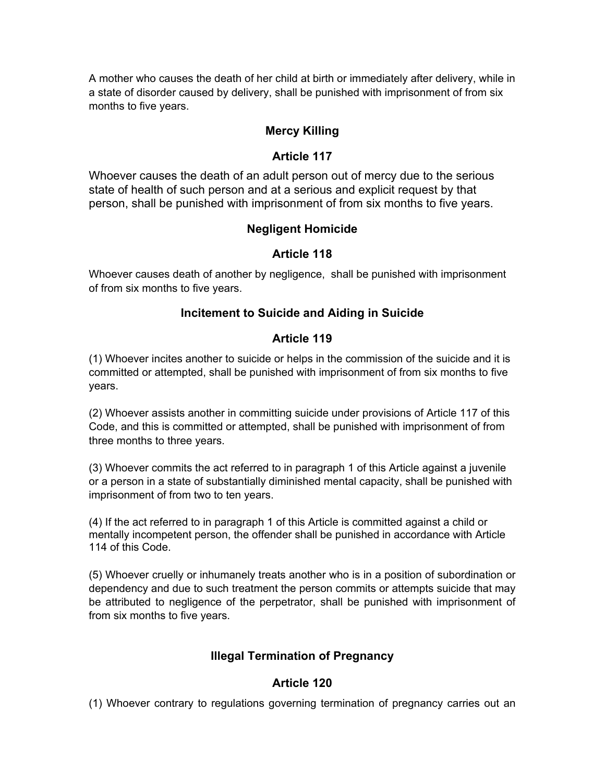A mother who causes the death of her child at birth or immediately after delivery, while in a state of disorder caused by delivery, shall be punished with imprisonment of from six months to five years.

## **Mercy Killing**

## **Article 117**

Whoever causes the death of an adult person out of mercy due to the serious state of health of such person and at a serious and explicit request by that person, shall be punished with imprisonment of from six months to five years.

## **Negligent Homicide**

#### **Article 118**

Whoever causes death of another by negligence, shall be punished with imprisonment of from six months to five years.

#### **Incitement to Suicide and Aiding in Suicide**

#### **Article 119**

(1) Whoever incites another to suicide or helps in the commission of the suicide and it is committed or attempted, shall be punished with imprisonment of from six months to five years.

(2) Whoever assists another in committing suicide under provisions of Article 117 of this Code, and this is committed or attempted, shall be punished with imprisonment of from three months to three years.

(3) Whoever commits the act referred to in paragraph 1 of this Article against a juvenile or a person in a state of substantially diminished mental capacity, shall be punished with imprisonment of from two to ten years.

(4) If the act referred to in paragraph 1 of this Article is committed against a child or mentally incompetent person, the offender shall be punished in accordance with Article 114 of this Code.

(5) Whoever cruelly or inhumanely treats another who is in a position of subordination or dependency and due to such treatment the person commits or attempts suicide that may be attributed to negligence of the perpetrator, shall be punished with imprisonment of from six months to five years.

## **Illegal Termination of Pregnancy**

#### **Article 120**

(1) Whoever contrary to regulations governing termination of pregnancy carries out an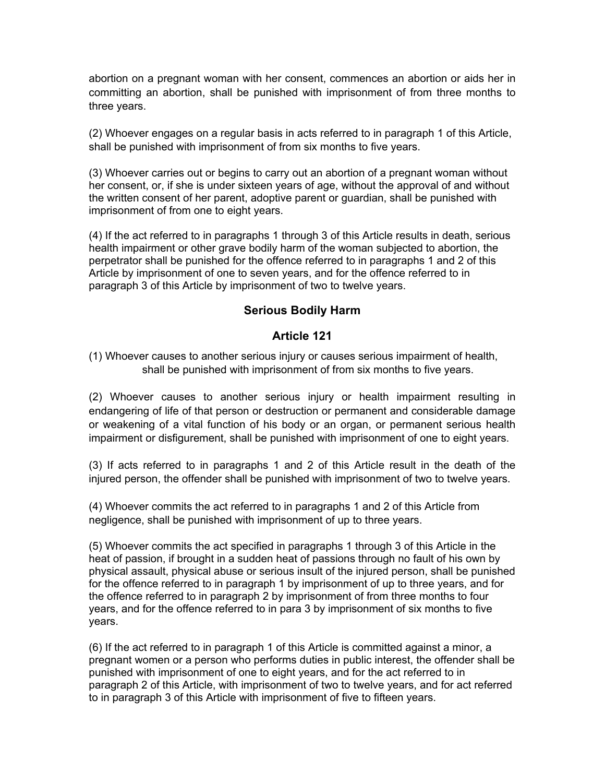abortion on a pregnant woman with her consent, commences an abortion or aids her in committing an abortion, shall be punished with imprisonment of from three months to three years.

(2) Whoever engages on a regular basis in acts referred to in paragraph 1 of this Article, shall be punished with imprisonment of from six months to five years.

(3) Whoever carries out or begins to carry out an abortion of a pregnant woman without her consent, or, if she is under sixteen years of age, without the approval of and without the written consent of her parent, adoptive parent or guardian, shall be punished with imprisonment of from one to eight years.

(4) If the act referred to in paragraphs 1 through 3 of this Article results in death, serious health impairment or other grave bodily harm of the woman subjected to abortion, the perpetrator shall be punished for the offence referred to in paragraphs 1 and 2 of this Article by imprisonment of one to seven years, and for the offence referred to in paragraph 3 of this Article by imprisonment of two to twelve years.

## **Serious Bodily Harm**

## **Article 121**

(1) Whoever causes to another serious injury or causes serious impairment of health, shall be punished with imprisonment of from six months to five years.

(2) Whoever causes to another serious injury or health impairment resulting in endangering of life of that person or destruction or permanent and considerable damage or weakening of a vital function of his body or an organ, or permanent serious health impairment or disfigurement, shall be punished with imprisonment of one to eight years.

(3) If acts referred to in paragraphs 1 and 2 of this Article result in the death of the injured person, the offender shall be punished with imprisonment of two to twelve years.

(4) Whoever commits the act referred to in paragraphs 1 and 2 of this Article from negligence, shall be punished with imprisonment of up to three years.

(5) Whoever commits the act specified in paragraphs 1 through 3 of this Article in the heat of passion, if brought in a sudden heat of passions through no fault of his own by physical assault, physical abuse or serious insult of the injured person, shall be punished for the offence referred to in paragraph 1 by imprisonment of up to three years, and for the offence referred to in paragraph 2 by imprisonment of from three months to four years, and for the offence referred to in para 3 by imprisonment of six months to five years.

(6) If the act referred to in paragraph 1 of this Article is committed against a minor, a pregnant women or a person who performs duties in public interest, the offender shall be punished with imprisonment of one to eight years, and for the act referred to in paragraph 2 of this Article, with imprisonment of two to twelve years, and for act referred to in paragraph 3 of this Article with imprisonment of five to fifteen years.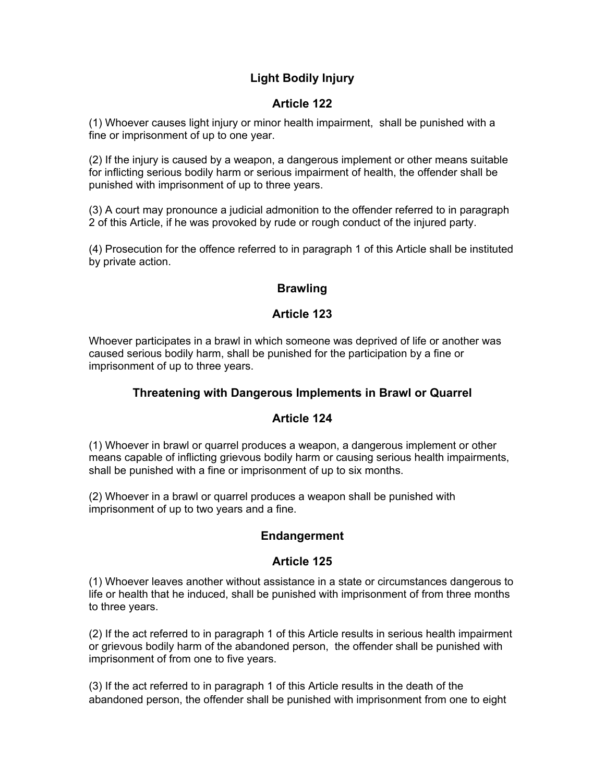# **Light Bodily Injury**

# **Article 122**

(1) Whoever causes light injury or minor health impairment, shall be punished with a fine or imprisonment of up to one year.

(2) If the injury is caused by a weapon, a dangerous implement or other means suitable for inflicting serious bodily harm or serious impairment of health, the offender shall be punished with imprisonment of up to three years.

(3) A court may pronounce a judicial admonition to the offender referred to in paragraph 2 of this Article, if he was provoked by rude or rough conduct of the injured party.

(4) Prosecution for the offence referred to in paragraph 1 of this Article shall be instituted by private action.

# **Brawling**

## **Article 123**

Whoever participates in a brawl in which someone was deprived of life or another was caused serious bodily harm, shall be punished for the participation by a fine or imprisonment of up to three years.

## **Threatening with Dangerous Implements in Brawl or Quarrel**

## **Article 124**

(1) Whoever in brawl or quarrel produces a weapon, a dangerous implement or other means capable of inflicting grievous bodily harm or causing serious health impairments, shall be punished with a fine or imprisonment of up to six months.

(2) Whoever in a brawl or quarrel produces a weapon shall be punished with imprisonment of up to two years and a fine.

## **Endangerment**

## **Article 125**

(1) Whoever leaves another without assistance in a state or circumstances dangerous to life or health that he induced, shall be punished with imprisonment of from three months to three years.

(2) If the act referred to in paragraph 1 of this Article results in serious health impairment or grievous bodily harm of the abandoned person, the offender shall be punished with imprisonment of from one to five years.

(3) If the act referred to in paragraph 1 of this Article results in the death of the abandoned person, the offender shall be punished with imprisonment from one to eight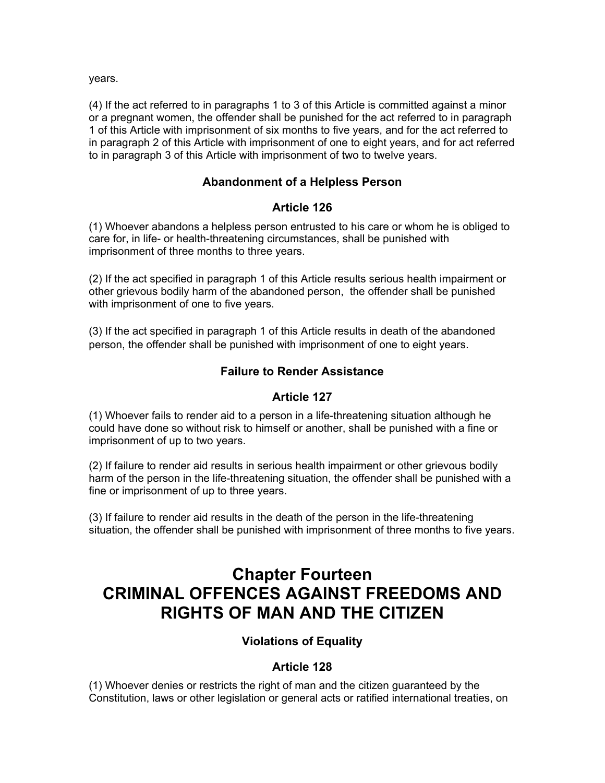years.

(4) If the act referred to in paragraphs 1 to 3 of this Article is committed against a minor or a pregnant women, the offender shall be punished for the act referred to in paragraph 1 of this Article with imprisonment of six months to five years, and for the act referred to in paragraph 2 of this Article with imprisonment of one to eight years, and for act referred to in paragraph 3 of this Article with imprisonment of two to twelve years.

## **Abandonment of a Helpless Person**

## **Article 126**

(1) Whoever abandons a helpless person entrusted to his care or whom he is obliged to care for, in life- or health-threatening circumstances, shall be punished with imprisonment of three months to three years.

(2) If the act specified in paragraph 1 of this Article results serious health impairment or other grievous bodily harm of the abandoned person, the offender shall be punished with imprisonment of one to five years.

(3) If the act specified in paragraph 1 of this Article results in death of the abandoned person, the offender shall be punished with imprisonment of one to eight years.

## **Failure to Render Assistance**

## **Article 127**

(1) Whoever fails to render aid to a person in a life-threatening situation although he could have done so without risk to himself or another, shall be punished with a fine or imprisonment of up to two years.

(2) If failure to render aid results in serious health impairment or other grievous bodily harm of the person in the life-threatening situation, the offender shall be punished with a fine or imprisonment of up to three years.

(3) If failure to render aid results in the death of the person in the life-threatening situation, the offender shall be punished with imprisonment of three months to five years.

# **Chapter Fourteen CRIMINAL OFFENCES AGAINST FREEDOMS AND RIGHTS OF MAN AND THE CITIZEN**

# **Violations of Equality**

## **Article 128**

(1) Whoever denies or restricts the right of man and the citizen guaranteed by the Constitution, laws or other legislation or general acts or ratified international treaties, on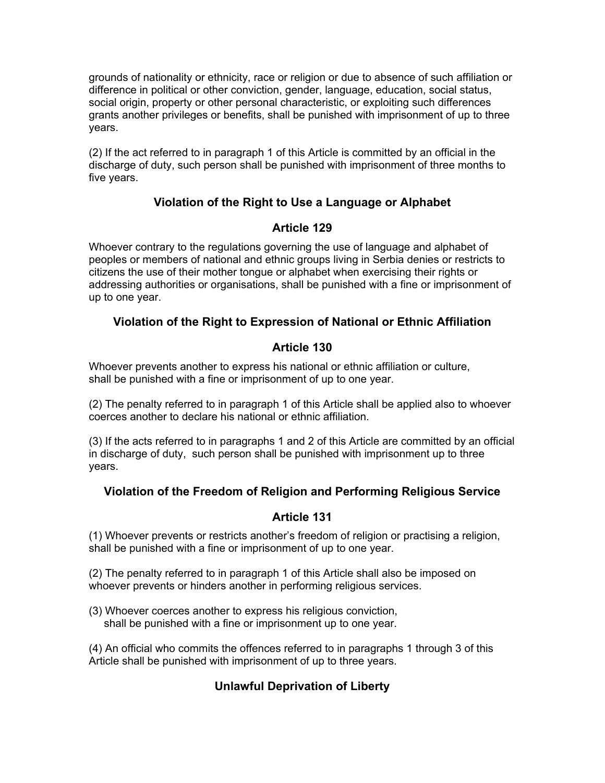grounds of nationality or ethnicity, race or religion or due to absence of such affiliation or difference in political or other conviction, gender, language, education, social status, social origin, property or other personal characteristic, or exploiting such differences grants another privileges or benefits, shall be punished with imprisonment of up to three years.

(2) If the act referred to in paragraph 1 of this Article is committed by an official in the discharge of duty, such person shall be punished with imprisonment of three months to five years.

# **Violation of the Right to Use a Language or Alphabet**

## **Article 129**

Whoever contrary to the regulations governing the use of language and alphabet of peoples or members of national and ethnic groups living in Serbia denies or restricts to citizens the use of their mother tongue or alphabet when exercising their rights or addressing authorities or organisations, shall be punished with a fine or imprisonment of up to one year.

# **Violation of the Right to Expression of National or Ethnic Affiliation**

# **Article 130**

Whoever prevents another to express his national or ethnic affiliation or culture, shall be punished with a fine or imprisonment of up to one year.

(2) The penalty referred to in paragraph 1 of this Article shall be applied also to whoever coerces another to declare his national or ethnic affiliation.

(3) If the acts referred to in paragraphs 1 and 2 of this Article are committed by an official in discharge of duty, such person shall be punished with imprisonment up to three years.

# **Violation of the Freedom of Religion and Performing Religious Service**

# **Article 131**

(1) Whoever prevents or restricts another's freedom of religion or practising a religion, shall be punished with a fine or imprisonment of up to one year.

(2) The penalty referred to in paragraph 1 of this Article shall also be imposed on whoever prevents or hinders another in performing religious services.

(3) Whoever coerces another to express his religious conviction, shall be punished with a fine or imprisonment up to one year.

(4) An official who commits the offences referred to in paragraphs 1 through 3 of this Article shall be punished with imprisonment of up to three years.

# **Unlawful Deprivation of Liberty**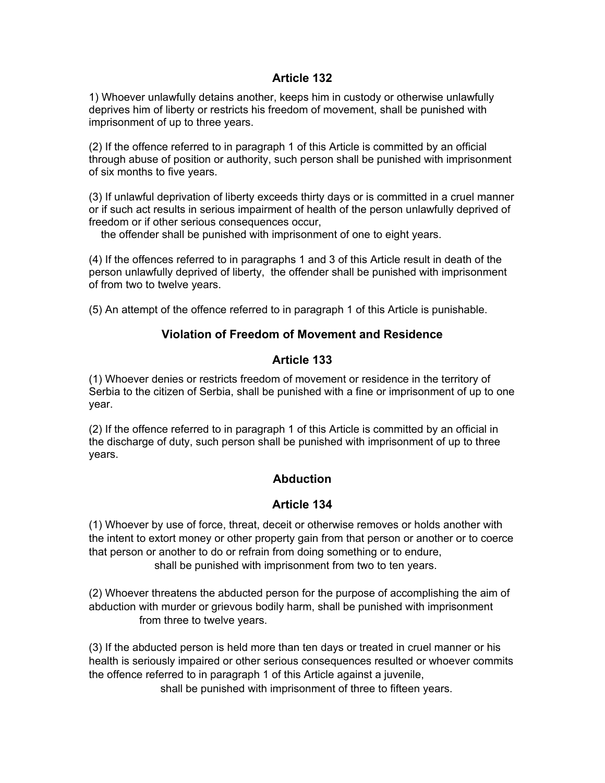#### **Article 132**

1) Whoever unlawfully detains another, keeps him in custody or otherwise unlawfully deprives him of liberty or restricts his freedom of movement, shall be punished with imprisonment of up to three years.

(2) If the offence referred to in paragraph 1 of this Article is committed by an official through abuse of position or authority, such person shall be punished with imprisonment of six months to five years.

(3) If unlawful deprivation of liberty exceeds thirty days or is committed in a cruel manner or if such act results in serious impairment of health of the person unlawfully deprived of freedom or if other serious consequences occur,

the offender shall be punished with imprisonment of one to eight years.

(4) If the offences referred to in paragraphs 1 and 3 of this Article result in death of the person unlawfully deprived of liberty, the offender shall be punished with imprisonment of from two to twelve years.

(5) An attempt of the offence referred to in paragraph 1 of this Article is punishable.

## **Violation of Freedom of Movement and Residence**

## **Article 133**

(1) Whoever denies or restricts freedom of movement or residence in the territory of Serbia to the citizen of Serbia, shall be punished with a fine or imprisonment of up to one year.

(2) If the offence referred to in paragraph 1 of this Article is committed by an official in the discharge of duty, such person shall be punished with imprisonment of up to three years.

## **Abduction**

## **Article 134**

(1) Whoever by use of force, threat, deceit or otherwise removes or holds another with the intent to extort money or other property gain from that person or another or to coerce that person or another to do or refrain from doing something or to endure, shall be punished with imprisonment from two to ten years.

(2) Whoever threatens the abducted person for the purpose of accomplishing the aim of abduction with murder or grievous bodily harm, shall be punished with imprisonment from three to twelve years.

(3) If the abducted person is held more than ten days or treated in cruel manner or his health is seriously impaired or other serious consequences resulted or whoever commits the offence referred to in paragraph 1 of this Article against a juvenile,

shall be punished with imprisonment of three to fifteen years.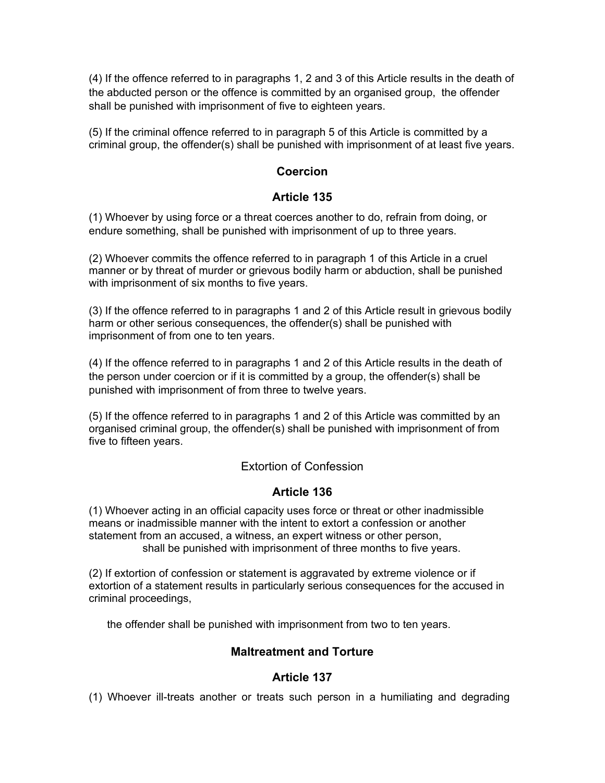(4) If the offence referred to in paragraphs 1, 2 and 3 of this Article results in the death of the abducted person or the offence is committed by an organised group, the offender shall be punished with imprisonment of five to eighteen years.

(5) If the criminal offence referred to in paragraph 5 of this Article is committed by a criminal group, the offender(s) shall be punished with imprisonment of at least five years.

## **Coercion**

## **Article 135**

(1) Whoever by using force or a threat coerces another to do, refrain from doing, or endure something, shall be punished with imprisonment of up to three years.

(2) Whoever commits the offence referred to in paragraph 1 of this Article in a cruel manner or by threat of murder or grievous bodily harm or abduction, shall be punished with imprisonment of six months to five years.

(3) If the offence referred to in paragraphs 1 and 2 of this Article result in grievous bodily harm or other serious consequences, the offender(s) shall be punished with imprisonment of from one to ten years.

(4) If the offence referred to in paragraphs 1 and 2 of this Article results in the death of the person under coercion or if it is committed by a group, the offender(s) shall be punished with imprisonment of from three to twelve years.

(5) If the offence referred to in paragraphs 1 and 2 of this Article was committed by an organised criminal group, the offender(s) shall be punished with imprisonment of from five to fifteen years.

## Extortion of Confession

# **Article 136**

(1) Whoever acting in an official capacity uses force or threat or other inadmissible means or inadmissible manner with the intent to extort a confession or another statement from an accused, a witness, an expert witness or other person, shall be punished with imprisonment of three months to five years.

(2) If extortion of confession or statement is aggravated by extreme violence or if extortion of a statement results in particularly serious consequences for the accused in criminal proceedings,

the offender shall be punished with imprisonment from two to ten years.

## **Maltreatment and Torture**

## **Article 137**

(1) Whoever ill-treats another or treats such person in a humiliating and degrading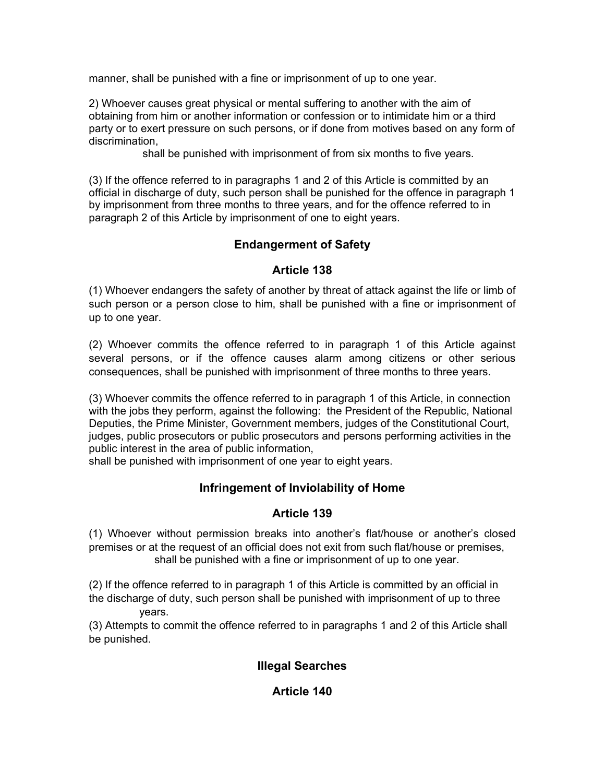manner, shall be punished with a fine or imprisonment of up to one year.

2) Whoever causes great physical or mental suffering to another with the aim of obtaining from him or another information or confession or to intimidate him or a third party or to exert pressure on such persons, or if done from motives based on any form of discrimination,

shall be punished with imprisonment of from six months to five years.

(3) If the offence referred to in paragraphs 1 and 2 of this Article is committed by an official in discharge of duty, such person shall be punished for the offence in paragraph 1 by imprisonment from three months to three years, and for the offence referred to in paragraph 2 of this Article by imprisonment of one to eight years.

## **Endangerment of Safety**

#### **Article 138**

(1) Whoever endangers the safety of another by threat of attack against the life or limb of such person or a person close to him, shall be punished with a fine or imprisonment of up to one year.

(2) Whoever commits the offence referred to in paragraph 1 of this Article against several persons, or if the offence causes alarm among citizens or other serious consequences, shall be punished with imprisonment of three months to three years.

(3) Whoever commits the offence referred to in paragraph 1 of this Article, in connection with the jobs they perform, against the following: the President of the Republic, National Deputies, the Prime Minister, Government members, judges of the Constitutional Court, judges, public prosecutors or public prosecutors and persons performing activities in the public interest in the area of public information,

shall be punished with imprisonment of one year to eight years.

## **Infringement of Inviolability of Home**

## **Article 139**

(1) Whoever without permission breaks into another's flat/house or another's closed premises or at the request of an official does not exit from such flat/house or premises, shall be punished with a fine or imprisonment of up to one year.

(2) If the offence referred to in paragraph 1 of this Article is committed by an official in the discharge of duty, such person shall be punished with imprisonment of up to three years.

(3) Attempts to commit the offence referred to in paragraphs 1 and 2 of this Article shall be punished.

## **Illegal Searches**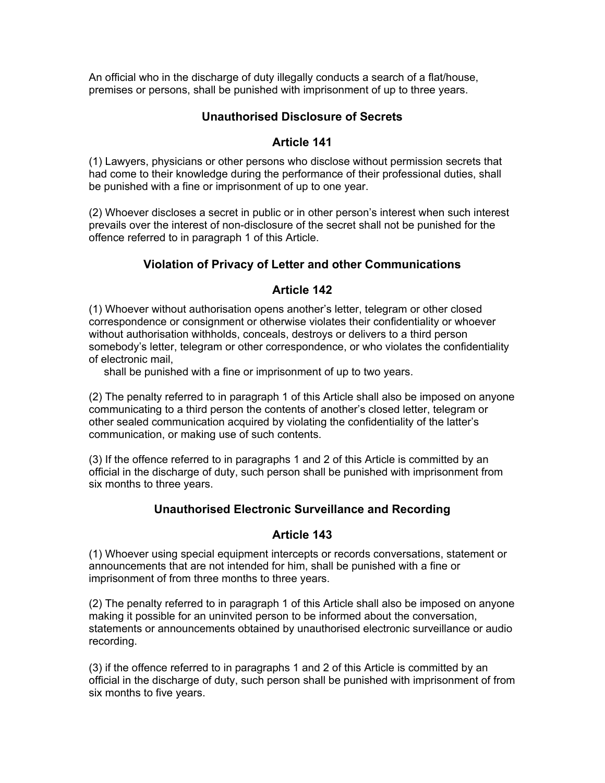An official who in the discharge of duty illegally conducts a search of a flat/house, premises or persons, shall be punished with imprisonment of up to three years.

## **Unauthorised Disclosure of Secrets**

## **Article 141**

(1) Lawyers, physicians or other persons who disclose without permission secrets that had come to their knowledge during the performance of their professional duties, shall be punished with a fine or imprisonment of up to one year.

(2) Whoever discloses a secret in public or in other person's interest when such interest prevails over the interest of non-disclosure of the secret shall not be punished for the offence referred to in paragraph 1 of this Article.

# **Violation of Privacy of Letter and other Communications**

## **Article 142**

(1) Whoever without authorisation opens another's letter, telegram or other closed correspondence or consignment or otherwise violates their confidentiality or whoever without authorisation withholds, conceals, destroys or delivers to a third person somebody's letter, telegram or other correspondence, or who violates the confidentiality of electronic mail,

shall be punished with a fine or imprisonment of up to two years.

(2) The penalty referred to in paragraph 1 of this Article shall also be imposed on anyone communicating to a third person the contents of another's closed letter, telegram or other sealed communication acquired by violating the confidentiality of the latter's communication, or making use of such contents.

(3) If the offence referred to in paragraphs 1 and 2 of this Article is committed by an official in the discharge of duty, such person shall be punished with imprisonment from six months to three years.

# **Unauthorised Electronic Surveillance and Recording**

## **Article 143**

(1) Whoever using special equipment intercepts or records conversations, statement or announcements that are not intended for him, shall be punished with a fine or imprisonment of from three months to three years.

(2) The penalty referred to in paragraph 1 of this Article shall also be imposed on anyone making it possible for an uninvited person to be informed about the conversation, statements or announcements obtained by unauthorised electronic surveillance or audio recording.

(3) if the offence referred to in paragraphs 1 and 2 of this Article is committed by an official in the discharge of duty, such person shall be punished with imprisonment of from six months to five years.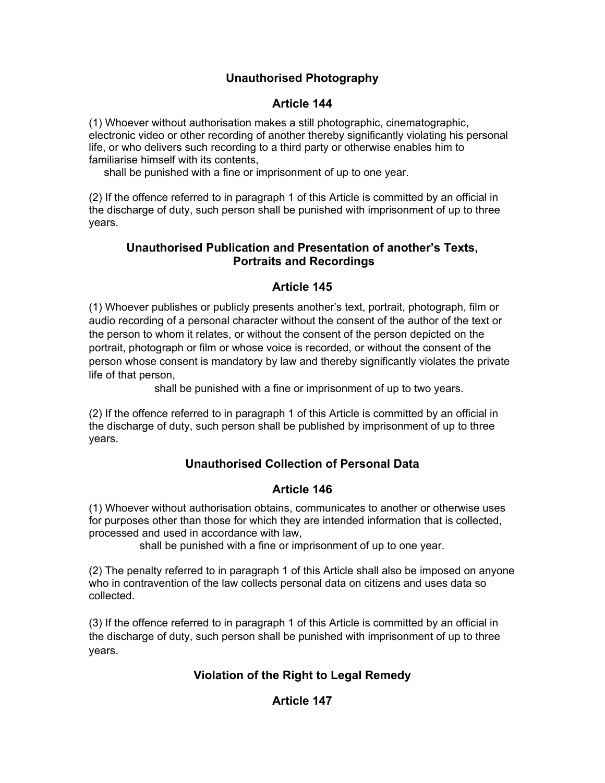# **Unauthorised Photography**

## **Article 144**

(1) Whoever without authorisation makes a still photographic, cinematographic, electronic video or other recording of another thereby significantly violating his personal life, or who delivers such recording to a third party or otherwise enables him to familiarise himself with its contents,

shall be punished with a fine or imprisonment of up to one year.

(2) If the offence referred to in paragraph 1 of this Article is committed by an official in the discharge of duty, such person shall be punished with imprisonment of up to three years.

## **Unauthorised Publication and Presentation of another's Texts, Portraits and Recordings**

## **Article 145**

(1) Whoever publishes or publicly presents another's text, portrait, photograph, film or audio recording of a personal character without the consent of the author of the text or the person to whom it relates, or without the consent of the person depicted on the portrait, photograph or film or whose voice is recorded, or without the consent of the person whose consent is mandatory by law and thereby significantly violates the private life of that person,

shall be punished with a fine or imprisonment of up to two years.

(2) If the offence referred to in paragraph 1 of this Article is committed by an official in the discharge of duty, such person shall be published by imprisonment of up to three years.

# **Unauthorised Collection of Personal Data**

# **Article 146**

(1) Whoever without authorisation obtains, communicates to another or otherwise uses for purposes other than those for which they are intended information that is collected, processed and used in accordance with law,

shall be punished with a fine or imprisonment of up to one year.

(2) The penalty referred to in paragraph 1 of this Article shall also be imposed on anyone who in contravention of the law collects personal data on citizens and uses data so collected.

(3) If the offence referred to in paragraph 1 of this Article is committed by an official in the discharge of duty, such person shall be punished with imprisonment of up to three years.

# **Violation of the Right to Legal Remedy**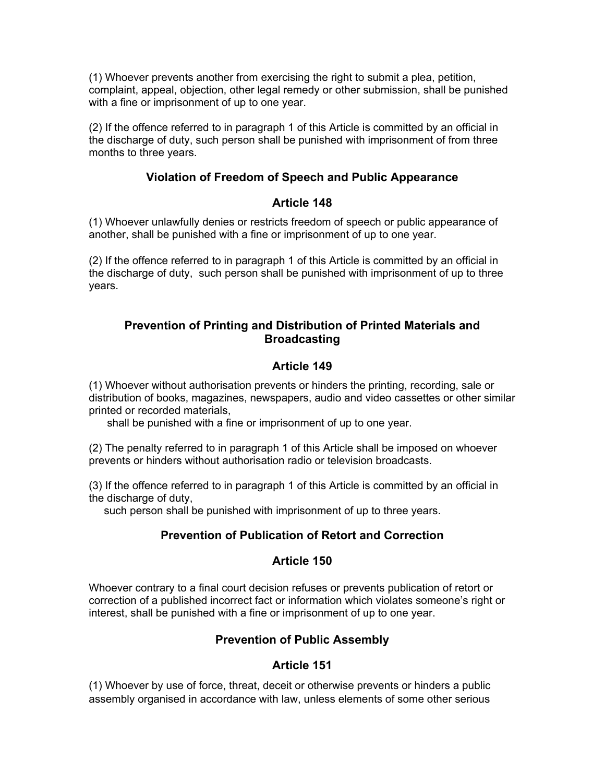(1) Whoever prevents another from exercising the right to submit a plea, petition, complaint, appeal, objection, other legal remedy or other submission, shall be punished with a fine or imprisonment of up to one year.

(2) If the offence referred to in paragraph 1 of this Article is committed by an official in the discharge of duty, such person shall be punished with imprisonment of from three months to three years.

## **Violation of Freedom of Speech and Public Appearance**

## **Article 148**

(1) Whoever unlawfully denies or restricts freedom of speech or public appearance of another, shall be punished with a fine or imprisonment of up to one year.

(2) If the offence referred to in paragraph 1 of this Article is committed by an official in the discharge of duty, such person shall be punished with imprisonment of up to three years.

## **Prevention of Printing and Distribution of Printed Materials and Broadcasting**

# **Article 149**

(1) Whoever without authorisation prevents or hinders the printing, recording, sale or distribution of books, magazines, newspapers, audio and video cassettes or other similar printed or recorded materials,

shall be punished with a fine or imprisonment of up to one year.

(2) The penalty referred to in paragraph 1 of this Article shall be imposed on whoever prevents or hinders without authorisation radio or television broadcasts.

(3) If the offence referred to in paragraph 1 of this Article is committed by an official in the discharge of duty,

such person shall be punished with imprisonment of up to three years.

# **Prevention of Publication of Retort and Correction**

## **Article 150**

Whoever contrary to a final court decision refuses or prevents publication of retort or correction of a published incorrect fact or information which violates someone's right or interest, shall be punished with a fine or imprisonment of up to one year.

## **Prevention of Public Assembly**

## **Article 151**

(1) Whoever by use of force, threat, deceit or otherwise prevents or hinders a public assembly organised in accordance with law, unless elements of some other serious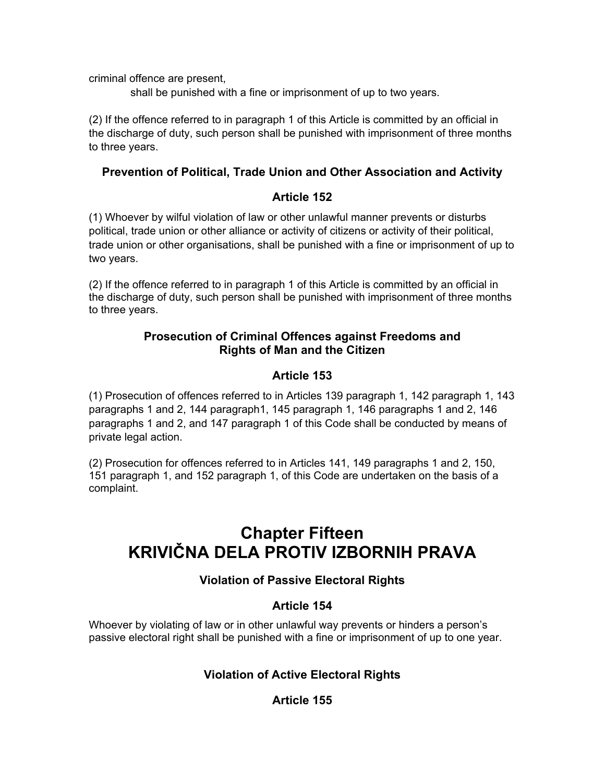criminal offence are present,

shall be punished with a fine or imprisonment of up to two years.

(2) If the offence referred to in paragraph 1 of this Article is committed by an official in the discharge of duty, such person shall be punished with imprisonment of three months to three years.

## **Prevention of Political, Trade Union and Other Association and Activity**

## **Article 152**

(1) Whoever by wilful violation of law or other unlawful manner prevents or disturbs political, trade union or other alliance or activity of citizens or activity of their political, trade union or other organisations, shall be punished with a fine or imprisonment of up to two years.

(2) If the offence referred to in paragraph 1 of this Article is committed by an official in the discharge of duty, such person shall be punished with imprisonment of three months to three years.

## **Prosecution of Criminal Offences against Freedoms and Rights of Man and the Citizen**

## **Article 153**

(1) Prosecution of offences referred to in Articles 139 paragraph 1, 142 paragraph 1, 143 paragraphs 1 and 2, 144 paragraph1, 145 paragraph 1, 146 paragraphs 1 and 2, 146 paragraphs 1 and 2, and 147 paragraph 1 of this Code shall be conducted by means of private legal action.

(2) Prosecution for offences referred to in Articles 141, 149 paragraphs 1 and 2, 150, 151 paragraph 1, and 152 paragraph 1, of this Code are undertaken on the basis of a complaint.

# **Chapter Fifteen KRIVIČNA DELA PROTIV IZBORNIH PRAVA**

# **Violation of Passive Electoral Rights**

# **Article 154**

Whoever by violating of law or in other unlawful way prevents or hinders a person's passive electoral right shall be punished with a fine or imprisonment of up to one year.

# **Violation of Active Electoral Rights**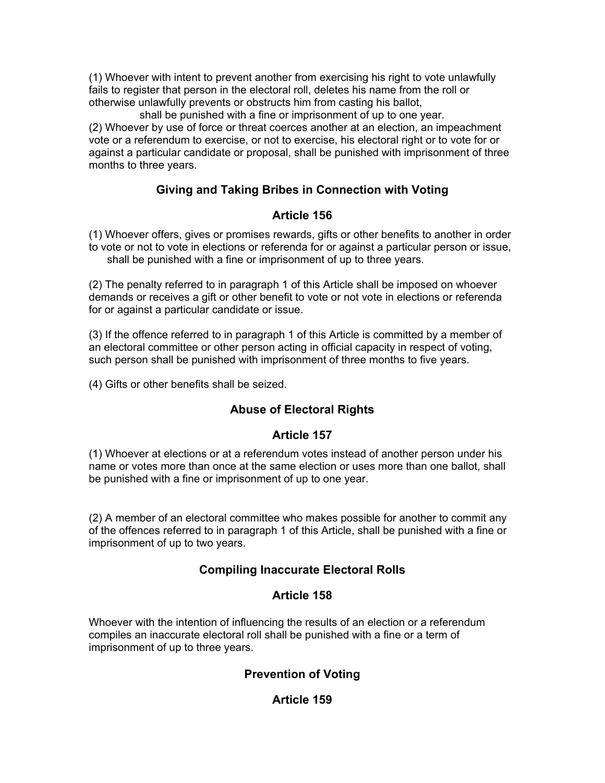(1) Whoever with intent to prevent another from exercising his right to vote unlawfully fails to register that person in the electoral roll, deletes his name from the roll or otherwise unlawfully prevents or obstructs him from casting his ballot,

 shall be punished with a fine or imprisonment of up to one year. (2) Whoever by use of force or threat coerces another at an election, an impeachment vote or a referendum to exercise, or not to exercise, his electoral right or to vote for or against a particular candidate or proposal, shall be punished with imprisonment of three months to three years.

## **Giving and Taking Bribes in Connection with Voting**

## **Article 156**

(1) Whoever offers, gives or promises rewards, gifts or other benefits to another in order to vote or not to vote in elections or referenda for or against a particular person or issue, shall be punished with a fine or imprisonment of up to three years.

(2) The penalty referred to in paragraph 1 of this Article shall be imposed on whoever demands or receives a gift or other benefit to vote or not vote in elections or referenda for or against a particular candidate or issue.

(3) If the offence referred to in paragraph 1 of this Article is committed by a member of an electoral committee or other person acting in official capacity in respect of voting, such person shall be punished with imprisonment of three months to five years.

(4) Gifts or other benefits shall be seized.

# **Abuse of Electoral Rights**

## **Article 157**

(1) Whoever at elections or at a referendum votes instead of another person under his name or votes more than once at the same election or uses more than one ballot, shall be punished with a fine or imprisonment of up to one year.

(2) A member of an electoral committee who makes possible for another to commit any of the offences referred to in paragraph 1 of this Article, shall be punished with a fine or imprisonment of up to two years.

## **Compiling Inaccurate Electoral Rolls**

## **Article 158**

Whoever with the intention of influencing the results of an election or a referendum compiles an inaccurate electoral roll shall be punished with a fine or a term of imprisonment of up to three years.

## **Prevention of Voting**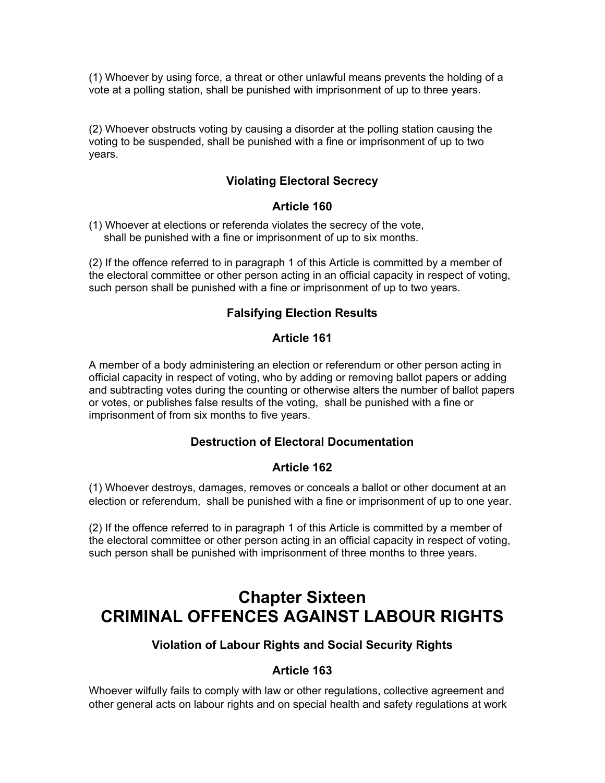(1) Whoever by using force, a threat or other unlawful means prevents the holding of a vote at a polling station, shall be punished with imprisonment of up to three years.

(2) Whoever obstructs voting by causing a disorder at the polling station causing the voting to be suspended, shall be punished with a fine or imprisonment of up to two years.

## **Violating Electoral Secrecy**

#### **Article 160**

(1) Whoever at elections or referenda violates the secrecy of the vote, shall be punished with a fine or imprisonment of up to six months.

(2) If the offence referred to in paragraph 1 of this Article is committed by a member of the electoral committee or other person acting in an official capacity in respect of voting, such person shall be punished with a fine or imprisonment of up to two years.

## **Falsifying Election Results**

## **Article 161**

A member of a body administering an election or referendum or other person acting in official capacity in respect of voting, who by adding or removing ballot papers or adding and subtracting votes during the counting or otherwise alters the number of ballot papers or votes, or publishes false results of the voting, shall be punished with a fine or imprisonment of from six months to five years.

## **Destruction of Electoral Documentation**

#### **Article 162**

(1) Whoever destroys, damages, removes or conceals a ballot or other document at an election or referendum, shall be punished with a fine or imprisonment of up to one year.

(2) If the offence referred to in paragraph 1 of this Article is committed by a member of the electoral committee or other person acting in an official capacity in respect of voting, such person shall be punished with imprisonment of three months to three years.

# **Chapter Sixteen CRIMINAL OFFENCES AGAINST LABOUR RIGHTS**

## **Violation of Labour Rights and Social Security Rights**

## **Article 163**

Whoever wilfully fails to comply with law or other regulations, collective agreement and other general acts on labour rights and on special health and safety regulations at work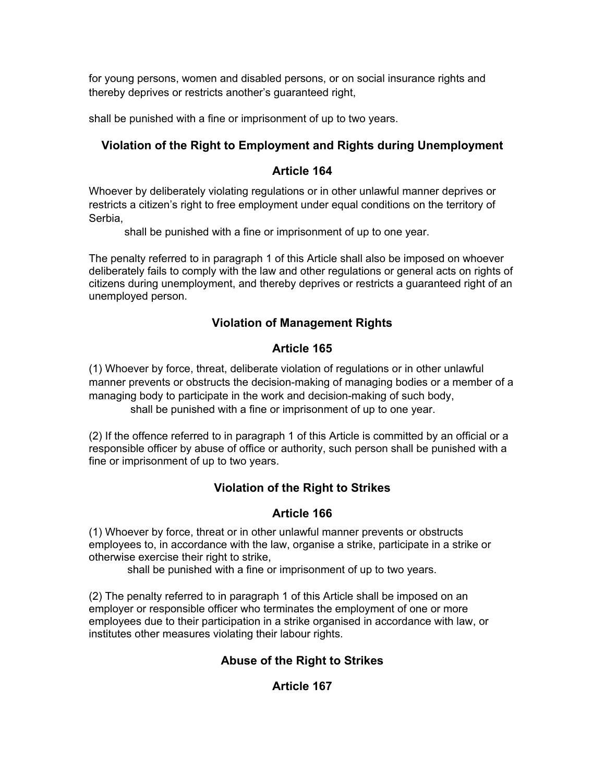for young persons, women and disabled persons, or on social insurance rights and thereby deprives or restricts another's guaranteed right,

shall be punished with a fine or imprisonment of up to two years.

# **Violation of the Right to Employment and Rights during Unemployment**

## **Article 164**

Whoever by deliberately violating regulations or in other unlawful manner deprives or restricts a citizen's right to free employment under equal conditions on the territory of Serbia,

shall be punished with a fine or imprisonment of up to one year.

The penalty referred to in paragraph 1 of this Article shall also be imposed on whoever deliberately fails to comply with the law and other regulations or general acts on rights of citizens during unemployment, and thereby deprives or restricts a guaranteed right of an unemployed person.

# **Violation of Management Rights**

# **Article 165**

(1) Whoever by force, threat, deliberate violation of regulations or in other unlawful manner prevents or obstructs the decision-making of managing bodies or a member of a managing body to participate in the work and decision-making of such body, shall be punished with a fine or imprisonment of up to one year.

(2) If the offence referred to in paragraph 1 of this Article is committed by an official or a responsible officer by abuse of office or authority, such person shall be punished with a fine or imprisonment of up to two years.

# **Violation of the Right to Strikes**

# **Article 166**

(1) Whoever by force, threat or in other unlawful manner prevents or obstructs employees to, in accordance with the law, organise a strike, participate in a strike or otherwise exercise their right to strike,

shall be punished with a fine or imprisonment of up to two years.

(2) The penalty referred to in paragraph 1 of this Article shall be imposed on an employer or responsible officer who terminates the employment of one or more employees due to their participation in a strike organised in accordance with law, or institutes other measures violating their labour rights.

# **Abuse of the Right to Strikes**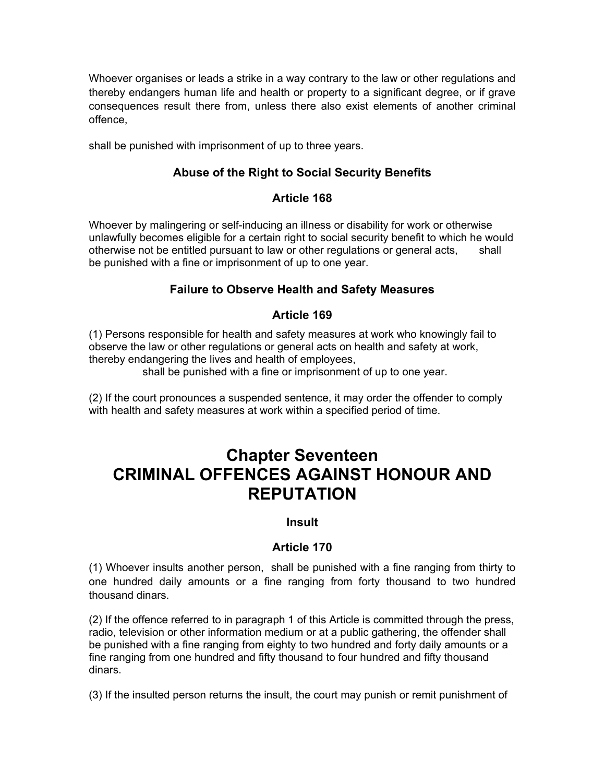Whoever organises or leads a strike in a way contrary to the law or other regulations and thereby endangers human life and health or property to a significant degree, or if grave consequences result there from, unless there also exist elements of another criminal offence,

shall be punished with imprisonment of up to three years.

# **Abuse of the Right to Social Security Benefits**

#### **Article 168**

Whoever by malingering or self-inducing an illness or disability for work or otherwise unlawfully becomes eligible for a certain right to social security benefit to which he would otherwise not be entitled pursuant to law or other regulations or general acts, shall be punished with a fine or imprisonment of up to one year.

## **Failure to Observe Health and Safety Measures**

## **Article 169**

(1) Persons responsible for health and safety measures at work who knowingly fail to observe the law or other regulations or general acts on health and safety at work, thereby endangering the lives and health of employees,

shall be punished with a fine or imprisonment of up to one year.

(2) If the court pronounces a suspended sentence, it may order the offender to comply with health and safety measures at work within a specified period of time.

# **Chapter Seventeen CRIMINAL OFFENCES AGAINST HONOUR AND REPUTATION**

#### **Insult**

## **Article 170**

(1) Whoever insults another person, shall be punished with a fine ranging from thirty to one hundred daily amounts or a fine ranging from forty thousand to two hundred thousand dinars.

(2) If the offence referred to in paragraph 1 of this Article is committed through the press, radio, television or other information medium or at a public gathering, the offender shall be punished with a fine ranging from eighty to two hundred and forty daily amounts or a fine ranging from one hundred and fifty thousand to four hundred and fifty thousand dinars.

(3) If the insulted person returns the insult, the court may punish or remit punishment of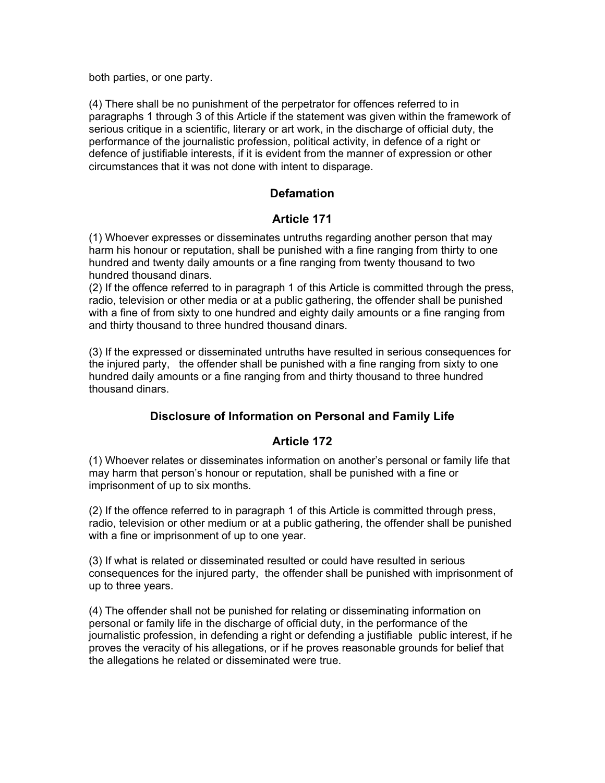both parties, or one party.

(4) There shall be no punishment of the perpetrator for offences referred to in paragraphs 1 through 3 of this Article if the statement was given within the framework of serious critique in a scientific, literary or art work, in the discharge of official duty, the performance of the journalistic profession, political activity, in defence of a right or defence of justifiable interests, if it is evident from the manner of expression or other circumstances that it was not done with intent to disparage.

## **Defamation**

## **Article 171**

(1) Whoever expresses or disseminates untruths regarding another person that may harm his honour or reputation, shall be punished with a fine ranging from thirty to one hundred and twenty daily amounts or a fine ranging from twenty thousand to two hundred thousand dinars.

(2) If the offence referred to in paragraph 1 of this Article is committed through the press, radio, television or other media or at a public gathering, the offender shall be punished with a fine of from sixty to one hundred and eighty daily amounts or a fine ranging from and thirty thousand to three hundred thousand dinars.

(3) If the expressed or disseminated untruths have resulted in serious consequences for the injured party, the offender shall be punished with a fine ranging from sixty to one hundred daily amounts or a fine ranging from and thirty thousand to three hundred thousand dinars.

## **Disclosure of Information on Personal and Family Life**

## **Article 172**

(1) Whoever relates or disseminates information on another's personal or family life that may harm that person's honour or reputation, shall be punished with a fine or imprisonment of up to six months.

(2) If the offence referred to in paragraph 1 of this Article is committed through press, radio, television or other medium or at a public gathering, the offender shall be punished with a fine or imprisonment of up to one year.

(3) If what is related or disseminated resulted or could have resulted in serious consequences for the injured party, the offender shall be punished with imprisonment of up to three years.

(4) The offender shall not be punished for relating or disseminating information on personal or family life in the discharge of official duty, in the performance of the journalistic profession, in defending a right or defending a justifiable public interest, if he proves the veracity of his allegations, or if he proves reasonable grounds for belief that the allegations he related or disseminated were true.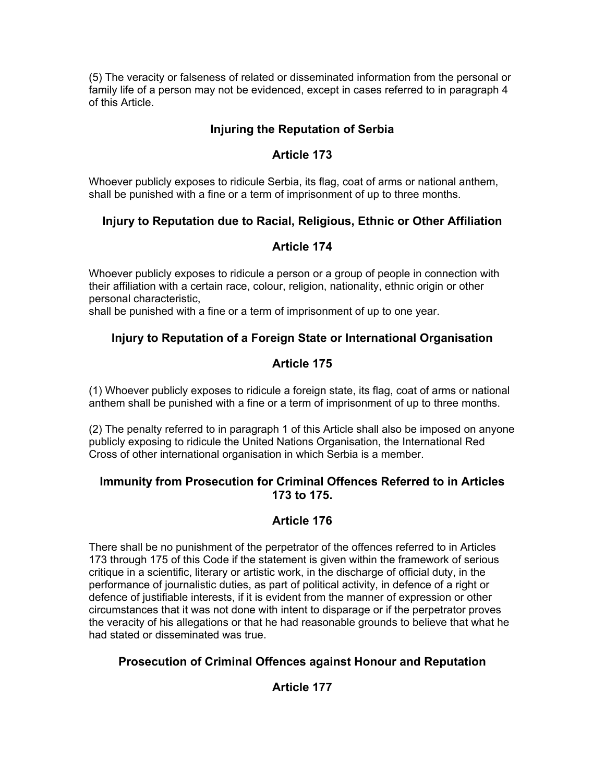(5) The veracity or falseness of related or disseminated information from the personal or family life of a person may not be evidenced, except in cases referred to in paragraph 4 of this Article.

## **Injuring the Reputation of Serbia**

## **Article 173**

Whoever publicly exposes to ridicule Serbia, its flag, coat of arms or national anthem, shall be punished with a fine or a term of imprisonment of up to three months.

## **Injury to Reputation due to Racial, Religious, Ethnic or Other Affiliation**

## **Article 174**

Whoever publicly exposes to ridicule a person or a group of people in connection with their affiliation with a certain race, colour, religion, nationality, ethnic origin or other personal characteristic,

shall be punished with a fine or a term of imprisonment of up to one year.

# **Injury to Reputation of a Foreign State or International Organisation**

# **Article 175**

(1) Whoever publicly exposes to ridicule a foreign state, its flag, coat of arms or national anthem shall be punished with a fine or a term of imprisonment of up to three months.

(2) The penalty referred to in paragraph 1 of this Article shall also be imposed on anyone publicly exposing to ridicule the United Nations Organisation, the International Red Cross of other international organisation in which Serbia is a member.

#### **Immunity from Prosecution for Criminal Offences Referred to in Articles 173 to 175.**

## **Article 176**

There shall be no punishment of the perpetrator of the offences referred to in Articles 173 through 175 of this Code if the statement is given within the framework of serious critique in a scientific, literary or artistic work, in the discharge of official duty, in the performance of journalistic duties, as part of political activity, in defence of a right or defence of justifiable interests, if it is evident from the manner of expression or other circumstances that it was not done with intent to disparage or if the perpetrator proves the veracity of his allegations or that he had reasonable grounds to believe that what he had stated or disseminated was true.

## **Prosecution of Criminal Offences against Honour and Reputation**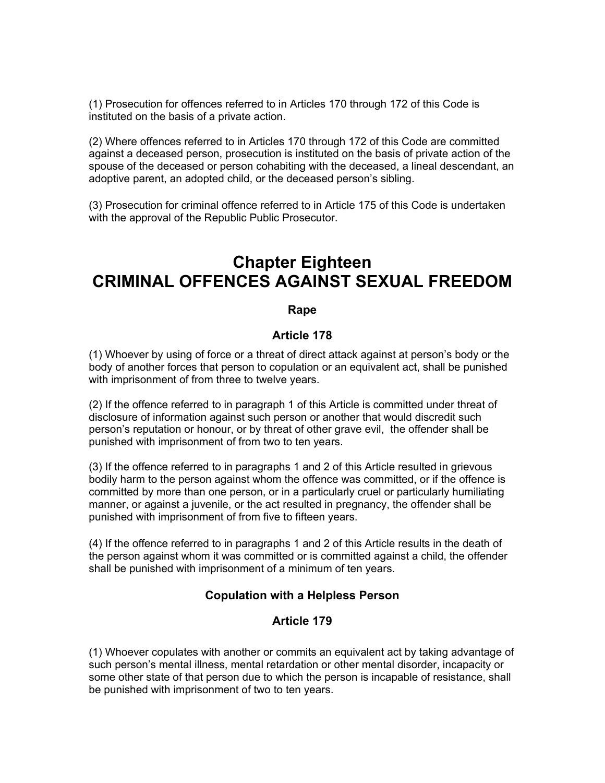(1) Prosecution for offences referred to in Articles 170 through 172 of this Code is instituted on the basis of a private action.

(2) Where offences referred to in Articles 170 through 172 of this Code are committed against a deceased person, prosecution is instituted on the basis of private action of the spouse of the deceased or person cohabiting with the deceased, a lineal descendant, an adoptive parent, an adopted child, or the deceased person's sibling.

(3) Prosecution for criminal offence referred to in Article 175 of this Code is undertaken with the approval of the Republic Public Prosecutor.

# **Chapter Eighteen CRIMINAL OFFENCES AGAINST SEXUAL FREEDOM**

#### **Rape**

#### **Article 178**

(1) Whoever by using of force or a threat of direct attack against at person's body or the body of another forces that person to copulation or an equivalent act, shall be punished with imprisonment of from three to twelve years.

(2) If the offence referred to in paragraph 1 of this Article is committed under threat of disclosure of information against such person or another that would discredit such person's reputation or honour, or by threat of other grave evil, the offender shall be punished with imprisonment of from two to ten years.

(3) If the offence referred to in paragraphs 1 and 2 of this Article resulted in grievous bodily harm to the person against whom the offence was committed, or if the offence is committed by more than one person, or in a particularly cruel or particularly humiliating manner, or against a juvenile, or the act resulted in pregnancy, the offender shall be punished with imprisonment of from five to fifteen years.

(4) If the offence referred to in paragraphs 1 and 2 of this Article results in the death of the person against whom it was committed or is committed against a child, the offender shall be punished with imprisonment of a minimum of ten years.

#### **Copulation with a Helpless Person**

#### **Article 179**

(1) Whoever copulates with another or commits an equivalent act by taking advantage of such person's mental illness, mental retardation or other mental disorder, incapacity or some other state of that person due to which the person is incapable of resistance, shall be punished with imprisonment of two to ten years.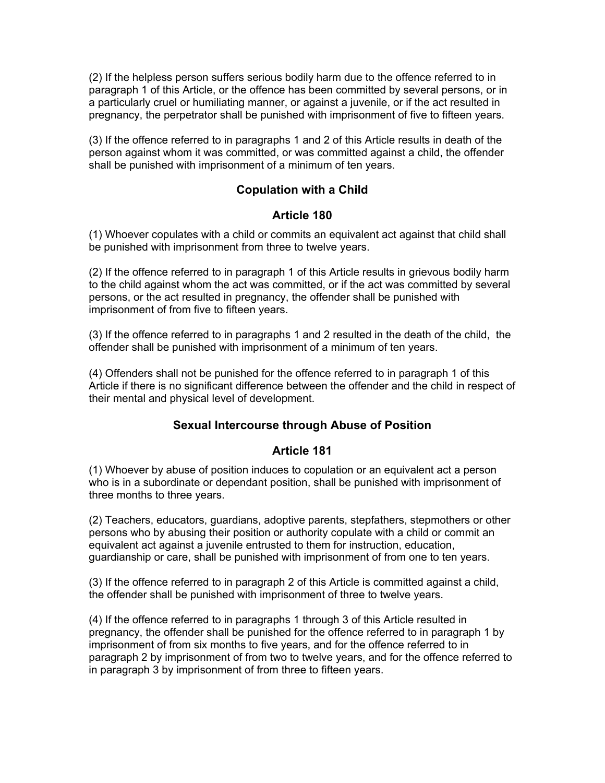(2) If the helpless person suffers serious bodily harm due to the offence referred to in paragraph 1 of this Article, or the offence has been committed by several persons, or in a particularly cruel or humiliating manner, or against a juvenile, or if the act resulted in pregnancy, the perpetrator shall be punished with imprisonment of five to fifteen years.

(3) If the offence referred to in paragraphs 1 and 2 of this Article results in death of the person against whom it was committed, or was committed against a child, the offender shall be punished with imprisonment of a minimum of ten years.

## **Copulation with a Child**

#### **Article 180**

(1) Whoever copulates with a child or commits an equivalent act against that child shall be punished with imprisonment from three to twelve years.

(2) If the offence referred to in paragraph 1 of this Article results in grievous bodily harm to the child against whom the act was committed, or if the act was committed by several persons, or the act resulted in pregnancy, the offender shall be punished with imprisonment of from five to fifteen years.

(3) If the offence referred to in paragraphs 1 and 2 resulted in the death of the child, the offender shall be punished with imprisonment of a minimum of ten years.

(4) Offenders shall not be punished for the offence referred to in paragraph 1 of this Article if there is no significant difference between the offender and the child in respect of their mental and physical level of development.

#### **Sexual Intercourse through Abuse of Position**

#### **Article 181**

(1) Whoever by abuse of position induces to copulation or an equivalent act a person who is in a subordinate or dependant position, shall be punished with imprisonment of three months to three years.

(2) Teachers, educators, guardians, adoptive parents, stepfathers, stepmothers or other persons who by abusing their position or authority copulate with a child or commit an equivalent act against a juvenile entrusted to them for instruction, education, guardianship or care, shall be punished with imprisonment of from one to ten years.

(3) If the offence referred to in paragraph 2 of this Article is committed against a child, the offender shall be punished with imprisonment of three to twelve years.

(4) If the offence referred to in paragraphs 1 through 3 of this Article resulted in pregnancy, the offender shall be punished for the offence referred to in paragraph 1 by imprisonment of from six months to five years, and for the offence referred to in paragraph 2 by imprisonment of from two to twelve years, and for the offence referred to in paragraph 3 by imprisonment of from three to fifteen years.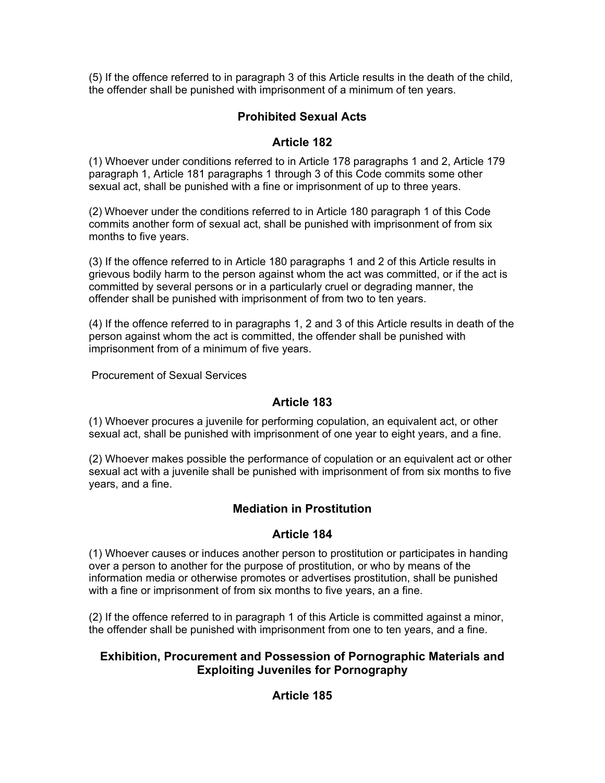(5) If the offence referred to in paragraph 3 of this Article results in the death of the child, the offender shall be punished with imprisonment of a minimum of ten years.

## **Prohibited Sexual Acts**

## **Article 182**

(1) Whoever under conditions referred to in Article 178 paragraphs 1 and 2, Article 179 paragraph 1, Article 181 paragraphs 1 through 3 of this Code commits some other sexual act, shall be punished with a fine or imprisonment of up to three years.

(2) Whoever under the conditions referred to in Article 180 paragraph 1 of this Code commits another form of sexual act, shall be punished with imprisonment of from six months to five years.

(3) If the offence referred to in Article 180 paragraphs 1 and 2 of this Article results in grievous bodily harm to the person against whom the act was committed, or if the act is committed by several persons or in a particularly cruel or degrading manner, the offender shall be punished with imprisonment of from two to ten years.

(4) If the offence referred to in paragraphs 1, 2 and 3 of this Article results in death of the person against whom the act is committed, the offender shall be punished with imprisonment from of a minimum of five years.

Procurement of Sexual Services

## **Article 183**

(1) Whoever procures a juvenile for performing copulation, an equivalent act, or other sexual act, shall be punished with imprisonment of one year to eight years, and a fine.

(2) Whoever makes possible the performance of copulation or an equivalent act or other sexual act with a juvenile shall be punished with imprisonment of from six months to five years, and a fine.

## **Mediation in Prostitution**

#### **Article 184**

(1) Whoever causes or induces another person to prostitution or participates in handing over a person to another for the purpose of prostitution, or who by means of the information media or otherwise promotes or advertises prostitution, shall be punished with a fine or imprisonment of from six months to five years, an a fine.

(2) If the offence referred to in paragraph 1 of this Article is committed against a minor, the offender shall be punished with imprisonment from one to ten years, and a fine.

## **Exhibition, Procurement and Possession of Pornographic Materials and Exploiting Juveniles for Pornography**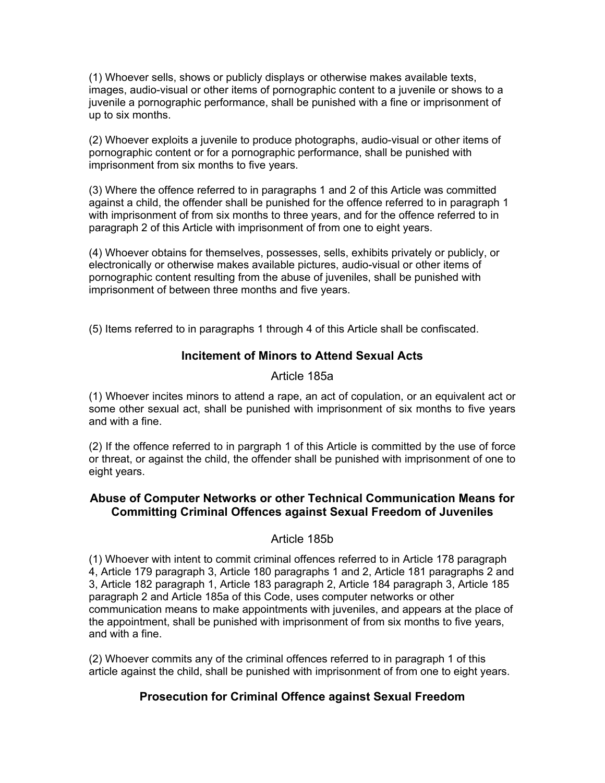(1) Whoever sells, shows or publicly displays or otherwise makes available texts, images, audio-visual or other items of pornographic content to a juvenile or shows to a juvenile a pornographic performance, shall be punished with a fine or imprisonment of up to six months.

(2) Whoever exploits a juvenile to produce photographs, audio-visual or other items of pornographic content or for a pornographic performance, shall be punished with imprisonment from six months to five years.

(3) Where the offence referred to in paragraphs 1 and 2 of this Article was committed against a child, the offender shall be punished for the offence referred to in paragraph 1 with imprisonment of from six months to three years, and for the offence referred to in paragraph 2 of this Article with imprisonment of from one to eight years.

(4) Whoever obtains for themselves, possesses, sells, exhibits privately or publicly, or electronically or otherwise makes available pictures, audio-visual or other items of pornographic content resulting from the abuse of juveniles, shall be punished with imprisonment of between three months and five years.

(5) Items referred to in paragraphs 1 through 4 of this Article shall be confiscated.

#### **Incitement of Minors to Attend Sexual Acts**

Article 185a

(1) Whoever incites minors to attend a rape, an act of copulation, or an equivalent act or some other sexual act, shall be punished with imprisonment of six months to five years and with a fine.

(2) If the offence referred to in pargraph 1 of this Article is committed by the use of force or threat, or against the child, the offender shall be punished with imprisonment of one to eight years.

## **Abuse of Computer Networks or other Technical Communication Means for Committing Criminal Offences against Sexual Freedom of Juveniles**

#### Article 185b

(1) Whoever with intent to commit criminal offences referred to in Article 178 paragraph 4, Article 179 paragraph 3, Article 180 paragraphs 1 and 2, Article 181 paragraphs 2 and 3, Article 182 paragraph 1, Article 183 paragraph 2, Article 184 paragraph 3, Article 185 paragraph 2 and Article 185a of this Code, uses computer networks or other communication means to make appointments with juveniles, and appears at the place of the appointment, shall be punished with imprisonment of from six months to five years, and with a fine.

(2) Whoever commits any of the criminal offences referred to in paragraph 1 of this article against the child, shall be punished with imprisonment of from one to eight years.

## **Prosecution for Criminal Offence against Sexual Freedom**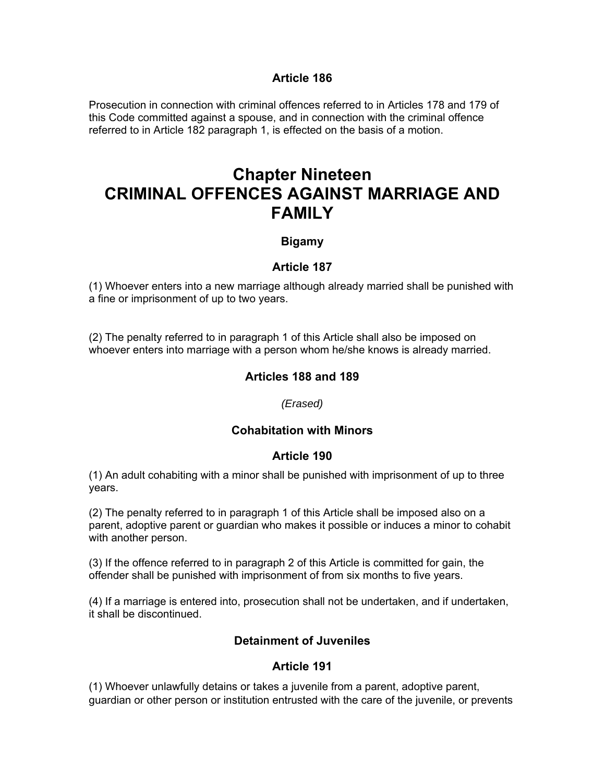#### **Article 186**

Prosecution in connection with criminal offences referred to in Articles 178 and 179 of this Code committed against a spouse, and in connection with the criminal offence referred to in Article 182 paragraph 1, is effected on the basis of a motion.

# **Chapter Nineteen CRIMINAL OFFENCES AGAINST MARRIAGE AND FAMILY**

### **Bigamy**

#### **Article 187**

(1) Whoever enters into a new marriage although already married shall be punished with a fine or imprisonment of up to two years.

(2) The penalty referred to in paragraph 1 of this Article shall also be imposed on whoever enters into marriage with a person whom he/she knows is already married.

## **Articles 188 and 189**

#### *(Erased)*

### **Cohabitation with Minors**

#### **Article 190**

(1) An adult cohabiting with a minor shall be punished with imprisonment of up to three years.

(2) The penalty referred to in paragraph 1 of this Article shall be imposed also on a parent, adoptive parent or guardian who makes it possible or induces a minor to cohabit with another person.

(3) If the offence referred to in paragraph 2 of this Article is committed for gain, the offender shall be punished with imprisonment of from six months to five years.

(4) If a marriage is entered into, prosecution shall not be undertaken, and if undertaken, it shall be discontinued.

### **Detainment of Juveniles**

### **Article 191**

(1) Whoever unlawfully detains or takes a juvenile from a parent, adoptive parent, guardian or other person or institution entrusted with the care of the juvenile, or prevents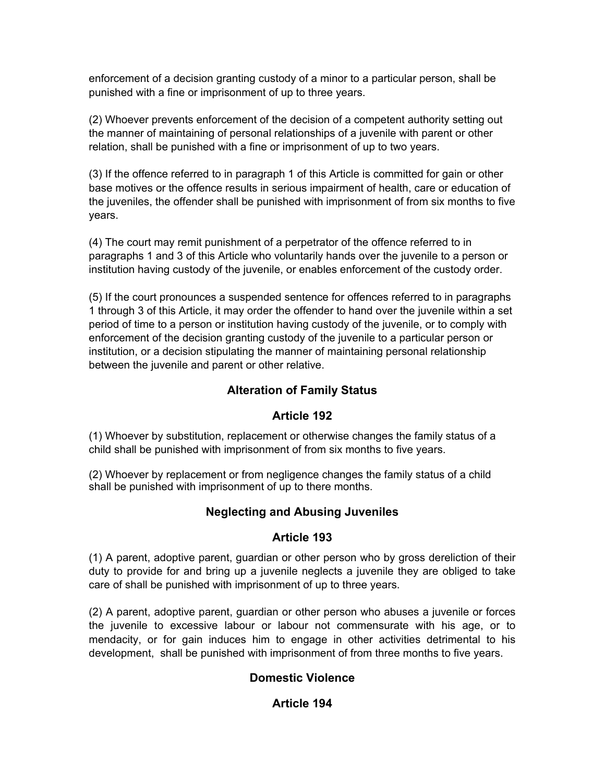enforcement of a decision granting custody of a minor to a particular person, shall be punished with a fine or imprisonment of up to three years.

(2) Whoever prevents enforcement of the decision of a competent authority setting out the manner of maintaining of personal relationships of a juvenile with parent or other relation, shall be punished with a fine or imprisonment of up to two years.

(3) If the offence referred to in paragraph 1 of this Article is committed for gain or other base motives or the offence results in serious impairment of health, care or education of the juveniles, the offender shall be punished with imprisonment of from six months to five years.

(4) The court may remit punishment of a perpetrator of the offence referred to in paragraphs 1 and 3 of this Article who voluntarily hands over the juvenile to a person or institution having custody of the juvenile, or enables enforcement of the custody order.

(5) If the court pronounces a suspended sentence for offences referred to in paragraphs 1 through 3 of this Article, it may order the offender to hand over the juvenile within a set period of time to a person or institution having custody of the juvenile, or to comply with enforcement of the decision granting custody of the juvenile to a particular person or institution, or a decision stipulating the manner of maintaining personal relationship between the juvenile and parent or other relative.

## **Alteration of Family Status**

### **Article 192**

(1) Whoever by substitution, replacement or otherwise changes the family status of a child shall be punished with imprisonment of from six months to five years.

(2) Whoever by replacement or from negligence changes the family status of a child shall be punished with imprisonment of up to there months.

## **Neglecting and Abusing Juveniles**

### **Article 193**

(1) A parent, adoptive parent, guardian or other person who by gross dereliction of their duty to provide for and bring up a juvenile neglects a juvenile they are obliged to take care of shall be punished with imprisonment of up to three years.

(2) A parent, adoptive parent, guardian or other person who abuses a juvenile or forces the juvenile to excessive labour or labour not commensurate with his age, or to mendacity, or for gain induces him to engage in other activities detrimental to his development, shall be punished with imprisonment of from three months to five years.

## **Domestic Violence**

## **Article 194**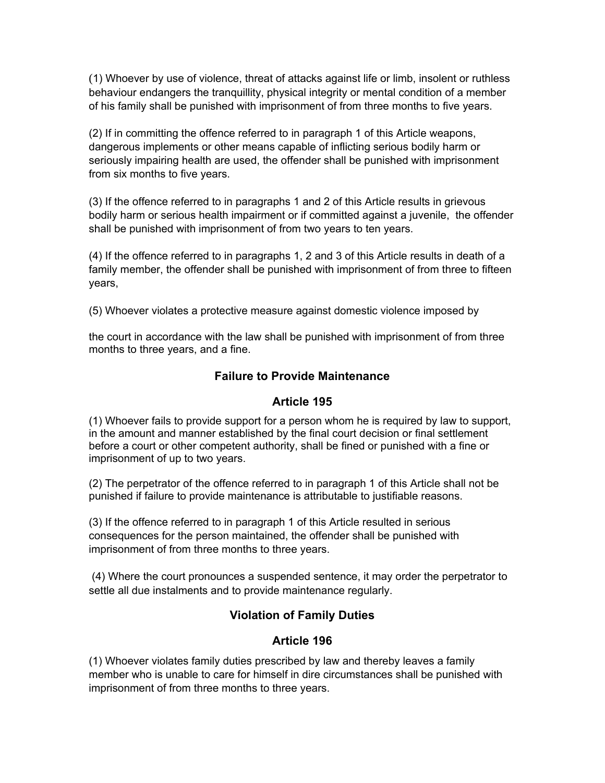(1) Whoever by use of violence, threat of attacks against life or limb, insolent or ruthless behaviour endangers the tranquillity, physical integrity or mental condition of a member of his family shall be punished with imprisonment of from three months to five years.

(2) If in committing the offence referred to in paragraph 1 of this Article weapons, dangerous implements or other means capable of inflicting serious bodily harm or seriously impairing health are used, the offender shall be punished with imprisonment from six months to five years.

(3) If the offence referred to in paragraphs 1 and 2 of this Article results in grievous bodily harm or serious health impairment or if committed against a juvenile, the offender shall be punished with imprisonment of from two years to ten years.

(4) If the offence referred to in paragraphs 1, 2 and 3 of this Article results in death of a family member, the offender shall be punished with imprisonment of from three to fifteen years,

(5) Whoever violates a protective measure against domestic violence imposed by

the court in accordance with the law shall be punished with imprisonment of from three months to three years, and a fine.

### **Failure to Provide Maintenance**

### **Article 195**

(1) Whoever fails to provide support for a person whom he is required by law to support, in the amount and manner established by the final court decision or final settlement before a court or other competent authority, shall be fined or punished with a fine or imprisonment of up to two years.

(2) The perpetrator of the offence referred to in paragraph 1 of this Article shall not be punished if failure to provide maintenance is attributable to justifiable reasons.

(3) If the offence referred to in paragraph 1 of this Article resulted in serious consequences for the person maintained, the offender shall be punished with imprisonment of from three months to three years.

(4) Where the court pronounces a suspended sentence, it may order the perpetrator to settle all due instalments and to provide maintenance regularly.

## **Violation of Family Duties**

## **Article 196**

(1) Whoever violates family duties prescribed by law and thereby leaves a family member who is unable to care for himself in dire circumstances shall be punished with imprisonment of from three months to three years.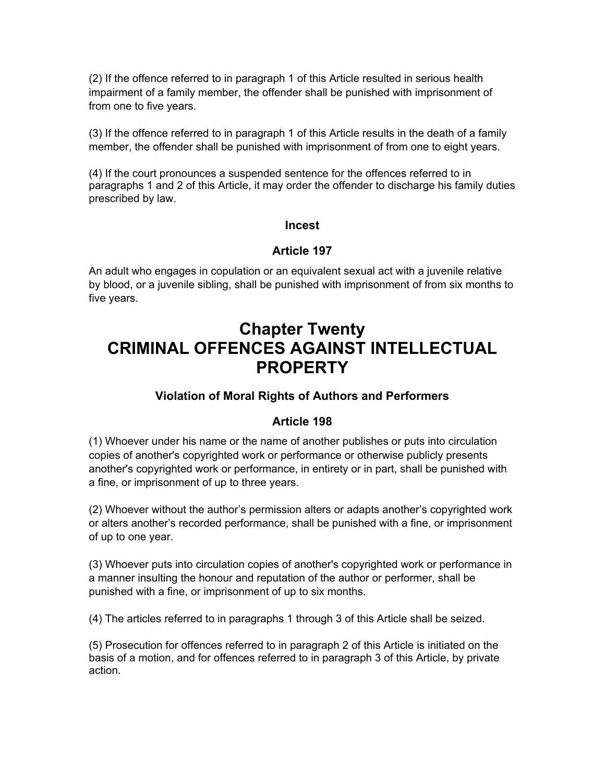(2) If the offence referred to in paragraph 1 of this Article resulted in serious health impairment of a family member, the offender shall be punished with imprisonment of from one to five years.

(3) If the offence referred to in paragraph 1 of this Article results in the death of a family member, the offender shall be punished with imprisonment of from one to eight years.

(4) If the court pronounces a suspended sentence for the offences referred to in paragraphs 1 and 2 of this Article, it may order the offender to discharge his family duties prescribed by law.

#### **Incest**

### **Article 197**

An adult who engages in copulation or an equivalent sexual act with a juvenile relative by blood, or a juvenile sibling, shall be punished with imprisonment of from six months to five years.

# **Chapter Twenty CRIMINAL OFFENCES AGAINST INTELLECTUAL PROPERTY**

## **Violation of Moral Rights of Authors and Performers**

### **Article 198**

(1) Whoever under his name or the name of another publishes or puts into circulation copies of another's copyrighted work or performance or otherwise publicly presents another's copyrighted work or performance, in entirety or in part, shall be punished with a fine, or imprisonment of up to three years.

(2) Whoever without the author's permission alters or adapts another's copyrighted work or alters another's recorded performance, shall be punished with a fine, or imprisonment of up to one year.

(3) Whoever puts into circulation copies of another's copyrighted work or performance in a manner insulting the honour and reputation of the author or performer, shall be punished with a fine, or imprisonment of up to six months.

(4) The articles referred to in paragraphs 1 through 3 of this Article shall be seized.

(5) Prosecution for offences referred to in paragraph 2 of this Article is initiated on the basis of a motion, and for offences referred to in paragraph 3 of this Article, by private action.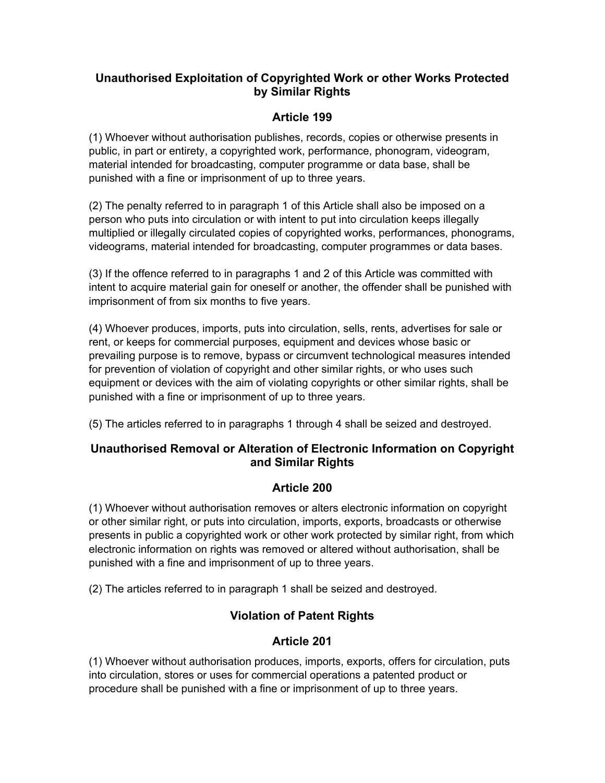## **Unauthorised Exploitation of Copyrighted Work or other Works Protected by Similar Rights**

## **Article 199**

(1) Whoever without authorisation publishes, records, copies or otherwise presents in public, in part or entirety, a copyrighted work, performance, phonogram, videogram, material intended for broadcasting, computer programme or data base, shall be punished with a fine or imprisonment of up to three years.

(2) The penalty referred to in paragraph 1 of this Article shall also be imposed on a person who puts into circulation or with intent to put into circulation keeps illegally multiplied or illegally circulated copies of copyrighted works, performances, phonograms, videograms, material intended for broadcasting, computer programmes or data bases.

(3) If the offence referred to in paragraphs 1 and 2 of this Article was committed with intent to acquire material gain for oneself or another, the offender shall be punished with imprisonment of from six months to five years.

(4) Whoever produces, imports, puts into circulation, sells, rents, advertises for sale or rent, or keeps for commercial purposes, equipment and devices whose basic or prevailing purpose is to remove, bypass or circumvent technological measures intended for prevention of violation of copyright and other similar rights, or who uses such equipment or devices with the aim of violating copyrights or other similar rights, shall be punished with a fine or imprisonment of up to three years.

(5) The articles referred to in paragraphs 1 through 4 shall be seized and destroyed.

## **Unauthorised Removal or Alteration of Electronic Information on Copyright and Similar Rights**

## **Article 200**

(1) Whoever without authorisation removes or alters electronic information on copyright or other similar right, or puts into circulation, imports, exports, broadcasts or otherwise presents in public a copyrighted work or other work protected by similar right, from which electronic information on rights was removed or altered without authorisation, shall be punished with a fine and imprisonment of up to three years.

(2) The articles referred to in paragraph 1 shall be seized and destroyed.

## **Violation of Patent Rights**

## **Article 201**

(1) Whoever without authorisation produces, imports, exports, offers for circulation, puts into circulation, stores or uses for commercial operations a patented product or procedure shall be punished with a fine or imprisonment of up to three years.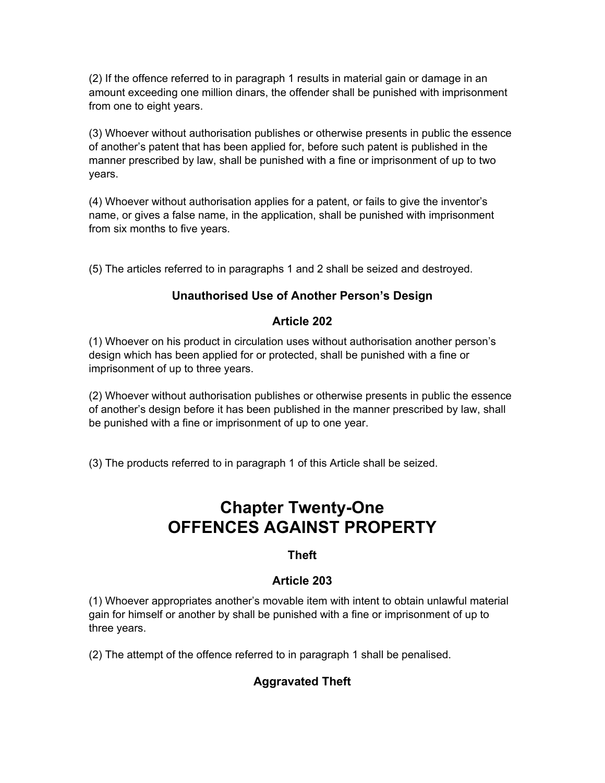(2) If the offence referred to in paragraph 1 results in material gain or damage in an amount exceeding one million dinars, the offender shall be punished with imprisonment from one to eight years.

(3) Whoever without authorisation publishes or otherwise presents in public the essence of another's patent that has been applied for, before such patent is published in the manner prescribed by law, shall be punished with a fine or imprisonment of up to two years.

(4) Whoever without authorisation applies for a patent, or fails to give the inventor's name, or gives a false name, in the application, shall be punished with imprisonment from six months to five years.

(5) The articles referred to in paragraphs 1 and 2 shall be seized and destroyed.

## **Unauthorised Use of Another Person's Design**

## **Article 202**

(1) Whoever on his product in circulation uses without authorisation another person's design which has been applied for or protected, shall be punished with a fine or imprisonment of up to three years.

(2) Whoever without authorisation publishes or otherwise presents in public the essence of another's design before it has been published in the manner prescribed by law, shall be punished with a fine or imprisonment of up to one year.

(3) The products referred to in paragraph 1 of this Article shall be seized.

# **Chapter Twenty-One OFFENCES AGAINST PROPERTY**

## **Theft**

## **Article 203**

(1) Whoever appropriates another's movable item with intent to obtain unlawful material gain for himself or another by shall be punished with a fine or imprisonment of up to three years.

(2) The attempt of the offence referred to in paragraph 1 shall be penalised.

## **Aggravated Theft**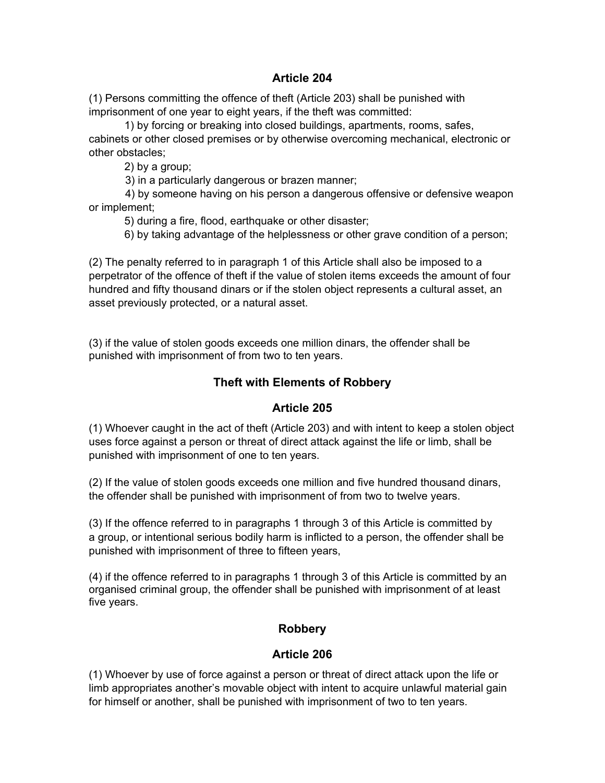### **Article 204**

(1) Persons committing the offence of theft (Article 203) shall be punished with imprisonment of one year to eight years, if the theft was committed:

1) by forcing or breaking into closed buildings, apartments, rooms, safes, cabinets or other closed premises or by otherwise overcoming mechanical, electronic or other obstacles;

2) by a group;

3) in a particularly dangerous or brazen manner;

 4) by someone having on his person a dangerous offensive or defensive weapon or implement;

5) during a fire, flood, earthquake or other disaster;

6) by taking advantage of the helplessness or other grave condition of a person;

(2) The penalty referred to in paragraph 1 of this Article shall also be imposed to a perpetrator of the offence of theft if the value of stolen items exceeds the amount of four hundred and fifty thousand dinars or if the stolen object represents a cultural asset, an asset previously protected, or a natural asset.

(3) if the value of stolen goods exceeds one million dinars, the offender shall be punished with imprisonment of from two to ten years.

## **Theft with Elements of Robbery**

### **Article 205**

(1) Whoever caught in the act of theft (Article 203) and with intent to keep a stolen object uses force against a person or threat of direct attack against the life or limb, shall be punished with imprisonment of one to ten years.

(2) If the value of stolen goods exceeds one million and five hundred thousand dinars, the offender shall be punished with imprisonment of from two to twelve years.

(3) If the offence referred to in paragraphs 1 through 3 of this Article is committed by a group, or intentional serious bodily harm is inflicted to a person, the offender shall be punished with imprisonment of three to fifteen years,

(4) if the offence referred to in paragraphs 1 through 3 of this Article is committed by an organised criminal group, the offender shall be punished with imprisonment of at least five years.

## **Robbery**

### **Article 206**

(1) Whoever by use of force against a person or threat of direct attack upon the life or limb appropriates another's movable object with intent to acquire unlawful material gain for himself or another, shall be punished with imprisonment of two to ten years.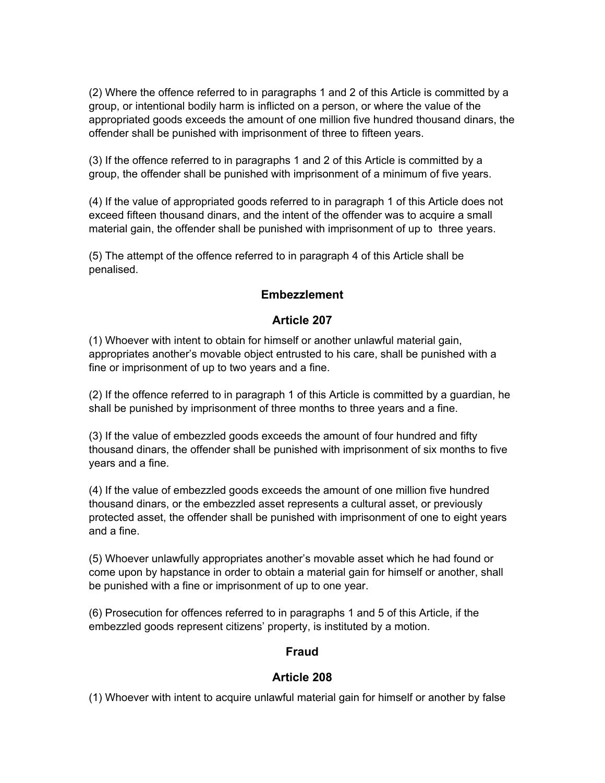(2) Where the offence referred to in paragraphs 1 and 2 of this Article is committed by a group, or intentional bodily harm is inflicted on a person, or where the value of the appropriated goods exceeds the amount of one million five hundred thousand dinars, the offender shall be punished with imprisonment of three to fifteen years.

(3) If the offence referred to in paragraphs 1 and 2 of this Article is committed by a group, the offender shall be punished with imprisonment of a minimum of five years.

(4) If the value of appropriated goods referred to in paragraph 1 of this Article does not exceed fifteen thousand dinars, and the intent of the offender was to acquire a small material gain, the offender shall be punished with imprisonment of up to three years.

(5) The attempt of the offence referred to in paragraph 4 of this Article shall be penalised.

## **Embezzlement**

## **Article 207**

(1) Whoever with intent to obtain for himself or another unlawful material gain, appropriates another's movable object entrusted to his care, shall be punished with a fine or imprisonment of up to two years and a fine.

(2) If the offence referred to in paragraph 1 of this Article is committed by a guardian, he shall be punished by imprisonment of three months to three years and a fine.

(3) If the value of embezzled goods exceeds the amount of four hundred and fifty thousand dinars, the offender shall be punished with imprisonment of six months to five years and a fine.

(4) If the value of embezzled goods exceeds the amount of one million five hundred thousand dinars, or the embezzled asset represents a cultural asset, or previously protected asset, the offender shall be punished with imprisonment of one to eight years and a fine.

(5) Whoever unlawfully appropriates another's movable asset which he had found or come upon by hapstance in order to obtain a material gain for himself or another, shall be punished with a fine or imprisonment of up to one year.

(6) Prosecution for offences referred to in paragraphs 1 and 5 of this Article, if the embezzled goods represent citizens' property, is instituted by a motion.

### **Fraud**

## **Article 208**

(1) Whoever with intent to acquire unlawful material gain for himself or another by false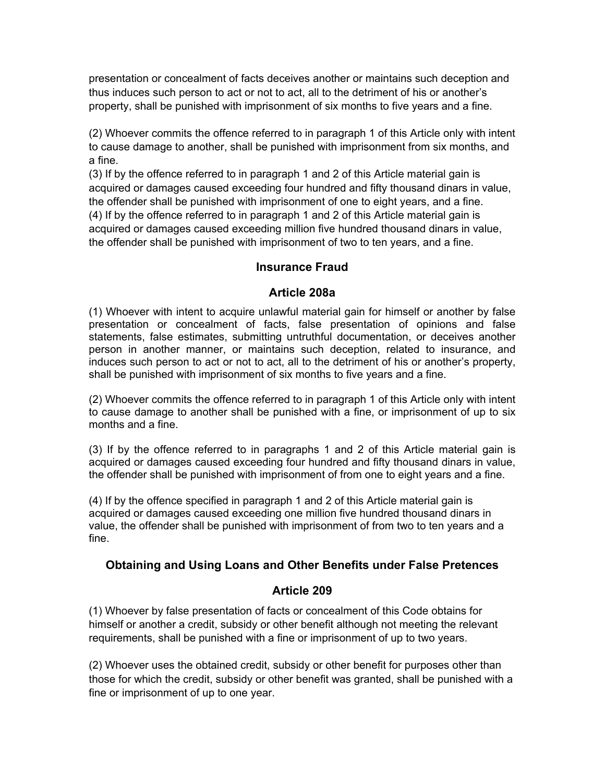presentation or concealment of facts deceives another or maintains such deception and thus induces such person to act or not to act, all to the detriment of his or another's property, shall be punished with imprisonment of six months to five years and a fine.

(2) Whoever commits the offence referred to in paragraph 1 of this Article only with intent to cause damage to another, shall be punished with imprisonment from six months, and a fine.

(3) If by the offence referred to in paragraph 1 and 2 of this Article material gain is acquired or damages caused exceeding four hundred and fifty thousand dinars in value, the offender shall be punished with imprisonment of one to eight years, and a fine. (4) If by the offence referred to in paragraph 1 and 2 of this Article material gain is acquired or damages caused exceeding million five hundred thousand dinars in value, the offender shall be punished with imprisonment of two to ten years, and a fine.

## **Insurance Fraud**

#### **Article 208a**

(1) Whoever with intent to acquire unlawful material gain for himself or another by false presentation or concealment of facts, false presentation of opinions and false statements, false estimates, submitting untruthful documentation, or deceives another person in another manner, or maintains such deception, related to insurance, and induces such person to act or not to act, all to the detriment of his or another's property, shall be punished with imprisonment of six months to five years and a fine.

(2) Whoever commits the offence referred to in paragraph 1 of this Article only with intent to cause damage to another shall be punished with a fine, or imprisonment of up to six months and a fine.

(3) If by the offence referred to in paragraphs 1 and 2 of this Article material gain is acquired or damages caused exceeding four hundred and fifty thousand dinars in value, the offender shall be punished with imprisonment of from one to eight years and a fine.

(4) If by the offence specified in paragraph 1 and 2 of this Article material gain is acquired or damages caused exceeding one million five hundred thousand dinars in value, the offender shall be punished with imprisonment of from two to ten years and a fine.

### **Obtaining and Using Loans and Other Benefits under False Pretences**

### **Article 209**

(1) Whoever by false presentation of facts or concealment of this Code obtains for himself or another a credit, subsidy or other benefit although not meeting the relevant requirements, shall be punished with a fine or imprisonment of up to two years.

(2) Whoever uses the obtained credit, subsidy or other benefit for purposes other than those for which the credit, subsidy or other benefit was granted, shall be punished with a fine or imprisonment of up to one year.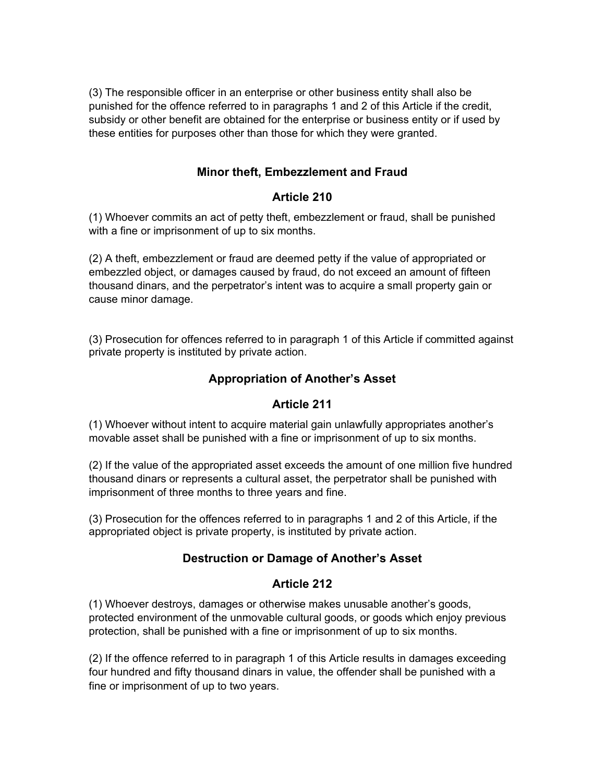(3) The responsible officer in an enterprise or other business entity shall also be punished for the offence referred to in paragraphs 1 and 2 of this Article if the credit, subsidy or other benefit are obtained for the enterprise or business entity or if used by these entities for purposes other than those for which they were granted.

## **Minor theft, Embezzlement and Fraud**

## **Article 210**

(1) Whoever commits an act of petty theft, embezzlement or fraud, shall be punished with a fine or imprisonment of up to six months.

(2) A theft, embezzlement or fraud are deemed petty if the value of appropriated or embezzled object, or damages caused by fraud, do not exceed an amount of fifteen thousand dinars, and the perpetrator's intent was to acquire a small property gain or cause minor damage.

(3) Prosecution for offences referred to in paragraph 1 of this Article if committed against private property is instituted by private action.

## **Appropriation of Another's Asset**

### **Article 211**

(1) Whoever without intent to acquire material gain unlawfully appropriates another's movable asset shall be punished with a fine or imprisonment of up to six months.

(2) If the value of the appropriated asset exceeds the amount of one million five hundred thousand dinars or represents a cultural asset, the perpetrator shall be punished with imprisonment of three months to three years and fine.

(3) Prosecution for the offences referred to in paragraphs 1 and 2 of this Article, if the appropriated object is private property, is instituted by private action.

## **Destruction or Damage of Another's Asset**

### **Article 212**

(1) Whoever destroys, damages or otherwise makes unusable another's goods, protected environment of the unmovable cultural goods, or goods which enjoy previous protection, shall be punished with a fine or imprisonment of up to six months.

(2) If the offence referred to in paragraph 1 of this Article results in damages exceeding four hundred and fifty thousand dinars in value, the offender shall be punished with a fine or imprisonment of up to two years.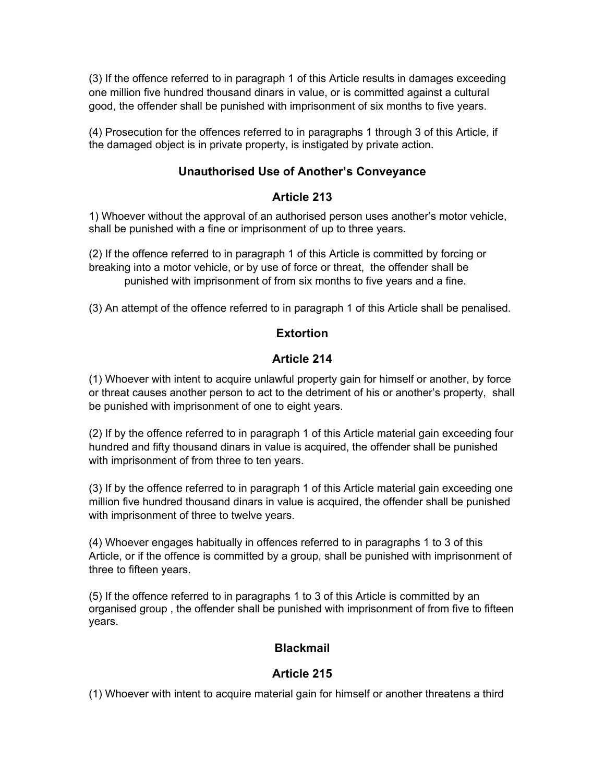(3) If the offence referred to in paragraph 1 of this Article results in damages exceeding one million five hundred thousand dinars in value, or is committed against a cultural good, the offender shall be punished with imprisonment of six months to five years.

(4) Prosecution for the offences referred to in paragraphs 1 through 3 of this Article, if the damaged object is in private property, is instigated by private action.

## **Unauthorised Use of Another's Conveyance**

## **Article 213**

1) Whoever without the approval of an authorised person uses another's motor vehicle, shall be punished with a fine or imprisonment of up to three years.

(2) If the offence referred to in paragraph 1 of this Article is committed by forcing or breaking into a motor vehicle, or by use of force or threat, the offender shall be punished with imprisonment of from six months to five years and a fine.

(3) An attempt of the offence referred to in paragraph 1 of this Article shall be penalised.

## **Extortion**

## **Article 214**

(1) Whoever with intent to acquire unlawful property gain for himself or another, by force or threat causes another person to act to the detriment of his or another's property, shall be punished with imprisonment of one to eight years.

(2) If by the offence referred to in paragraph 1 of this Article material gain exceeding four hundred and fifty thousand dinars in value is acquired, the offender shall be punished with imprisonment of from three to ten years.

(3) If by the offence referred to in paragraph 1 of this Article material gain exceeding one million five hundred thousand dinars in value is acquired, the offender shall be punished with imprisonment of three to twelve years.

(4) Whoever engages habitually in offences referred to in paragraphs 1 to 3 of this Article, or if the offence is committed by a group, shall be punished with imprisonment of three to fifteen years.

(5) If the offence referred to in paragraphs 1 to 3 of this Article is committed by an organised group , the offender shall be punished with imprisonment of from five to fifteen years.

## **Blackmail**

## **Article 215**

(1) Whoever with intent to acquire material gain for himself or another threatens a third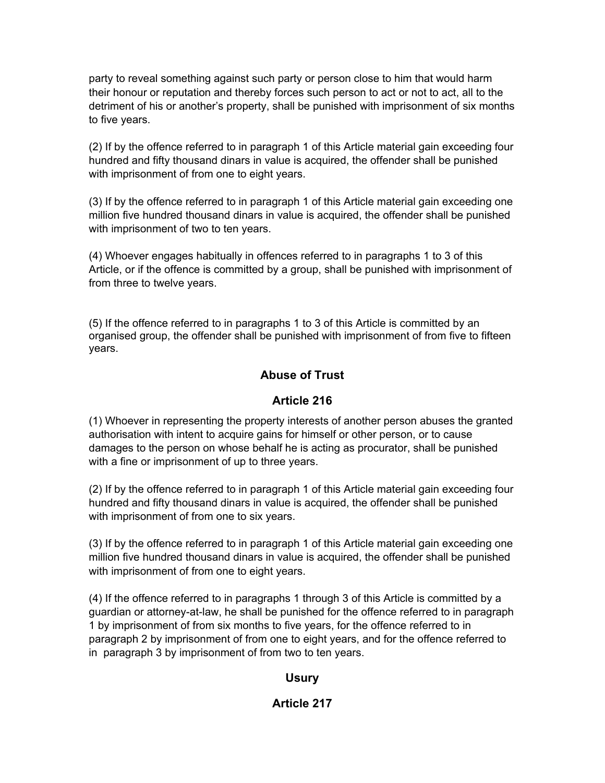party to reveal something against such party or person close to him that would harm their honour or reputation and thereby forces such person to act or not to act, all to the detriment of his or another's property, shall be punished with imprisonment of six months to five years.

(2) If by the offence referred to in paragraph 1 of this Article material gain exceeding four hundred and fifty thousand dinars in value is acquired, the offender shall be punished with imprisonment of from one to eight years.

(3) If by the offence referred to in paragraph 1 of this Article material gain exceeding one million five hundred thousand dinars in value is acquired, the offender shall be punished with imprisonment of two to ten years.

(4) Whoever engages habitually in offences referred to in paragraphs 1 to 3 of this Article, or if the offence is committed by a group, shall be punished with imprisonment of from three to twelve years.

(5) If the offence referred to in paragraphs 1 to 3 of this Article is committed by an organised group, the offender shall be punished with imprisonment of from five to fifteen years.

## **Abuse of Trust**

### **Article 216**

(1) Whoever in representing the property interests of another person abuses the granted authorisation with intent to acquire gains for himself or other person, or to cause damages to the person on whose behalf he is acting as procurator, shall be punished with a fine or imprisonment of up to three years.

(2) If by the offence referred to in paragraph 1 of this Article material gain exceeding four hundred and fifty thousand dinars in value is acquired, the offender shall be punished with imprisonment of from one to six years.

(3) If by the offence referred to in paragraph 1 of this Article material gain exceeding one million five hundred thousand dinars in value is acquired, the offender shall be punished with imprisonment of from one to eight years.

(4) If the offence referred to in paragraphs 1 through 3 of this Article is committed by a guardian or attorney-at-law, he shall be punished for the offence referred to in paragraph 1 by imprisonment of from six months to five years, for the offence referred to in paragraph 2 by imprisonment of from one to eight years, and for the offence referred to in paragraph 3 by imprisonment of from two to ten years.

### **Usury**

## **Article 217**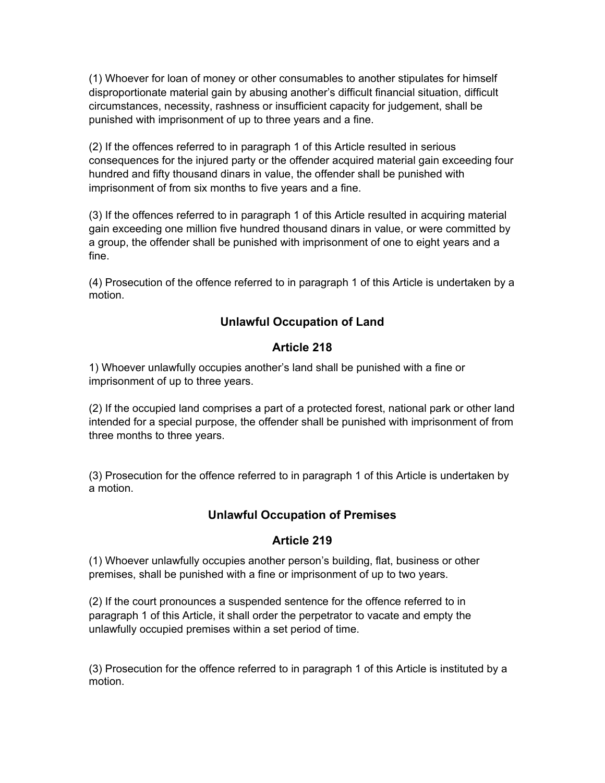(1) Whoever for loan of money or other consumables to another stipulates for himself disproportionate material gain by abusing another's difficult financial situation, difficult circumstances, necessity, rashness or insufficient capacity for judgement, shall be punished with imprisonment of up to three years and a fine.

(2) If the offences referred to in paragraph 1 of this Article resulted in serious consequences for the injured party or the offender acquired material gain exceeding four hundred and fifty thousand dinars in value, the offender shall be punished with imprisonment of from six months to five years and a fine.

(3) If the offences referred to in paragraph 1 of this Article resulted in acquiring material gain exceeding one million five hundred thousand dinars in value, or were committed by a group, the offender shall be punished with imprisonment of one to eight years and a fine.

(4) Prosecution of the offence referred to in paragraph 1 of this Article is undertaken by a motion.

## **Unlawful Occupation of Land**

## **Article 218**

1) Whoever unlawfully occupies another's land shall be punished with a fine or imprisonment of up to three years.

(2) If the occupied land comprises a part of a protected forest, national park or other land intended for a special purpose, the offender shall be punished with imprisonment of from three months to three years.

(3) Prosecution for the offence referred to in paragraph 1 of this Article is undertaken by a motion.

### **Unlawful Occupation of Premises**

### **Article 219**

(1) Whoever unlawfully occupies another person's building, flat, business or other premises, shall be punished with a fine or imprisonment of up to two years.

(2) If the court pronounces a suspended sentence for the offence referred to in paragraph 1 of this Article, it shall order the perpetrator to vacate and empty the unlawfully occupied premises within a set period of time.

(3) Prosecution for the offence referred to in paragraph 1 of this Article is instituted by a motion.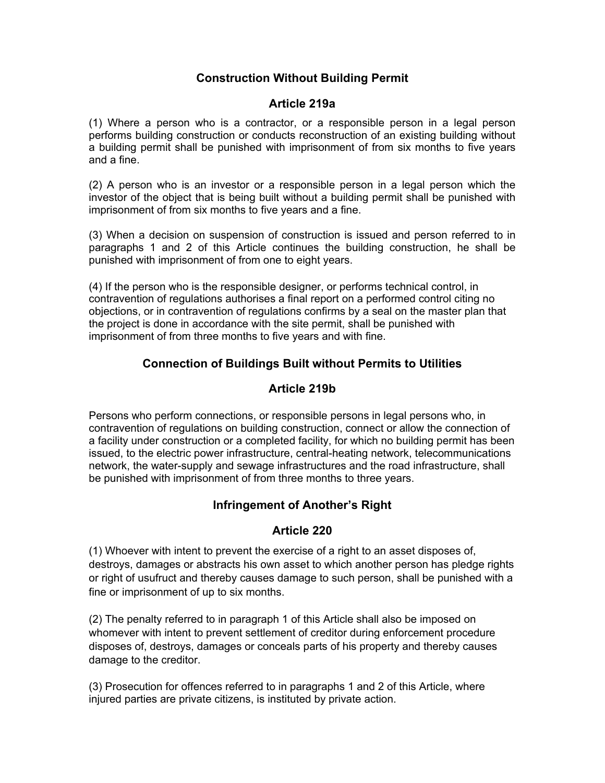## **Construction Without Building Permit**

### **Article 219a**

(1) Where a person who is a contractor, or a responsible person in a legal person performs building construction or conducts reconstruction of an existing building without a building permit shall be punished with imprisonment of from six months to five years and a fine.

(2) A person who is an investor or a responsible person in a legal person which the investor of the object that is being built without a building permit shall be punished with imprisonment of from six months to five years and a fine.

(3) When a decision on suspension of construction is issued and person referred to in paragraphs 1 and 2 of this Article continues the building construction, he shall be punished with imprisonment of from one to eight years.

(4) If the person who is the responsible designer, or performs technical control, in contravention of regulations authorises a final report on a performed control citing no objections, or in contravention of regulations confirms by a seal on the master plan that the project is done in accordance with the site permit, shall be punished with imprisonment of from three months to five years and with fine.

## **Connection of Buildings Built without Permits to Utilities**

### **Article 219b**

Persons who perform connections, or responsible persons in legal persons who, in contravention of regulations on building construction, connect or allow the connection of a facility under construction or a completed facility, for which no building permit has been issued, to the electric power infrastructure, central-heating network, telecommunications network, the water-supply and sewage infrastructures and the road infrastructure, shall be punished with imprisonment of from three months to three years.

## **Infringement of Another's Right**

### **Article 220**

(1) Whoever with intent to prevent the exercise of a right to an asset disposes of, destroys, damages or abstracts his own asset to which another person has pledge rights or right of usufruct and thereby causes damage to such person, shall be punished with a fine or imprisonment of up to six months.

(2) The penalty referred to in paragraph 1 of this Article shall also be imposed on whomever with intent to prevent settlement of creditor during enforcement procedure disposes of, destroys, damages or conceals parts of his property and thereby causes damage to the creditor.

(3) Prosecution for offences referred to in paragraphs 1 and 2 of this Article, where injured parties are private citizens, is instituted by private action.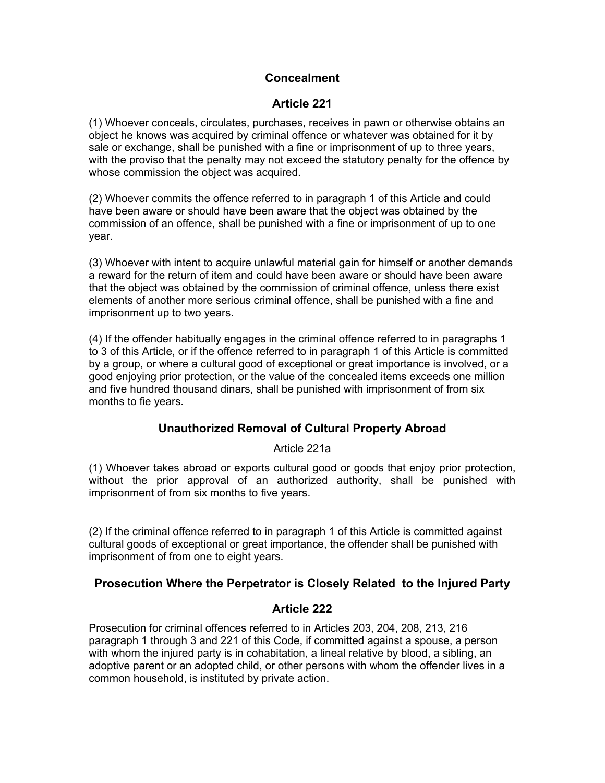### **Concealment**

## **Article 221**

(1) Whoever conceals, circulates, purchases, receives in pawn or otherwise obtains an object he knows was acquired by criminal offence or whatever was obtained for it by sale or exchange, shall be punished with a fine or imprisonment of up to three years, with the proviso that the penalty may not exceed the statutory penalty for the offence by whose commission the object was acquired.

(2) Whoever commits the offence referred to in paragraph 1 of this Article and could have been aware or should have been aware that the object was obtained by the commission of an offence, shall be punished with a fine or imprisonment of up to one year.

(3) Whoever with intent to acquire unlawful material gain for himself or another demands a reward for the return of item and could have been aware or should have been aware that the object was obtained by the commission of criminal offence, unless there exist elements of another more serious criminal offence, shall be punished with a fine and imprisonment up to two years.

(4) If the offender habitually engages in the criminal offence referred to in paragraphs 1 to 3 of this Article, or if the offence referred to in paragraph 1 of this Article is committed by a group, or where a cultural good of exceptional or great importance is involved, or a good enjoying prior protection, or the value of the concealed items exceeds one million and five hundred thousand dinars, shall be punished with imprisonment of from six months to fie years.

## **Unauthorized Removal of Cultural Property Abroad**

Article 221a

(1) Whoever takes abroad or exports cultural good or goods that enjoy prior protection, without the prior approval of an authorized authority, shall be punished with imprisonment of from six months to five years.

(2) If the criminal offence referred to in paragraph 1 of this Article is committed against cultural goods of exceptional or great importance, the offender shall be punished with imprisonment of from one to eight years.

## **Prosecution Where the Perpetrator is Closely Related to the Injured Party**

### **Article 222**

Prosecution for criminal offences referred to in Articles 203, 204, 208, 213, 216 paragraph 1 through 3 and 221 of this Code, if committed against a spouse, a person with whom the injured party is in cohabitation, a lineal relative by blood, a sibling, an adoptive parent or an adopted child, or other persons with whom the offender lives in a common household, is instituted by private action.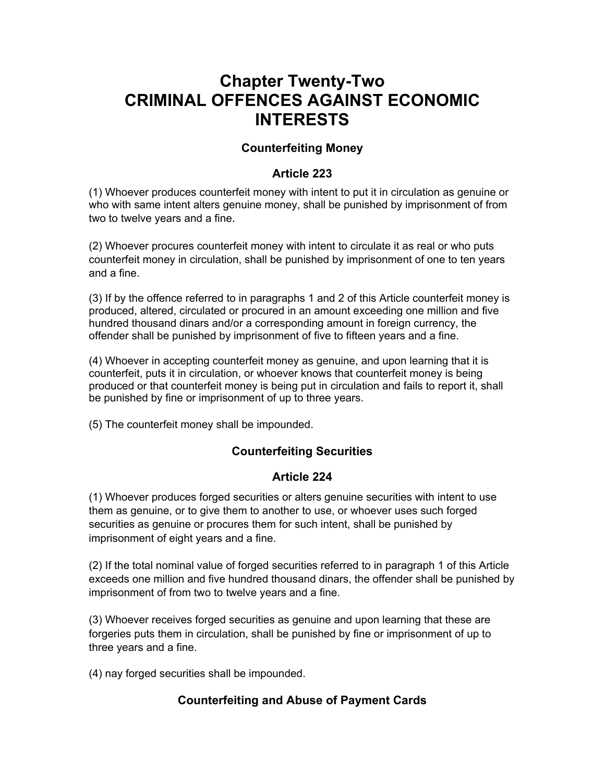# **Chapter Twenty-Two CRIMINAL OFFENCES AGAINST ECONOMIC INTERESTS**

### **Counterfeiting Money**

## **Article 223**

(1) Whoever produces counterfeit money with intent to put it in circulation as genuine or who with same intent alters genuine money, shall be punished by imprisonment of from two to twelve years and a fine.

(2) Whoever procures counterfeit money with intent to circulate it as real or who puts counterfeit money in circulation, shall be punished by imprisonment of one to ten years and a fine.

(3) If by the offence referred to in paragraphs 1 and 2 of this Article counterfeit money is produced, altered, circulated or procured in an amount exceeding one million and five hundred thousand dinars and/or a corresponding amount in foreign currency, the offender shall be punished by imprisonment of five to fifteen years and a fine.

(4) Whoever in accepting counterfeit money as genuine, and upon learning that it is counterfeit, puts it in circulation, or whoever knows that counterfeit money is being produced or that counterfeit money is being put in circulation and fails to report it, shall be punished by fine or imprisonment of up to three years.

(5) The counterfeit money shall be impounded.

## **Counterfeiting Securities**

## **Article 224**

(1) Whoever produces forged securities or alters genuine securities with intent to use them as genuine, or to give them to another to use, or whoever uses such forged securities as genuine or procures them for such intent, shall be punished by imprisonment of eight years and a fine.

(2) If the total nominal value of forged securities referred to in paragraph 1 of this Article exceeds one million and five hundred thousand dinars, the offender shall be punished by imprisonment of from two to twelve years and a fine.

(3) Whoever receives forged securities as genuine and upon learning that these are forgeries puts them in circulation, shall be punished by fine or imprisonment of up to three years and a fine.

(4) nay forged securities shall be impounded.

## **Counterfeiting and Abuse of Payment Cards**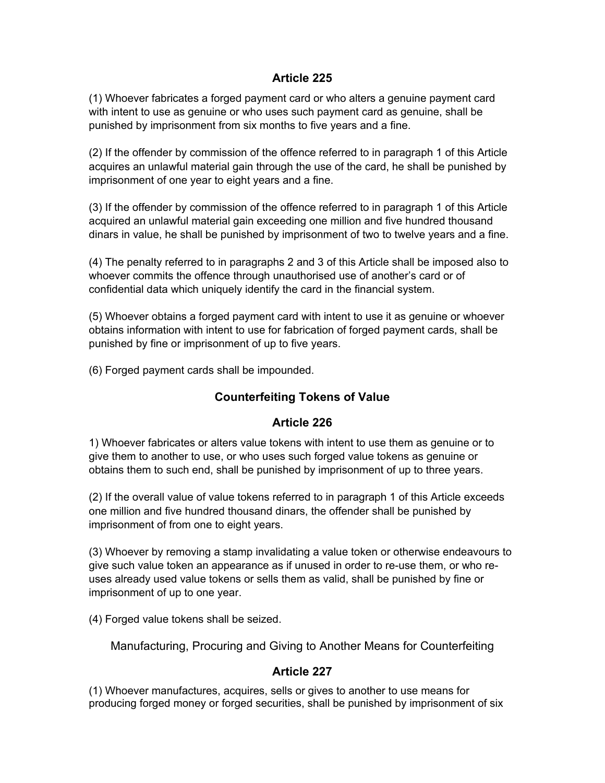### **Article 225**

(1) Whoever fabricates a forged payment card or who alters a genuine payment card with intent to use as genuine or who uses such payment card as genuine, shall be punished by imprisonment from six months to five years and a fine.

(2) If the offender by commission of the offence referred to in paragraph 1 of this Article acquires an unlawful material gain through the use of the card, he shall be punished by imprisonment of one year to eight years and a fine.

(3) If the offender by commission of the offence referred to in paragraph 1 of this Article acquired an unlawful material gain exceeding one million and five hundred thousand dinars in value, he shall be punished by imprisonment of two to twelve years and a fine.

(4) The penalty referred to in paragraphs 2 and 3 of this Article shall be imposed also to whoever commits the offence through unauthorised use of another's card or of confidential data which uniquely identify the card in the financial system.

(5) Whoever obtains a forged payment card with intent to use it as genuine or whoever obtains information with intent to use for fabrication of forged payment cards, shall be punished by fine or imprisonment of up to five years.

(6) Forged payment cards shall be impounded.

## **Counterfeiting Tokens of Value**

### **Article 226**

1) Whoever fabricates or alters value tokens with intent to use them as genuine or to give them to another to use, or who uses such forged value tokens as genuine or obtains them to such end, shall be punished by imprisonment of up to three years.

(2) If the overall value of value tokens referred to in paragraph 1 of this Article exceeds one million and five hundred thousand dinars, the offender shall be punished by imprisonment of from one to eight years.

(3) Whoever by removing a stamp invalidating a value token or otherwise endeavours to give such value token an appearance as if unused in order to re-use them, or who reuses already used value tokens or sells them as valid, shall be punished by fine or imprisonment of up to one year.

(4) Forged value tokens shall be seized.

Manufacturing, Procuring and Giving to Another Means for Counterfeiting

## **Article 227**

(1) Whoever manufactures, acquires, sells or gives to another to use means for producing forged money or forged securities, shall be punished by imprisonment of six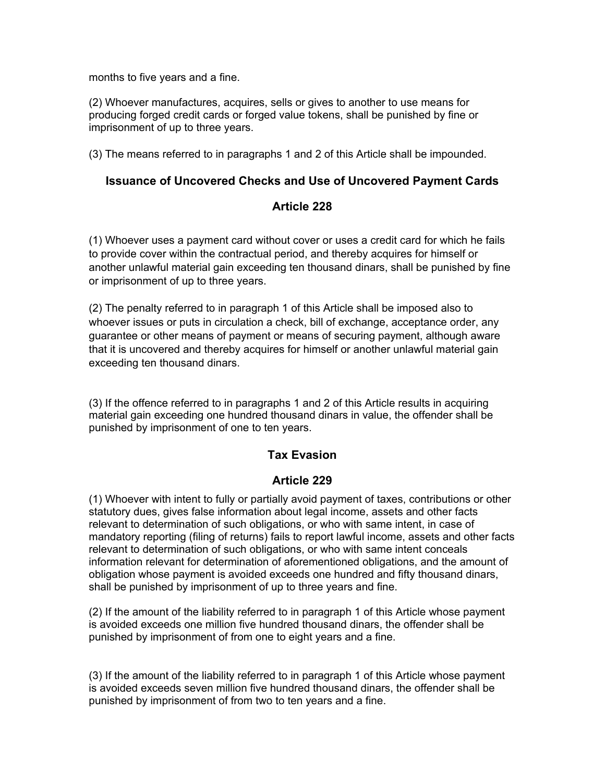months to five years and a fine.

(2) Whoever manufactures, acquires, sells or gives to another to use means for producing forged credit cards or forged value tokens, shall be punished by fine or imprisonment of up to three years.

(3) The means referred to in paragraphs 1 and 2 of this Article shall be impounded.

#### **Issuance of Uncovered Checks and Use of Uncovered Payment Cards**

### **Article 228**

(1) Whoever uses a payment card without cover or uses a credit card for which he fails to provide cover within the contractual period, and thereby acquires for himself or another unlawful material gain exceeding ten thousand dinars, shall be punished by fine or imprisonment of up to three years.

(2) The penalty referred to in paragraph 1 of this Article shall be imposed also to whoever issues or puts in circulation a check, bill of exchange, acceptance order, any guarantee or other means of payment or means of securing payment, although aware that it is uncovered and thereby acquires for himself or another unlawful material gain exceeding ten thousand dinars.

(3) If the offence referred to in paragraphs 1 and 2 of this Article results in acquiring material gain exceeding one hundred thousand dinars in value, the offender shall be punished by imprisonment of one to ten years.

### **Tax Evasion**

### **Article 229**

(1) Whoever with intent to fully or partially avoid payment of taxes, contributions or other statutory dues, gives false information about legal income, assets and other facts relevant to determination of such obligations, or who with same intent, in case of mandatory reporting (filing of returns) fails to report lawful income, assets and other facts relevant to determination of such obligations, or who with same intent conceals information relevant for determination of aforementioned obligations, and the amount of obligation whose payment is avoided exceeds one hundred and fifty thousand dinars, shall be punished by imprisonment of up to three years and fine.

(2) If the amount of the liability referred to in paragraph 1 of this Article whose payment is avoided exceeds one million five hundred thousand dinars, the offender shall be punished by imprisonment of from one to eight years and a fine.

(3) If the amount of the liability referred to in paragraph 1 of this Article whose payment is avoided exceeds seven million five hundred thousand dinars, the offender shall be punished by imprisonment of from two to ten years and a fine.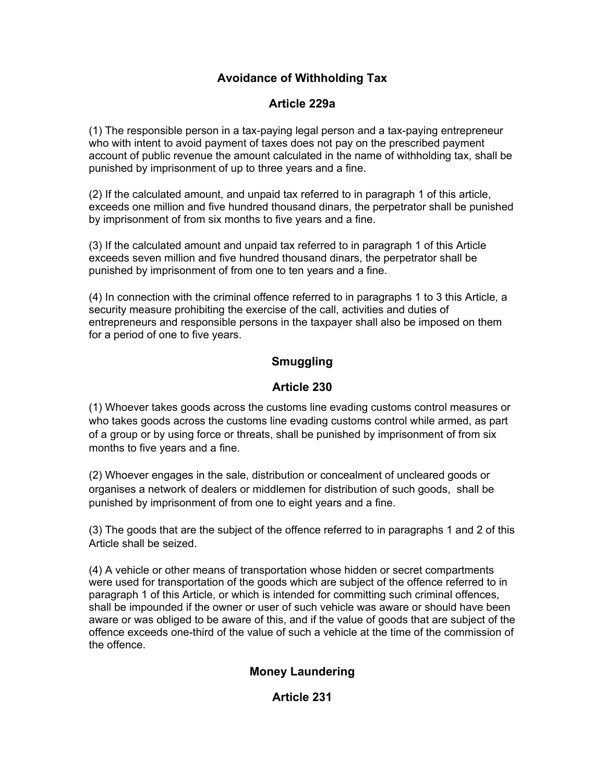## **Avoidance of Withholding Tax**

## **Article 229a**

(1) The responsible person in a tax-paying legal person and a tax-paying entrepreneur who with intent to avoid payment of taxes does not pay on the prescribed payment account of public revenue the amount calculated in the name of withholding tax, shall be punished by imprisonment of up to three years and a fine.

(2) If the calculated amount, and unpaid tax referred to in paragraph 1 of this article, exceeds one million and five hundred thousand dinars, the perpetrator shall be punished by imprisonment of from six months to five years and a fine.

(3) If the calculated amount and unpaid tax referred to in paragraph 1 of this Article exceeds seven million and five hundred thousand dinars, the perpetrator shall be punished by imprisonment of from one to ten years and a fine.

(4) In connection with the criminal offence referred to in paragraphs 1 to 3 this Article, a security measure prohibiting the exercise of the call, activities and duties of entrepreneurs and responsible persons in the taxpayer shall also be imposed on them for a period of one to five years.

## **Smuggling**

## **Article 230**

(1) Whoever takes goods across the customs line evading customs control measures or who takes goods across the customs line evading customs control while armed, as part of a group or by using force or threats, shall be punished by imprisonment of from six months to five years and a fine.

(2) Whoever engages in the sale, distribution or concealment of uncleared goods or organises a network of dealers or middlemen for distribution of such goods, shall be punished by imprisonment of from one to eight years and a fine.

(3) The goods that are the subject of the offence referred to in paragraphs 1 and 2 of this Article shall be seized.

(4) A vehicle or other means of transportation whose hidden or secret compartments were used for transportation of the goods which are subject of the offence referred to in paragraph 1 of this Article, or which is intended for committing such criminal offences, shall be impounded if the owner or user of such vehicle was aware or should have been aware or was obliged to be aware of this, and if the value of goods that are subject of the offence exceeds one-third of the value of such a vehicle at the time of the commission of the offence.

## **Money Laundering**

### **Article 231**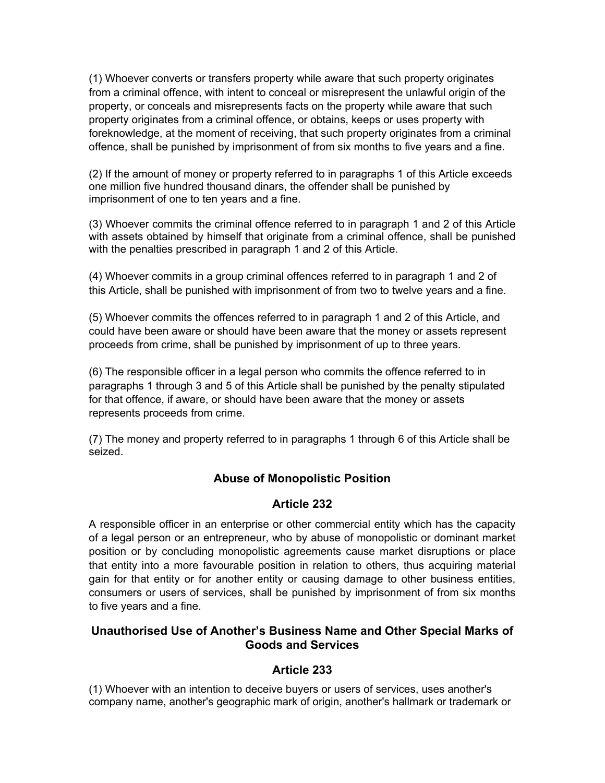(1) Whoever converts or transfers property while aware that such property originates from a criminal offence, with intent to conceal or misrepresent the unlawful origin of the property, or conceals and misrepresents facts on the property while aware that such property originates from a criminal offence, or obtains, keeps or uses property with foreknowledge, at the moment of receiving, that such property originates from a criminal offence, shall be punished by imprisonment of from six months to five years and a fine.

(2) If the amount of money or property referred to in paragraphs 1 of this Article exceeds one million five hundred thousand dinars, the offender shall be punished by imprisonment of one to ten years and a fine.

(3) Whoever commits the criminal offence referred to in paragraph 1 and 2 of this Article with assets obtained by himself that originate from a criminal offence, shall be punished with the penalties prescribed in paragraph 1 and 2 of this Article.

(4) Whoever commits in a group criminal offences referred to in paragraph 1 and 2 of this Article, shall be punished with imprisonment of from two to twelve years and a fine.

(5) Whoever commits the offences referred to in paragraph 1 and 2 of this Article, and could have been aware or should have been aware that the money or assets represent proceeds from crime, shall be punished by imprisonment of up to three years.

(6) The responsible officer in a legal person who commits the offence referred to in paragraphs 1 through 3 and 5 of this Article shall be punished by the penalty stipulated for that offence, if aware, or should have been aware that the money or assets represents proceeds from crime.

(7) The money and property referred to in paragraphs 1 through 6 of this Article shall be seized.

### **Abuse of Monopolistic Position**

### **Article 232**

A responsible officer in an enterprise or other commercial entity which has the capacity of a legal person or an entrepreneur, who by abuse of monopolistic or dominant market position or by concluding monopolistic agreements cause market disruptions or place that entity into a more favourable position in relation to others, thus acquiring material gain for that entity or for another entity or causing damage to other business entities, consumers or users of services, shall be punished by imprisonment of from six months to five years and a fine.

### **Unauthorised Use of Another's Business Name and Other Special Marks of Goods and Services**

### **Article 233**

(1) Whoever with an intention to deceive buyers or users of services, uses another's company name, another's geographic mark of origin, another's hallmark or trademark or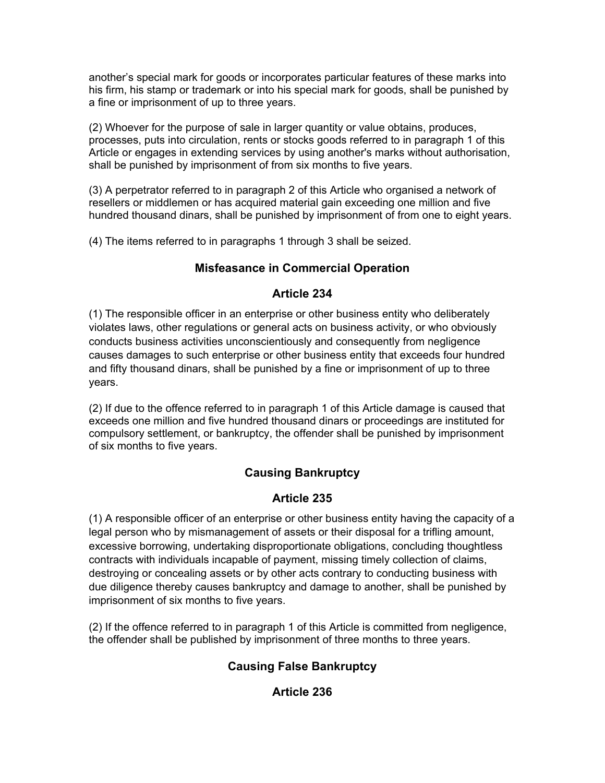another's special mark for goods or incorporates particular features of these marks into his firm, his stamp or trademark or into his special mark for goods, shall be punished by a fine or imprisonment of up to three years.

(2) Whoever for the purpose of sale in larger quantity or value obtains, produces, processes, puts into circulation, rents or stocks goods referred to in paragraph 1 of this Article or engages in extending services by using another's marks without authorisation, shall be punished by imprisonment of from six months to five years.

(3) A perpetrator referred to in paragraph 2 of this Article who organised a network of resellers or middlemen or has acquired material gain exceeding one million and five hundred thousand dinars, shall be punished by imprisonment of from one to eight years.

(4) The items referred to in paragraphs 1 through 3 shall be seized.

## **Misfeasance in Commercial Operation**

## **Article 234**

(1) The responsible officer in an enterprise or other business entity who deliberately violates laws, other regulations or general acts on business activity, or who obviously conducts business activities unconscientiously and consequently from negligence causes damages to such enterprise or other business entity that exceeds four hundred and fifty thousand dinars, shall be punished by a fine or imprisonment of up to three years.

(2) If due to the offence referred to in paragraph 1 of this Article damage is caused that exceeds one million and five hundred thousand dinars or proceedings are instituted for compulsory settlement, or bankruptcy, the offender shall be punished by imprisonment of six months to five years.

## **Causing Bankruptcy**

## **Article 235**

(1) A responsible officer of an enterprise or other business entity having the capacity of a legal person who by mismanagement of assets or their disposal for a trifling amount, excessive borrowing, undertaking disproportionate obligations, concluding thoughtless contracts with individuals incapable of payment, missing timely collection of claims, destroying or concealing assets or by other acts contrary to conducting business with due diligence thereby causes bankruptcy and damage to another, shall be punished by imprisonment of six months to five years.

(2) If the offence referred to in paragraph 1 of this Article is committed from negligence, the offender shall be published by imprisonment of three months to three years.

## **Causing False Bankruptcy**

## **Article 236**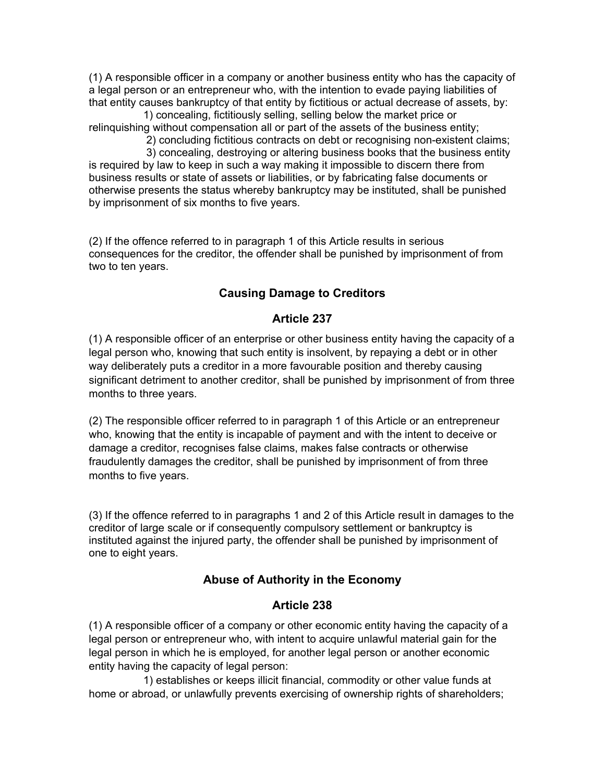(1) A responsible officer in a company or another business entity who has the capacity of a legal person or an entrepreneur who, with the intention to evade paying liabilities of that entity causes bankruptcy of that entity by fictitious or actual decrease of assets, by:

 1) concealing, fictitiously selling, selling below the market price or relinquishing without compensation all or part of the assets of the business entity; 2) concluding fictitious contracts on debt or recognising non-existent claims;

 3) concealing, destroying or altering business books that the business entity is required by law to keep in such a way making it impossible to discern there from business results or state of assets or liabilities, or by fabricating false documents or otherwise presents the status whereby bankruptcy may be instituted, shall be punished by imprisonment of six months to five years.

(2) If the offence referred to in paragraph 1 of this Article results in serious consequences for the creditor, the offender shall be punished by imprisonment of from two to ten years.

## **Causing Damage to Creditors**

### **Article 237**

(1) A responsible officer of an enterprise or other business entity having the capacity of a legal person who, knowing that such entity is insolvent, by repaying a debt or in other way deliberately puts a creditor in a more favourable position and thereby causing significant detriment to another creditor, shall be punished by imprisonment of from three months to three years.

(2) The responsible officer referred to in paragraph 1 of this Article or an entrepreneur who, knowing that the entity is incapable of payment and with the intent to deceive or damage a creditor, recognises false claims, makes false contracts or otherwise fraudulently damages the creditor, shall be punished by imprisonment of from three months to five years.

(3) If the offence referred to in paragraphs 1 and 2 of this Article result in damages to the creditor of large scale or if consequently compulsory settlement or bankruptcy is instituted against the injured party, the offender shall be punished by imprisonment of one to eight years.

## **Abuse of Authority in the Economy**

## **Article 238**

(1) A responsible officer of a company or other economic entity having the capacity of a legal person or entrepreneur who, with intent to acquire unlawful material gain for the legal person in which he is employed, for another legal person or another economic entity having the capacity of legal person:

 1) establishes or keeps illicit financial, commodity or other value funds at home or abroad, or unlawfully prevents exercising of ownership rights of shareholders;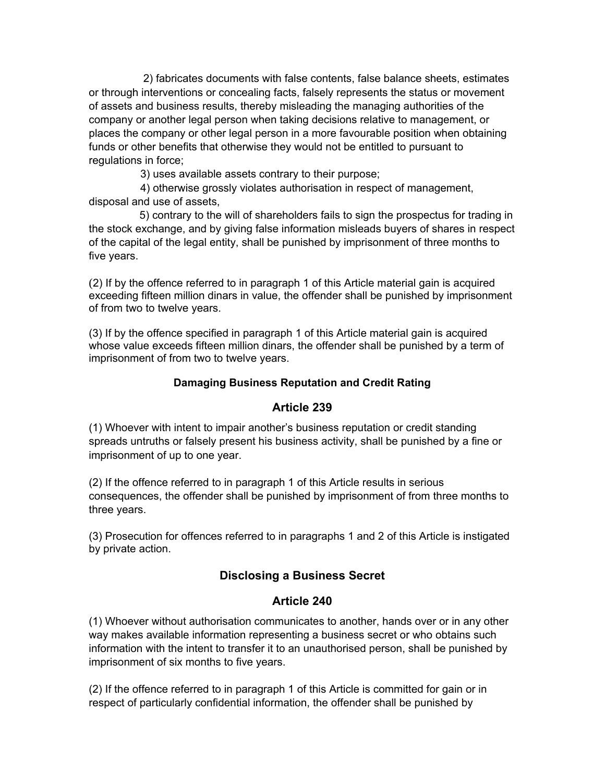2) fabricates documents with false contents, false balance sheets, estimates or through interventions or concealing facts, falsely represents the status or movement of assets and business results, thereby misleading the managing authorities of the company or another legal person when taking decisions relative to management, or places the company or other legal person in a more favourable position when obtaining funds or other benefits that otherwise they would not be entitled to pursuant to regulations in force;

3) uses available assets contrary to their purpose;

 4) otherwise grossly violates authorisation in respect of management, disposal and use of assets,

 5) contrary to the will of shareholders fails to sign the prospectus for trading in the stock exchange, and by giving false information misleads buyers of shares in respect of the capital of the legal entity, shall be punished by imprisonment of three months to five years.

(2) If by the offence referred to in paragraph 1 of this Article material gain is acquired exceeding fifteen million dinars in value, the offender shall be punished by imprisonment of from two to twelve years.

(3) If by the offence specified in paragraph 1 of this Article material gain is acquired whose value exceeds fifteen million dinars, the offender shall be punished by a term of imprisonment of from two to twelve years.

### **Damaging Business Reputation and Credit Rating**

### **Article 239**

(1) Whoever with intent to impair another's business reputation or credit standing spreads untruths or falsely present his business activity, shall be punished by a fine or imprisonment of up to one year.

(2) If the offence referred to in paragraph 1 of this Article results in serious consequences, the offender shall be punished by imprisonment of from three months to three years.

(3) Prosecution for offences referred to in paragraphs 1 and 2 of this Article is instigated by private action.

## **Disclosing a Business Secret**

### **Article 240**

(1) Whoever without authorisation communicates to another, hands over or in any other way makes available information representing a business secret or who obtains such information with the intent to transfer it to an unauthorised person, shall be punished by imprisonment of six months to five years.

(2) If the offence referred to in paragraph 1 of this Article is committed for gain or in respect of particularly confidential information, the offender shall be punished by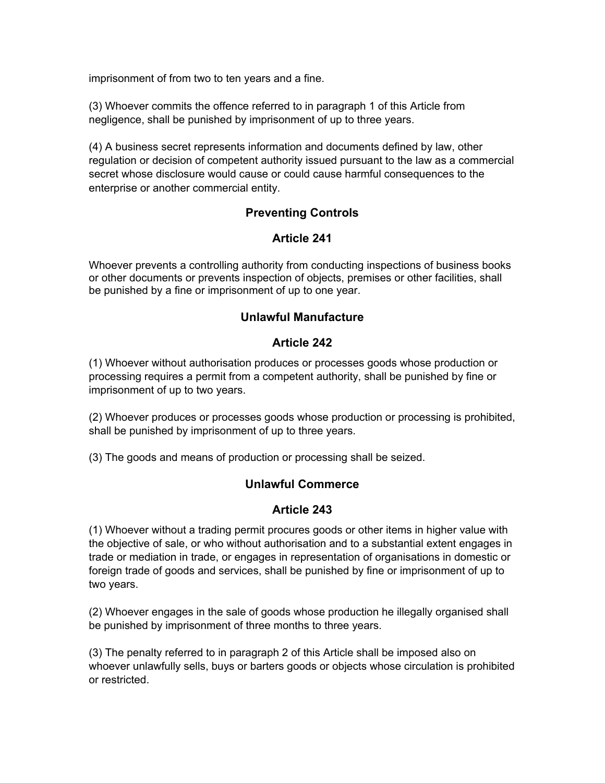imprisonment of from two to ten years and a fine.

(3) Whoever commits the offence referred to in paragraph 1 of this Article from negligence, shall be punished by imprisonment of up to three years.

(4) A business secret represents information and documents defined by law, other regulation or decision of competent authority issued pursuant to the law as a commercial secret whose disclosure would cause or could cause harmful consequences to the enterprise or another commercial entity.

## **Preventing Controls**

## **Article 241**

Whoever prevents a controlling authority from conducting inspections of business books or other documents or prevents inspection of objects, premises or other facilities, shall be punished by a fine or imprisonment of up to one year.

### **Unlawful Manufacture**

### **Article 242**

(1) Whoever without authorisation produces or processes goods whose production or processing requires a permit from a competent authority, shall be punished by fine or imprisonment of up to two years.

(2) Whoever produces or processes goods whose production or processing is prohibited, shall be punished by imprisonment of up to three years.

(3) The goods and means of production or processing shall be seized.

### **Unlawful Commerce**

### **Article 243**

(1) Whoever without a trading permit procures goods or other items in higher value with the objective of sale, or who without authorisation and to a substantial extent engages in trade or mediation in trade, or engages in representation of organisations in domestic or foreign trade of goods and services, shall be punished by fine or imprisonment of up to two years.

(2) Whoever engages in the sale of goods whose production he illegally organised shall be punished by imprisonment of three months to three years.

(3) The penalty referred to in paragraph 2 of this Article shall be imposed also on whoever unlawfully sells, buys or barters goods or objects whose circulation is prohibited or restricted.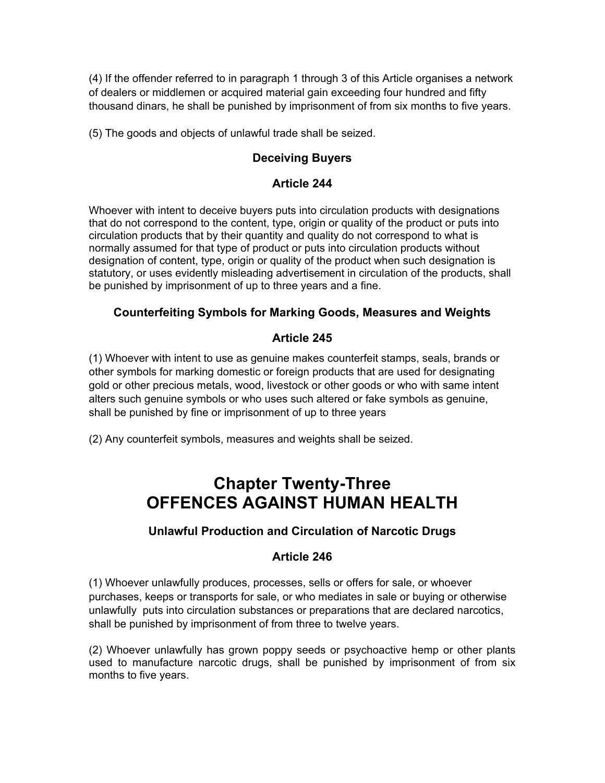(4) If the offender referred to in paragraph 1 through 3 of this Article organises a network of dealers or middlemen or acquired material gain exceeding four hundred and fifty thousand dinars, he shall be punished by imprisonment of from six months to five years.

(5) The goods and objects of unlawful trade shall be seized.

## **Deceiving Buyers**

## **Article 244**

Whoever with intent to deceive buyers puts into circulation products with designations that do not correspond to the content, type, origin or quality of the product or puts into circulation products that by their quantity and quality do not correspond to what is normally assumed for that type of product or puts into circulation products without designation of content, type, origin or quality of the product when such designation is statutory, or uses evidently misleading advertisement in circulation of the products, shall be punished by imprisonment of up to three years and a fine.

## **Counterfeiting Symbols for Marking Goods, Measures and Weights**

### **Article 245**

(1) Whoever with intent to use as genuine makes counterfeit stamps, seals, brands or other symbols for marking domestic or foreign products that are used for designating gold or other precious metals, wood, livestock or other goods or who with same intent alters such genuine symbols or who uses such altered or fake symbols as genuine, shall be punished by fine or imprisonment of up to three years

(2) Any counterfeit symbols, measures and weights shall be seized.

# **Chapter Twenty-Three OFFENCES AGAINST HUMAN HEALTH**

## **Unlawful Production and Circulation of Narcotic Drugs**

### **Article 246**

(1) Whoever unlawfully produces, processes, sells or offers for sale, or whoever purchases, keeps or transports for sale, or who mediates in sale or buying or otherwise unlawfully puts into circulation substances or preparations that are declared narcotics, shall be punished by imprisonment of from three to twelve years.

(2) Whoever unlawfully has grown poppy seeds or psychoactive hemp or other plants used to manufacture narcotic drugs, shall be punished by imprisonment of from six months to five years.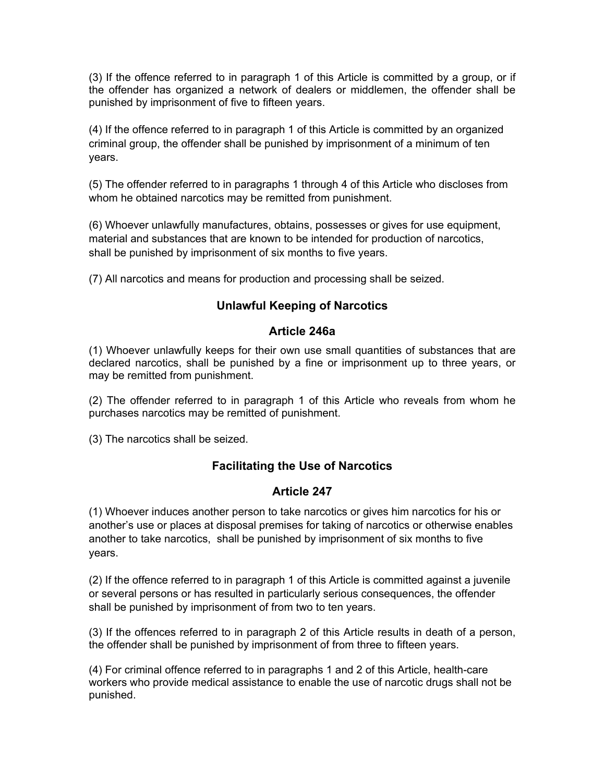(3) If the offence referred to in paragraph 1 of this Article is committed by a group, or if the offender has organized a network of dealers or middlemen, the offender shall be punished by imprisonment of five to fifteen years.

(4) If the offence referred to in paragraph 1 of this Article is committed by an organized criminal group, the offender shall be punished by imprisonment of a minimum of ten years.

(5) The offender referred to in paragraphs 1 through 4 of this Article who discloses from whom he obtained narcotics may be remitted from punishment.

(6) Whoever unlawfully manufactures, obtains, possesses or gives for use equipment, material and substances that are known to be intended for production of narcotics, shall be punished by imprisonment of six months to five years.

(7) All narcotics and means for production and processing shall be seized.

## **Unlawful Keeping of Narcotics**

### **Article 246a**

(1) Whoever unlawfully keeps for their own use small quantities of substances that are declared narcotics, shall be punished by a fine or imprisonment up to three years, or may be remitted from punishment.

(2) The offender referred to in paragraph 1 of this Article who reveals from whom he purchases narcotics may be remitted of punishment.

(3) The narcotics shall be seized.

## **Facilitating the Use of Narcotics**

### **Article 247**

(1) Whoever induces another person to take narcotics or gives him narcotics for his or another's use or places at disposal premises for taking of narcotics or otherwise enables another to take narcotics, shall be punished by imprisonment of six months to five years.

(2) If the offence referred to in paragraph 1 of this Article is committed against a juvenile or several persons or has resulted in particularly serious consequences, the offender shall be punished by imprisonment of from two to ten years.

(3) If the offences referred to in paragraph 2 of this Article results in death of a person, the offender shall be punished by imprisonment of from three to fifteen years.

(4) For criminal offence referred to in paragraphs 1 and 2 of this Article, health-care workers who provide medical assistance to enable the use of narcotic drugs shall not be punished.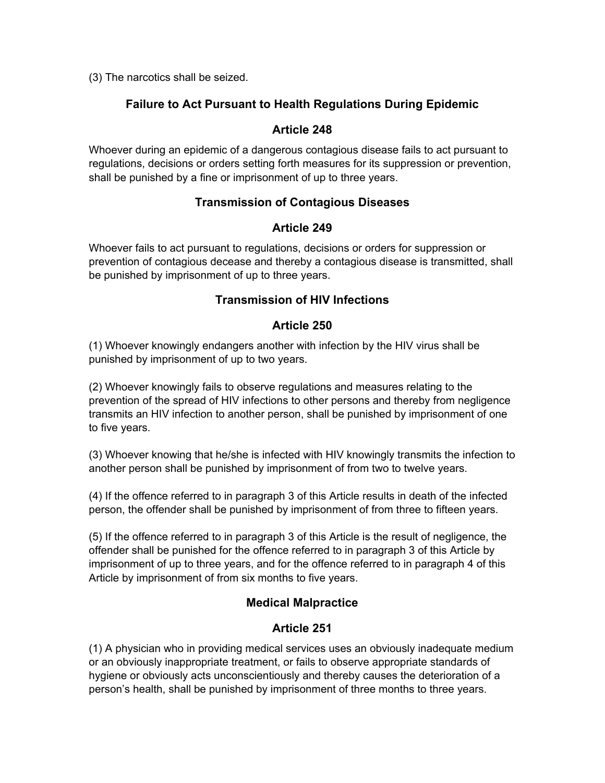(3) The narcotics shall be seized.

## **Failure to Act Pursuant to Health Regulations During Epidemic**

## **Article 248**

Whoever during an epidemic of a dangerous contagious disease fails to act pursuant to regulations, decisions or orders setting forth measures for its suppression or prevention, shall be punished by a fine or imprisonment of up to three years.

## **Transmission of Contagious Diseases**

## **Article 249**

Whoever fails to act pursuant to regulations, decisions or orders for suppression or prevention of contagious decease and thereby a contagious disease is transmitted, shall be punished by imprisonment of up to three years.

## **Transmission of HIV Infections**

## **Article 250**

(1) Whoever knowingly endangers another with infection by the HIV virus shall be punished by imprisonment of up to two years.

(2) Whoever knowingly fails to observe regulations and measures relating to the prevention of the spread of HIV infections to other persons and thereby from negligence transmits an HIV infection to another person, shall be punished by imprisonment of one to five years.

(3) Whoever knowing that he/she is infected with HIV knowingly transmits the infection to another person shall be punished by imprisonment of from two to twelve years.

(4) If the offence referred to in paragraph 3 of this Article results in death of the infected person, the offender shall be punished by imprisonment of from three to fifteen years.

(5) If the offence referred to in paragraph 3 of this Article is the result of negligence, the offender shall be punished for the offence referred to in paragraph 3 of this Article by imprisonment of up to three years, and for the offence referred to in paragraph 4 of this Article by imprisonment of from six months to five years.

## **Medical Malpractice**

## **Article 251**

(1) A physician who in providing medical services uses an obviously inadequate medium or an obviously inappropriate treatment, or fails to observe appropriate standards of hygiene or obviously acts unconscientiously and thereby causes the deterioration of a person's health, shall be punished by imprisonment of three months to three years.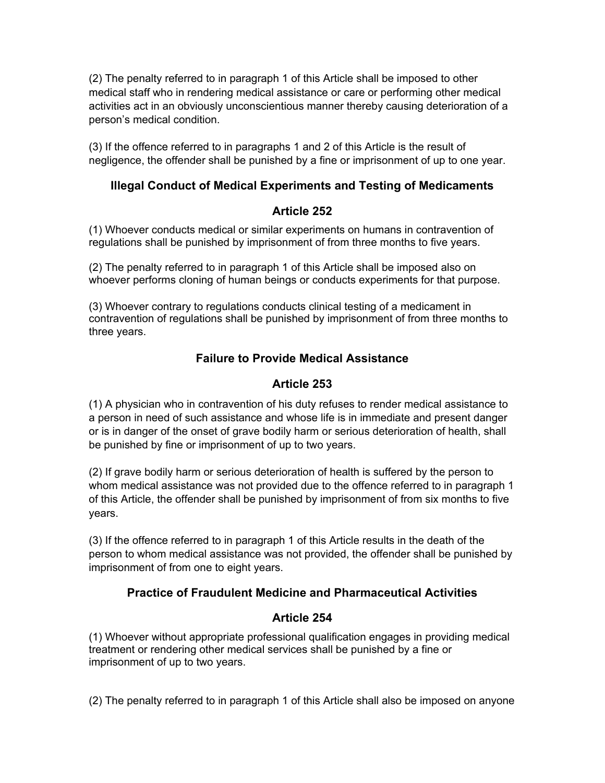(2) The penalty referred to in paragraph 1 of this Article shall be imposed to other medical staff who in rendering medical assistance or care or performing other medical activities act in an obviously unconscientious manner thereby causing deterioration of a person's medical condition.

(3) If the offence referred to in paragraphs 1 and 2 of this Article is the result of negligence, the offender shall be punished by a fine or imprisonment of up to one year.

## **Illegal Conduct of Medical Experiments and Testing of Medicaments**

#### **Article 252**

(1) Whoever conducts medical or similar experiments on humans in contravention of regulations shall be punished by imprisonment of from three months to five years.

(2) The penalty referred to in paragraph 1 of this Article shall be imposed also on whoever performs cloning of human beings or conducts experiments for that purpose.

(3) Whoever contrary to regulations conducts clinical testing of a medicament in contravention of regulations shall be punished by imprisonment of from three months to three years.

## **Failure to Provide Medical Assistance**

## **Article 253**

(1) A physician who in contravention of his duty refuses to render medical assistance to a person in need of such assistance and whose life is in immediate and present danger or is in danger of the onset of grave bodily harm or serious deterioration of health, shall be punished by fine or imprisonment of up to two years.

(2) If grave bodily harm or serious deterioration of health is suffered by the person to whom medical assistance was not provided due to the offence referred to in paragraph 1 of this Article, the offender shall be punished by imprisonment of from six months to five years.

(3) If the offence referred to in paragraph 1 of this Article results in the death of the person to whom medical assistance was not provided, the offender shall be punished by imprisonment of from one to eight years.

## **Practice of Fraudulent Medicine and Pharmaceutical Activities**

### **Article 254**

(1) Whoever without appropriate professional qualification engages in providing medical treatment or rendering other medical services shall be punished by a fine or imprisonment of up to two years.

(2) The penalty referred to in paragraph 1 of this Article shall also be imposed on anyone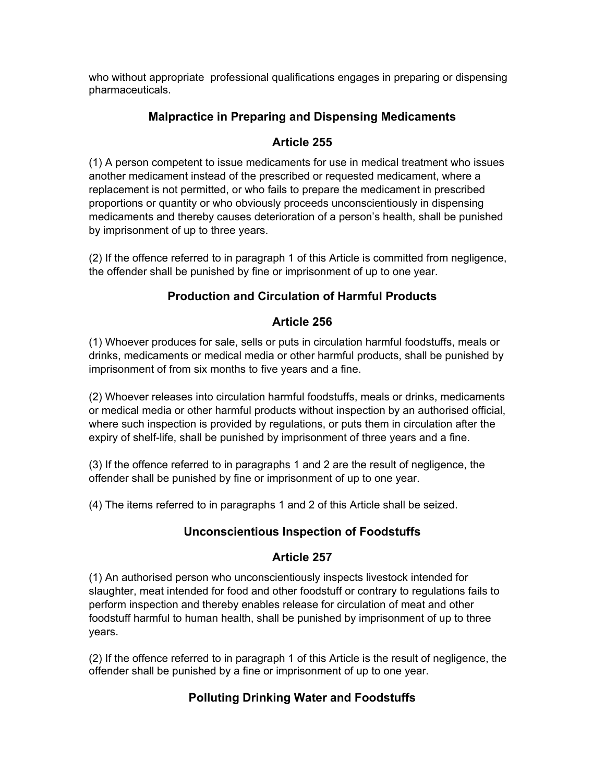who without appropriate professional qualifications engages in preparing or dispensing pharmaceuticals.

## **Malpractice in Preparing and Dispensing Medicaments**

## **Article 255**

(1) A person competent to issue medicaments for use in medical treatment who issues another medicament instead of the prescribed or requested medicament, where a replacement is not permitted, or who fails to prepare the medicament in prescribed proportions or quantity or who obviously proceeds unconscientiously in dispensing medicaments and thereby causes deterioration of a person's health, shall be punished by imprisonment of up to three years.

(2) If the offence referred to in paragraph 1 of this Article is committed from negligence, the offender shall be punished by fine or imprisonment of up to one year.

## **Production and Circulation of Harmful Products**

### **Article 256**

(1) Whoever produces for sale, sells or puts in circulation harmful foodstuffs, meals or drinks, medicaments or medical media or other harmful products, shall be punished by imprisonment of from six months to five years and a fine.

(2) Whoever releases into circulation harmful foodstuffs, meals or drinks, medicaments or medical media or other harmful products without inspection by an authorised official, where such inspection is provided by regulations, or puts them in circulation after the expiry of shelf-life, shall be punished by imprisonment of three years and a fine.

(3) If the offence referred to in paragraphs 1 and 2 are the result of negligence, the offender shall be punished by fine or imprisonment of up to one year.

(4) The items referred to in paragraphs 1 and 2 of this Article shall be seized.

## **Unconscientious Inspection of Foodstuffs**

## **Article 257**

(1) An authorised person who unconscientiously inspects livestock intended for slaughter, meat intended for food and other foodstuff or contrary to regulations fails to perform inspection and thereby enables release for circulation of meat and other foodstuff harmful to human health, shall be punished by imprisonment of up to three years.

(2) If the offence referred to in paragraph 1 of this Article is the result of negligence, the offender shall be punished by a fine or imprisonment of up to one year.

## **Polluting Drinking Water and Foodstuffs**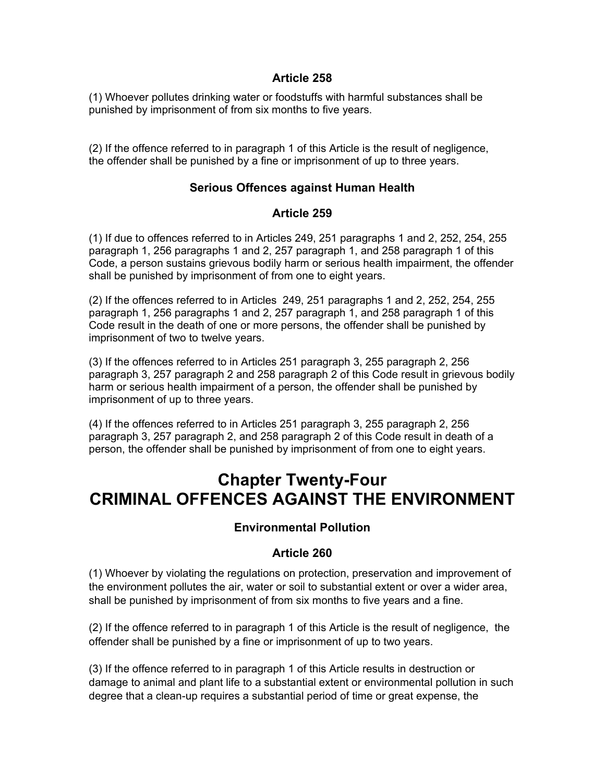#### **Article 258**

(1) Whoever pollutes drinking water or foodstuffs with harmful substances shall be punished by imprisonment of from six months to five years.

(2) If the offence referred to in paragraph 1 of this Article is the result of negligence, the offender shall be punished by a fine or imprisonment of up to three years.

### **Serious Offences against Human Health**

#### **Article 259**

(1) If due to offences referred to in Articles 249, 251 paragraphs 1 and 2, 252, 254, 255 paragraph 1, 256 paragraphs 1 and 2, 257 paragraph 1, and 258 paragraph 1 of this Code, a person sustains grievous bodily harm or serious health impairment, the offender shall be punished by imprisonment of from one to eight years.

(2) If the offences referred to in Articles 249, 251 paragraphs 1 and 2, 252, 254, 255 paragraph 1, 256 paragraphs 1 and 2, 257 paragraph 1, and 258 paragraph 1 of this Code result in the death of one or more persons, the offender shall be punished by imprisonment of two to twelve years.

(3) If the offences referred to in Articles 251 paragraph 3, 255 paragraph 2, 256 paragraph 3, 257 paragraph 2 and 258 paragraph 2 of this Code result in grievous bodily harm or serious health impairment of a person, the offender shall be punished by imprisonment of up to three years.

(4) If the offences referred to in Articles 251 paragraph 3, 255 paragraph 2, 256 paragraph 3, 257 paragraph 2, and 258 paragraph 2 of this Code result in death of a person, the offender shall be punished by imprisonment of from one to eight years.

# **Chapter Twenty-Four CRIMINAL OFFENCES AGAINST THE ENVIRONMENT**

### **Environmental Pollution**

### **Article 260**

(1) Whoever by violating the regulations on protection, preservation and improvement of the environment pollutes the air, water or soil to substantial extent or over a wider area, shall be punished by imprisonment of from six months to five years and a fine.

(2) If the offence referred to in paragraph 1 of this Article is the result of negligence, the offender shall be punished by a fine or imprisonment of up to two years.

(3) If the offence referred to in paragraph 1 of this Article results in destruction or damage to animal and plant life to a substantial extent or environmental pollution in such degree that a clean-up requires a substantial period of time or great expense, the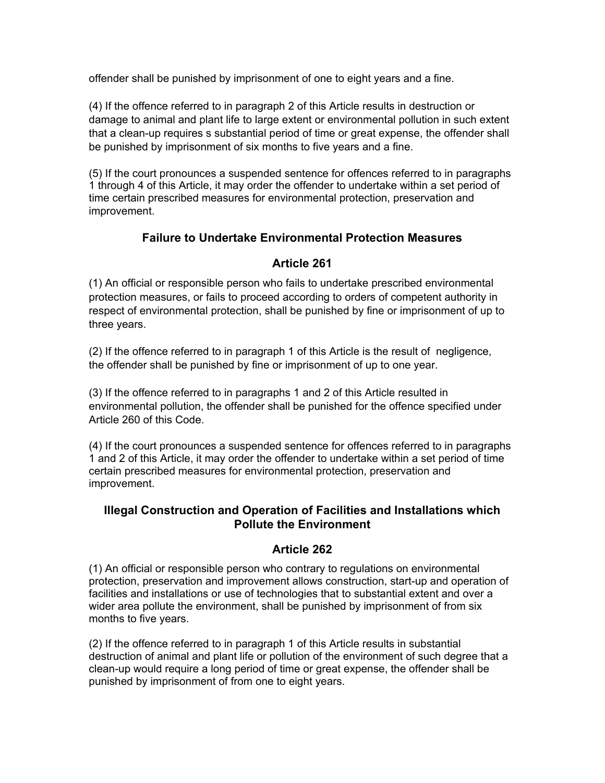offender shall be punished by imprisonment of one to eight years and a fine.

(4) If the offence referred to in paragraph 2 of this Article results in destruction or damage to animal and plant life to large extent or environmental pollution in such extent that a clean-up requires s substantial period of time or great expense, the offender shall be punished by imprisonment of six months to five years and a fine.

(5) If the court pronounces a suspended sentence for offences referred to in paragraphs 1 through 4 of this Article, it may order the offender to undertake within a set period of time certain prescribed measures for environmental protection, preservation and improvement.

### **Failure to Undertake Environmental Protection Measures**

## **Article 261**

(1) An official or responsible person who fails to undertake prescribed environmental protection measures, or fails to proceed according to orders of competent authority in respect of environmental protection, shall be punished by fine or imprisonment of up to three years.

(2) If the offence referred to in paragraph 1 of this Article is the result of negligence, the offender shall be punished by fine or imprisonment of up to one year.

(3) If the offence referred to in paragraphs 1 and 2 of this Article resulted in environmental pollution, the offender shall be punished for the offence specified under Article 260 of this Code.

(4) If the court pronounces a suspended sentence for offences referred to in paragraphs 1 and 2 of this Article, it may order the offender to undertake within a set period of time certain prescribed measures for environmental protection, preservation and improvement.

### **Illegal Construction and Operation of Facilities and Installations which Pollute the Environment**

### **Article 262**

(1) An official or responsible person who contrary to regulations on environmental protection, preservation and improvement allows construction, start-up and operation of facilities and installations or use of technologies that to substantial extent and over a wider area pollute the environment, shall be punished by imprisonment of from six months to five years.

(2) If the offence referred to in paragraph 1 of this Article results in substantial destruction of animal and plant life or pollution of the environment of such degree that a clean-up would require a long period of time or great expense, the offender shall be punished by imprisonment of from one to eight years.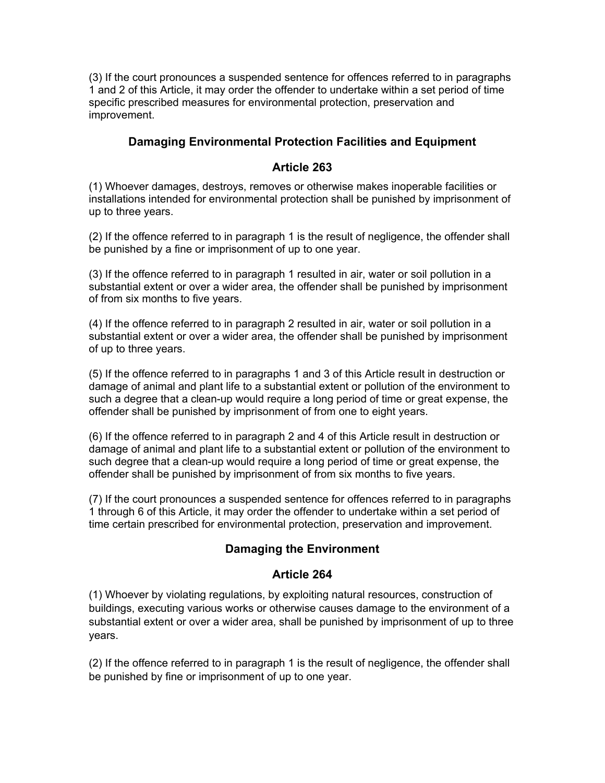(3) If the court pronounces a suspended sentence for offences referred to in paragraphs 1 and 2 of this Article, it may order the offender to undertake within a set period of time specific prescribed measures for environmental protection, preservation and improvement.

### **Damaging Environmental Protection Facilities and Equipment**

### **Article 263**

(1) Whoever damages, destroys, removes or otherwise makes inoperable facilities or installations intended for environmental protection shall be punished by imprisonment of up to three years.

(2) If the offence referred to in paragraph 1 is the result of negligence, the offender shall be punished by a fine or imprisonment of up to one year.

(3) If the offence referred to in paragraph 1 resulted in air, water or soil pollution in a substantial extent or over a wider area, the offender shall be punished by imprisonment of from six months to five years.

(4) If the offence referred to in paragraph 2 resulted in air, water or soil pollution in a substantial extent or over a wider area, the offender shall be punished by imprisonment of up to three years.

(5) If the offence referred to in paragraphs 1 and 3 of this Article result in destruction or damage of animal and plant life to a substantial extent or pollution of the environment to such a degree that a clean-up would require a long period of time or great expense, the offender shall be punished by imprisonment of from one to eight years.

(6) If the offence referred to in paragraph 2 and 4 of this Article result in destruction or damage of animal and plant life to a substantial extent or pollution of the environment to such degree that a clean-up would require a long period of time or great expense, the offender shall be punished by imprisonment of from six months to five years.

(7) If the court pronounces a suspended sentence for offences referred to in paragraphs 1 through 6 of this Article, it may order the offender to undertake within a set period of time certain prescribed for environmental protection, preservation and improvement.

## **Damaging the Environment**

## **Article 264**

(1) Whoever by violating regulations, by exploiting natural resources, construction of buildings, executing various works or otherwise causes damage to the environment of a substantial extent or over a wider area, shall be punished by imprisonment of up to three years.

(2) If the offence referred to in paragraph 1 is the result of negligence, the offender shall be punished by fine or imprisonment of up to one year.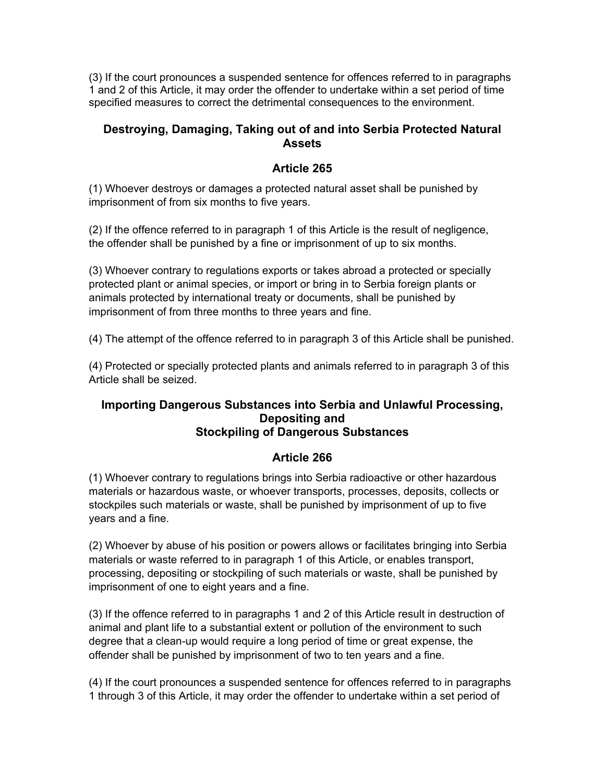(3) If the court pronounces a suspended sentence for offences referred to in paragraphs 1 and 2 of this Article, it may order the offender to undertake within a set period of time specified measures to correct the detrimental consequences to the environment.

### **Destroying, Damaging, Taking out of and into Serbia Protected Natural Assets**

## **Article 265**

(1) Whoever destroys or damages a protected natural asset shall be punished by imprisonment of from six months to five years.

(2) If the offence referred to in paragraph 1 of this Article is the result of negligence, the offender shall be punished by a fine or imprisonment of up to six months.

(3) Whoever contrary to regulations exports or takes abroad a protected or specially protected plant or animal species, or import or bring in to Serbia foreign plants or animals protected by international treaty or documents, shall be punished by imprisonment of from three months to three years and fine.

(4) The attempt of the offence referred to in paragraph 3 of this Article shall be punished.

(4) Protected or specially protected plants and animals referred to in paragraph 3 of this Article shall be seized.

#### **Importing Dangerous Substances into Serbia and Unlawful Processing, Depositing and Stockpiling of Dangerous Substances**

## **Article 266**

(1) Whoever contrary to regulations brings into Serbia radioactive or other hazardous materials or hazardous waste, or whoever transports, processes, deposits, collects or stockpiles such materials or waste, shall be punished by imprisonment of up to five years and a fine.

(2) Whoever by abuse of his position or powers allows or facilitates bringing into Serbia materials or waste referred to in paragraph 1 of this Article, or enables transport, processing, depositing or stockpiling of such materials or waste, shall be punished by imprisonment of one to eight years and a fine.

(3) If the offence referred to in paragraphs 1 and 2 of this Article result in destruction of animal and plant life to a substantial extent or pollution of the environment to such degree that a clean-up would require a long period of time or great expense, the offender shall be punished by imprisonment of two to ten years and a fine.

(4) If the court pronounces a suspended sentence for offences referred to in paragraphs 1 through 3 of this Article, it may order the offender to undertake within a set period of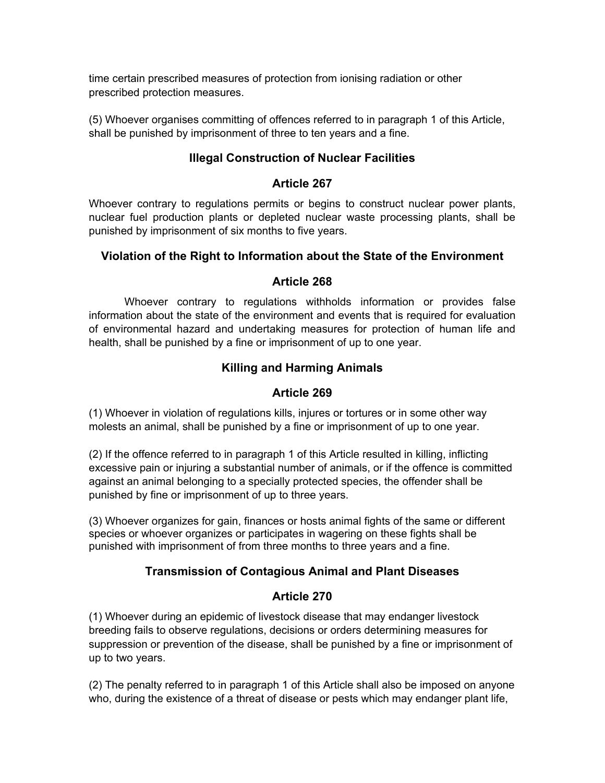time certain prescribed measures of protection from ionising radiation or other prescribed protection measures.

(5) Whoever organises committing of offences referred to in paragraph 1 of this Article, shall be punished by imprisonment of three to ten years and a fine.

## **Illegal Construction of Nuclear Facilities**

## **Article 267**

Whoever contrary to regulations permits or begins to construct nuclear power plants, nuclear fuel production plants or depleted nuclear waste processing plants, shall be punished by imprisonment of six months to five years.

## **Violation of the Right to Information about the State of the Environment**

## **Article 268**

Whoever contrary to regulations withholds information or provides false information about the state of the environment and events that is required for evaluation of environmental hazard and undertaking measures for protection of human life and health, shall be punished by a fine or imprisonment of up to one year.

## **Killing and Harming Animals**

## **Article 269**

(1) Whoever in violation of regulations kills, injures or tortures or in some other way molests an animal, shall be punished by a fine or imprisonment of up to one year.

(2) If the offence referred to in paragraph 1 of this Article resulted in killing, inflicting excessive pain or injuring a substantial number of animals, or if the offence is committed against an animal belonging to a specially protected species, the offender shall be punished by fine or imprisonment of up to three years.

(3) Whoever organizes for gain, finances or hosts animal fights of the same or different species or whoever organizes or participates in wagering on these fights shall be punished with imprisonment of from three months to three years and a fine.

## **Transmission of Contagious Animal and Plant Diseases**

### **Article 270**

(1) Whoever during an epidemic of livestock disease that may endanger livestock breeding fails to observe regulations, decisions or orders determining measures for suppression or prevention of the disease, shall be punished by a fine or imprisonment of up to two years.

(2) The penalty referred to in paragraph 1 of this Article shall also be imposed on anyone who, during the existence of a threat of disease or pests which may endanger plant life,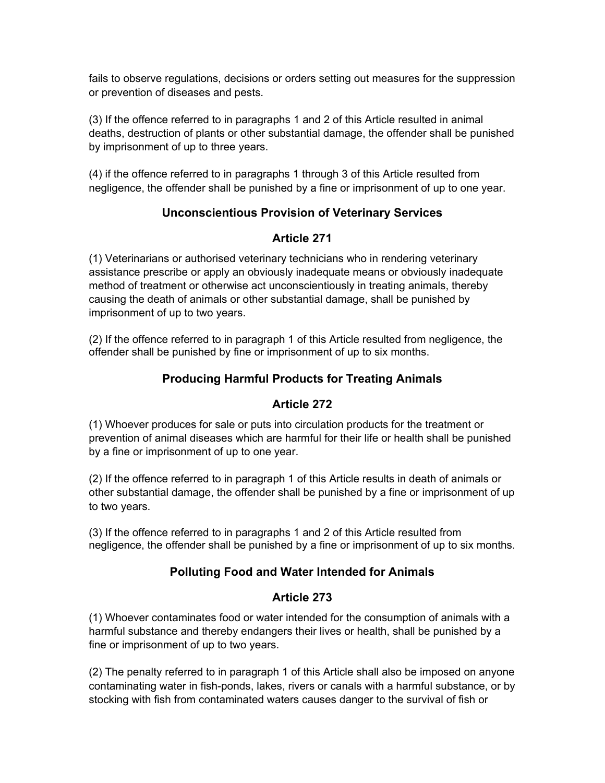fails to observe regulations, decisions or orders setting out measures for the suppression or prevention of diseases and pests.

(3) If the offence referred to in paragraphs 1 and 2 of this Article resulted in animal deaths, destruction of plants or other substantial damage, the offender shall be punished by imprisonment of up to three years.

(4) if the offence referred to in paragraphs 1 through 3 of this Article resulted from negligence, the offender shall be punished by a fine or imprisonment of up to one year.

## **Unconscientious Provision of Veterinary Services**

## **Article 271**

(1) Veterinarians or authorised veterinary technicians who in rendering veterinary assistance prescribe or apply an obviously inadequate means or obviously inadequate method of treatment or otherwise act unconscientiously in treating animals, thereby causing the death of animals or other substantial damage, shall be punished by imprisonment of up to two years.

(2) If the offence referred to in paragraph 1 of this Article resulted from negligence, the offender shall be punished by fine or imprisonment of up to six months.

## **Producing Harmful Products for Treating Animals**

### **Article 272**

(1) Whoever produces for sale or puts into circulation products for the treatment or prevention of animal diseases which are harmful for their life or health shall be punished by a fine or imprisonment of up to one year.

(2) If the offence referred to in paragraph 1 of this Article results in death of animals or other substantial damage, the offender shall be punished by a fine or imprisonment of up to two years.

(3) If the offence referred to in paragraphs 1 and 2 of this Article resulted from negligence, the offender shall be punished by a fine or imprisonment of up to six months.

## **Polluting Food and Water Intended for Animals**

### **Article 273**

(1) Whoever contaminates food or water intended for the consumption of animals with a harmful substance and thereby endangers their lives or health, shall be punished by a fine or imprisonment of up to two years.

(2) The penalty referred to in paragraph 1 of this Article shall also be imposed on anyone contaminating water in fish-ponds, lakes, rivers or canals with a harmful substance, or by stocking with fish from contaminated waters causes danger to the survival of fish or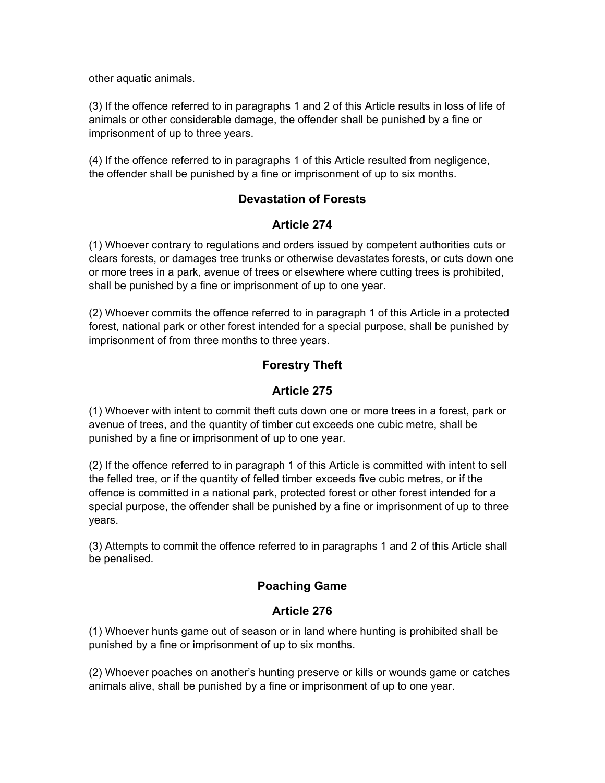other aquatic animals.

(3) If the offence referred to in paragraphs 1 and 2 of this Article results in loss of life of animals or other considerable damage, the offender shall be punished by a fine or imprisonment of up to three years.

(4) If the offence referred to in paragraphs 1 of this Article resulted from negligence, the offender shall be punished by a fine or imprisonment of up to six months.

### **Devastation of Forests**

### **Article 274**

(1) Whoever contrary to regulations and orders issued by competent authorities cuts or clears forests, or damages tree trunks or otherwise devastates forests, or cuts down one or more trees in a park, avenue of trees or elsewhere where cutting trees is prohibited, shall be punished by a fine or imprisonment of up to one year.

(2) Whoever commits the offence referred to in paragraph 1 of this Article in a protected forest, national park or other forest intended for a special purpose, shall be punished by imprisonment of from three months to three years.

## **Forestry Theft**

## **Article 275**

(1) Whoever with intent to commit theft cuts down one or more trees in a forest, park or avenue of trees, and the quantity of timber cut exceeds one cubic metre, shall be punished by a fine or imprisonment of up to one year.

(2) If the offence referred to in paragraph 1 of this Article is committed with intent to sell the felled tree, or if the quantity of felled timber exceeds five cubic metres, or if the offence is committed in a national park, protected forest or other forest intended for a special purpose, the offender shall be punished by a fine or imprisonment of up to three years.

(3) Attempts to commit the offence referred to in paragraphs 1 and 2 of this Article shall be penalised.

## **Poaching Game**

## **Article 276**

(1) Whoever hunts game out of season or in land where hunting is prohibited shall be punished by a fine or imprisonment of up to six months.

(2) Whoever poaches on another's hunting preserve or kills or wounds game or catches animals alive, shall be punished by a fine or imprisonment of up to one year.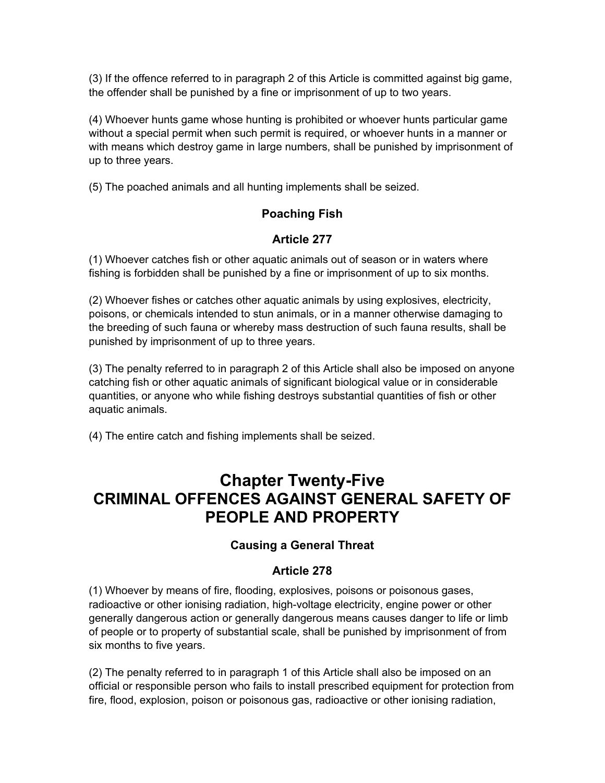(3) If the offence referred to in paragraph 2 of this Article is committed against big game, the offender shall be punished by a fine or imprisonment of up to two years.

(4) Whoever hunts game whose hunting is prohibited or whoever hunts particular game without a special permit when such permit is required, or whoever hunts in a manner or with means which destroy game in large numbers, shall be punished by imprisonment of up to three years.

(5) The poached animals and all hunting implements shall be seized.

# **Poaching Fish**

# **Article 277**

(1) Whoever catches fish or other aquatic animals out of season or in waters where fishing is forbidden shall be punished by a fine or imprisonment of up to six months.

(2) Whoever fishes or catches other aquatic animals by using explosives, electricity, poisons, or chemicals intended to stun animals, or in a manner otherwise damaging to the breeding of such fauna or whereby mass destruction of such fauna results, shall be punished by imprisonment of up to three years.

(3) The penalty referred to in paragraph 2 of this Article shall also be imposed on anyone catching fish or other aquatic animals of significant biological value or in considerable quantities, or anyone who while fishing destroys substantial quantities of fish or other aquatic animals.

(4) The entire catch and fishing implements shall be seized.

# **Chapter Twenty-Five CRIMINAL OFFENCES AGAINST GENERAL SAFETY OF PEOPLE AND PROPERTY**

# **Causing a General Threat**

# **Article 278**

(1) Whoever by means of fire, flooding, explosives, poisons or poisonous gases, radioactive or other ionising radiation, high-voltage electricity, engine power or other generally dangerous action or generally dangerous means causes danger to life or limb of people or to property of substantial scale, shall be punished by imprisonment of from six months to five years.

(2) The penalty referred to in paragraph 1 of this Article shall also be imposed on an official or responsible person who fails to install prescribed equipment for protection from fire, flood, explosion, poison or poisonous gas, radioactive or other ionising radiation,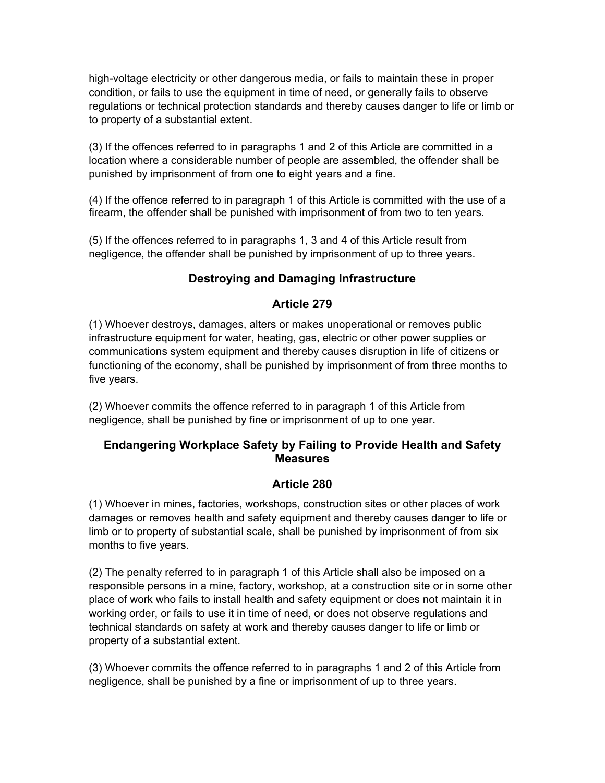high-voltage electricity or other dangerous media, or fails to maintain these in proper condition, or fails to use the equipment in time of need, or generally fails to observe regulations or technical protection standards and thereby causes danger to life or limb or to property of a substantial extent.

(3) If the offences referred to in paragraphs 1 and 2 of this Article are committed in a location where a considerable number of people are assembled, the offender shall be punished by imprisonment of from one to eight years and a fine.

(4) If the offence referred to in paragraph 1 of this Article is committed with the use of a firearm, the offender shall be punished with imprisonment of from two to ten years.

(5) If the offences referred to in paragraphs 1, 3 and 4 of this Article result from negligence, the offender shall be punished by imprisonment of up to three years.

#### **Destroying and Damaging Infrastructure**

#### **Article 279**

(1) Whoever destroys, damages, alters or makes unoperational or removes public infrastructure equipment for water, heating, gas, electric or other power supplies or communications system equipment and thereby causes disruption in life of citizens or functioning of the economy, shall be punished by imprisonment of from three months to five years.

(2) Whoever commits the offence referred to in paragraph 1 of this Article from negligence, shall be punished by fine or imprisonment of up to one year.

## **Endangering Workplace Safety by Failing to Provide Health and Safety Measures**

#### **Article 280**

(1) Whoever in mines, factories, workshops, construction sites or other places of work damages or removes health and safety equipment and thereby causes danger to life or limb or to property of substantial scale, shall be punished by imprisonment of from six months to five years.

(2) The penalty referred to in paragraph 1 of this Article shall also be imposed on a responsible persons in a mine, factory, workshop, at a construction site or in some other place of work who fails to install health and safety equipment or does not maintain it in working order, or fails to use it in time of need, or does not observe regulations and technical standards on safety at work and thereby causes danger to life or limb or property of a substantial extent.

(3) Whoever commits the offence referred to in paragraphs 1 and 2 of this Article from negligence, shall be punished by a fine or imprisonment of up to three years.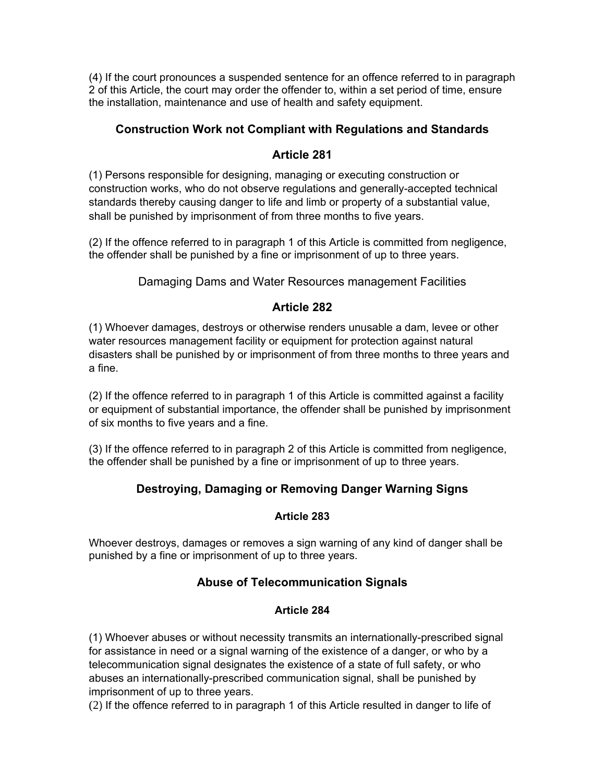(4) If the court pronounces a suspended sentence for an offence referred to in paragraph 2 of this Article, the court may order the offender to, within a set period of time, ensure the installation, maintenance and use of health and safety equipment.

## **Construction Work not Compliant with Regulations and Standards**

## **Article 281**

(1) Persons responsible for designing, managing or executing construction or construction works, who do not observe regulations and generally-accepted technical standards thereby causing danger to life and limb or property of a substantial value, shall be punished by imprisonment of from three months to five years.

(2) If the offence referred to in paragraph 1 of this Article is committed from negligence, the offender shall be punished by a fine or imprisonment of up to three years.

Damaging Dams and Water Resources management Facilities

## **Article 282**

(1) Whoever damages, destroys or otherwise renders unusable a dam, levee or other water resources management facility or equipment for protection against natural disasters shall be punished by or imprisonment of from three months to three years and a fine.

(2) If the offence referred to in paragraph 1 of this Article is committed against a facility or equipment of substantial importance, the offender shall be punished by imprisonment of six months to five years and a fine.

(3) If the offence referred to in paragraph 2 of this Article is committed from negligence, the offender shall be punished by a fine or imprisonment of up to three years.

# **Destroying, Damaging or Removing Danger Warning Signs**

#### **Article 283**

Whoever destroys, damages or removes a sign warning of any kind of danger shall be punished by a fine or imprisonment of up to three years.

# **Abuse of Telecommunication Signals**

#### **Article 284**

(1) Whoever abuses or without necessity transmits an internationally-prescribed signal for assistance in need or a signal warning of the existence of a danger, or who by a telecommunication signal designates the existence of a state of full safety, or who abuses an internationally-prescribed communication signal, shall be punished by imprisonment of up to three years.

(2) If the offence referred to in paragraph 1 of this Article resulted in danger to life of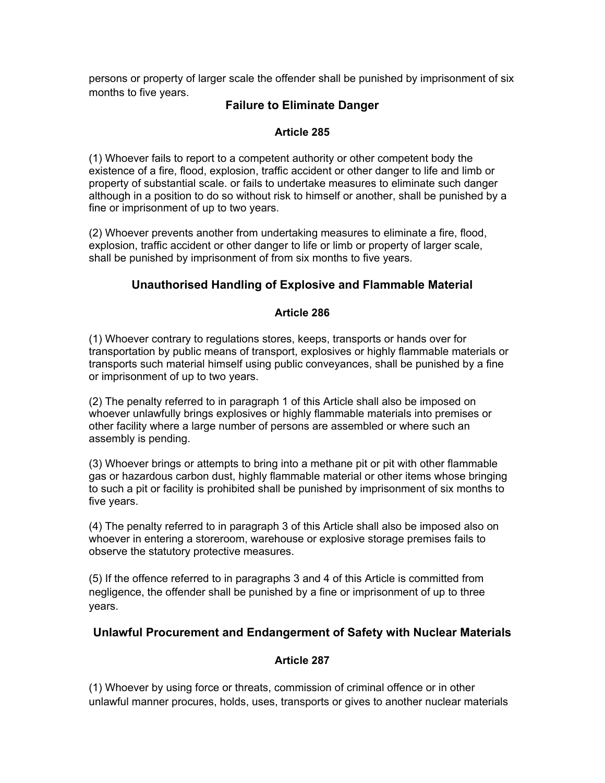persons or property of larger scale the offender shall be punished by imprisonment of six months to five years.

## **Failure to Eliminate Danger**

#### **Article 285**

(1) Whoever fails to report to a competent authority or other competent body the existence of a fire, flood, explosion, traffic accident or other danger to life and limb or property of substantial scale. or fails to undertake measures to eliminate such danger although in a position to do so without risk to himself or another, shall be punished by a fine or imprisonment of up to two years.

(2) Whoever prevents another from undertaking measures to eliminate a fire, flood, explosion, traffic accident or other danger to life or limb or property of larger scale, shall be punished by imprisonment of from six months to five years.

# **Unauthorised Handling of Explosive and Flammable Material**

#### **Article 286**

(1) Whoever contrary to regulations stores, keeps, transports or hands over for transportation by public means of transport, explosives or highly flammable materials or transports such material himself using public conveyances, shall be punished by a fine or imprisonment of up to two years.

(2) The penalty referred to in paragraph 1 of this Article shall also be imposed on whoever unlawfully brings explosives or highly flammable materials into premises or other facility where a large number of persons are assembled or where such an assembly is pending.

(3) Whoever brings or attempts to bring into a methane pit or pit with other flammable gas or hazardous carbon dust, highly flammable material or other items whose bringing to such a pit or facility is prohibited shall be punished by imprisonment of six months to five years.

(4) The penalty referred to in paragraph 3 of this Article shall also be imposed also on whoever in entering a storeroom, warehouse or explosive storage premises fails to observe the statutory protective measures.

(5) If the offence referred to in paragraphs 3 and 4 of this Article is committed from negligence, the offender shall be punished by a fine or imprisonment of up to three years.

#### **Unlawful Procurement and Endangerment of Safety with Nuclear Materials**

#### **Article 287**

(1) Whoever by using force or threats, commission of criminal offence or in other unlawful manner procures, holds, uses, transports or gives to another nuclear materials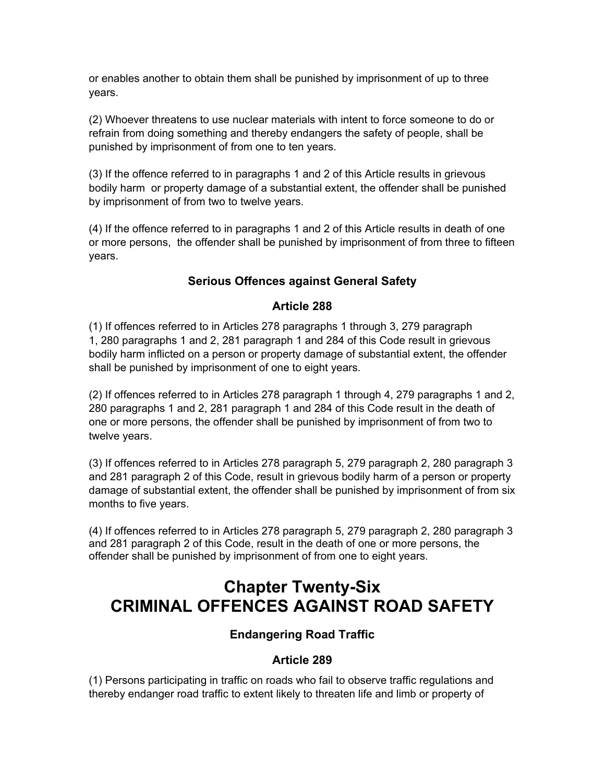or enables another to obtain them shall be punished by imprisonment of up to three years.

(2) Whoever threatens to use nuclear materials with intent to force someone to do or refrain from doing something and thereby endangers the safety of people, shall be punished by imprisonment of from one to ten years.

(3) If the offence referred to in paragraphs 1 and 2 of this Article results in grievous bodily harm or property damage of a substantial extent, the offender shall be punished by imprisonment of from two to twelve years.

(4) If the offence referred to in paragraphs 1 and 2 of this Article results in death of one or more persons, the offender shall be punished by imprisonment of from three to fifteen years.

# **Serious Offences against General Safety**

#### **Article 288**

(1) If offences referred to in Articles 278 paragraphs 1 through 3, 279 paragraph 1, 280 paragraphs 1 and 2, 281 paragraph 1 and 284 of this Code result in grievous bodily harm inflicted on a person or property damage of substantial extent, the offender shall be punished by imprisonment of one to eight years.

(2) If offences referred to in Articles 278 paragraph 1 through 4, 279 paragraphs 1 and 2, 280 paragraphs 1 and 2, 281 paragraph 1 and 284 of this Code result in the death of one or more persons, the offender shall be punished by imprisonment of from two to twelve years.

(3) If offences referred to in Articles 278 paragraph 5, 279 paragraph 2, 280 paragraph 3 and 281 paragraph 2 of this Code, result in grievous bodily harm of a person or property damage of substantial extent, the offender shall be punished by imprisonment of from six months to five years.

(4) If offences referred to in Articles 278 paragraph 5, 279 paragraph 2, 280 paragraph 3 and 281 paragraph 2 of this Code, result in the death of one or more persons, the offender shall be punished by imprisonment of from one to eight years.

# **Chapter Twenty-Six CRIMINAL OFFENCES AGAINST ROAD SAFETY**

# **Endangering Road Traffic**

#### **Article 289**

(1) Persons participating in traffic on roads who fail to observe traffic regulations and thereby endanger road traffic to extent likely to threaten life and limb or property of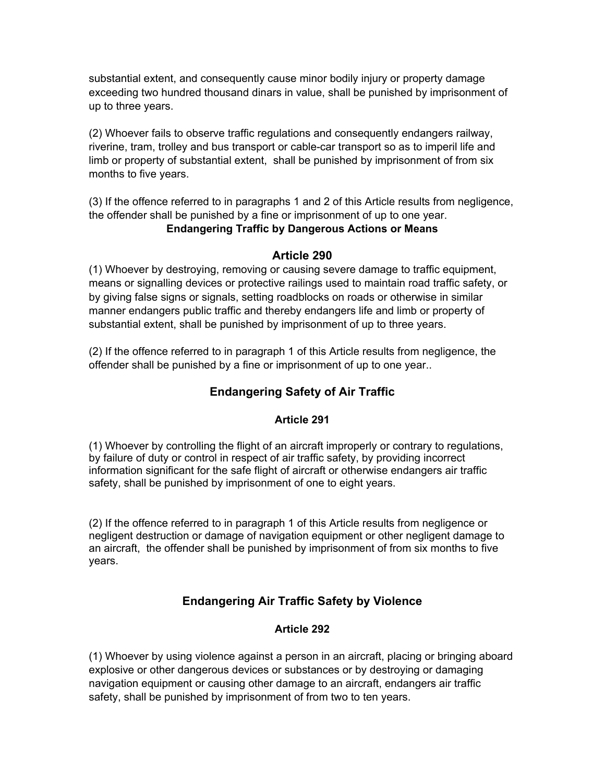substantial extent, and consequently cause minor bodily injury or property damage exceeding two hundred thousand dinars in value, shall be punished by imprisonment of up to three years.

(2) Whoever fails to observe traffic regulations and consequently endangers railway, riverine, tram, trolley and bus transport or cable-car transport so as to imperil life and limb or property of substantial extent, shall be punished by imprisonment of from six months to five years.

(3) If the offence referred to in paragraphs 1 and 2 of this Article results from negligence, the offender shall be punished by a fine or imprisonment of up to one year.

# **Endangering Traffic by Dangerous Actions or Means**

#### **Article 290**

(1) Whoever by destroying, removing or causing severe damage to traffic equipment, means or signalling devices or protective railings used to maintain road traffic safety, or by giving false signs or signals, setting roadblocks on roads or otherwise in similar manner endangers public traffic and thereby endangers life and limb or property of substantial extent, shall be punished by imprisonment of up to three years.

(2) If the offence referred to in paragraph 1 of this Article results from negligence, the offender shall be punished by a fine or imprisonment of up to one year..

# **Endangering Safety of Air Traffic**

#### **Article 291**

(1) Whoever by controlling the flight of an aircraft improperly or contrary to regulations, by failure of duty or control in respect of air traffic safety, by providing incorrect information significant for the safe flight of aircraft or otherwise endangers air traffic safety, shall be punished by imprisonment of one to eight years.

(2) If the offence referred to in paragraph 1 of this Article results from negligence or negligent destruction or damage of navigation equipment or other negligent damage to an aircraft, the offender shall be punished by imprisonment of from six months to five years.

# **Endangering Air Traffic Safety by Violence**

#### **Article 292**

(1) Whoever by using violence against a person in an aircraft, placing or bringing aboard explosive or other dangerous devices or substances or by destroying or damaging navigation equipment or causing other damage to an aircraft, endangers air traffic safety, shall be punished by imprisonment of from two to ten years.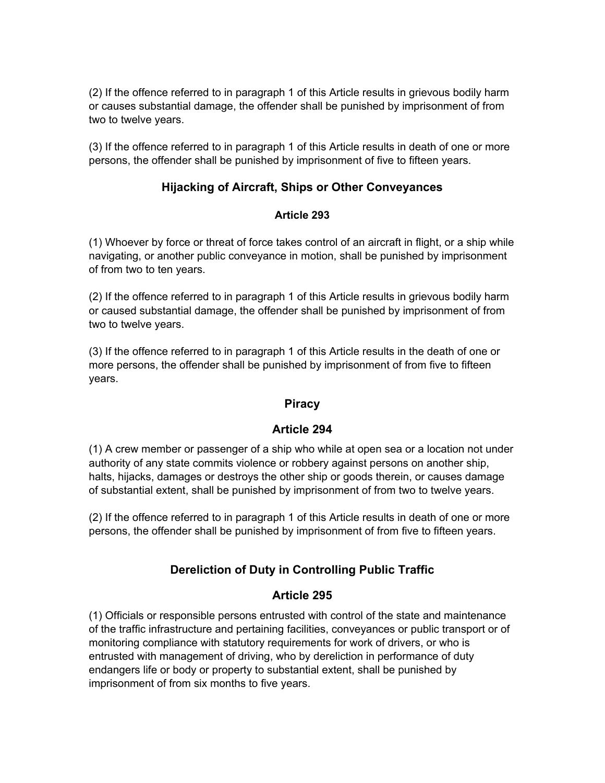(2) If the offence referred to in paragraph 1 of this Article results in grievous bodily harm or causes substantial damage, the offender shall be punished by imprisonment of from two to twelve years.

(3) If the offence referred to in paragraph 1 of this Article results in death of one or more persons, the offender shall be punished by imprisonment of five to fifteen years.

# **Hijacking of Aircraft, Ships or Other Conveyances**

#### **Article 293**

(1) Whoever by force or threat of force takes control of an aircraft in flight, or a ship while navigating, or another public conveyance in motion, shall be punished by imprisonment of from two to ten years.

(2) If the offence referred to in paragraph 1 of this Article results in grievous bodily harm or caused substantial damage, the offender shall be punished by imprisonment of from two to twelve years.

(3) If the offence referred to in paragraph 1 of this Article results in the death of one or more persons, the offender shall be punished by imprisonment of from five to fifteen years.

#### **Piracy**

#### **Article 294**

(1) A crew member or passenger of a ship who while at open sea or a location not under authority of any state commits violence or robbery against persons on another ship, halts, hijacks, damages or destroys the other ship or goods therein, or causes damage of substantial extent, shall be punished by imprisonment of from two to twelve years.

(2) If the offence referred to in paragraph 1 of this Article results in death of one or more persons, the offender shall be punished by imprisonment of from five to fifteen years.

# **Dereliction of Duty in Controlling Public Traffic**

#### **Article 295**

(1) Officials or responsible persons entrusted with control of the state and maintenance of the traffic infrastructure and pertaining facilities, conveyances or public transport or of monitoring compliance with statutory requirements for work of drivers, or who is entrusted with management of driving, who by dereliction in performance of duty endangers life or body or property to substantial extent, shall be punished by imprisonment of from six months to five years.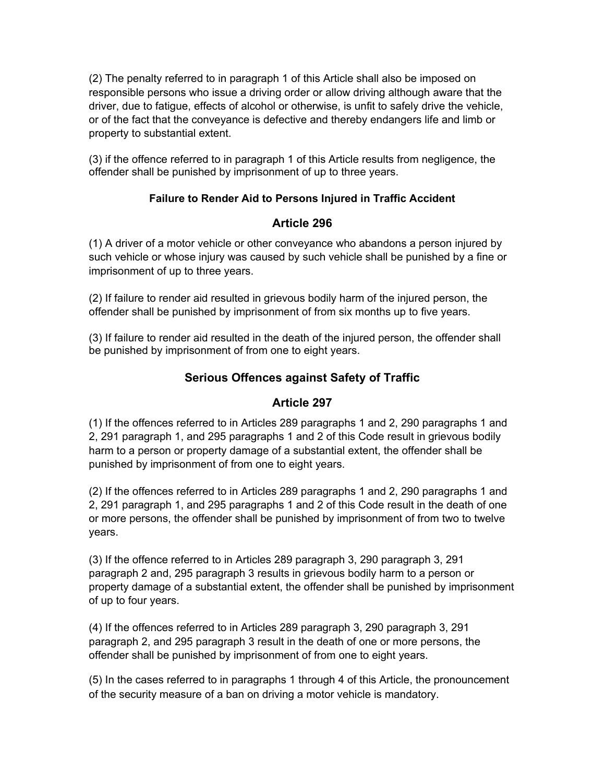(2) The penalty referred to in paragraph 1 of this Article shall also be imposed on responsible persons who issue a driving order or allow driving although aware that the driver, due to fatigue, effects of alcohol or otherwise, is unfit to safely drive the vehicle, or of the fact that the conveyance is defective and thereby endangers life and limb or property to substantial extent.

(3) if the offence referred to in paragraph 1 of this Article results from negligence, the offender shall be punished by imprisonment of up to three years.

## **Failure to Render Aid to Persons Injured in Traffic Accident**

## **Article 296**

(1) A driver of a motor vehicle or other conveyance who abandons a person injured by such vehicle or whose injury was caused by such vehicle shall be punished by a fine or imprisonment of up to three years.

(2) If failure to render aid resulted in grievous bodily harm of the injured person, the offender shall be punished by imprisonment of from six months up to five years.

(3) If failure to render aid resulted in the death of the injured person, the offender shall be punished by imprisonment of from one to eight years.

# **Serious Offences against Safety of Traffic**

#### **Article 297**

(1) If the offences referred to in Articles 289 paragraphs 1 and 2, 290 paragraphs 1 and 2, 291 paragraph 1, and 295 paragraphs 1 and 2 of this Code result in grievous bodily harm to a person or property damage of a substantial extent, the offender shall be punished by imprisonment of from one to eight years.

(2) If the offences referred to in Articles 289 paragraphs 1 and 2, 290 paragraphs 1 and 2, 291 paragraph 1, and 295 paragraphs 1 and 2 of this Code result in the death of one or more persons, the offender shall be punished by imprisonment of from two to twelve years.

(3) If the offence referred to in Articles 289 paragraph 3, 290 paragraph 3, 291 paragraph 2 and, 295 paragraph 3 results in grievous bodily harm to a person or property damage of a substantial extent, the offender shall be punished by imprisonment of up to four years.

(4) If the offences referred to in Articles 289 paragraph 3, 290 paragraph 3, 291 paragraph 2, and 295 paragraph 3 result in the death of one or more persons, the offender shall be punished by imprisonment of from one to eight years.

(5) In the cases referred to in paragraphs 1 through 4 of this Article, the pronouncement of the security measure of a ban on driving a motor vehicle is mandatory.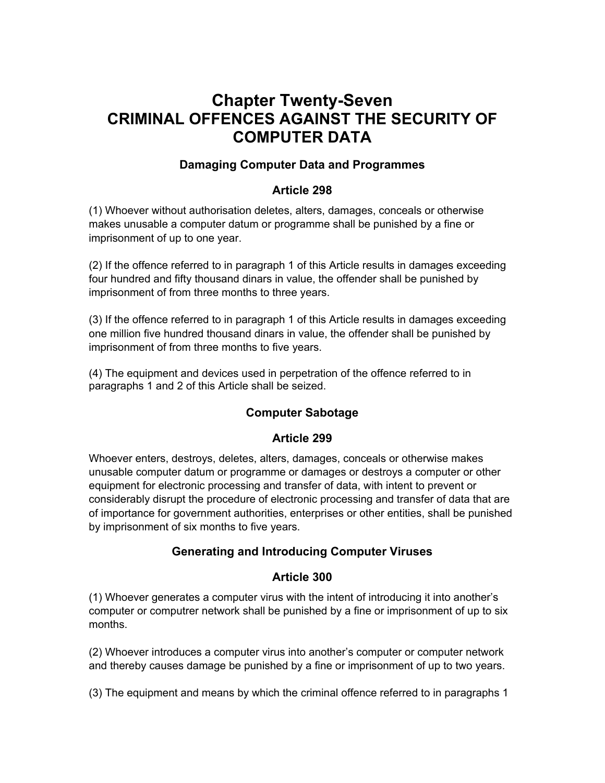# **Chapter Twenty-Seven CRIMINAL OFFENCES AGAINST THE SECURITY OF COMPUTER DATA**

## **Damaging Computer Data and Programmes**

#### **Article 298**

(1) Whoever without authorisation deletes, alters, damages, conceals or otherwise makes unusable a computer datum or programme shall be punished by a fine or imprisonment of up to one year.

(2) If the offence referred to in paragraph 1 of this Article results in damages exceeding four hundred and fifty thousand dinars in value, the offender shall be punished by imprisonment of from three months to three years.

(3) If the offence referred to in paragraph 1 of this Article results in damages exceeding one million five hundred thousand dinars in value, the offender shall be punished by imprisonment of from three months to five years.

(4) The equipment and devices used in perpetration of the offence referred to in paragraphs 1 and 2 of this Article shall be seized.

# **Computer Sabotage**

#### **Article 299**

Whoever enters, destroys, deletes, alters, damages, conceals or otherwise makes unusable computer datum or programme or damages or destroys a computer or other equipment for electronic processing and transfer of data, with intent to prevent or considerably disrupt the procedure of electronic processing and transfer of data that are of importance for government authorities, enterprises or other entities, shall be punished by imprisonment of six months to five years.

#### **Generating and Introducing Computer Viruses**

#### **Article 300**

(1) Whoever generates a computer virus with the intent of introducing it into another's computer or computrer network shall be punished by a fine or imprisonment of up to six months.

(2) Whoever introduces a computer virus into another's computer or computer network and thereby causes damage be punished by a fine or imprisonment of up to two years.

(3) The equipment and means by which the criminal offence referred to in paragraphs 1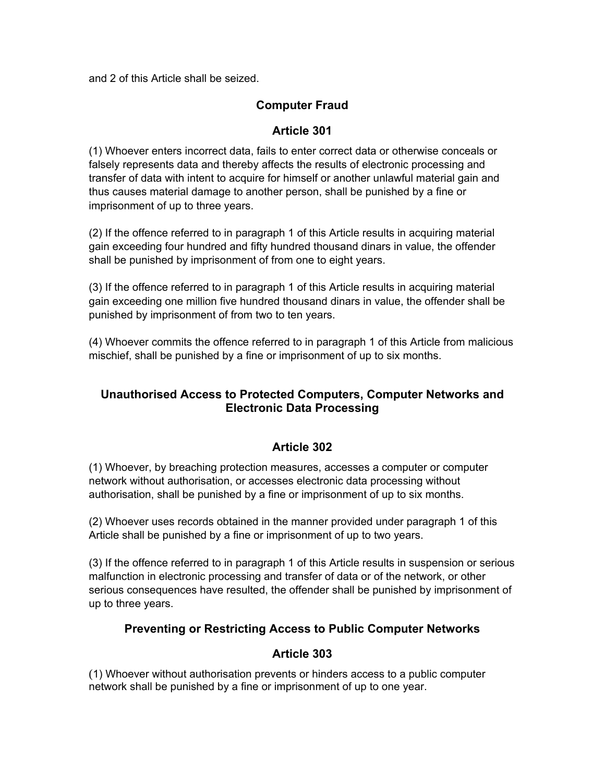and 2 of this Article shall be seized.

# **Computer Fraud**

## **Article 301**

(1) Whoever enters incorrect data, fails to enter correct data or otherwise conceals or falsely represents data and thereby affects the results of electronic processing and transfer of data with intent to acquire for himself or another unlawful material gain and thus causes material damage to another person, shall be punished by a fine or imprisonment of up to three years.

(2) If the offence referred to in paragraph 1 of this Article results in acquiring material gain exceeding four hundred and fifty hundred thousand dinars in value, the offender shall be punished by imprisonment of from one to eight years.

(3) If the offence referred to in paragraph 1 of this Article results in acquiring material gain exceeding one million five hundred thousand dinars in value, the offender shall be punished by imprisonment of from two to ten years.

(4) Whoever commits the offence referred to in paragraph 1 of this Article from malicious mischief, shall be punished by a fine or imprisonment of up to six months.

# **Unauthorised Access to Protected Computers, Computer Networks and Electronic Data Processing**

#### **Article 302**

(1) Whoever, by breaching protection measures, accesses a computer or computer network without authorisation, or accesses electronic data processing without authorisation, shall be punished by a fine or imprisonment of up to six months.

(2) Whoever uses records obtained in the manner provided under paragraph 1 of this Article shall be punished by a fine or imprisonment of up to two years.

(3) If the offence referred to in paragraph 1 of this Article results in suspension or serious malfunction in electronic processing and transfer of data or of the network, or other serious consequences have resulted, the offender shall be punished by imprisonment of up to three years.

#### **Preventing or Restricting Access to Public Computer Networks**

#### **Article 303**

(1) Whoever without authorisation prevents or hinders access to a public computer network shall be punished by a fine or imprisonment of up to one year.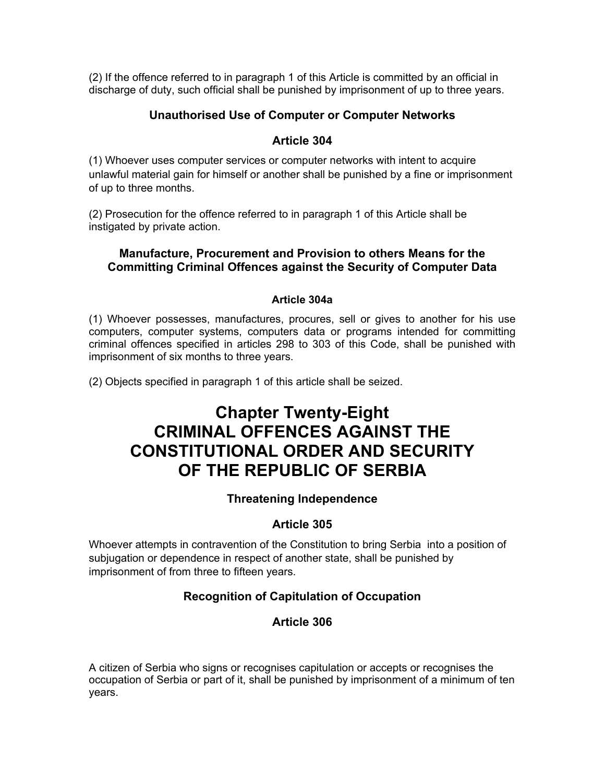(2) If the offence referred to in paragraph 1 of this Article is committed by an official in discharge of duty, such official shall be punished by imprisonment of up to three years.

## **Unauthorised Use of Computer or Computer Networks**

#### **Article 304**

(1) Whoever uses computer services or computer networks with intent to acquire unlawful material gain for himself or another shall be punished by a fine or imprisonment of up to three months.

(2) Prosecution for the offence referred to in paragraph 1 of this Article shall be instigated by private action.

#### **Manufacture, Procurement and Provision to others Means for the Committing Criminal Offences against the Security of Computer Data**

#### **Article 304a**

(1) Whoever possesses, manufactures, procures, sell or gives to another for his use computers, computer systems, computers data or programs intended for committing criminal offences specified in articles 298 to 303 of this Code, shall be punished with imprisonment of six months to three years.

(2) Objects specified in paragraph 1 of this article shall be seized.

# **Chapter Twenty-Eight CRIMINAL OFFENCES AGAINST THE CONSTITUTIONAL ORDER AND SECURITY OF THE REPUBLIC OF SERBIA**

#### **Threatening Independence**

#### **Article 305**

Whoever attempts in contravention of the Constitution to bring Serbia into a position of subjugation or dependence in respect of another state, shall be punished by imprisonment of from three to fifteen years.

# **Recognition of Capitulation of Occupation**

#### **Article 306**

A citizen of Serbia who signs or recognises capitulation or accepts or recognises the occupation of Serbia or part of it, shall be punished by imprisonment of a minimum of ten years.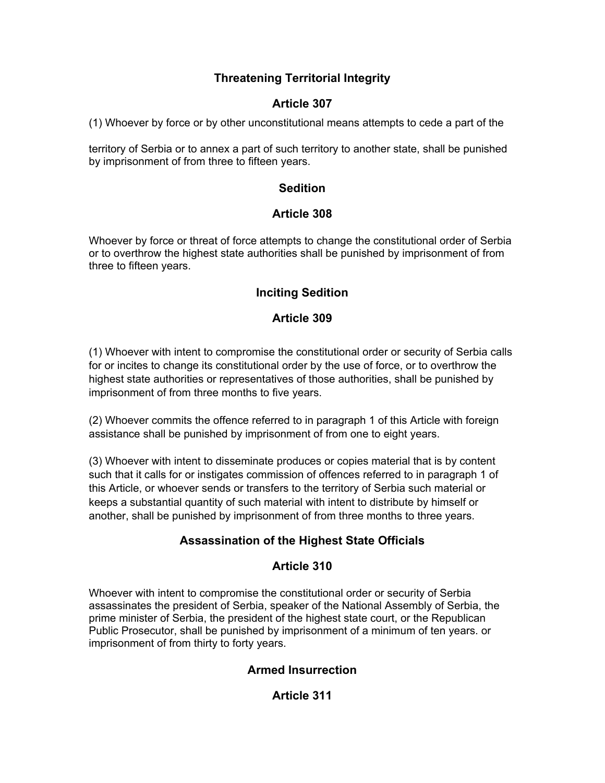# **Threatening Territorial Integrity**

# **Article 307**

(1) Whoever by force or by other unconstitutional means attempts to cede a part of the

territory of Serbia or to annex a part of such territory to another state, shall be punished by imprisonment of from three to fifteen years.

# **Sedition**

# **Article 308**

Whoever by force or threat of force attempts to change the constitutional order of Serbia or to overthrow the highest state authorities shall be punished by imprisonment of from three to fifteen years.

# **Inciting Sedition**

# **Article 309**

(1) Whoever with intent to compromise the constitutional order or security of Serbia calls for or incites to change its constitutional order by the use of force, or to overthrow the highest state authorities or representatives of those authorities, shall be punished by imprisonment of from three months to five years.

(2) Whoever commits the offence referred to in paragraph 1 of this Article with foreign assistance shall be punished by imprisonment of from one to eight years.

(3) Whoever with intent to disseminate produces or copies material that is by content such that it calls for or instigates commission of offences referred to in paragraph 1 of this Article, or whoever sends or transfers to the territory of Serbia such material or keeps a substantial quantity of such material with intent to distribute by himself or another, shall be punished by imprisonment of from three months to three years.

# **Assassination of the Highest State Officials**

# **Article 310**

Whoever with intent to compromise the constitutional order or security of Serbia assassinates the president of Serbia, speaker of the National Assembly of Serbia, the prime minister of Serbia, the president of the highest state court, or the Republican Public Prosecutor, shall be punished by imprisonment of a minimum of ten years. or imprisonment of from thirty to forty years.

# **Armed Insurrection**

# **Article 311**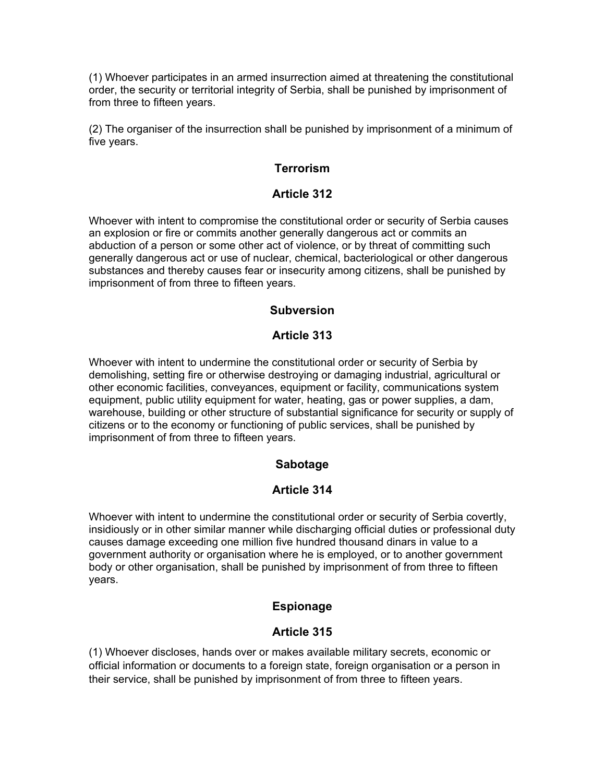(1) Whoever participates in an armed insurrection aimed at threatening the constitutional order, the security or territorial integrity of Serbia, shall be punished by imprisonment of from three to fifteen years.

(2) The organiser of the insurrection shall be punished by imprisonment of a minimum of five years.

## **Terrorism**

#### **Article 312**

Whoever with intent to compromise the constitutional order or security of Serbia causes an explosion or fire or commits another generally dangerous act or commits an abduction of a person or some other act of violence, or by threat of committing such generally dangerous act or use of nuclear, chemical, bacteriological or other dangerous substances and thereby causes fear or insecurity among citizens, shall be punished by imprisonment of from three to fifteen years.

#### **Subversion**

#### **Article 313**

Whoever with intent to undermine the constitutional order or security of Serbia by demolishing, setting fire or otherwise destroying or damaging industrial, agricultural or other economic facilities, conveyances, equipment or facility, communications system equipment, public utility equipment for water, heating, gas or power supplies, a dam, warehouse, building or other structure of substantial significance for security or supply of citizens or to the economy or functioning of public services, shall be punished by imprisonment of from three to fifteen years.

#### **Sabotage**

#### **Article 314**

Whoever with intent to undermine the constitutional order or security of Serbia covertly, insidiously or in other similar manner while discharging official duties or professional duty causes damage exceeding one million five hundred thousand dinars in value to a government authority or organisation where he is employed, or to another government body or other organisation, shall be punished by imprisonment of from three to fifteen years.

# **Espionage**

# **Article 315**

(1) Whoever discloses, hands over or makes available military secrets, economic or official information or documents to a foreign state, foreign organisation or a person in their service, shall be punished by imprisonment of from three to fifteen years.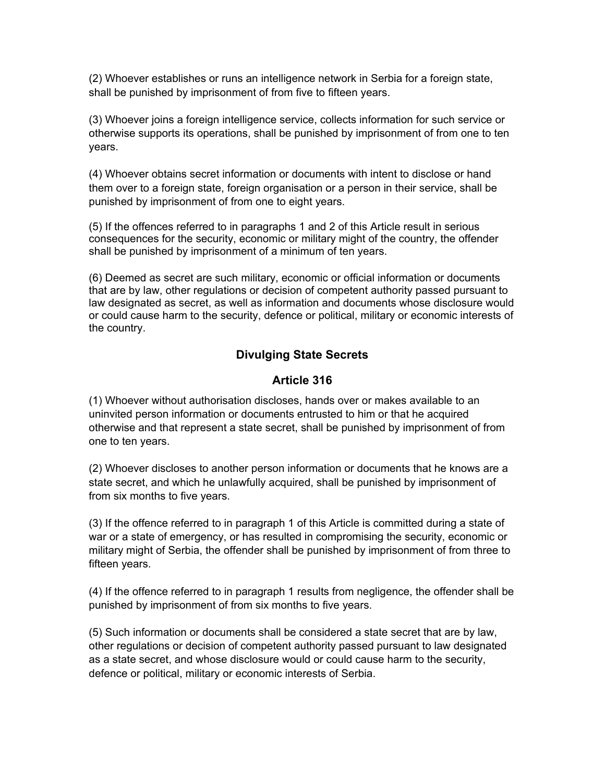(2) Whoever establishes or runs an intelligence network in Serbia for a foreign state, shall be punished by imprisonment of from five to fifteen years.

(3) Whoever joins a foreign intelligence service, collects information for such service or otherwise supports its operations, shall be punished by imprisonment of from one to ten years.

(4) Whoever obtains secret information or documents with intent to disclose or hand them over to a foreign state, foreign organisation or a person in their service, shall be punished by imprisonment of from one to eight years.

(5) If the offences referred to in paragraphs 1 and 2 of this Article result in serious consequences for the security, economic or military might of the country, the offender shall be punished by imprisonment of a minimum of ten years.

(6) Deemed as secret are such military, economic or official information or documents that are by law, other regulations or decision of competent authority passed pursuant to law designated as secret, as well as information and documents whose disclosure would or could cause harm to the security, defence or political, military or economic interests of the country.

# **Divulging State Secrets**

## **Article 316**

(1) Whoever without authorisation discloses, hands over or makes available to an uninvited person information or documents entrusted to him or that he acquired otherwise and that represent a state secret, shall be punished by imprisonment of from one to ten years.

(2) Whoever discloses to another person information or documents that he knows are a state secret, and which he unlawfully acquired, shall be punished by imprisonment of from six months to five years.

(3) If the offence referred to in paragraph 1 of this Article is committed during a state of war or a state of emergency, or has resulted in compromising the security, economic or military might of Serbia, the offender shall be punished by imprisonment of from three to fifteen years.

(4) If the offence referred to in paragraph 1 results from negligence, the offender shall be punished by imprisonment of from six months to five years.

(5) Such information or documents shall be considered a state secret that are by law, other regulations or decision of competent authority passed pursuant to law designated as a state secret, and whose disclosure would or could cause harm to the security, defence or political, military or economic interests of Serbia.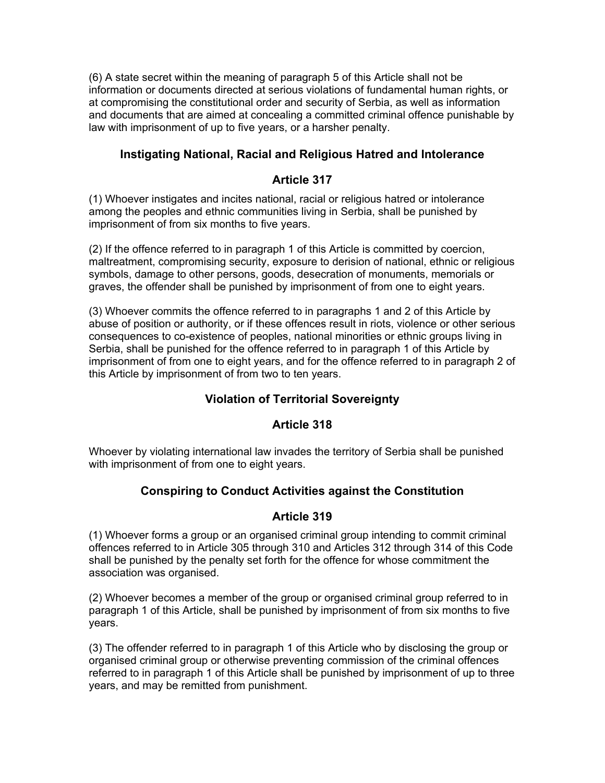(6) A state secret within the meaning of paragraph 5 of this Article shall not be information or documents directed at serious violations of fundamental human rights, or at compromising the constitutional order and security of Serbia, as well as information and documents that are aimed at concealing a committed criminal offence punishable by law with imprisonment of up to five years, or a harsher penalty.

## **Instigating National, Racial and Religious Hatred and Intolerance**

#### **Article 317**

(1) Whoever instigates and incites national, racial or religious hatred or intolerance among the peoples and ethnic communities living in Serbia, shall be punished by imprisonment of from six months to five years.

(2) If the offence referred to in paragraph 1 of this Article is committed by coercion, maltreatment, compromising security, exposure to derision of national, ethnic or religious symbols, damage to other persons, goods, desecration of monuments, memorials or graves, the offender shall be punished by imprisonment of from one to eight years.

(3) Whoever commits the offence referred to in paragraphs 1 and 2 of this Article by abuse of position or authority, or if these offences result in riots, violence or other serious consequences to co-existence of peoples, national minorities or ethnic groups living in Serbia, shall be punished for the offence referred to in paragraph 1 of this Article by imprisonment of from one to eight years, and for the offence referred to in paragraph 2 of this Article by imprisonment of from two to ten years.

# **Violation of Territorial Sovereignty**

#### **Article 318**

Whoever by violating international law invades the territory of Serbia shall be punished with imprisonment of from one to eight years.

#### **Conspiring to Conduct Activities against the Constitution**

#### **Article 319**

(1) Whoever forms a group or an organised criminal group intending to commit criminal offences referred to in Article 305 through 310 and Articles 312 through 314 of this Code shall be punished by the penalty set forth for the offence for whose commitment the association was organised.

(2) Whoever becomes a member of the group or organised criminal group referred to in paragraph 1 of this Article, shall be punished by imprisonment of from six months to five years.

(3) The offender referred to in paragraph 1 of this Article who by disclosing the group or organised criminal group or otherwise preventing commission of the criminal offences referred to in paragraph 1 of this Article shall be punished by imprisonment of up to three years, and may be remitted from punishment.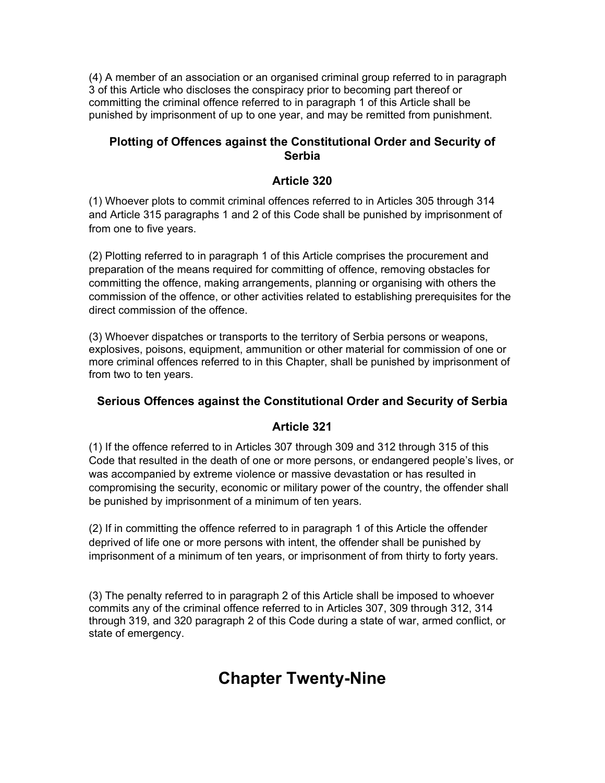(4) A member of an association or an organised criminal group referred to in paragraph 3 of this Article who discloses the conspiracy prior to becoming part thereof or committing the criminal offence referred to in paragraph 1 of this Article shall be punished by imprisonment of up to one year, and may be remitted from punishment.

### **Plotting of Offences against the Constitutional Order and Security of Serbia**

## **Article 320**

(1) Whoever plots to commit criminal offences referred to in Articles 305 through 314 and Article 315 paragraphs 1 and 2 of this Code shall be punished by imprisonment of from one to five years.

(2) Plotting referred to in paragraph 1 of this Article comprises the procurement and preparation of the means required for committing of offence, removing obstacles for committing the offence, making arrangements, planning or organising with others the commission of the offence, or other activities related to establishing prerequisites for the direct commission of the offence.

(3) Whoever dispatches or transports to the territory of Serbia persons or weapons, explosives, poisons, equipment, ammunition or other material for commission of one or more criminal offences referred to in this Chapter, shall be punished by imprisonment of from two to ten years.

# **Serious Offences against the Constitutional Order and Security of Serbia**

#### **Article 321**

(1) If the offence referred to in Articles 307 through 309 and 312 through 315 of this Code that resulted in the death of one or more persons, or endangered people's lives, or was accompanied by extreme violence or massive devastation or has resulted in compromising the security, economic or military power of the country, the offender shall be punished by imprisonment of a minimum of ten years.

(2) If in committing the offence referred to in paragraph 1 of this Article the offender deprived of life one or more persons with intent, the offender shall be punished by imprisonment of a minimum of ten years, or imprisonment of from thirty to forty years.

(3) The penalty referred to in paragraph 2 of this Article shall be imposed to whoever commits any of the criminal offence referred to in Articles 307, 309 through 312, 314 through 319, and 320 paragraph 2 of this Code during a state of war, armed conflict, or state of emergency.

# **Chapter Twenty-Nine**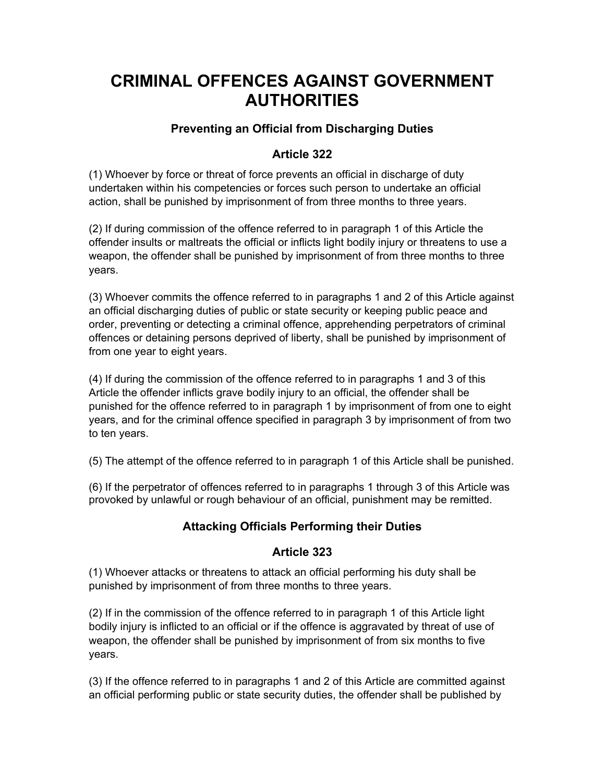# **CRIMINAL OFFENCES AGAINST GOVERNMENT AUTHORITIES**

# **Preventing an Official from Discharging Duties**

# **Article 322**

(1) Whoever by force or threat of force prevents an official in discharge of duty undertaken within his competencies or forces such person to undertake an official action, shall be punished by imprisonment of from three months to three years.

(2) If during commission of the offence referred to in paragraph 1 of this Article the offender insults or maltreats the official or inflicts light bodily injury or threatens to use a weapon, the offender shall be punished by imprisonment of from three months to three years.

(3) Whoever commits the offence referred to in paragraphs 1 and 2 of this Article against an official discharging duties of public or state security or keeping public peace and order, preventing or detecting a criminal offence, apprehending perpetrators of criminal offences or detaining persons deprived of liberty, shall be punished by imprisonment of from one year to eight years.

(4) If during the commission of the offence referred to in paragraphs 1 and 3 of this Article the offender inflicts grave bodily injury to an official, the offender shall be punished for the offence referred to in paragraph 1 by imprisonment of from one to eight years, and for the criminal offence specified in paragraph 3 by imprisonment of from two to ten years.

(5) The attempt of the offence referred to in paragraph 1 of this Article shall be punished.

(6) If the perpetrator of offences referred to in paragraphs 1 through 3 of this Article was provoked by unlawful or rough behaviour of an official, punishment may be remitted.

# **Attacking Officials Performing their Duties**

# **Article 323**

(1) Whoever attacks or threatens to attack an official performing his duty shall be punished by imprisonment of from three months to three years.

(2) If in the commission of the offence referred to in paragraph 1 of this Article light bodily injury is inflicted to an official or if the offence is aggravated by threat of use of weapon, the offender shall be punished by imprisonment of from six months to five years.

(3) If the offence referred to in paragraphs 1 and 2 of this Article are committed against an official performing public or state security duties, the offender shall be published by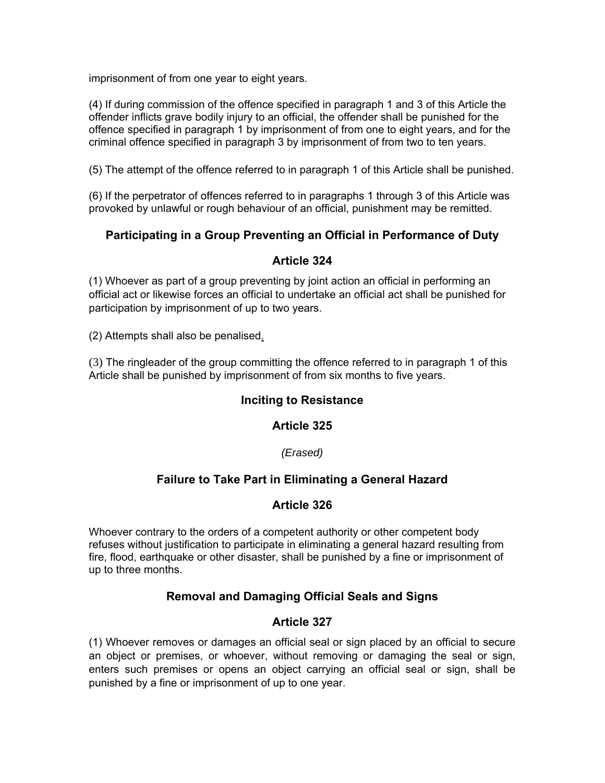imprisonment of from one year to eight years.

(4) If during commission of the offence specified in paragraph 1 and 3 of this Article the offender inflicts grave bodily injury to an official, the offender shall be punished for the offence specified in paragraph 1 by imprisonment of from one to eight years, and for the criminal offence specified in paragraph 3 by imprisonment of from two to ten years.

(5) The attempt of the offence referred to in paragraph 1 of this Article shall be punished.

(6) If the perpetrator of offences referred to in paragraphs 1 through 3 of this Article was provoked by unlawful or rough behaviour of an official, punishment may be remitted.

## **Participating in a Group Preventing an Official in Performance of Duty**

#### **Article 324**

(1) Whoever as part of a group preventing by joint action an official in performing an official act or likewise forces an official to undertake an official act shall be punished for participation by imprisonment of up to two years.

(2) Attempts shall also be penalised.

(3) The ringleader of the group committing the offence referred to in paragraph 1 of this Article shall be punished by imprisonment of from six months to five years.

#### **Inciting to Resistance**

#### **Article 325**

#### *(Erased)*

#### **Failure to Take Part in Eliminating a General Hazard**

#### **Article 326**

Whoever contrary to the orders of a competent authority or other competent body refuses without justification to participate in eliminating a general hazard resulting from fire, flood, earthquake or other disaster, shall be punished by a fine or imprisonment of up to three months.

#### **Removal and Damaging Official Seals and Signs**

#### **Article 327**

(1) Whoever removes or damages an official seal or sign placed by an official to secure an object or premises, or whoever, without removing or damaging the seal or sign, enters such premises or opens an object carrying an official seal or sign, shall be punished by a fine or imprisonment of up to one year.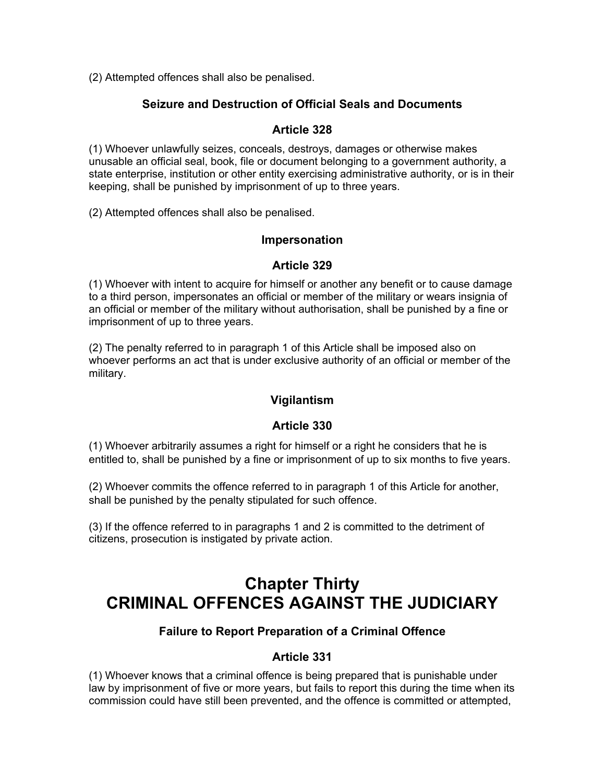(2) Attempted offences shall also be penalised.

#### **Seizure and Destruction of Official Seals and Documents**

#### **Article 328**

(1) Whoever unlawfully seizes, conceals, destroys, damages or otherwise makes unusable an official seal, book, file or document belonging to a government authority, a state enterprise, institution or other entity exercising administrative authority, or is in their keeping, shall be punished by imprisonment of up to three years.

(2) Attempted offences shall also be penalised.

#### **Impersonation**

#### **Article 329**

(1) Whoever with intent to acquire for himself or another any benefit or to cause damage to a third person, impersonates an official or member of the military or wears insignia of an official or member of the military without authorisation, shall be punished by a fine or imprisonment of up to three years.

(2) The penalty referred to in paragraph 1 of this Article shall be imposed also on whoever performs an act that is under exclusive authority of an official or member of the military.

#### **Vigilantism**

#### **Article 330**

(1) Whoever arbitrarily assumes a right for himself or a right he considers that he is entitled to, shall be punished by a fine or imprisonment of up to six months to five years.

(2) Whoever commits the offence referred to in paragraph 1 of this Article for another, shall be punished by the penalty stipulated for such offence.

(3) If the offence referred to in paragraphs 1 and 2 is committed to the detriment of citizens, prosecution is instigated by private action.

# **Chapter Thirty CRIMINAL OFFENCES AGAINST THE JUDICIARY**

#### **Failure to Report Preparation of a Criminal Offence**

#### **Article 331**

(1) Whoever knows that a criminal offence is being prepared that is punishable under law by imprisonment of five or more years, but fails to report this during the time when its commission could have still been prevented, and the offence is committed or attempted,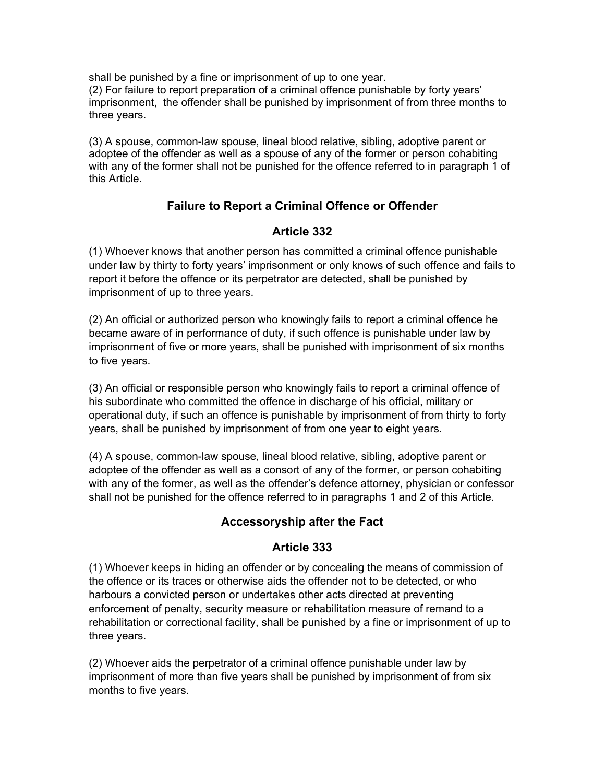shall be punished by a fine or imprisonment of up to one year. (2) For failure to report preparation of a criminal offence punishable by forty years' imprisonment, the offender shall be punished by imprisonment of from three months to three years.

(3) A spouse, common-law spouse, lineal blood relative, sibling, adoptive parent or adoptee of the offender as well as a spouse of any of the former or person cohabiting with any of the former shall not be punished for the offence referred to in paragraph 1 of this Article.

# **Failure to Report a Criminal Offence or Offender**

# **Article 332**

(1) Whoever knows that another person has committed a criminal offence punishable under law by thirty to forty years' imprisonment or only knows of such offence and fails to report it before the offence or its perpetrator are detected, shall be punished by imprisonment of up to three years.

(2) An official or authorized person who knowingly fails to report a criminal offence he became aware of in performance of duty, if such offence is punishable under law by imprisonment of five or more years, shall be punished with imprisonment of six months to five years.

(3) An official or responsible person who knowingly fails to report a criminal offence of his subordinate who committed the offence in discharge of his official, military or operational duty, if such an offence is punishable by imprisonment of from thirty to forty years, shall be punished by imprisonment of from one year to eight years.

(4) A spouse, common-law spouse, lineal blood relative, sibling, adoptive parent or adoptee of the offender as well as a consort of any of the former, or person cohabiting with any of the former, as well as the offender's defence attorney, physician or confessor shall not be punished for the offence referred to in paragraphs 1 and 2 of this Article.

#### **Accessoryship after the Fact**

# **Article 333**

(1) Whoever keeps in hiding an offender or by concealing the means of commission of the offence or its traces or otherwise aids the offender not to be detected, or who harbours a convicted person or undertakes other acts directed at preventing enforcement of penalty, security measure or rehabilitation measure of remand to a rehabilitation or correctional facility, shall be punished by a fine or imprisonment of up to three years.

(2) Whoever aids the perpetrator of a criminal offence punishable under law by imprisonment of more than five years shall be punished by imprisonment of from six months to five years.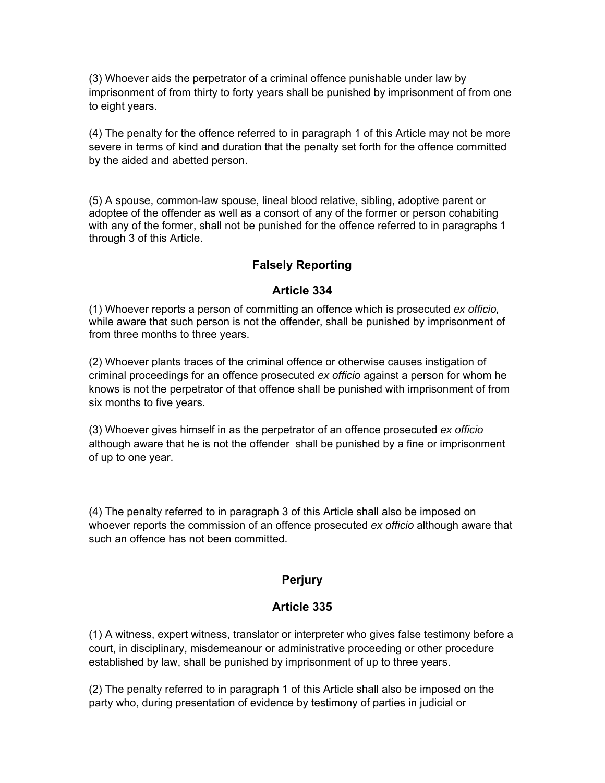(3) Whoever aids the perpetrator of a criminal offence punishable under law by imprisonment of from thirty to forty years shall be punished by imprisonment of from one to eight years.

(4) The penalty for the offence referred to in paragraph 1 of this Article may not be more severe in terms of kind and duration that the penalty set forth for the offence committed by the aided and abetted person.

(5) A spouse, common-law spouse, lineal blood relative, sibling, adoptive parent or adoptee of the offender as well as a consort of any of the former or person cohabiting with any of the former, shall not be punished for the offence referred to in paragraphs 1 through 3 of this Article.

# **Falsely Reporting**

#### **Article 334**

(1) Whoever reports a person of committing an offence which is prosecuted *ex officio,*  while aware that such person is not the offender, shall be punished by imprisonment of from three months to three years.

(2) Whoever plants traces of the criminal offence or otherwise causes instigation of criminal proceedings for an offence prosecuted *ex officio* against a person for whom he knows is not the perpetrator of that offence shall be punished with imprisonment of from six months to five years.

(3) Whoever gives himself in as the perpetrator of an offence prosecuted *ex officio*  although aware that he is not the offender shall be punished by a fine or imprisonment of up to one year.

(4) The penalty referred to in paragraph 3 of this Article shall also be imposed on whoever reports the commission of an offence prosecuted *ex officio* although aware that such an offence has not been committed.

# **Perjury**

#### **Article 335**

(1) A witness, expert witness, translator or interpreter who gives false testimony before a court, in disciplinary, misdemeanour or administrative proceeding or other procedure established by law, shall be punished by imprisonment of up to three years.

(2) The penalty referred to in paragraph 1 of this Article shall also be imposed on the party who, during presentation of evidence by testimony of parties in judicial or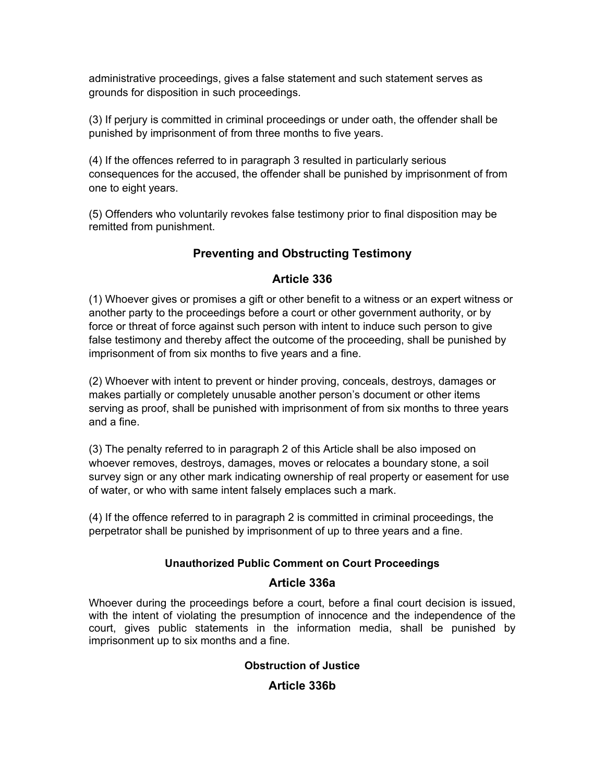administrative proceedings, gives a false statement and such statement serves as grounds for disposition in such proceedings.

(3) If perjury is committed in criminal proceedings or under oath, the offender shall be punished by imprisonment of from three months to five years.

(4) If the offences referred to in paragraph 3 resulted in particularly serious consequences for the accused, the offender shall be punished by imprisonment of from one to eight years.

(5) Offenders who voluntarily revokes false testimony prior to final disposition may be remitted from punishment.

# **Preventing and Obstructing Testimony**

#### **Article 336**

(1) Whoever gives or promises a gift or other benefit to a witness or an expert witness or another party to the proceedings before a court or other government authority, or by force or threat of force against such person with intent to induce such person to give false testimony and thereby affect the outcome of the proceeding, shall be punished by imprisonment of from six months to five years and a fine.

(2) Whoever with intent to prevent or hinder proving, conceals, destroys, damages or makes partially or completely unusable another person's document or other items serving as proof, shall be punished with imprisonment of from six months to three years and a fine.

(3) The penalty referred to in paragraph 2 of this Article shall be also imposed on whoever removes, destroys, damages, moves or relocates a boundary stone, a soil survey sign or any other mark indicating ownership of real property or easement for use of water, or who with same intent falsely emplaces such a mark.

(4) If the offence referred to in paragraph 2 is committed in criminal proceedings, the perpetrator shall be punished by imprisonment of up to three years and a fine.

#### **Unauthorized Public Comment on Court Proceedings**

#### **Article 336a**

Whoever during the proceedings before a court, before a final court decision is issued, with the intent of violating the presumption of innocence and the independence of the court, gives public statements in the information media, shall be punished by imprisonment up to six months and a fine.

# **Obstruction of Justice**

**Article 336b**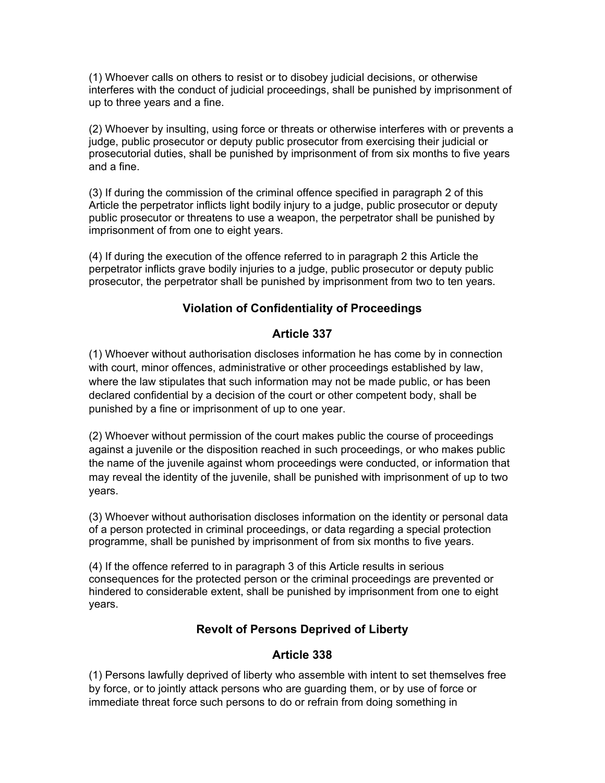(1) Whoever calls on others to resist or to disobey judicial decisions, or otherwise interferes with the conduct of judicial proceedings, shall be punished by imprisonment of up to three years and a fine.

(2) Whoever by insulting, using force or threats or otherwise interferes with or prevents a judge, public prosecutor or deputy public prosecutor from exercising their judicial or prosecutorial duties, shall be punished by imprisonment of from six months to five years and a fine.

(3) If during the commission of the criminal offence specified in paragraph 2 of this Article the perpetrator inflicts light bodily injury to a judge, public prosecutor or deputy public prosecutor or threatens to use a weapon, the perpetrator shall be punished by imprisonment of from one to eight years.

(4) If during the execution of the offence referred to in paragraph 2 this Article the perpetrator inflicts grave bodily injuries to a judge, public prosecutor or deputy public prosecutor, the perpetrator shall be punished by imprisonment from two to ten years.

# **Violation of Confidentiality of Proceedings**

#### **Article 337**

(1) Whoever without authorisation discloses information he has come by in connection with court, minor offences, administrative or other proceedings established by law, where the law stipulates that such information may not be made public, or has been declared confidential by a decision of the court or other competent body, shall be punished by a fine or imprisonment of up to one year.

(2) Whoever without permission of the court makes public the course of proceedings against a juvenile or the disposition reached in such proceedings, or who makes public the name of the juvenile against whom proceedings were conducted, or information that may reveal the identity of the juvenile, shall be punished with imprisonment of up to two years.

(3) Whoever without authorisation discloses information on the identity or personal data of a person protected in criminal proceedings, or data regarding a special protection programme, shall be punished by imprisonment of from six months to five years.

(4) If the offence referred to in paragraph 3 of this Article results in serious consequences for the protected person or the criminal proceedings are prevented or hindered to considerable extent, shall be punished by imprisonment from one to eight years.

# **Revolt of Persons Deprived of Liberty**

## **Article 338**

(1) Persons lawfully deprived of liberty who assemble with intent to set themselves free by force, or to jointly attack persons who are guarding them, or by use of force or immediate threat force such persons to do or refrain from doing something in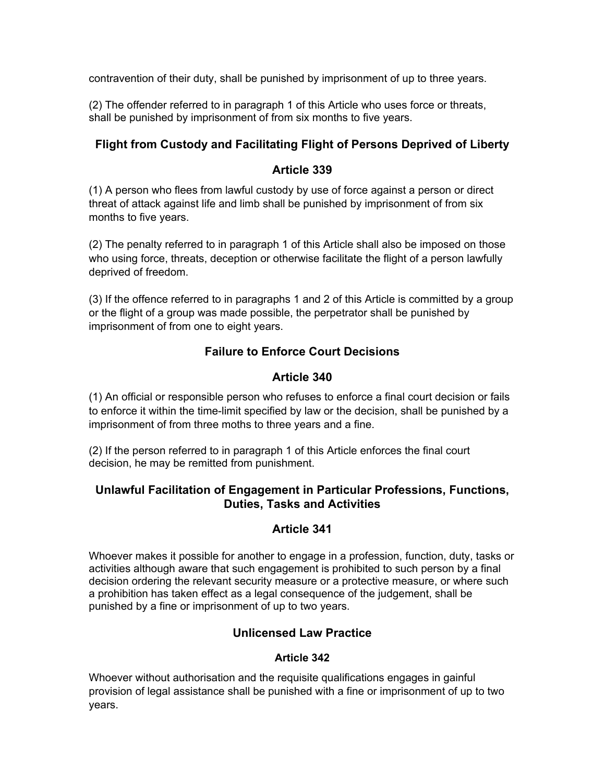contravention of their duty, shall be punished by imprisonment of up to three years.

(2) The offender referred to in paragraph 1 of this Article who uses force or threats, shall be punished by imprisonment of from six months to five years.

# **Flight from Custody and Facilitating Flight of Persons Deprived of Liberty**

## **Article 339**

(1) A person who flees from lawful custody by use of force against a person or direct threat of attack against life and limb shall be punished by imprisonment of from six months to five years.

(2) The penalty referred to in paragraph 1 of this Article shall also be imposed on those who using force, threats, deception or otherwise facilitate the flight of a person lawfully deprived of freedom.

(3) If the offence referred to in paragraphs 1 and 2 of this Article is committed by a group or the flight of a group was made possible, the perpetrator shall be punished by imprisonment of from one to eight years.

# **Failure to Enforce Court Decisions**

# **Article 340**

(1) An official or responsible person who refuses to enforce a final court decision or fails to enforce it within the time-limit specified by law or the decision, shall be punished by a imprisonment of from three moths to three years and a fine.

(2) If the person referred to in paragraph 1 of this Article enforces the final court decision, he may be remitted from punishment.

#### **Unlawful Facilitation of Engagement in Particular Professions, Functions, Duties, Tasks and Activities**

# **Article 341**

Whoever makes it possible for another to engage in a profession, function, duty, tasks or activities although aware that such engagement is prohibited to such person by a final decision ordering the relevant security measure or a protective measure, or where such a prohibition has taken effect as a legal consequence of the judgement, shall be punished by a fine or imprisonment of up to two years.

# **Unlicensed Law Practice**

#### **Article 342**

Whoever without authorisation and the requisite qualifications engages in gainful provision of legal assistance shall be punished with a fine or imprisonment of up to two years.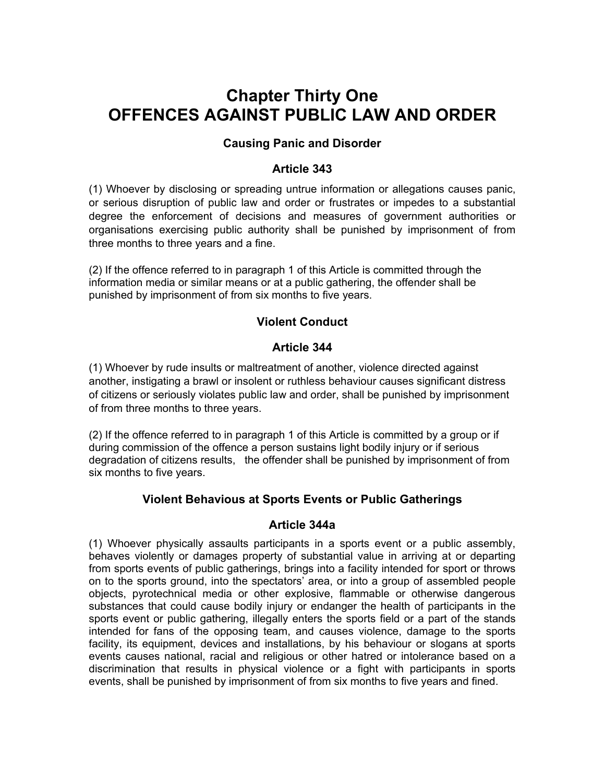# **Chapter Thirty One OFFENCES AGAINST PUBLIC LAW AND ORDER**

## **Causing Panic and Disorder**

## **Article 343**

(1) Whoever by disclosing or spreading untrue information or allegations causes panic, or serious disruption of public law and order or frustrates or impedes to a substantial degree the enforcement of decisions and measures of government authorities or organisations exercising public authority shall be punished by imprisonment of from three months to three years and a fine.

(2) If the offence referred to in paragraph 1 of this Article is committed through the information media or similar means or at a public gathering, the offender shall be punished by imprisonment of from six months to five years.

# **Violent Conduct**

## **Article 344**

(1) Whoever by rude insults or maltreatment of another, violence directed against another, instigating a brawl or insolent or ruthless behaviour causes significant distress of citizens or seriously violates public law and order, shall be punished by imprisonment of from three months to three years.

(2) If the offence referred to in paragraph 1 of this Article is committed by a group or if during commission of the offence a person sustains light bodily injury or if serious degradation of citizens results, the offender shall be punished by imprisonment of from six months to five years.

#### **Violent Behavious at Sports Events or Public Gatherings**

#### **Article 344a**

(1) Whoever physically assaults participants in a sports event or a public assembly, behaves violently or damages property of substantial value in arriving at or departing from sports events of public gatherings, brings into a facility intended for sport or throws on to the sports ground, into the spectators' area, or into a group of assembled people objects, pyrotechnical media or other explosive, flammable or otherwise dangerous substances that could cause bodily injury or endanger the health of participants in the sports event or public gathering, illegally enters the sports field or a part of the stands intended for fans of the opposing team, and causes violence, damage to the sports facility, its equipment, devices and installations, by his behaviour or slogans at sports events causes national, racial and religious or other hatred or intolerance based on a discrimination that results in physical violence or a fight with participants in sports events, shall be punished by imprisonment of from six months to five years and fined.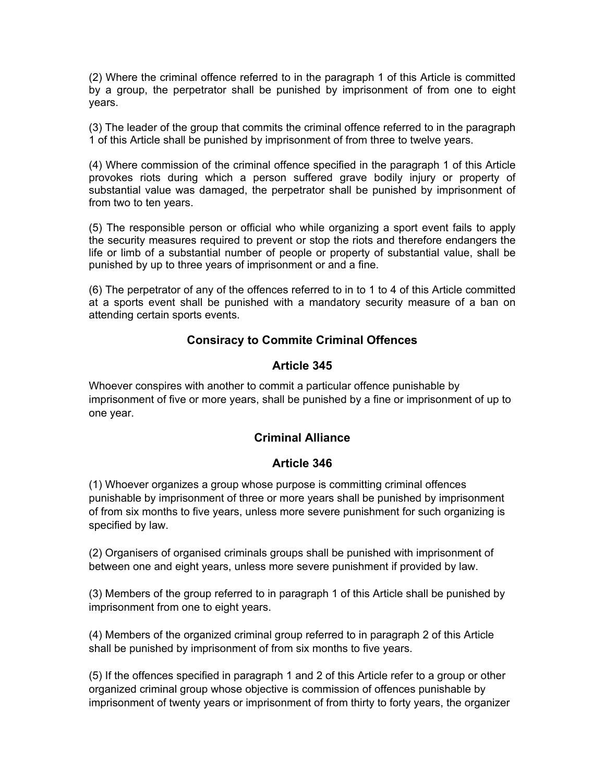(2) Where the criminal offence referred to in the paragraph 1 of this Article is committed by a group, the perpetrator shall be punished by imprisonment of from one to eight years.

(3) The leader of the group that commits the criminal offence referred to in the paragraph 1 of this Article shall be punished by imprisonment of from three to twelve years.

(4) Where commission of the criminal offence specified in the paragraph 1 of this Article provokes riots during which a person suffered grave bodily injury or property of substantial value was damaged, the perpetrator shall be punished by imprisonment of from two to ten years.

(5) The responsible person or official who while organizing a sport event fails to apply the security measures required to prevent or stop the riots and therefore endangers the life or limb of a substantial number of people or property of substantial value, shall be punished by up to three years of imprisonment or and a fine.

(6) The perpetrator of any of the offences referred to in to 1 to 4 of this Article committed at a sports event shall be punished with a mandatory security measure of a ban on attending certain sports events.

## **Consiracy to Commite Criminal Offences**

#### **Article 345**

Whoever conspires with another to commit a particular offence punishable by imprisonment of five or more years, shall be punished by a fine or imprisonment of up to one year.

#### **Criminal Alliance**

#### **Article 346**

(1) Whoever organizes a group whose purpose is committing criminal offences punishable by imprisonment of three or more years shall be punished by imprisonment of from six months to five years, unless more severe punishment for such organizing is specified by law.

(2) Organisers of organised criminals groups shall be punished with imprisonment of between one and eight years, unless more severe punishment if provided by law.

(3) Members of the group referred to in paragraph 1 of this Article shall be punished by imprisonment from one to eight years.

(4) Members of the organized criminal group referred to in paragraph 2 of this Article shall be punished by imprisonment of from six months to five years.

(5) If the offences specified in paragraph 1 and 2 of this Article refer to a group or other organized criminal group whose objective is commission of offences punishable by imprisonment of twenty years or imprisonment of from thirty to forty years, the organizer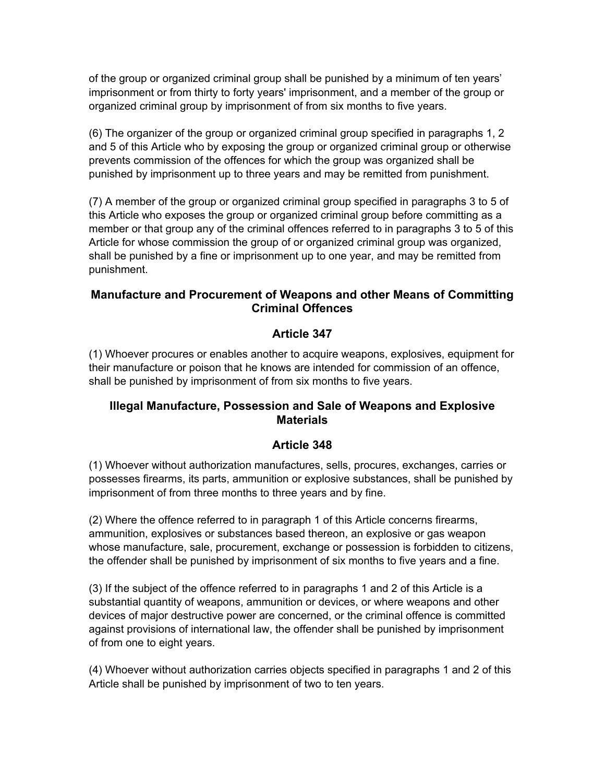of the group or organized criminal group shall be punished by a minimum of ten years' imprisonment or from thirty to forty years' imprisonment, and a member of the group or organized criminal group by imprisonment of from six months to five years.

(6) The organizer of the group or organized criminal group specified in paragraphs 1, 2 and 5 of this Article who by exposing the group or organized criminal group or otherwise prevents commission of the offences for which the group was organized shall be punished by imprisonment up to three years and may be remitted from punishment.

(7) A member of the group or organized criminal group specified in paragraphs 3 to 5 of this Article who exposes the group or organized criminal group before committing as a member or that group any of the criminal offences referred to in paragraphs 3 to 5 of this Article for whose commission the group of or organized criminal group was organized, shall be punished by a fine or imprisonment up to one year, and may be remitted from punishment.

## **Manufacture and Procurement of Weapons and other Means of Committing Criminal Offences**

# **Article 347**

(1) Whoever procures or enables another to acquire weapons, explosives, equipment for their manufacture or poison that he knows are intended for commission of an offence, shall be punished by imprisonment of from six months to five years.

## **Illegal Manufacture, Possession and Sale of Weapons and Explosive Materials**

# **Article 348**

(1) Whoever without authorization manufactures, sells, procures, exchanges, carries or possesses firearms, its parts, ammunition or explosive substances, shall be punished by imprisonment of from three months to three years and by fine.

(2) Where the offence referred to in paragraph 1 of this Article concerns firearms, ammunition, explosives or substances based thereon, an explosive or gas weapon whose manufacture, sale, procurement, exchange or possession is forbidden to citizens, the offender shall be punished by imprisonment of six months to five years and a fine.

(3) If the subject of the offence referred to in paragraphs 1 and 2 of this Article is a substantial quantity of weapons, ammunition or devices, or where weapons and other devices of major destructive power are concerned, or the criminal offence is committed against provisions of international law, the offender shall be punished by imprisonment of from one to eight years.

(4) Whoever without authorization carries objects specified in paragraphs 1 and 2 of this Article shall be punished by imprisonment of two to ten years.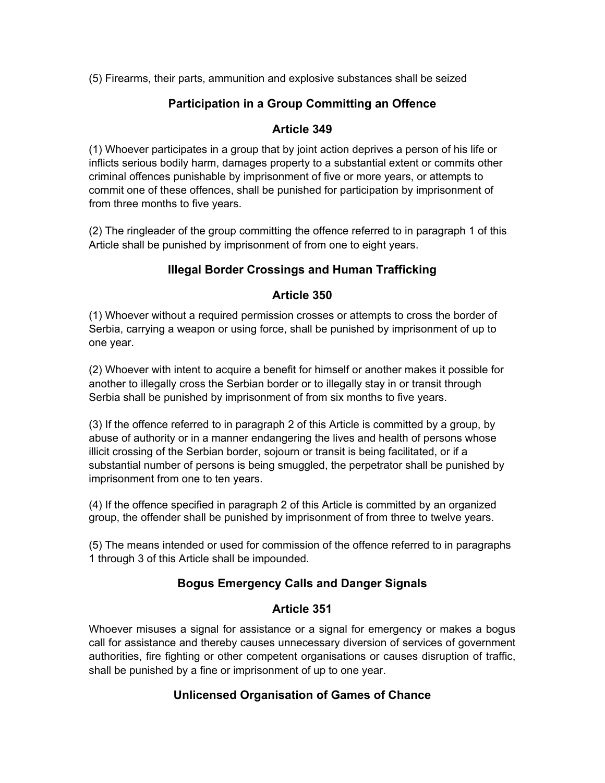(5) Firearms, their parts, ammunition and explosive substances shall be seized

## **Participation in a Group Committing an Offence**

#### **Article 349**

(1) Whoever participates in a group that by joint action deprives a person of his life or inflicts serious bodily harm, damages property to a substantial extent or commits other criminal offences punishable by imprisonment of five or more years, or attempts to commit one of these offences, shall be punished for participation by imprisonment of from three months to five years.

(2) The ringleader of the group committing the offence referred to in paragraph 1 of this Article shall be punished by imprisonment of from one to eight years.

# **Illegal Border Crossings and Human Trafficking**

#### **Article 350**

(1) Whoever without a required permission crosses or attempts to cross the border of Serbia, carrying a weapon or using force, shall be punished by imprisonment of up to one year.

(2) Whoever with intent to acquire a benefit for himself or another makes it possible for another to illegally cross the Serbian border or to illegally stay in or transit through Serbia shall be punished by imprisonment of from six months to five years.

(3) If the offence referred to in paragraph 2 of this Article is committed by a group, by abuse of authority or in a manner endangering the lives and health of persons whose illicit crossing of the Serbian border, sojourn or transit is being facilitated, or if a substantial number of persons is being smuggled, the perpetrator shall be punished by imprisonment from one to ten years.

(4) If the offence specified in paragraph 2 of this Article is committed by an organized group, the offender shall be punished by imprisonment of from three to twelve years.

(5) The means intended or used for commission of the offence referred to in paragraphs 1 through 3 of this Article shall be impounded.

# **Bogus Emergency Calls and Danger Signals**

#### **Article 351**

Whoever misuses a signal for assistance or a signal for emergency or makes a bogus call for assistance and thereby causes unnecessary diversion of services of government authorities, fire fighting or other competent organisations or causes disruption of traffic, shall be punished by a fine or imprisonment of up to one year.

# **Unlicensed Organisation of Games of Chance**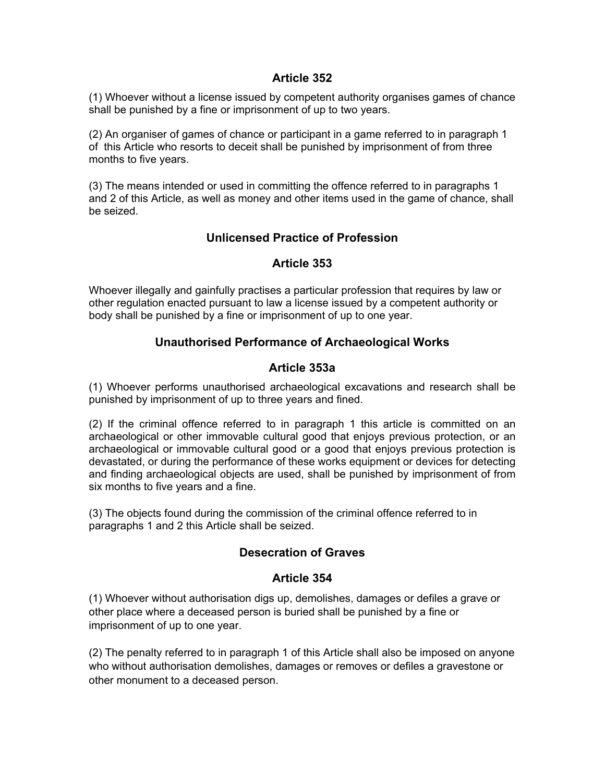#### **Article 352**

(1) Whoever without a license issued by competent authority organises games of chance shall be punished by a fine or imprisonment of up to two years.

(2) An organiser of games of chance or participant in a game referred to in paragraph 1 of this Article who resorts to deceit shall be punished by imprisonment of from three months to five years.

(3) The means intended or used in committing the offence referred to in paragraphs 1 and 2 of this Article, as well as money and other items used in the game of chance, shall be seized.

#### **Unlicensed Practice of Profession**

#### **Article 353**

Whoever illegally and gainfully practises a particular profession that requires by law or other regulation enacted pursuant to law a license issued by a competent authority or body shall be punished by a fine or imprisonment of up to one year.

## **Unauthorised Performance of Archaeological Works**

#### **Article 353a**

(1) Whoever performs unauthorised archaeological excavations and research shall be punished by imprisonment of up to three years and fined.

(2) If the criminal offence referred to in paragraph 1 this article is committed on an archaeological or other immovable cultural good that enjoys previous protection, or an archaeological or immovable cultural good or a good that enjoys previous protection is devastated, or during the performance of these works equipment or devices for detecting and finding archaeological objects are used, shall be punished by imprisonment of from six months to five years and a fine.

(3) The objects found during the commission of the criminal offence referred to in paragraphs 1 and 2 this Article shall be seized.

#### **Desecration of Graves**

#### **Article 354**

(1) Whoever without authorisation digs up, demolishes, damages or defiles a grave or other place where a deceased person is buried shall be punished by a fine or imprisonment of up to one year.

(2) The penalty referred to in paragraph 1 of this Article shall also be imposed on anyone who without authorisation demolishes, damages or removes or defiles a gravestone or other monument to a deceased person.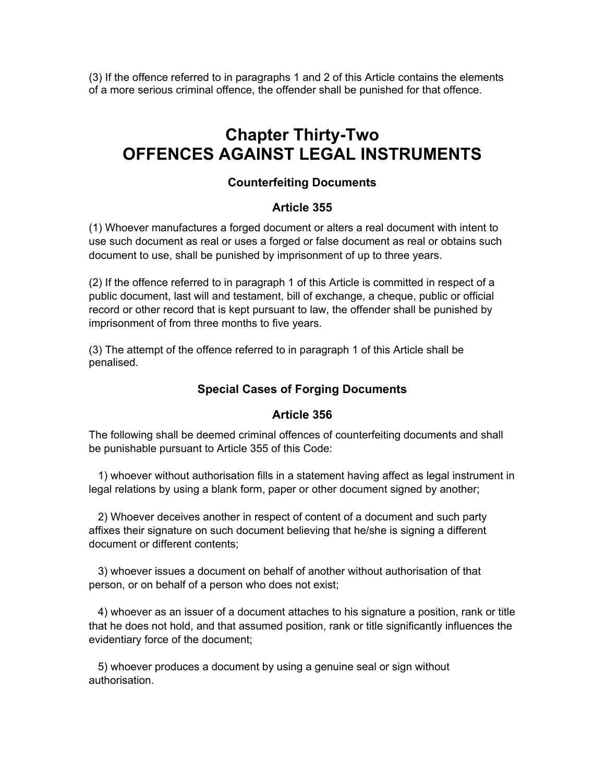(3) If the offence referred to in paragraphs 1 and 2 of this Article contains the elements of a more serious criminal offence, the offender shall be punished for that offence.

# **Chapter Thirty-Two OFFENCES AGAINST LEGAL INSTRUMENTS**

## **Counterfeiting Documents**

#### **Article 355**

(1) Whoever manufactures a forged document or alters a real document with intent to use such document as real or uses a forged or false document as real or obtains such document to use, shall be punished by imprisonment of up to three years.

(2) If the offence referred to in paragraph 1 of this Article is committed in respect of a public document, last will and testament, bill of exchange, a cheque, public or official record or other record that is kept pursuant to law, the offender shall be punished by imprisonment of from three months to five years.

(3) The attempt of the offence referred to in paragraph 1 of this Article shall be penalised.

#### **Special Cases of Forging Documents**

#### **Article 356**

The following shall be deemed criminal offences of counterfeiting documents and shall be punishable pursuant to Article 355 of this Code:

 1) whoever without authorisation fills in a statement having affect as legal instrument in legal relations by using a blank form, paper or other document signed by another;

 2) Whoever deceives another in respect of content of a document and such party affixes their signature on such document believing that he/she is signing a different document or different contents;

 3) whoever issues a document on behalf of another without authorisation of that person, or on behalf of a person who does not exist;

 4) whoever as an issuer of a document attaches to his signature a position, rank or title that he does not hold, and that assumed position, rank or title significantly influences the evidentiary force of the document;

 5) whoever produces a document by using a genuine seal or sign without authorisation.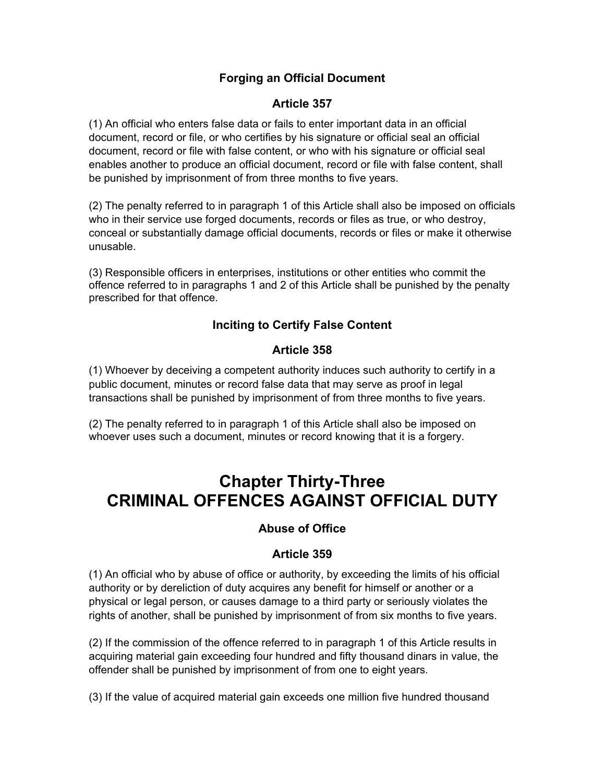# **Forging an Official Document**

## **Article 357**

(1) An official who enters false data or fails to enter important data in an official document, record or file, or who certifies by his signature or official seal an official document, record or file with false content, or who with his signature or official seal enables another to produce an official document, record or file with false content, shall be punished by imprisonment of from three months to five years.

(2) The penalty referred to in paragraph 1 of this Article shall also be imposed on officials who in their service use forged documents, records or files as true, or who destroy, conceal or substantially damage official documents, records or files or make it otherwise unusable.

(3) Responsible officers in enterprises, institutions or other entities who commit the offence referred to in paragraphs 1 and 2 of this Article shall be punished by the penalty prescribed for that offence.

# **Inciting to Certify False Content**

# **Article 358**

(1) Whoever by deceiving a competent authority induces such authority to certify in a public document, minutes or record false data that may serve as proof in legal transactions shall be punished by imprisonment of from three months to five years.

(2) The penalty referred to in paragraph 1 of this Article shall also be imposed on whoever uses such a document, minutes or record knowing that it is a forgery.

# **Chapter Thirty-Three CRIMINAL OFFENCES AGAINST OFFICIAL DUTY**

# **Abuse of Office**

# **Article 359**

(1) An official who by abuse of office or authority, by exceeding the limits of his official authority or by dereliction of duty acquires any benefit for himself or another or a physical or legal person, or causes damage to a third party or seriously violates the rights of another, shall be punished by imprisonment of from six months to five years.

(2) If the commission of the offence referred to in paragraph 1 of this Article results in acquiring material gain exceeding four hundred and fifty thousand dinars in value, the offender shall be punished by imprisonment of from one to eight years.

(3) If the value of acquired material gain exceeds one million five hundred thousand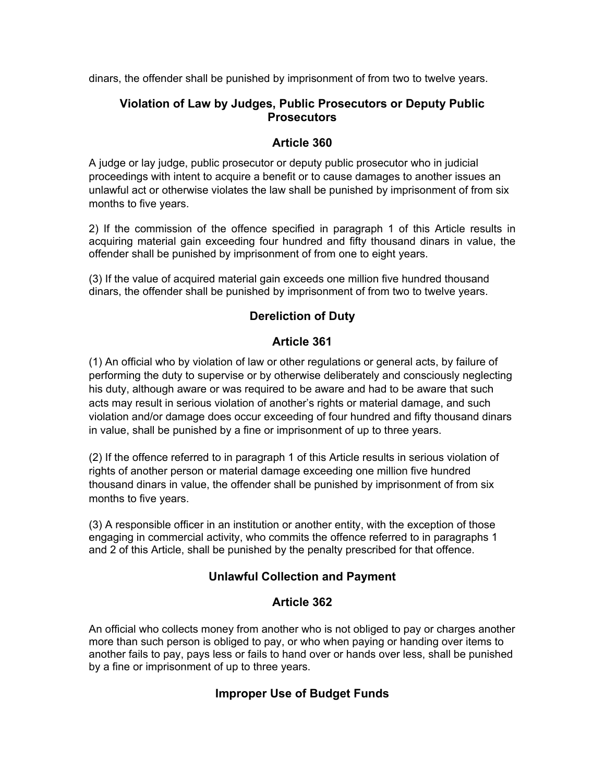dinars, the offender shall be punished by imprisonment of from two to twelve years.

## **Violation of Law by Judges, Public Prosecutors or Deputy Public Prosecutors**

## **Article 360**

A judge or lay judge, public prosecutor or deputy public prosecutor who in judicial proceedings with intent to acquire a benefit or to cause damages to another issues an unlawful act or otherwise violates the law shall be punished by imprisonment of from six months to five years.

2) If the commission of the offence specified in paragraph 1 of this Article results in acquiring material gain exceeding four hundred and fifty thousand dinars in value, the offender shall be punished by imprisonment of from one to eight years.

(3) If the value of acquired material gain exceeds one million five hundred thousand dinars, the offender shall be punished by imprisonment of from two to twelve years.

# **Dereliction of Duty**

## **Article 361**

(1) An official who by violation of law or other regulations or general acts, by failure of performing the duty to supervise or by otherwise deliberately and consciously neglecting his duty, although aware or was required to be aware and had to be aware that such acts may result in serious violation of another's rights or material damage, and such violation and/or damage does occur exceeding of four hundred and fifty thousand dinars in value, shall be punished by a fine or imprisonment of up to three years.

(2) If the offence referred to in paragraph 1 of this Article results in serious violation of rights of another person or material damage exceeding one million five hundred thousand dinars in value, the offender shall be punished by imprisonment of from six months to five years.

(3) A responsible officer in an institution or another entity, with the exception of those engaging in commercial activity, who commits the offence referred to in paragraphs 1 and 2 of this Article, shall be punished by the penalty prescribed for that offence.

# **Unlawful Collection and Payment**

#### **Article 362**

An official who collects money from another who is not obliged to pay or charges another more than such person is obliged to pay, or who when paying or handing over items to another fails to pay, pays less or fails to hand over or hands over less, shall be punished by a fine or imprisonment of up to three years.

# **Improper Use of Budget Funds**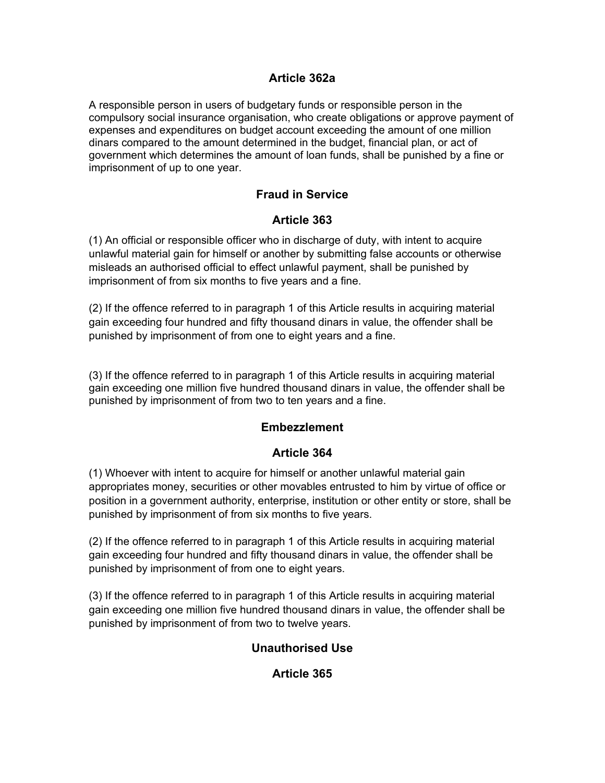## **Article 362a**

A responsible person in users of budgetary funds or responsible person in the compulsory social insurance organisation, who create obligations or approve payment of expenses and expenditures on budget account exceeding the amount of one million dinars compared to the amount determined in the budget, financial plan, or act of government which determines the amount of loan funds, shall be punished by a fine or imprisonment of up to one year.

## **Fraud in Service**

## **Article 363**

(1) An official or responsible officer who in discharge of duty, with intent to acquire unlawful material gain for himself or another by submitting false accounts or otherwise misleads an authorised official to effect unlawful payment, shall be punished by imprisonment of from six months to five years and a fine.

(2) If the offence referred to in paragraph 1 of this Article results in acquiring material gain exceeding four hundred and fifty thousand dinars in value, the offender shall be punished by imprisonment of from one to eight years and a fine.

(3) If the offence referred to in paragraph 1 of this Article results in acquiring material gain exceeding one million five hundred thousand dinars in value, the offender shall be punished by imprisonment of from two to ten years and a fine.

#### **Embezzlement**

#### **Article 364**

(1) Whoever with intent to acquire for himself or another unlawful material gain appropriates money, securities or other movables entrusted to him by virtue of office or position in a government authority, enterprise, institution or other entity or store, shall be punished by imprisonment of from six months to five years.

(2) If the offence referred to in paragraph 1 of this Article results in acquiring material gain exceeding four hundred and fifty thousand dinars in value, the offender shall be punished by imprisonment of from one to eight years.

(3) If the offence referred to in paragraph 1 of this Article results in acquiring material gain exceeding one million five hundred thousand dinars in value, the offender shall be punished by imprisonment of from two to twelve years.

#### **Unauthorised Use**

#### **Article 365**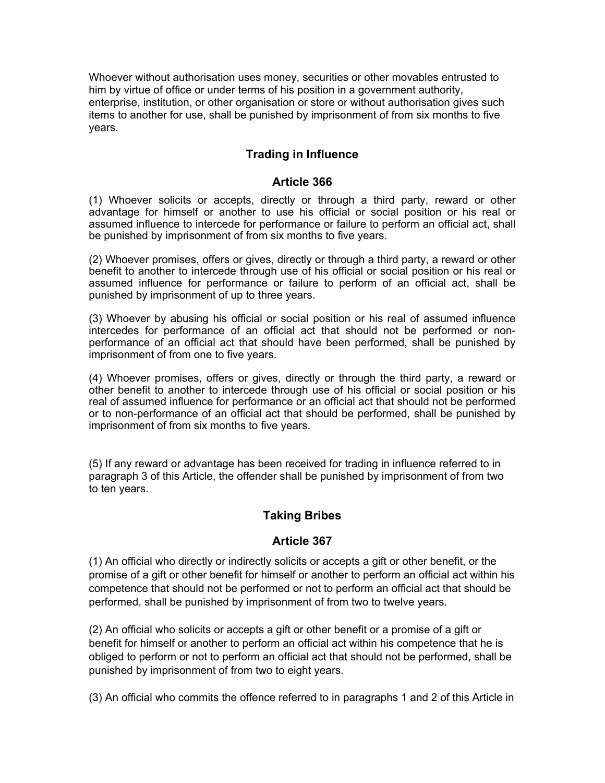Whoever without authorisation uses money, securities or other movables entrusted to him by virtue of office or under terms of his position in a government authority, enterprise, institution, or other organisation or store or without authorisation gives such items to another for use, shall be punished by imprisonment of from six months to five years.

# **Trading in Influence**

#### **Article 366**

(1) Whoever solicits or accepts, directly or through a third party, reward or other advantage for himself or another to use his official or social position or his real or assumed influence to intercede for performance or failure to perform an official act, shall be punished by imprisonment of from six months to five years.

(2) Whoever promises, offers or gives, directly or through a third party, a reward or other benefit to another to intercede through use of his official or social position or his real or assumed influence for performance or failure to perform of an official act, shall be punished by imprisonment of up to three years.

(3) Whoever by abusing his official or social position or his real of assumed influence intercedes for performance of an official act that should not be performed or nonperformance of an official act that should have been performed, shall be punished by imprisonment of from one to five years.

(4) Whoever promises, offers or gives, directly or through the third party, a reward or other benefit to another to intercede through use of his official or social position or his real of assumed influence for performance or an official act that should not be performed or to non-performance of an official act that should be performed, shall be punished by imprisonment of from six months to five years.

(5) If any reward or advantage has been received for trading in influence referred to in paragraph 3 of this Article, the offender shall be punished by imprisonment of from two to ten years.

# **Taking Bribes**

# **Article 367**

(1) An official who directly or indirectly solicits or accepts a gift or other benefit, or the promise of a gift or other benefit for himself or another to perform an official act within his competence that should not be performed or not to perform an official act that should be performed, shall be punished by imprisonment of from two to twelve years.

(2) An official who solicits or accepts a gift or other benefit or a promise of a gift or benefit for himself or another to perform an official act within his competence that he is obliged to perform or not to perform an official act that should not be performed, shall be punished by imprisonment of from two to eight years.

(3) An official who commits the offence referred to in paragraphs 1 and 2 of this Article in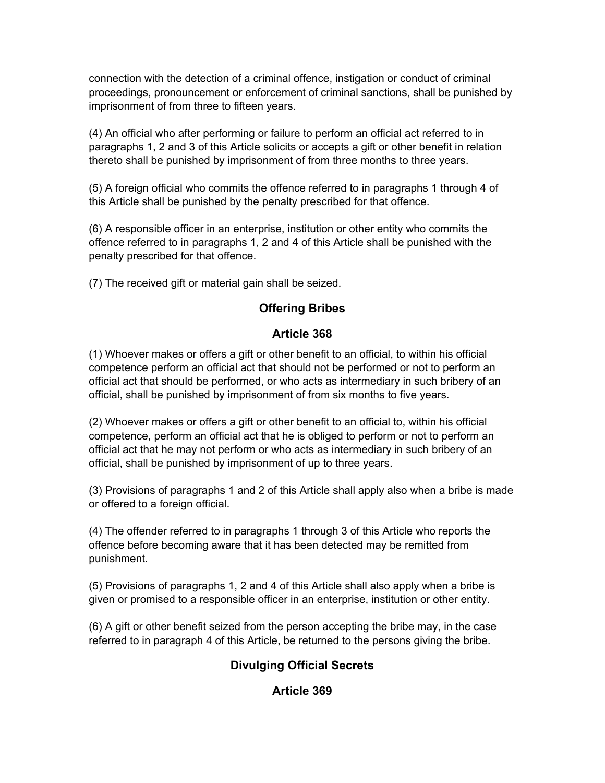connection with the detection of a criminal offence, instigation or conduct of criminal proceedings, pronouncement or enforcement of criminal sanctions, shall be punished by imprisonment of from three to fifteen years.

(4) An official who after performing or failure to perform an official act referred to in paragraphs 1, 2 and 3 of this Article solicits or accepts a gift or other benefit in relation thereto shall be punished by imprisonment of from three months to three years.

(5) A foreign official who commits the offence referred to in paragraphs 1 through 4 of this Article shall be punished by the penalty prescribed for that offence.

(6) A responsible officer in an enterprise, institution or other entity who commits the offence referred to in paragraphs 1, 2 and 4 of this Article shall be punished with the penalty prescribed for that offence.

(7) The received gift or material gain shall be seized.

# **Offering Bribes**

## **Article 368**

(1) Whoever makes or offers a gift or other benefit to an official, to within his official competence perform an official act that should not be performed or not to perform an official act that should be performed, or who acts as intermediary in such bribery of an official, shall be punished by imprisonment of from six months to five years.

(2) Whoever makes or offers a gift or other benefit to an official to, within his official competence, perform an official act that he is obliged to perform or not to perform an official act that he may not perform or who acts as intermediary in such bribery of an official, shall be punished by imprisonment of up to three years.

(3) Provisions of paragraphs 1 and 2 of this Article shall apply also when a bribe is made or offered to a foreign official.

(4) The offender referred to in paragraphs 1 through 3 of this Article who reports the offence before becoming aware that it has been detected may be remitted from punishment.

(5) Provisions of paragraphs 1, 2 and 4 of this Article shall also apply when a bribe is given or promised to a responsible officer in an enterprise, institution or other entity.

(6) A gift or other benefit seized from the person accepting the bribe may, in the case referred to in paragraph 4 of this Article, be returned to the persons giving the bribe.

# **Divulging Official Secrets**

**Article 369**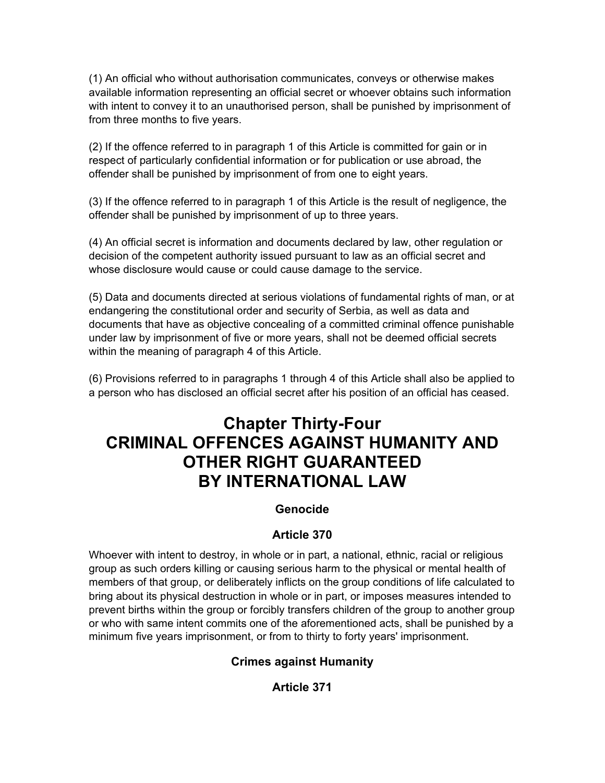(1) An official who without authorisation communicates, conveys or otherwise makes available information representing an official secret or whoever obtains such information with intent to convey it to an unauthorised person, shall be punished by imprisonment of from three months to five years.

(2) If the offence referred to in paragraph 1 of this Article is committed for gain or in respect of particularly confidential information or for publication or use abroad, the offender shall be punished by imprisonment of from one to eight years.

(3) If the offence referred to in paragraph 1 of this Article is the result of negligence, the offender shall be punished by imprisonment of up to three years.

(4) An official secret is information and documents declared by law, other regulation or decision of the competent authority issued pursuant to law as an official secret and whose disclosure would cause or could cause damage to the service.

(5) Data and documents directed at serious violations of fundamental rights of man, or at endangering the constitutional order and security of Serbia, as well as data and documents that have as objective concealing of a committed criminal offence punishable under law by imprisonment of five or more years, shall not be deemed official secrets within the meaning of paragraph 4 of this Article.

(6) Provisions referred to in paragraphs 1 through 4 of this Article shall also be applied to a person who has disclosed an official secret after his position of an official has ceased.

# **Chapter Thirty-Four CRIMINAL OFFENCES AGAINST HUMANITY AND OTHER RIGHT GUARANTEED BY INTERNATIONAL LAW**

#### **Genocide**

#### **Article 370**

Whoever with intent to destroy, in whole or in part, a national, ethnic, racial or religious group as such orders killing or causing serious harm to the physical or mental health of members of that group, or deliberately inflicts on the group conditions of life calculated to bring about its physical destruction in whole or in part, or imposes measures intended to prevent births within the group or forcibly transfers children of the group to another group or who with same intent commits one of the aforementioned acts, shall be punished by a minimum five years imprisonment, or from to thirty to forty years' imprisonment.

#### **Crimes against Humanity**

#### **Article 371**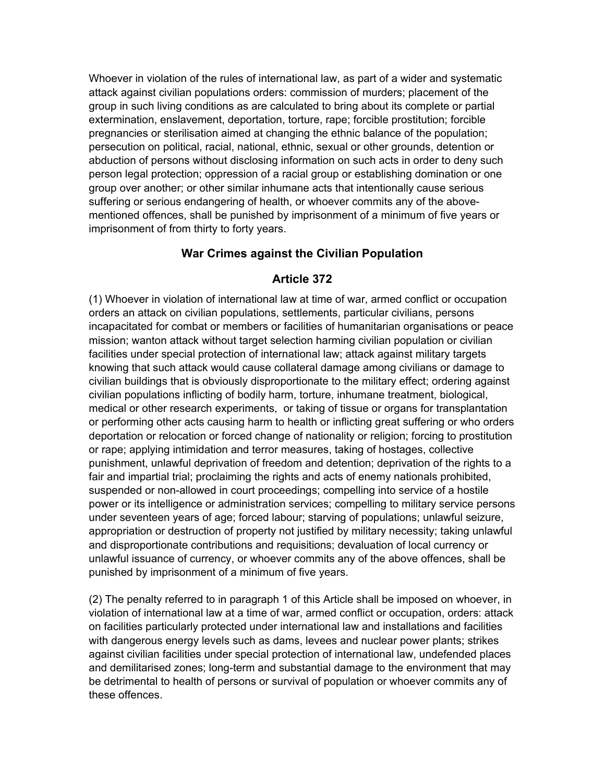Whoever in violation of the rules of international law, as part of a wider and systematic attack against civilian populations orders: commission of murders; placement of the group in such living conditions as are calculated to bring about its complete or partial extermination, enslavement, deportation, torture, rape; forcible prostitution; forcible pregnancies or sterilisation aimed at changing the ethnic balance of the population; persecution on political, racial, national, ethnic, sexual or other grounds, detention or abduction of persons without disclosing information on such acts in order to deny such person legal protection; oppression of a racial group or establishing domination or one group over another; or other similar inhumane acts that intentionally cause serious suffering or serious endangering of health, or whoever commits any of the abovementioned offences, shall be punished by imprisonment of a minimum of five years or imprisonment of from thirty to forty years.

#### **War Crimes against the Civilian Population**

#### **Article 372**

(1) Whoever in violation of international law at time of war, armed conflict or occupation orders an attack on civilian populations, settlements, particular civilians, persons incapacitated for combat or members or facilities of humanitarian organisations or peace mission; wanton attack without target selection harming civilian population or civilian facilities under special protection of international law; attack against military targets knowing that such attack would cause collateral damage among civilians or damage to civilian buildings that is obviously disproportionate to the military effect; ordering against civilian populations inflicting of bodily harm, torture, inhumane treatment, biological, medical or other research experiments, or taking of tissue or organs for transplantation or performing other acts causing harm to health or inflicting great suffering or who orders deportation or relocation or forced change of nationality or religion; forcing to prostitution or rape; applying intimidation and terror measures, taking of hostages, collective punishment, unlawful deprivation of freedom and detention; deprivation of the rights to a fair and impartial trial; proclaiming the rights and acts of enemy nationals prohibited, suspended or non-allowed in court proceedings; compelling into service of a hostile power or its intelligence or administration services; compelling to military service persons under seventeen years of age; forced labour; starving of populations; unlawful seizure, appropriation or destruction of property not justified by military necessity; taking unlawful and disproportionate contributions and requisitions; devaluation of local currency or unlawful issuance of currency, or whoever commits any of the above offences, shall be punished by imprisonment of a minimum of five years.

(2) The penalty referred to in paragraph 1 of this Article shall be imposed on whoever, in violation of international law at a time of war, armed conflict or occupation, orders: attack on facilities particularly protected under international law and installations and facilities with dangerous energy levels such as dams, levees and nuclear power plants; strikes against civilian facilities under special protection of international law, undefended places and demilitarised zones; long-term and substantial damage to the environment that may be detrimental to health of persons or survival of population or whoever commits any of these offences.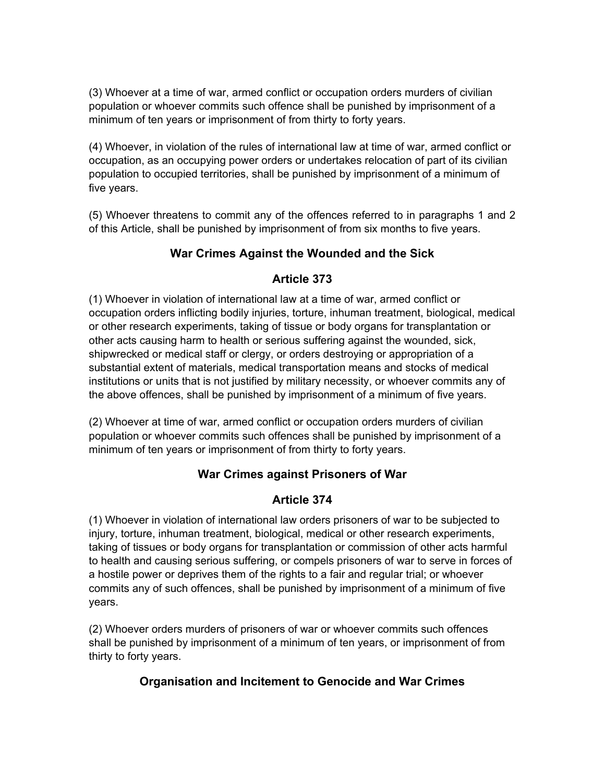(3) Whoever at a time of war, armed conflict or occupation orders murders of civilian population or whoever commits such offence shall be punished by imprisonment of a minimum of ten years or imprisonment of from thirty to forty years.

(4) Whoever, in violation of the rules of international law at time of war, armed conflict or occupation, as an occupying power orders or undertakes relocation of part of its civilian population to occupied territories, shall be punished by imprisonment of a minimum of five years.

(5) Whoever threatens to commit any of the offences referred to in paragraphs 1 and 2 of this Article, shall be punished by imprisonment of from six months to five years.

# **War Crimes Against the Wounded and the Sick**

# **Article 373**

(1) Whoever in violation of international law at a time of war, armed conflict or occupation orders inflicting bodily injuries, torture, inhuman treatment, biological, medical or other research experiments, taking of tissue or body organs for transplantation or other acts causing harm to health or serious suffering against the wounded, sick, shipwrecked or medical staff or clergy, or orders destroying or appropriation of a substantial extent of materials, medical transportation means and stocks of medical institutions or units that is not justified by military necessity, or whoever commits any of the above offences, shall be punished by imprisonment of a minimum of five years.

(2) Whoever at time of war, armed conflict or occupation orders murders of civilian population or whoever commits such offences shall be punished by imprisonment of a minimum of ten years or imprisonment of from thirty to forty years.

# **War Crimes against Prisoners of War**

# **Article 374**

(1) Whoever in violation of international law orders prisoners of war to be subjected to injury, torture, inhuman treatment, biological, medical or other research experiments, taking of tissues or body organs for transplantation or commission of other acts harmful to health and causing serious suffering, or compels prisoners of war to serve in forces of a hostile power or deprives them of the rights to a fair and regular trial; or whoever commits any of such offences, shall be punished by imprisonment of a minimum of five years.

(2) Whoever orders murders of prisoners of war or whoever commits such offences shall be punished by imprisonment of a minimum of ten years, or imprisonment of from thirty to forty years.

# **Organisation and Incitement to Genocide and War Crimes**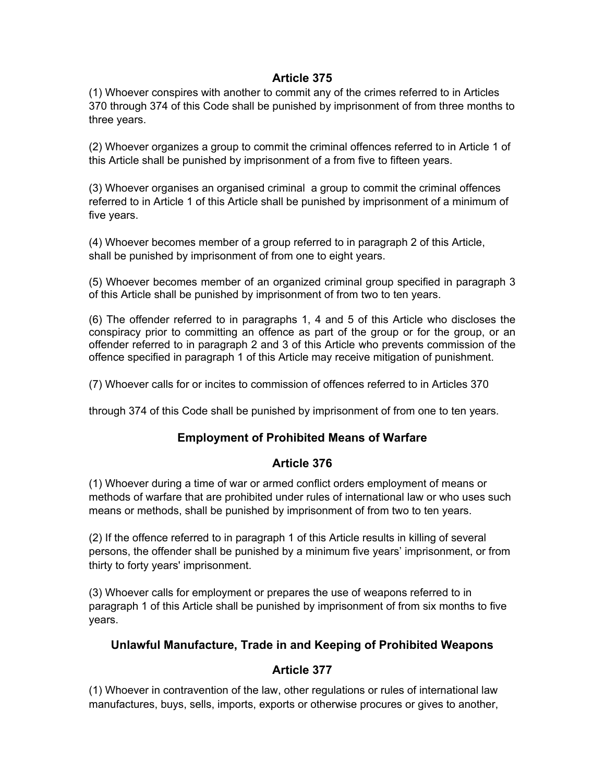#### **Article 375**

(1) Whoever conspires with another to commit any of the crimes referred to in Articles 370 through 374 of this Code shall be punished by imprisonment of from three months to three years.

(2) Whoever organizes a group to commit the criminal offences referred to in Article 1 of this Article shall be punished by imprisonment of a from five to fifteen years.

(3) Whoever organises an organised criminal a group to commit the criminal offences referred to in Article 1 of this Article shall be punished by imprisonment of a minimum of five years.

(4) Whoever becomes member of a group referred to in paragraph 2 of this Article, shall be punished by imprisonment of from one to eight years.

(5) Whoever becomes member of an organized criminal group specified in paragraph 3 of this Article shall be punished by imprisonment of from two to ten years.

(6) The offender referred to in paragraphs 1, 4 and 5 of this Article who discloses the conspiracy prior to committing an offence as part of the group or for the group, or an offender referred to in paragraph 2 and 3 of this Article who prevents commission of the offence specified in paragraph 1 of this Article may receive mitigation of punishment.

(7) Whoever calls for or incites to commission of offences referred to in Articles 370

through 374 of this Code shall be punished by imprisonment of from one to ten years.

#### **Employment of Prohibited Means of Warfare**

#### **Article 376**

(1) Whoever during a time of war or armed conflict orders employment of means or methods of warfare that are prohibited under rules of international law or who uses such means or methods, shall be punished by imprisonment of from two to ten years.

(2) If the offence referred to in paragraph 1 of this Article results in killing of several persons, the offender shall be punished by a minimum five years' imprisonment, or from thirty to forty years' imprisonment.

(3) Whoever calls for employment or prepares the use of weapons referred to in paragraph 1 of this Article shall be punished by imprisonment of from six months to five years.

#### **Unlawful Manufacture, Trade in and Keeping of Prohibited Weapons**

#### **Article 377**

(1) Whoever in contravention of the law, other regulations or rules of international law manufactures, buys, sells, imports, exports or otherwise procures or gives to another,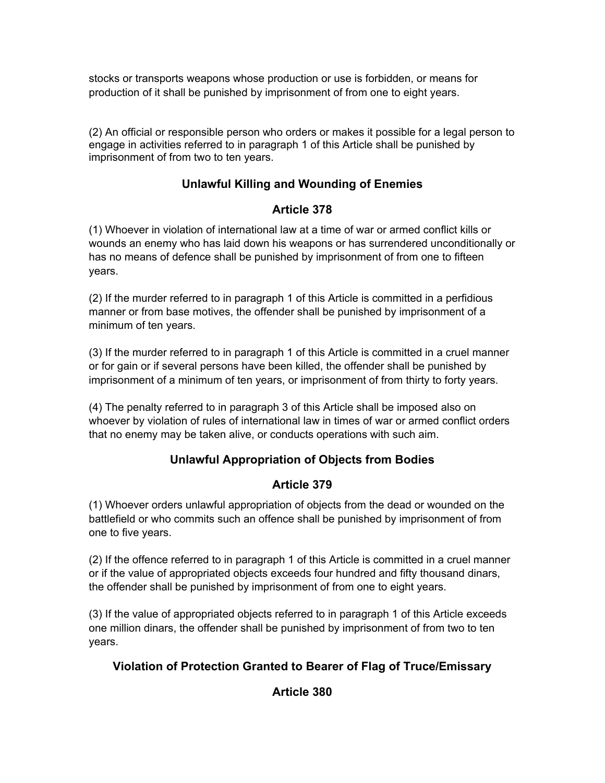stocks or transports weapons whose production or use is forbidden, or means for production of it shall be punished by imprisonment of from one to eight years.

(2) An official or responsible person who orders or makes it possible for a legal person to engage in activities referred to in paragraph 1 of this Article shall be punished by imprisonment of from two to ten years.

# **Unlawful Killing and Wounding of Enemies**

# **Article 378**

(1) Whoever in violation of international law at a time of war or armed conflict kills or wounds an enemy who has laid down his weapons or has surrendered unconditionally or has no means of defence shall be punished by imprisonment of from one to fifteen years.

(2) If the murder referred to in paragraph 1 of this Article is committed in a perfidious manner or from base motives, the offender shall be punished by imprisonment of a minimum of ten years.

(3) If the murder referred to in paragraph 1 of this Article is committed in a cruel manner or for gain or if several persons have been killed, the offender shall be punished by imprisonment of a minimum of ten years, or imprisonment of from thirty to forty years.

(4) The penalty referred to in paragraph 3 of this Article shall be imposed also on whoever by violation of rules of international law in times of war or armed conflict orders that no enemy may be taken alive, or conducts operations with such aim.

# **Unlawful Appropriation of Objects from Bodies**

# **Article 379**

(1) Whoever orders unlawful appropriation of objects from the dead or wounded on the battlefield or who commits such an offence shall be punished by imprisonment of from one to five years.

(2) If the offence referred to in paragraph 1 of this Article is committed in a cruel manner or if the value of appropriated objects exceeds four hundred and fifty thousand dinars, the offender shall be punished by imprisonment of from one to eight years.

(3) If the value of appropriated objects referred to in paragraph 1 of this Article exceeds one million dinars, the offender shall be punished by imprisonment of from two to ten years.

# **Violation of Protection Granted to Bearer of Flag of Truce/Emissary**

# **Article 380**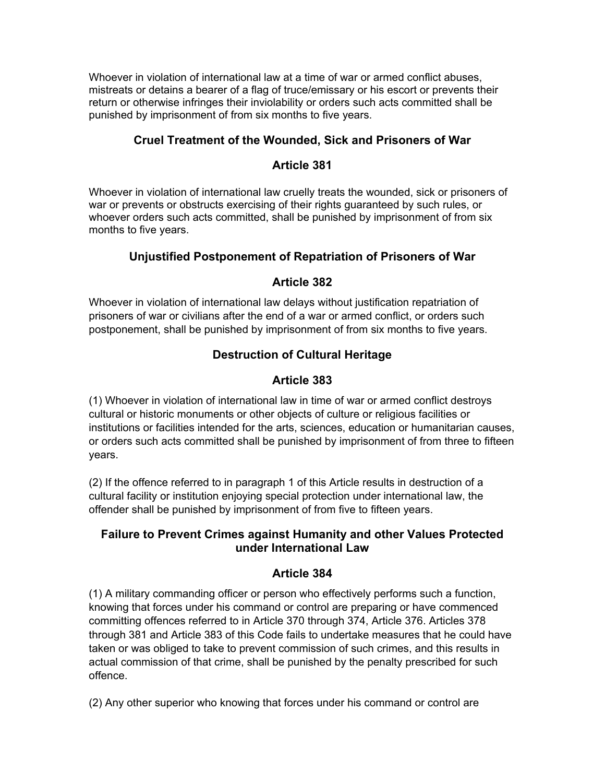Whoever in violation of international law at a time of war or armed conflict abuses, mistreats or detains a bearer of a flag of truce/emissary or his escort or prevents their return or otherwise infringes their inviolability or orders such acts committed shall be punished by imprisonment of from six months to five years.

# **Cruel Treatment of the Wounded, Sick and Prisoners of War**

#### **Article 381**

Whoever in violation of international law cruelly treats the wounded, sick or prisoners of war or prevents or obstructs exercising of their rights guaranteed by such rules, or whoever orders such acts committed, shall be punished by imprisonment of from six months to five years.

# **Unjustified Postponement of Repatriation of Prisoners of War**

# **Article 382**

Whoever in violation of international law delays without justification repatriation of prisoners of war or civilians after the end of a war or armed conflict, or orders such postponement, shall be punished by imprisonment of from six months to five years.

# **Destruction of Cultural Heritage**

# **Article 383**

(1) Whoever in violation of international law in time of war or armed conflict destroys cultural or historic monuments or other objects of culture or religious facilities or institutions or facilities intended for the arts, sciences, education or humanitarian causes, or orders such acts committed shall be punished by imprisonment of from three to fifteen years.

(2) If the offence referred to in paragraph 1 of this Article results in destruction of a cultural facility or institution enjoying special protection under international law, the offender shall be punished by imprisonment of from five to fifteen years.

# **Failure to Prevent Crimes against Humanity and other Values Protected under International Law**

# **Article 384**

(1) A military commanding officer or person who effectively performs such a function, knowing that forces under his command or control are preparing or have commenced committing offences referred to in Article 370 through 374, Article 376. Articles 378 through 381 and Article 383 of this Code fails to undertake measures that he could have taken or was obliged to take to prevent commission of such crimes, and this results in actual commission of that crime, shall be punished by the penalty prescribed for such offence.

(2) Any other superior who knowing that forces under his command or control are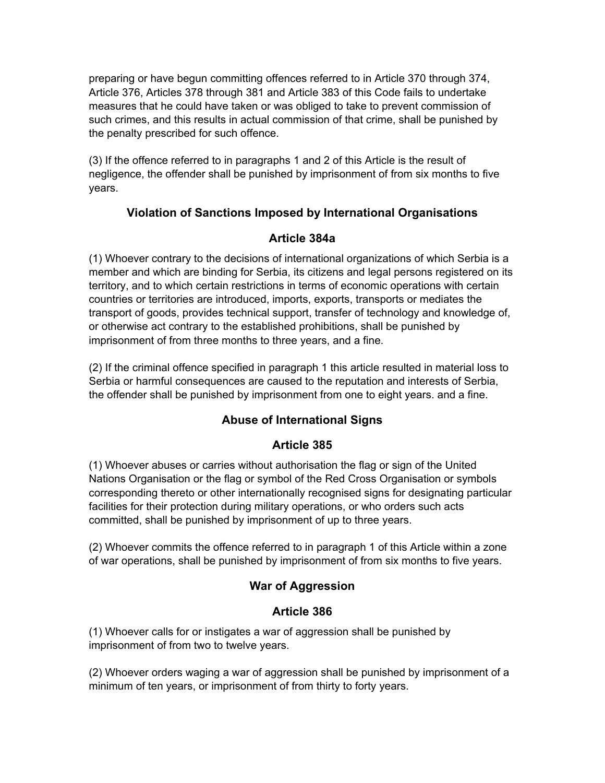preparing or have begun committing offences referred to in Article 370 through 374, Article 376, Articles 378 through 381 and Article 383 of this Code fails to undertake measures that he could have taken or was obliged to take to prevent commission of such crimes, and this results in actual commission of that crime, shall be punished by the penalty prescribed for such offence.

(3) If the offence referred to in paragraphs 1 and 2 of this Article is the result of negligence, the offender shall be punished by imprisonment of from six months to five years.

# **Violation of Sanctions Imposed by International Organisations**

### **Article 384a**

(1) Whoever contrary to the decisions of international organizations of which Serbia is a member and which are binding for Serbia, its citizens and legal persons registered on its territory, and to which certain restrictions in terms of economic operations with certain countries or territories are introduced, imports, exports, transports or mediates the transport of goods, provides technical support, transfer of technology and knowledge of, or otherwise act contrary to the established prohibitions, shall be punished by imprisonment of from three months to three years, and a fine.

(2) If the criminal offence specified in paragraph 1 this article resulted in material loss to Serbia or harmful consequences are caused to the reputation and interests of Serbia, the offender shall be punished by imprisonment from one to eight years. and a fine.

# **Abuse of International Signs**

# **Article 385**

(1) Whoever abuses or carries without authorisation the flag or sign of the United Nations Organisation or the flag or symbol of the Red Cross Organisation or symbols corresponding thereto or other internationally recognised signs for designating particular facilities for their protection during military operations, or who orders such acts committed, shall be punished by imprisonment of up to three years.

(2) Whoever commits the offence referred to in paragraph 1 of this Article within a zone of war operations, shall be punished by imprisonment of from six months to five years.

# **War of Aggression**

# **Article 386**

(1) Whoever calls for or instigates a war of aggression shall be punished by imprisonment of from two to twelve years.

(2) Whoever orders waging a war of aggression shall be punished by imprisonment of a minimum of ten years, or imprisonment of from thirty to forty years.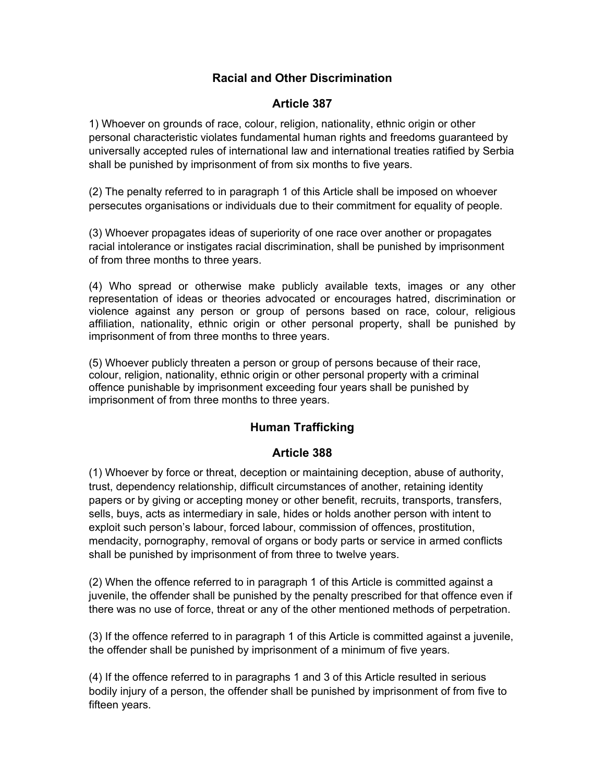### **Racial and Other Discrimination**

#### **Article 387**

1) Whoever on grounds of race, colour, religion, nationality, ethnic origin or other personal characteristic violates fundamental human rights and freedoms guaranteed by universally accepted rules of international law and international treaties ratified by Serbia shall be punished by imprisonment of from six months to five years.

(2) The penalty referred to in paragraph 1 of this Article shall be imposed on whoever persecutes organisations or individuals due to their commitment for equality of people.

(3) Whoever propagates ideas of superiority of one race over another or propagates racial intolerance or instigates racial discrimination, shall be punished by imprisonment of from three months to three years.

(4) Who spread or otherwise make publicly available texts, images or any other representation of ideas or theories advocated or encourages hatred, discrimination or violence against any person or group of persons based on race, colour, religious affiliation, nationality, ethnic origin or other personal property, shall be punished by imprisonment of from three months to three years.

(5) Whoever publicly threaten a person or group of persons because of their race, colour, religion, nationality, ethnic origin or other personal property with a criminal offence punishable by imprisonment exceeding four years shall be punished by imprisonment of from three months to three years.

# **Human Trafficking**

#### **Article 388**

(1) Whoever by force or threat, deception or maintaining deception, abuse of authority, trust, dependency relationship, difficult circumstances of another, retaining identity papers or by giving or accepting money or other benefit, recruits, transports, transfers, sells, buys, acts as intermediary in sale, hides or holds another person with intent to exploit such person's labour, forced labour, commission of offences, prostitution, mendacity, pornography, removal of organs or body parts or service in armed conflicts shall be punished by imprisonment of from three to twelve years.

(2) When the offence referred to in paragraph 1 of this Article is committed against a juvenile, the offender shall be punished by the penalty prescribed for that offence even if there was no use of force, threat or any of the other mentioned methods of perpetration.

(3) If the offence referred to in paragraph 1 of this Article is committed against a juvenile, the offender shall be punished by imprisonment of a minimum of five years.

(4) If the offence referred to in paragraphs 1 and 3 of this Article resulted in serious bodily injury of a person, the offender shall be punished by imprisonment of from five to fifteen years.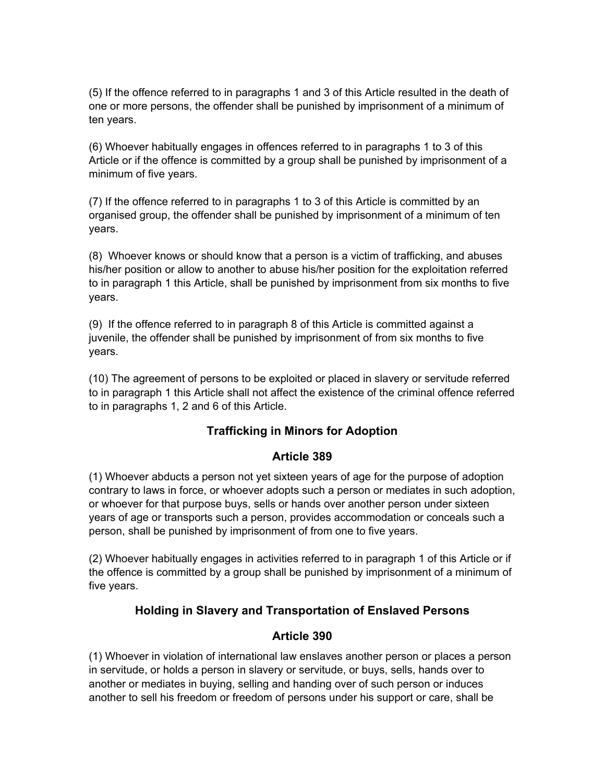(5) If the offence referred to in paragraphs 1 and 3 of this Article resulted in the death of one or more persons, the offender shall be punished by imprisonment of a minimum of ten years.

(6) Whoever habitually engages in offences referred to in paragraphs 1 to 3 of this Article or if the offence is committed by a group shall be punished by imprisonment of a minimum of five years.

(7) If the offence referred to in paragraphs 1 to 3 of this Article is committed by an organised group, the offender shall be punished by imprisonment of a minimum of ten years.

(8) Whoever knows or should know that a person is a victim of trafficking, and abuses his/her position or allow to another to abuse his/her position for the exploitation referred to in paragraph 1 this Article, shall be punished by imprisonment from six months to five years.

(9) If the offence referred to in paragraph 8 of this Article is committed against a juvenile, the offender shall be punished by imprisonment of from six months to five years.

(10) The agreement of persons to be exploited or placed in slavery or servitude referred to in paragraph 1 this Article shall not affect the existence of the criminal offence referred to in paragraphs 1, 2 and 6 of this Article.

# **Trafficking in Minors for Adoption**

#### **Article 389**

(1) Whoever abducts a person not yet sixteen years of age for the purpose of adoption contrary to laws in force, or whoever adopts such a person or mediates in such adoption, or whoever for that purpose buys, sells or hands over another person under sixteen years of age or transports such a person, provides accommodation or conceals such a person, shall be punished by imprisonment of from one to five years.

(2) Whoever habitually engages in activities referred to in paragraph 1 of this Article or if the offence is committed by a group shall be punished by imprisonment of a minimum of five years.

#### **Holding in Slavery and Transportation of Enslaved Persons**

#### **Article 390**

(1) Whoever in violation of international law enslaves another person or places a person in servitude, or holds a person in slavery or servitude, or buys, sells, hands over to another or mediates in buying, selling and handing over of such person or induces another to sell his freedom or freedom of persons under his support or care, shall be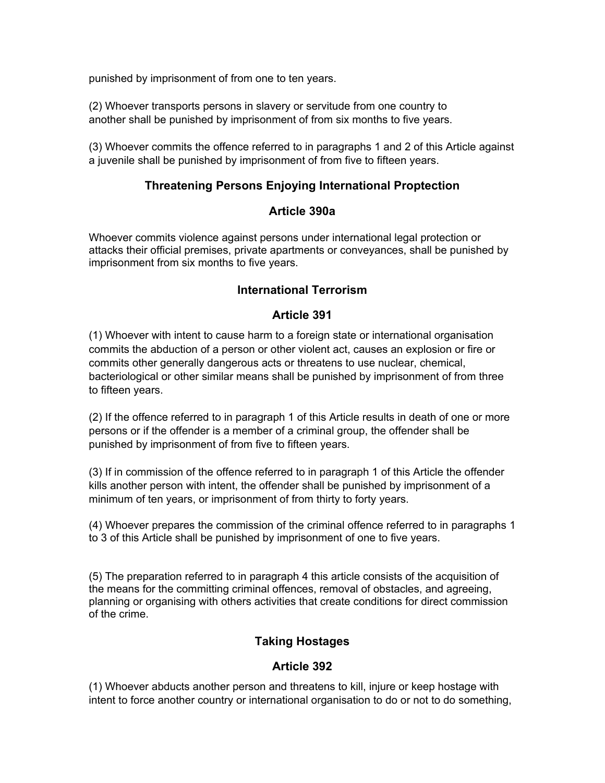punished by imprisonment of from one to ten years.

(2) Whoever transports persons in slavery or servitude from one country to another shall be punished by imprisonment of from six months to five years.

(3) Whoever commits the offence referred to in paragraphs 1 and 2 of this Article against a juvenile shall be punished by imprisonment of from five to fifteen years.

### **Threatening Persons Enjoying International Proptection**

#### **Article 390a**

Whoever commits violence against persons under international legal protection or attacks their official premises, private apartments or conveyances, shall be punished by imprisonment from six months to five years.

### **International Terrorism**

### **Article 391**

(1) Whoever with intent to cause harm to a foreign state or international organisation commits the abduction of a person or other violent act, causes an explosion or fire or commits other generally dangerous acts or threatens to use nuclear, chemical, bacteriological or other similar means shall be punished by imprisonment of from three to fifteen years.

(2) If the offence referred to in paragraph 1 of this Article results in death of one or more persons or if the offender is a member of a criminal group, the offender shall be punished by imprisonment of from five to fifteen years.

(3) If in commission of the offence referred to in paragraph 1 of this Article the offender kills another person with intent, the offender shall be punished by imprisonment of a minimum of ten years, or imprisonment of from thirty to forty years.

(4) Whoever prepares the commission of the criminal offence referred to in paragraphs 1 to 3 of this Article shall be punished by imprisonment of one to five years.

(5) The preparation referred to in paragraph 4 this article consists of the acquisition of the means for the committing criminal offences, removal of obstacles, and agreeing, planning or organising with others activities that create conditions for direct commission of the crime.

# **Taking Hostages**

#### **Article 392**

(1) Whoever abducts another person and threatens to kill, injure or keep hostage with intent to force another country or international organisation to do or not to do something,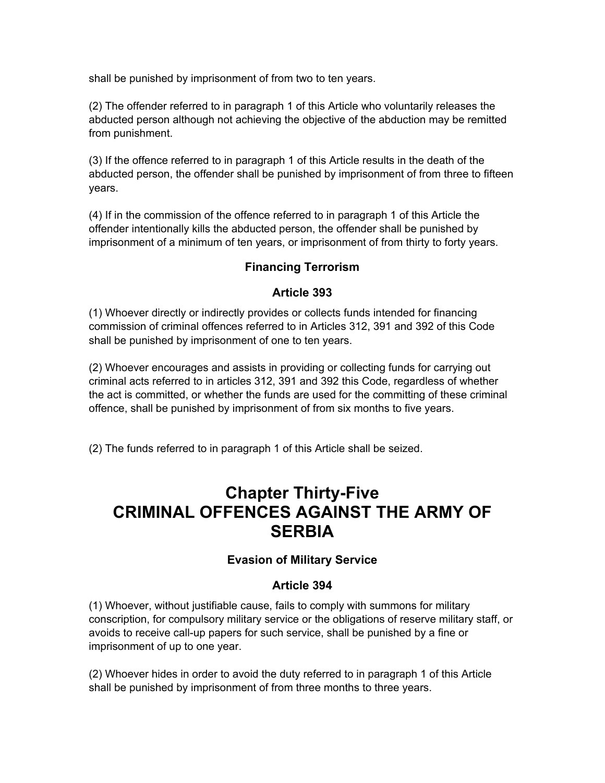shall be punished by imprisonment of from two to ten years.

(2) The offender referred to in paragraph 1 of this Article who voluntarily releases the abducted person although not achieving the objective of the abduction may be remitted from punishment.

(3) If the offence referred to in paragraph 1 of this Article results in the death of the abducted person, the offender shall be punished by imprisonment of from three to fifteen years.

(4) If in the commission of the offence referred to in paragraph 1 of this Article the offender intentionally kills the abducted person, the offender shall be punished by imprisonment of a minimum of ten years, or imprisonment of from thirty to forty years.

# **Financing Terrorism**

#### **Article 393**

(1) Whoever directly or indirectly provides or collects funds intended for financing commission of criminal offences referred to in Articles 312, 391 and 392 of this Code shall be punished by imprisonment of one to ten years.

(2) Whoever encourages and assists in providing or collecting funds for carrying out criminal acts referred to in articles 312, 391 and 392 this Code, regardless of whether the act is committed, or whether the funds are used for the committing of these criminal offence, shall be punished by imprisonment of from six months to five years.

(2) The funds referred to in paragraph 1 of this Article shall be seized.

# **Chapter Thirty-Five CRIMINAL OFFENCES AGAINST THE ARMY OF SERBIA**

#### **Evasion of Military Service**

#### **Article 394**

(1) Whoever, without justifiable cause, fails to comply with summons for military conscription, for compulsory military service or the obligations of reserve military staff, or avoids to receive call-up papers for such service, shall be punished by a fine or imprisonment of up to one year.

(2) Whoever hides in order to avoid the duty referred to in paragraph 1 of this Article shall be punished by imprisonment of from three months to three years.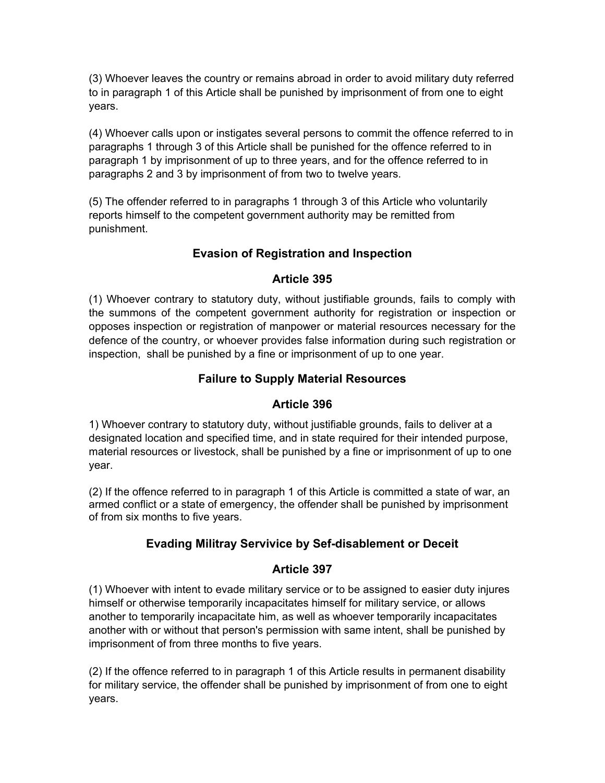(3) Whoever leaves the country or remains abroad in order to avoid military duty referred to in paragraph 1 of this Article shall be punished by imprisonment of from one to eight years.

(4) Whoever calls upon or instigates several persons to commit the offence referred to in paragraphs 1 through 3 of this Article shall be punished for the offence referred to in paragraph 1 by imprisonment of up to three years, and for the offence referred to in paragraphs 2 and 3 by imprisonment of from two to twelve years.

(5) The offender referred to in paragraphs 1 through 3 of this Article who voluntarily reports himself to the competent government authority may be remitted from punishment.

# **Evasion of Registration and Inspection**

# **Article 395**

(1) Whoever contrary to statutory duty, without justifiable grounds, fails to comply with the summons of the competent government authority for registration or inspection or opposes inspection or registration of manpower or material resources necessary for the defence of the country, or whoever provides false information during such registration or inspection, shall be punished by a fine or imprisonment of up to one year.

# **Failure to Supply Material Resources**

# **Article 396**

1) Whoever contrary to statutory duty, without justifiable grounds, fails to deliver at a designated location and specified time, and in state required for their intended purpose, material resources or livestock, shall be punished by a fine or imprisonment of up to one year.

(2) If the offence referred to in paragraph 1 of this Article is committed a state of war, an armed conflict or a state of emergency, the offender shall be punished by imprisonment of from six months to five years.

# **Evading Militray Servivice by Sef-disablement or Deceit**

# **Article 397**

(1) Whoever with intent to evade military service or to be assigned to easier duty injures himself or otherwise temporarily incapacitates himself for military service, or allows another to temporarily incapacitate him, as well as whoever temporarily incapacitates another with or without that person's permission with same intent, shall be punished by imprisonment of from three months to five years.

(2) If the offence referred to in paragraph 1 of this Article results in permanent disability for military service, the offender shall be punished by imprisonment of from one to eight years.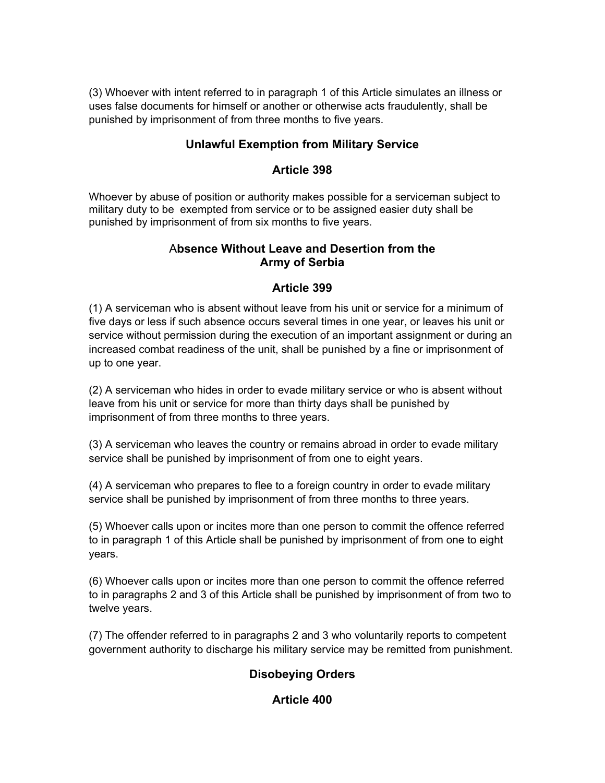(3) Whoever with intent referred to in paragraph 1 of this Article simulates an illness or uses false documents for himself or another or otherwise acts fraudulently, shall be punished by imprisonment of from three months to five years.

#### **Unlawful Exemption from Military Service**

#### **Article 398**

Whoever by abuse of position or authority makes possible for a serviceman subject to military duty to be exempted from service or to be assigned easier duty shall be punished by imprisonment of from six months to five years.

# A**bsence Without Leave and Desertion from the Army of Serbia**

# **Article 399**

(1) A serviceman who is absent without leave from his unit or service for a minimum of five days or less if such absence occurs several times in one year, or leaves his unit or service without permission during the execution of an important assignment or during an increased combat readiness of the unit, shall be punished by a fine or imprisonment of up to one year.

(2) A serviceman who hides in order to evade military service or who is absent without leave from his unit or service for more than thirty days shall be punished by imprisonment of from three months to three years.

(3) A serviceman who leaves the country or remains abroad in order to evade military service shall be punished by imprisonment of from one to eight years.

(4) A serviceman who prepares to flee to a foreign country in order to evade military service shall be punished by imprisonment of from three months to three years.

(5) Whoever calls upon or incites more than one person to commit the offence referred to in paragraph 1 of this Article shall be punished by imprisonment of from one to eight years.

(6) Whoever calls upon or incites more than one person to commit the offence referred to in paragraphs 2 and 3 of this Article shall be punished by imprisonment of from two to twelve years.

(7) The offender referred to in paragraphs 2 and 3 who voluntarily reports to competent government authority to discharge his military service may be remitted from punishment.

# **Disobeying Orders**

# **Article 400**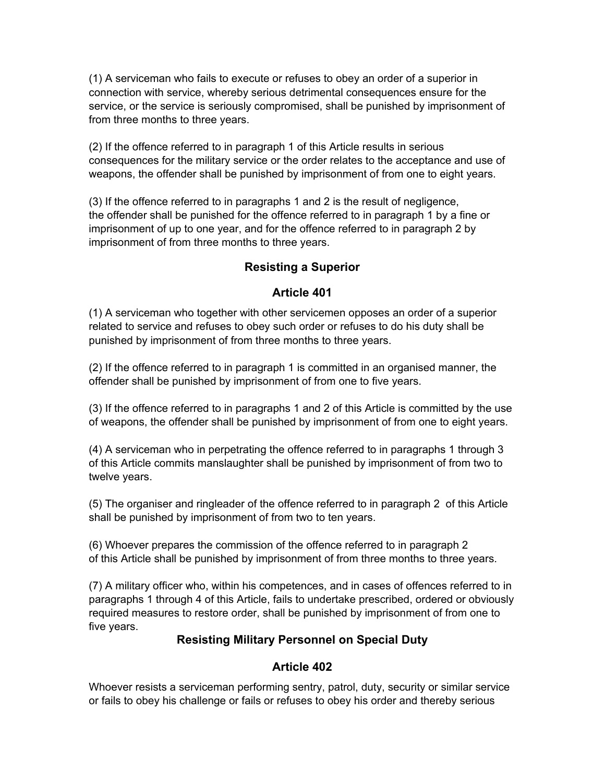(1) A serviceman who fails to execute or refuses to obey an order of a superior in connection with service, whereby serious detrimental consequences ensure for the service, or the service is seriously compromised, shall be punished by imprisonment of from three months to three years.

(2) If the offence referred to in paragraph 1 of this Article results in serious consequences for the military service or the order relates to the acceptance and use of weapons, the offender shall be punished by imprisonment of from one to eight years.

(3) If the offence referred to in paragraphs 1 and 2 is the result of negligence, the offender shall be punished for the offence referred to in paragraph 1 by a fine or imprisonment of up to one year, and for the offence referred to in paragraph 2 by imprisonment of from three months to three years.

### **Resisting a Superior**

#### **Article 401**

(1) A serviceman who together with other servicemen opposes an order of a superior related to service and refuses to obey such order or refuses to do his duty shall be punished by imprisonment of from three months to three years.

(2) If the offence referred to in paragraph 1 is committed in an organised manner, the offender shall be punished by imprisonment of from one to five years.

(3) If the offence referred to in paragraphs 1 and 2 of this Article is committed by the use of weapons, the offender shall be punished by imprisonment of from one to eight years.

(4) A serviceman who in perpetrating the offence referred to in paragraphs 1 through 3 of this Article commits manslaughter shall be punished by imprisonment of from two to twelve years.

(5) The organiser and ringleader of the offence referred to in paragraph 2 of this Article shall be punished by imprisonment of from two to ten years.

(6) Whoever prepares the commission of the offence referred to in paragraph 2 of this Article shall be punished by imprisonment of from three months to three years.

(7) A military officer who, within his competences, and in cases of offences referred to in paragraphs 1 through 4 of this Article, fails to undertake prescribed, ordered or obviously required measures to restore order, shall be punished by imprisonment of from one to five years.

#### **Resisting Military Personnel on Special Duty**

#### **Article 402**

Whoever resists a serviceman performing sentry, patrol, duty, security or similar service or fails to obey his challenge or fails or refuses to obey his order and thereby serious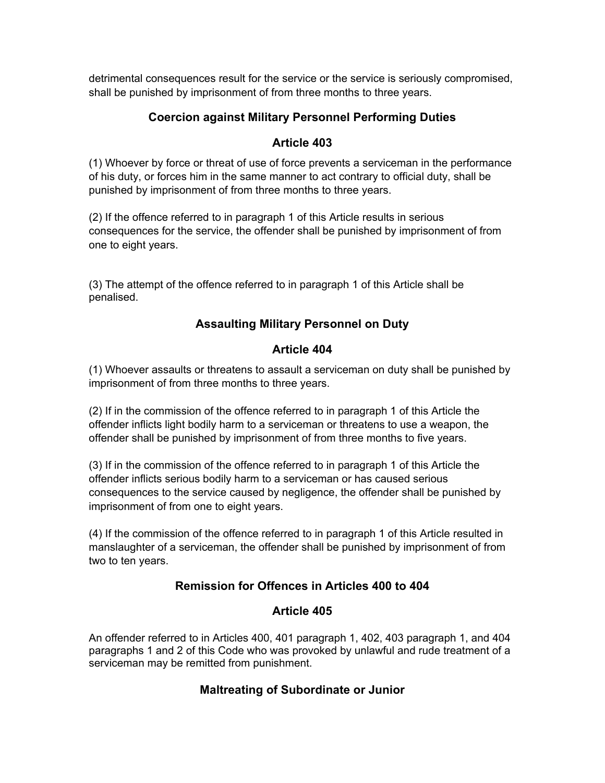detrimental consequences result for the service or the service is seriously compromised, shall be punished by imprisonment of from three months to three years.

# **Coercion against Military Personnel Performing Duties**

#### **Article 403**

(1) Whoever by force or threat of use of force prevents a serviceman in the performance of his duty, or forces him in the same manner to act contrary to official duty, shall be punished by imprisonment of from three months to three years.

(2) If the offence referred to in paragraph 1 of this Article results in serious consequences for the service, the offender shall be punished by imprisonment of from one to eight years.

(3) The attempt of the offence referred to in paragraph 1 of this Article shall be penalised.

# **Assaulting Military Personnel on Duty**

### **Article 404**

(1) Whoever assaults or threatens to assault a serviceman on duty shall be punished by imprisonment of from three months to three years.

(2) If in the commission of the offence referred to in paragraph 1 of this Article the offender inflicts light bodily harm to a serviceman or threatens to use a weapon, the offender shall be punished by imprisonment of from three months to five years.

(3) If in the commission of the offence referred to in paragraph 1 of this Article the offender inflicts serious bodily harm to a serviceman or has caused serious consequences to the service caused by negligence, the offender shall be punished by imprisonment of from one to eight years.

(4) If the commission of the offence referred to in paragraph 1 of this Article resulted in manslaughter of a serviceman, the offender shall be punished by imprisonment of from two to ten years.

# **Remission for Offences in Articles 400 to 404**

#### **Article 405**

An offender referred to in Articles 400, 401 paragraph 1, 402, 403 paragraph 1, and 404 paragraphs 1 and 2 of this Code who was provoked by unlawful and rude treatment of a serviceman may be remitted from punishment.

#### **Maltreating of Subordinate or Junior**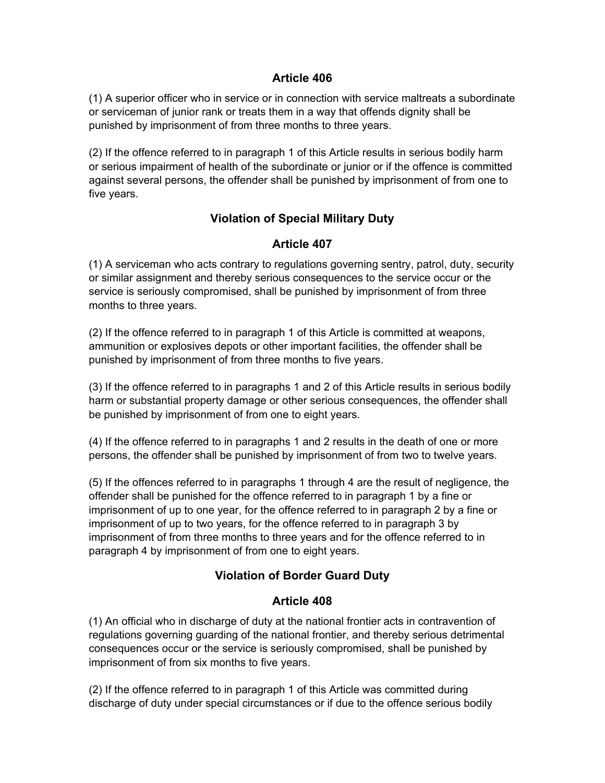#### **Article 406**

(1) A superior officer who in service or in connection with service maltreats a subordinate or serviceman of junior rank or treats them in a way that offends dignity shall be punished by imprisonment of from three months to three years.

(2) If the offence referred to in paragraph 1 of this Article results in serious bodily harm or serious impairment of health of the subordinate or junior or if the offence is committed against several persons, the offender shall be punished by imprisonment of from one to five years.

# **Violation of Special Military Duty**

# **Article 407**

(1) A serviceman who acts contrary to regulations governing sentry, patrol, duty, security or similar assignment and thereby serious consequences to the service occur or the service is seriously compromised, shall be punished by imprisonment of from three months to three years.

(2) If the offence referred to in paragraph 1 of this Article is committed at weapons, ammunition or explosives depots or other important facilities, the offender shall be punished by imprisonment of from three months to five years.

(3) If the offence referred to in paragraphs 1 and 2 of this Article results in serious bodily harm or substantial property damage or other serious consequences, the offender shall be punished by imprisonment of from one to eight years.

(4) If the offence referred to in paragraphs 1 and 2 results in the death of one or more persons, the offender shall be punished by imprisonment of from two to twelve years.

(5) If the offences referred to in paragraphs 1 through 4 are the result of negligence, the offender shall be punished for the offence referred to in paragraph 1 by a fine or imprisonment of up to one year, for the offence referred to in paragraph 2 by a fine or imprisonment of up to two years, for the offence referred to in paragraph 3 by imprisonment of from three months to three years and for the offence referred to in paragraph 4 by imprisonment of from one to eight years.

# **Violation of Border Guard Duty**

# **Article 408**

(1) An official who in discharge of duty at the national frontier acts in contravention of regulations governing guarding of the national frontier, and thereby serious detrimental consequences occur or the service is seriously compromised, shall be punished by imprisonment of from six months to five years.

(2) If the offence referred to in paragraph 1 of this Article was committed during discharge of duty under special circumstances or if due to the offence serious bodily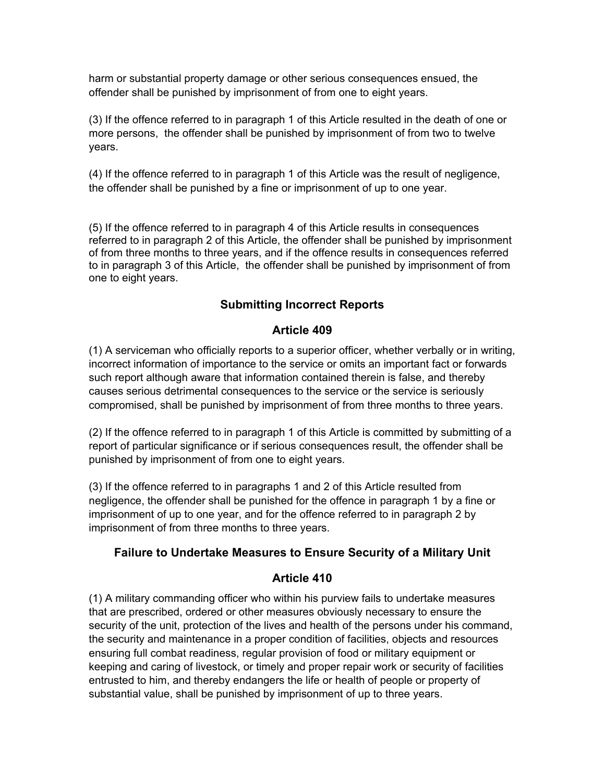harm or substantial property damage or other serious consequences ensued, the offender shall be punished by imprisonment of from one to eight years.

(3) If the offence referred to in paragraph 1 of this Article resulted in the death of one or more persons, the offender shall be punished by imprisonment of from two to twelve years.

(4) If the offence referred to in paragraph 1 of this Article was the result of negligence, the offender shall be punished by a fine or imprisonment of up to one year.

(5) If the offence referred to in paragraph 4 of this Article results in consequences referred to in paragraph 2 of this Article, the offender shall be punished by imprisonment of from three months to three years, and if the offence results in consequences referred to in paragraph 3 of this Article, the offender shall be punished by imprisonment of from one to eight years.

# **Submitting Incorrect Reports**

### **Article 409**

(1) A serviceman who officially reports to a superior officer, whether verbally or in writing, incorrect information of importance to the service or omits an important fact or forwards such report although aware that information contained therein is false, and thereby causes serious detrimental consequences to the service or the service is seriously compromised, shall be punished by imprisonment of from three months to three years.

(2) If the offence referred to in paragraph 1 of this Article is committed by submitting of a report of particular significance or if serious consequences result, the offender shall be punished by imprisonment of from one to eight years.

(3) If the offence referred to in paragraphs 1 and 2 of this Article resulted from negligence, the offender shall be punished for the offence in paragraph 1 by a fine or imprisonment of up to one year, and for the offence referred to in paragraph 2 by imprisonment of from three months to three years.

#### **Failure to Undertake Measures to Ensure Security of a Military Unit**

#### **Article 410**

(1) A military commanding officer who within his purview fails to undertake measures that are prescribed, ordered or other measures obviously necessary to ensure the security of the unit, protection of the lives and health of the persons under his command, the security and maintenance in a proper condition of facilities, objects and resources ensuring full combat readiness, regular provision of food or military equipment or keeping and caring of livestock, or timely and proper repair work or security of facilities entrusted to him, and thereby endangers the life or health of people or property of substantial value, shall be punished by imprisonment of up to three years.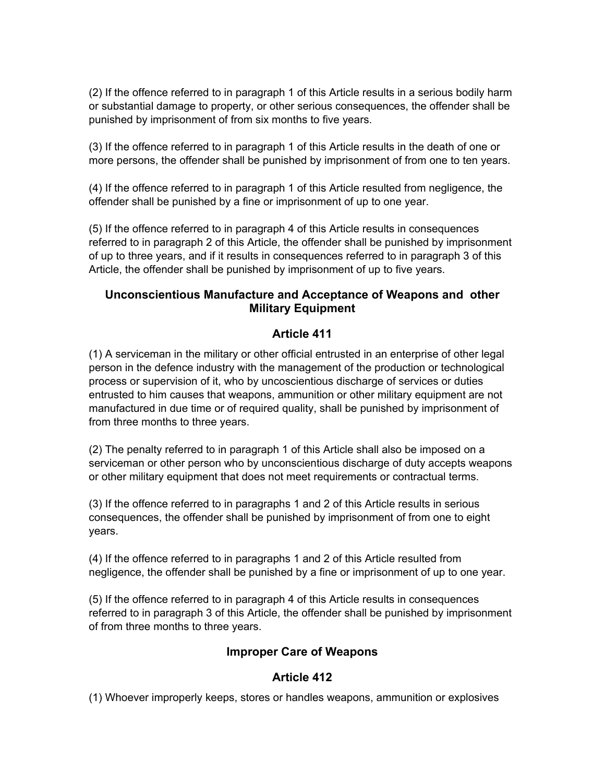(2) If the offence referred to in paragraph 1 of this Article results in a serious bodily harm or substantial damage to property, or other serious consequences, the offender shall be punished by imprisonment of from six months to five years.

(3) If the offence referred to in paragraph 1 of this Article results in the death of one or more persons, the offender shall be punished by imprisonment of from one to ten years.

(4) If the offence referred to in paragraph 1 of this Article resulted from negligence, the offender shall be punished by a fine or imprisonment of up to one year.

(5) If the offence referred to in paragraph 4 of this Article results in consequences referred to in paragraph 2 of this Article, the offender shall be punished by imprisonment of up to three years, and if it results in consequences referred to in paragraph 3 of this Article, the offender shall be punished by imprisonment of up to five years.

### **Unconscientious Manufacture and Acceptance of Weapons and other Military Equipment**

# **Article 411**

(1) A serviceman in the military or other official entrusted in an enterprise of other legal person in the defence industry with the management of the production or technological process or supervision of it, who by uncoscientious discharge of services or duties entrusted to him causes that weapons, ammunition or other military equipment are not manufactured in due time or of required quality, shall be punished by imprisonment of from three months to three years.

(2) The penalty referred to in paragraph 1 of this Article shall also be imposed on a serviceman or other person who by unconscientious discharge of duty accepts weapons or other military equipment that does not meet requirements or contractual terms.

(3) If the offence referred to in paragraphs 1 and 2 of this Article results in serious consequences, the offender shall be punished by imprisonment of from one to eight years.

(4) If the offence referred to in paragraphs 1 and 2 of this Article resulted from negligence, the offender shall be punished by a fine or imprisonment of up to one year.

(5) If the offence referred to in paragraph 4 of this Article results in consequences referred to in paragraph 3 of this Article, the offender shall be punished by imprisonment of from three months to three years.

# **Improper Care of Weapons**

#### **Article 412**

(1) Whoever improperly keeps, stores or handles weapons, ammunition or explosives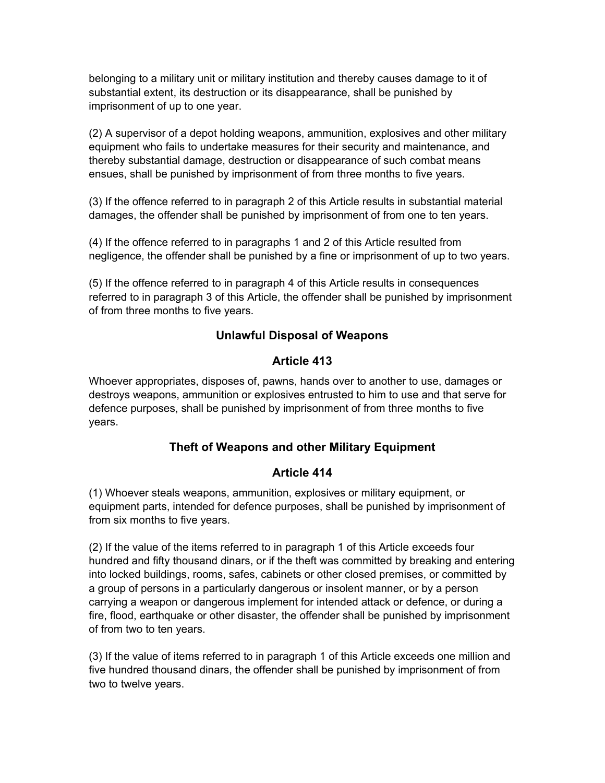belonging to a military unit or military institution and thereby causes damage to it of substantial extent, its destruction or its disappearance, shall be punished by imprisonment of up to one year.

(2) A supervisor of a depot holding weapons, ammunition, explosives and other military equipment who fails to undertake measures for their security and maintenance, and thereby substantial damage, destruction or disappearance of such combat means ensues, shall be punished by imprisonment of from three months to five years.

(3) If the offence referred to in paragraph 2 of this Article results in substantial material damages, the offender shall be punished by imprisonment of from one to ten years.

(4) If the offence referred to in paragraphs 1 and 2 of this Article resulted from negligence, the offender shall be punished by a fine or imprisonment of up to two years.

(5) If the offence referred to in paragraph 4 of this Article results in consequences referred to in paragraph 3 of this Article, the offender shall be punished by imprisonment of from three months to five years.

### **Unlawful Disposal of Weapons**

### **Article 413**

Whoever appropriates, disposes of, pawns, hands over to another to use, damages or destroys weapons, ammunition or explosives entrusted to him to use and that serve for defence purposes, shall be punished by imprisonment of from three months to five years.

# **Theft of Weapons and other Military Equipment**

#### **Article 414**

(1) Whoever steals weapons, ammunition, explosives or military equipment, or equipment parts, intended for defence purposes, shall be punished by imprisonment of from six months to five years.

(2) If the value of the items referred to in paragraph 1 of this Article exceeds four hundred and fifty thousand dinars, or if the theft was committed by breaking and entering into locked buildings, rooms, safes, cabinets or other closed premises, or committed by a group of persons in a particularly dangerous or insolent manner, or by a person carrying a weapon or dangerous implement for intended attack or defence, or during a fire, flood, earthquake or other disaster, the offender shall be punished by imprisonment of from two to ten years.

(3) If the value of items referred to in paragraph 1 of this Article exceeds one million and five hundred thousand dinars, the offender shall be punished by imprisonment of from two to twelve years.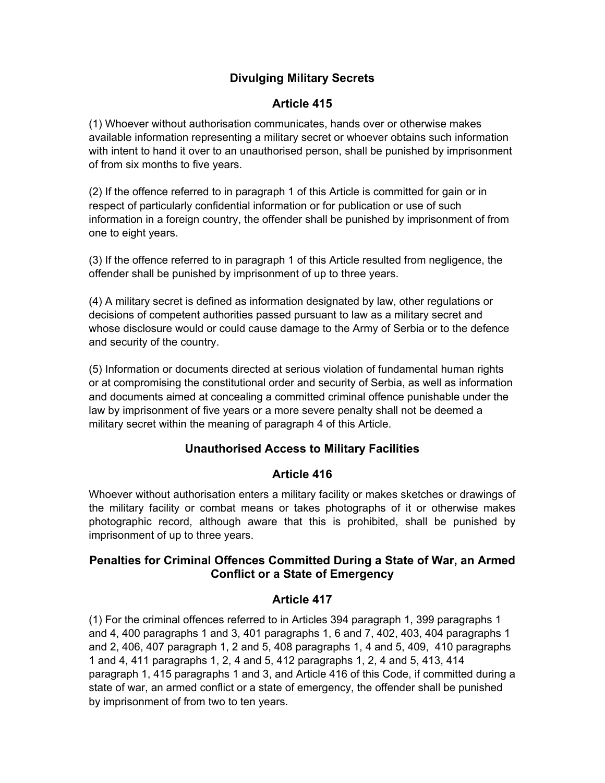# **Divulging Military Secrets**

### **Article 415**

(1) Whoever without authorisation communicates, hands over or otherwise makes available information representing a military secret or whoever obtains such information with intent to hand it over to an unauthorised person, shall be punished by imprisonment of from six months to five years.

(2) If the offence referred to in paragraph 1 of this Article is committed for gain or in respect of particularly confidential information or for publication or use of such information in a foreign country, the offender shall be punished by imprisonment of from one to eight years.

(3) If the offence referred to in paragraph 1 of this Article resulted from negligence, the offender shall be punished by imprisonment of up to three years.

(4) A military secret is defined as information designated by law, other regulations or decisions of competent authorities passed pursuant to law as a military secret and whose disclosure would or could cause damage to the Army of Serbia or to the defence and security of the country.

(5) Information or documents directed at serious violation of fundamental human rights or at compromising the constitutional order and security of Serbia, as well as information and documents aimed at concealing a committed criminal offence punishable under the law by imprisonment of five years or a more severe penalty shall not be deemed a military secret within the meaning of paragraph 4 of this Article.

# **Unauthorised Access to Military Facilities**

#### **Article 416**

Whoever without authorisation enters a military facility or makes sketches or drawings of the military facility or combat means or takes photographs of it or otherwise makes photographic record, although aware that this is prohibited, shall be punished by imprisonment of up to three years.

# **Penalties for Criminal Offences Committed During a State of War, an Armed Conflict or a State of Emergency**

#### **Article 417**

(1) For the criminal offences referred to in Articles 394 paragraph 1, 399 paragraphs 1 and 4, 400 paragraphs 1 and 3, 401 paragraphs 1, 6 and 7, 402, 403, 404 paragraphs 1 and 2, 406, 407 paragraph 1, 2 and 5, 408 paragraphs 1, 4 and 5, 409, 410 paragraphs 1 and 4, 411 paragraphs 1, 2, 4 and 5, 412 paragraphs 1, 2, 4 and 5, 413, 414 paragraph 1, 415 paragraphs 1 and 3, and Article 416 of this Code, if committed during a state of war, an armed conflict or a state of emergency, the offender shall be punished by imprisonment of from two to ten years.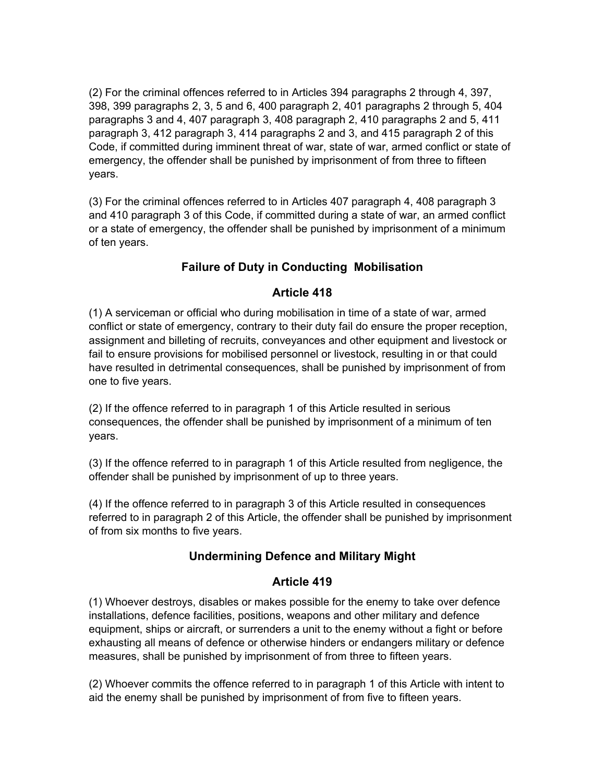(2) For the criminal offences referred to in Articles 394 paragraphs 2 through 4, 397, 398, 399 paragraphs 2, 3, 5 and 6, 400 paragraph 2, 401 paragraphs 2 through 5, 404 paragraphs 3 and 4, 407 paragraph 3, 408 paragraph 2, 410 paragraphs 2 and 5, 411 paragraph 3, 412 paragraph 3, 414 paragraphs 2 and 3, and 415 paragraph 2 of this Code, if committed during imminent threat of war, state of war, armed conflict or state of emergency, the offender shall be punished by imprisonment of from three to fifteen years.

(3) For the criminal offences referred to in Articles 407 paragraph 4, 408 paragraph 3 and 410 paragraph 3 of this Code, if committed during a state of war, an armed conflict or a state of emergency, the offender shall be punished by imprisonment of a minimum of ten years.

# **Failure of Duty in Conducting Mobilisation**

#### **Article 418**

(1) A serviceman or official who during mobilisation in time of a state of war, armed conflict or state of emergency, contrary to their duty fail do ensure the proper reception, assignment and billeting of recruits, conveyances and other equipment and livestock or fail to ensure provisions for mobilised personnel or livestock, resulting in or that could have resulted in detrimental consequences, shall be punished by imprisonment of from one to five years.

(2) If the offence referred to in paragraph 1 of this Article resulted in serious consequences, the offender shall be punished by imprisonment of a minimum of ten years.

(3) If the offence referred to in paragraph 1 of this Article resulted from negligence, the offender shall be punished by imprisonment of up to three years.

(4) If the offence referred to in paragraph 3 of this Article resulted in consequences referred to in paragraph 2 of this Article, the offender shall be punished by imprisonment of from six months to five years.

#### **Undermining Defence and Military Might**

#### **Article 419**

(1) Whoever destroys, disables or makes possible for the enemy to take over defence installations, defence facilities, positions, weapons and other military and defence equipment, ships or aircraft, or surrenders a unit to the enemy without a fight or before exhausting all means of defence or otherwise hinders or endangers military or defence measures, shall be punished by imprisonment of from three to fifteen years.

(2) Whoever commits the offence referred to in paragraph 1 of this Article with intent to aid the enemy shall be punished by imprisonment of from five to fifteen years.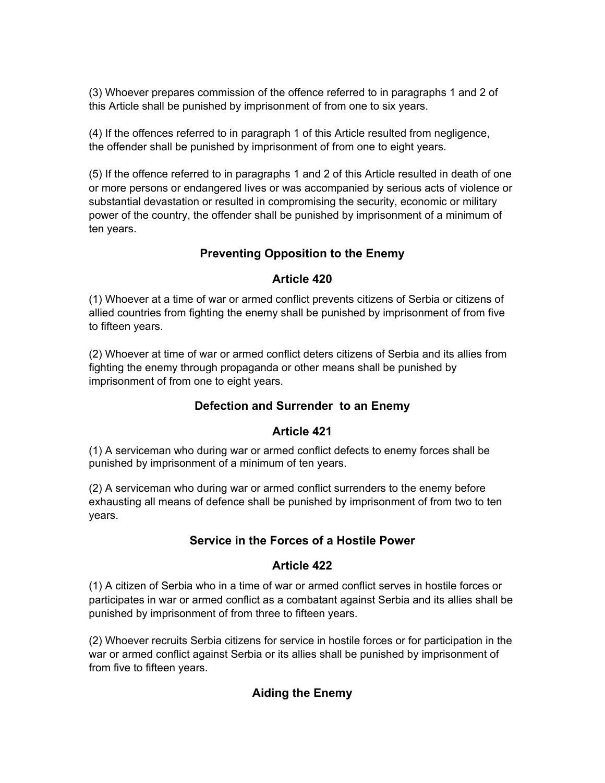(3) Whoever prepares commission of the offence referred to in paragraphs 1 and 2 of this Article shall be punished by imprisonment of from one to six years.

(4) If the offences referred to in paragraph 1 of this Article resulted from negligence, the offender shall be punished by imprisonment of from one to eight years.

(5) If the offence referred to in paragraphs 1 and 2 of this Article resulted in death of one or more persons or endangered lives or was accompanied by serious acts of violence or substantial devastation or resulted in compromising the security, economic or military power of the country, the offender shall be punished by imprisonment of a minimum of ten years.

# **Preventing Opposition to the Enemy**

# **Article 420**

(1) Whoever at a time of war or armed conflict prevents citizens of Serbia or citizens of allied countries from fighting the enemy shall be punished by imprisonment of from five to fifteen years.

(2) Whoever at time of war or armed conflict deters citizens of Serbia and its allies from fighting the enemy through propaganda or other means shall be punished by imprisonment of from one to eight years.

# **Defection and Surrender to an Enemy**

# **Article 421**

(1) A serviceman who during war or armed conflict defects to enemy forces shall be punished by imprisonment of a minimum of ten years.

(2) A serviceman who during war or armed conflict surrenders to the enemy before exhausting all means of defence shall be punished by imprisonment of from two to ten years.

# **Service in the Forces of a Hostile Power**

#### **Article 422**

(1) A citizen of Serbia who in a time of war or armed conflict serves in hostile forces or participates in war or armed conflict as a combatant against Serbia and its allies shall be punished by imprisonment of from three to fifteen years.

(2) Whoever recruits Serbia citizens for service in hostile forces or for participation in the war or armed conflict against Serbia or its allies shall be punished by imprisonment of from five to fifteen years.

# **Aiding the Enemy**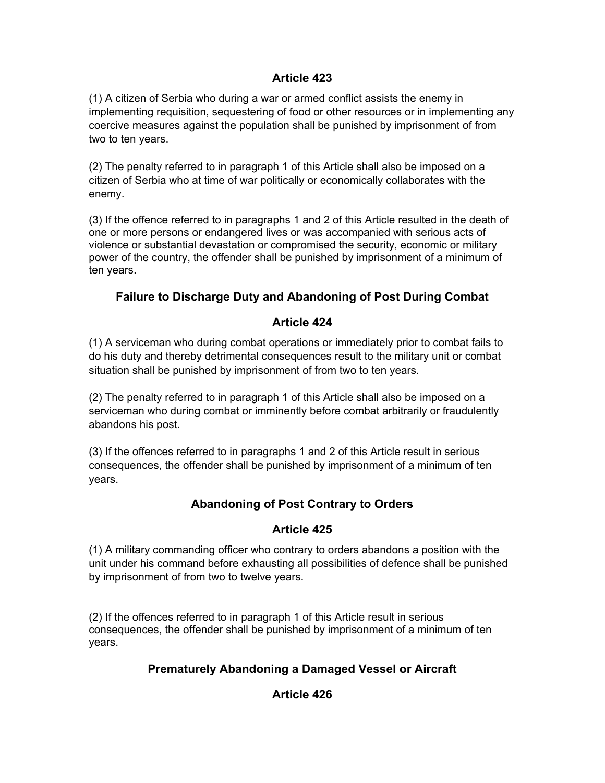#### **Article 423**

(1) A citizen of Serbia who during a war or armed conflict assists the enemy in implementing requisition, sequestering of food or other resources or in implementing any coercive measures against the population shall be punished by imprisonment of from two to ten years.

(2) The penalty referred to in paragraph 1 of this Article shall also be imposed on a citizen of Serbia who at time of war politically or economically collaborates with the enemy.

(3) If the offence referred to in paragraphs 1 and 2 of this Article resulted in the death of one or more persons or endangered lives or was accompanied with serious acts of violence or substantial devastation or compromised the security, economic or military power of the country, the offender shall be punished by imprisonment of a minimum of ten years.

# **Failure to Discharge Duty and Abandoning of Post During Combat**

### **Article 424**

(1) A serviceman who during combat operations or immediately prior to combat fails to do his duty and thereby detrimental consequences result to the military unit or combat situation shall be punished by imprisonment of from two to ten years.

(2) The penalty referred to in paragraph 1 of this Article shall also be imposed on a serviceman who during combat or imminently before combat arbitrarily or fraudulently abandons his post.

(3) If the offences referred to in paragraphs 1 and 2 of this Article result in serious consequences, the offender shall be punished by imprisonment of a minimum of ten years.

# **Abandoning of Post Contrary to Orders**

#### **Article 425**

(1) A military commanding officer who contrary to orders abandons a position with the unit under his command before exhausting all possibilities of defence shall be punished by imprisonment of from two to twelve years.

(2) If the offences referred to in paragraph 1 of this Article result in serious consequences, the offender shall be punished by imprisonment of a minimum of ten years.

# **Prematurely Abandoning a Damaged Vessel or Aircraft**

# **Article 426**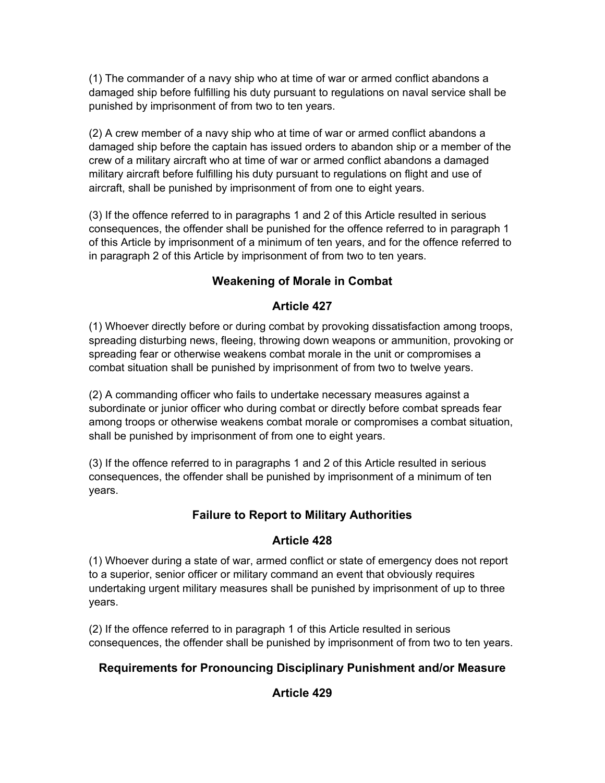(1) The commander of a navy ship who at time of war or armed conflict abandons a damaged ship before fulfilling his duty pursuant to regulations on naval service shall be punished by imprisonment of from two to ten years.

(2) A crew member of a navy ship who at time of war or armed conflict abandons a damaged ship before the captain has issued orders to abandon ship or a member of the crew of a military aircraft who at time of war or armed conflict abandons a damaged military aircraft before fulfilling his duty pursuant to regulations on flight and use of aircraft, shall be punished by imprisonment of from one to eight years.

(3) If the offence referred to in paragraphs 1 and 2 of this Article resulted in serious consequences, the offender shall be punished for the offence referred to in paragraph 1 of this Article by imprisonment of a minimum of ten years, and for the offence referred to in paragraph 2 of this Article by imprisonment of from two to ten years.

# **Weakening of Morale in Combat**

# **Article 427**

(1) Whoever directly before or during combat by provoking dissatisfaction among troops, spreading disturbing news, fleeing, throwing down weapons or ammunition, provoking or spreading fear or otherwise weakens combat morale in the unit or compromises a combat situation shall be punished by imprisonment of from two to twelve years.

(2) A commanding officer who fails to undertake necessary measures against a subordinate or junior officer who during combat or directly before combat spreads fear among troops or otherwise weakens combat morale or compromises a combat situation, shall be punished by imprisonment of from one to eight years.

(3) If the offence referred to in paragraphs 1 and 2 of this Article resulted in serious consequences, the offender shall be punished by imprisonment of a minimum of ten years.

# **Failure to Report to Military Authorities**

# **Article 428**

(1) Whoever during a state of war, armed conflict or state of emergency does not report to a superior, senior officer or military command an event that obviously requires undertaking urgent military measures shall be punished by imprisonment of up to three years.

(2) If the offence referred to in paragraph 1 of this Article resulted in serious consequences, the offender shall be punished by imprisonment of from two to ten years.

# **Requirements for Pronouncing Disciplinary Punishment and/or Measure**

# **Article 429**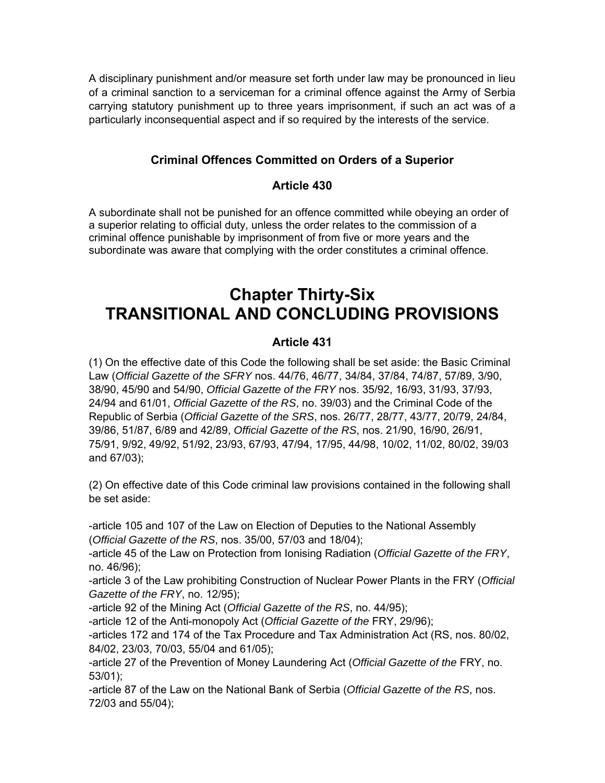A disciplinary punishment and/or measure set forth under law may be pronounced in lieu of a criminal sanction to a serviceman for a criminal offence against the Army of Serbia carrying statutory punishment up to three years imprisonment, if such an act was of a particularly inconsequential aspect and if so required by the interests of the service.

# **Criminal Offences Committed on Orders of a Superior**

### **Article 430**

A subordinate shall not be punished for an offence committed while obeying an order of a superior relating to official duty, unless the order relates to the commission of a criminal offence punishable by imprisonment of from five or more years and the subordinate was aware that complying with the order constitutes a criminal offence.

# **Chapter Thirty-Six TRANSITIONAL AND CONCLUDING PROVISIONS**

### **Article 431**

(1) On the effective date of this Code the following shall be set aside: the Basic Criminal Law (*Official Gazette of the SFRY* nos. 44/76, 46/77, 34/84, 37/84, 74/87, 57/89, 3/90, 38/90, 45/90 and 54/90, *Official Gazette of the FRY* nos. 35/92, 16/93, 31/93, 37/93, 24/94 and 61/01, *Official Gazette of the RS*, no. 39/03) and the Criminal Code of the Republic of Serbia (*Official Gazette of the SRS*, nos. 26/77, 28/77, 43/77, 20/79, 24/84, 39/86, 51/87, 6/89 and 42/89, *Official Gazette of the RS*, nos. 21/90, 16/90, 26/91, 75/91, 9/92, 49/92, 51/92, 23/93, 67/93, 47/94, 17/95, 44/98, 10/02, 11/02, 80/02, 39/03 and 67/03);

(2) On effective date of this Code criminal law provisions contained in the following shall be set aside:

-article 105 and 107 of the Law on Election of Deputies to the National Assembly (*Official Gazette of the RS*, nos. 35/00, 57/03 and 18/04);

-article 45 of the Law on Protection from Ionising Radiation (*Official Gazette of the FRY*, no. 46/96);

-article 3 of the Law prohibiting Construction of Nuclear Power Plants in the FRY (*Official Gazette of the FRY*, no. 12/95);

-article 92 of the Mining Act (*Official Gazette of the RS*, no. 44/95);

-article 12 of the Anti-monopoly Act (*Official Gazette of the* FRY, 29/96);

-articles 172 and 174 of the Tax Procedure and Tax Administration Act (RS, nos. 80/02, 84/02, 23/03, 70/03, 55/04 and 61/05);

-article 27 of the Prevention of Money Laundering Act (*Official Gazette of the* FRY, no. 53/01);

-article 87 of the Law on the National Bank of Serbia (*Official Gazette of the RS*, nos. 72/03 and 55/04);